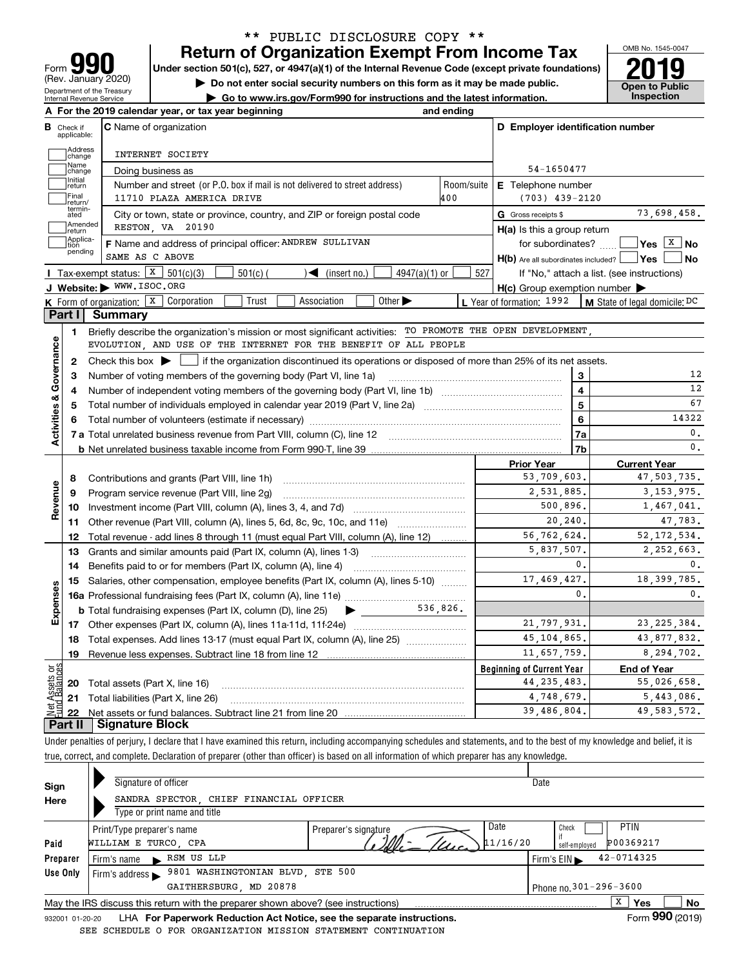| U                                                             |
|---------------------------------------------------------------|
| Form                                                          |
| (Rev. January 2020)                                           |
| Department of the Treasury<br><b>Internal Revenue Service</b> |

## \*\* PUBLIC DISCLOSURE COPY \*\*

Under section 501(c), 527, or 4947(a)(1) of the Internal Revenue Code (except private foundations) Return of Organization Exempt From Income Tax  $\frac{\text{OMB No. 1545-004}}{2019}$ 

▶ Do not enter social security numbers on this form as it may be made public. <br>• Go to www.irs.gov/Form990 for instructions and the latest information. Inspection

▶ Go to www.irs.gov/Form990 for instructions and the latest information.



|                    |                             | A For the 2019 calendar year, or tax year beginning                                                                                     | and ending                                                        |                                                     |                                            |  |  |  |  |
|--------------------|-----------------------------|-----------------------------------------------------------------------------------------------------------------------------------------|-------------------------------------------------------------------|-----------------------------------------------------|--------------------------------------------|--|--|--|--|
| в                  | Check if<br>applicable:     | <b>C</b> Name of organization                                                                                                           |                                                                   | D Employer identification number                    |                                            |  |  |  |  |
|                    | Address<br>change           | INTERNET SOCIETY                                                                                                                        |                                                                   |                                                     |                                            |  |  |  |  |
|                    | Name<br>change              | Doing business as                                                                                                                       |                                                                   | 54-1650477                                          |                                            |  |  |  |  |
|                    | Initial<br>return           | Number and street (or P.O. box if mail is not delivered to street address)                                                              | Room/suite                                                        | E Telephone number                                  |                                            |  |  |  |  |
|                    | Final<br>return/            | 11710 PLAZA AMERICA DRIVE                                                                                                               | 400                                                               | $(703)$ 439-2120                                    |                                            |  |  |  |  |
|                    | termin-<br>ated             | City or town, state or province, country, and ZIP or foreign postal code                                                                |                                                                   | G Gross receipts \$                                 | 73,698,458.                                |  |  |  |  |
|                    | Amended<br>return           | RESTON, VA 20190                                                                                                                        |                                                                   | $H(a)$ is this a group return                       |                                            |  |  |  |  |
|                    | Applica-<br>tion<br>pending | F Name and address of principal officer: ANDREW SULLIVAN                                                                                |                                                                   | for subordinates?                                   | $\sqrt{}$ Yes $\sqrt{X}$ No                |  |  |  |  |
|                    |                             | SAME AS C ABOVE                                                                                                                         |                                                                   | $H(b)$ Are all subordinates included? $\Box$ Yes    | l No                                       |  |  |  |  |
|                    |                             | Tax-exempt status: $X$ 501(c)(3)<br>$501(c)$ (<br>$\sqrt{\bullet}$ (insert no.)<br>$4947(a)(1)$ or                                      | 527                                                               |                                                     | If "No," attach a list. (see instructions) |  |  |  |  |
|                    |                             | J Website: WWW.ISOC.ORG                                                                                                                 |                                                                   | $H(c)$ Group exemption number $\blacktriangleright$ |                                            |  |  |  |  |
|                    |                             | Other $\blacktriangleright$<br>K Form of organization: X Corporation<br>Trust<br>Association                                            |                                                                   | L Year of formation: 1992                           | M State of legal domicile: DC              |  |  |  |  |
|                    | <b>Part I</b>               | Summary                                                                                                                                 |                                                                   |                                                     |                                            |  |  |  |  |
|                    | 1                           | Briefly describe the organization's mission or most significant activities: TO PROMOTE THE OPEN DEVELOPMENT,                            |                                                                   |                                                     |                                            |  |  |  |  |
| Governance         |                             | EVOLUTION, AND USE OF THE INTERNET FOR THE BENEFIT OF ALL PEOPLE                                                                        |                                                                   |                                                     |                                            |  |  |  |  |
|                    | $\mathbf{2}$                | Check this box $\blacktriangleright$<br>If the organization discontinued its operations or disposed of more than 25% of its net assets. |                                                                   | 3                                                   | 12                                         |  |  |  |  |
|                    | 3                           |                                                                                                                                         | Number of voting members of the governing body (Part VI, line 1a) |                                                     |                                            |  |  |  |  |
|                    | 4                           |                                                                                                                                         |                                                                   |                                                     |                                            |  |  |  |  |
|                    | 5                           | Total number of individuals employed in calendar year 2019 (Part V, line 2a) <i>mummumumumumumum</i>                                    | $\overline{5}$<br>6                                               | 67<br>14322                                         |                                            |  |  |  |  |
| Activities &       | 6                           |                                                                                                                                         |                                                                   | 7a                                                  | 0.                                         |  |  |  |  |
|                    |                             |                                                                                                                                         |                                                                   | 7b                                                  | $\mathbf{0}$ .                             |  |  |  |  |
|                    |                             |                                                                                                                                         |                                                                   | <b>Prior Year</b>                                   | <b>Current Year</b>                        |  |  |  |  |
|                    | 8                           | Contributions and grants (Part VIII, line 1h)                                                                                           |                                                                   | 53,709,603.                                         | 47.503.735.                                |  |  |  |  |
|                    | 9                           | Program service revenue (Part VIII, line 2g)                                                                                            |                                                                   | 2,531,885.                                          | 3, 153, 975.                               |  |  |  |  |
| Revenue            | 10                          |                                                                                                                                         |                                                                   | 500.896.                                            | 1,467,041.                                 |  |  |  |  |
|                    | 11                          | Other revenue (Part VIII, column (A), lines 5, 6d, 8c, 9c, 10c, and 11e)                                                                |                                                                   | 20,240.                                             | 47.783.                                    |  |  |  |  |
|                    | 12                          | Total revenue - add lines 8 through 11 (must equal Part VIII, column (A), line 12)                                                      |                                                                   | 56.762.624.                                         | 52.172.534.                                |  |  |  |  |
|                    | 13                          | Grants and similar amounts paid (Part IX, column (A), lines 1-3) <i>manual community container</i>                                      |                                                                   | 5,837,507.                                          | 2,252,663.                                 |  |  |  |  |
|                    | 14                          |                                                                                                                                         |                                                                   | 0.                                                  | 0.                                         |  |  |  |  |
|                    | 15                          | Salaries, other compensation, employee benefits (Part IX, column (A), lines 5-10)                                                       |                                                                   | 17.469.427.                                         | 18, 399, 785.                              |  |  |  |  |
| Expenses           |                             |                                                                                                                                         |                                                                   | $\mathbf{0}$ .                                      | 0.                                         |  |  |  |  |
|                    |                             | 536,826.<br><b>b</b> Total fundraising expenses (Part IX, column (D), line 25)<br>$\blacktriangleright$ and $\blacktriangleright$       |                                                                   |                                                     |                                            |  |  |  |  |
|                    |                             |                                                                                                                                         |                                                                   | 21, 797, 931.                                       | 23, 225, 384.                              |  |  |  |  |
|                    | 18                          | Total expenses. Add lines 13-17 (must equal Part IX, column (A), line 25)                                                               |                                                                   | 45, 104, 865.                                       | 43,877,832.                                |  |  |  |  |
|                    | 19                          |                                                                                                                                         |                                                                   | 11,657,759.                                         | 8,294,702.                                 |  |  |  |  |
| ់ន                 |                             |                                                                                                                                         |                                                                   | <b>Beginning of Current Year</b>                    | <b>End of Year</b>                         |  |  |  |  |
| Assets<br>1 Balanc |                             | 20 Total assets (Part X, line 16)                                                                                                       |                                                                   | 44, 235, 483.                                       | 55,026,658.                                |  |  |  |  |
|                    |                             | 21 Total liabilities (Part X, line 26)                                                                                                  |                                                                   | 4,748,679.                                          | 5,443,086.                                 |  |  |  |  |
|                    | 22                          |                                                                                                                                         |                                                                   | 39,486,804.                                         | 49,583,572.                                |  |  |  |  |
|                    | Part II                     | Signature Block                                                                                                                         |                                                                   |                                                     |                                            |  |  |  |  |

Under penalties of perjury, I declare that I have examined this return, including accompanying schedules and statements, and to the best of my knowledge and belief, it is true, correct, and complete. Declaration of preparer (other than officer) is based on all information of which preparer has any knowledge.

| Sign     | Signature of officer                                                                                         |                              | Date                                               |  |  |  |  |  |  |
|----------|--------------------------------------------------------------------------------------------------------------|------------------------------|----------------------------------------------------|--|--|--|--|--|--|
| Here     | SANDRA SPECTOR, CHIEF FINANCIAL OFFICER                                                                      |                              |                                                    |  |  |  |  |  |  |
|          | Type or print name and title                                                                                 |                              |                                                    |  |  |  |  |  |  |
|          | Print/Type preparer's name                                                                                   | Date<br>Preparer's signature | <b>PTIN</b><br>Check                               |  |  |  |  |  |  |
| Paid     | WILLIAM E TURCO, CPA                                                                                         | $(24c)^{11/16/20}$           | P00369217<br>self-emploved                         |  |  |  |  |  |  |
| Preparer | RSM US LLP<br>Firm's name<br>$\overline{\phantom{a}}$                                                        |                              | $42 - 0714325$<br>Firm's $EIN \blacktriangleright$ |  |  |  |  |  |  |
| Use Only | 9801 WASHINGTONIAN BLVD, STE 500<br>Firm's address $\blacktriangleright$                                     |                              |                                                    |  |  |  |  |  |  |
|          | Phone no. 301-296-3600                                                                                       |                              |                                                    |  |  |  |  |  |  |
|          | v<br>No<br>Yes<br>May the IRS discuss this return with the preparer shown above? (see instructions)<br>A     |                              |                                                    |  |  |  |  |  |  |
|          | Form 990 (2019)<br>LHA For Paperwork Reduction Act Notice, see the separate instructions.<br>932001 01-20-20 |                              |                                                    |  |  |  |  |  |  |

SEE SCHEDULE O FOR ORGANIZATION MISSION STATEMENT CONTINUATION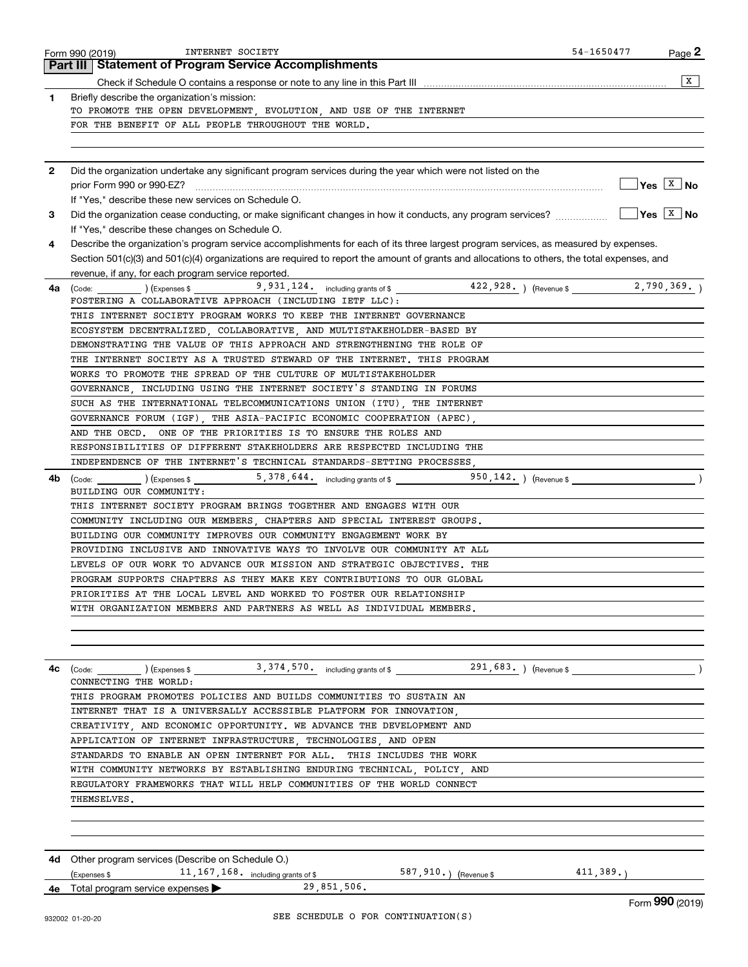|              | INTERNET SOCIETY<br>Form 990 (2019)                                                                                                          | 54-1650477 | Page 2                                           |
|--------------|----------------------------------------------------------------------------------------------------------------------------------------------|------------|--------------------------------------------------|
|              | <b>Part III Statement of Program Service Accomplishments</b>                                                                                 |            |                                                  |
|              |                                                                                                                                              |            | X                                                |
| 1            | Briefly describe the organization's mission:                                                                                                 |            |                                                  |
|              | TO PROMOTE THE OPEN DEVELOPMENT, EVOLUTION, AND USE OF THE INTERNET                                                                          |            |                                                  |
|              | FOR THE BENEFIT OF ALL PEOPLE THROUGHOUT THE WORLD.                                                                                          |            |                                                  |
|              |                                                                                                                                              |            |                                                  |
|              |                                                                                                                                              |            |                                                  |
| $\mathbf{2}$ | Did the organization undertake any significant program services during the year which were not listed on the                                 |            |                                                  |
|              |                                                                                                                                              |            | $\sqrt{2}$ Yes $\sqrt{X}$ No                     |
|              | If "Yes," describe these new services on Schedule O.                                                                                         |            |                                                  |
| 3            | Did the organization cease conducting, or make significant changes in how it conducts, any program services?                                 |            | $Yes \begin{array}{ c } \hline X \end{array}$ No |
|              | If "Yes," describe these changes on Schedule O.                                                                                              |            |                                                  |
| 4            | Describe the organization's program service accomplishments for each of its three largest program services, as measured by expenses.         |            |                                                  |
|              | Section 501(c)(3) and 501(c)(4) organizations are required to report the amount of grants and allocations to others, the total expenses, and |            |                                                  |
|              | revenue, if any, for each program service reported.                                                                                          |            |                                                  |
| 4a           | (Code: ) (Expenses \$9,931,124. including grants of \$422,928.) (Revenue \$2,790,369.)                                                       |            |                                                  |
|              | FOSTERING A COLLABORATIVE APPROACH (INCLUDING IETF LLC):                                                                                     |            |                                                  |
|              | THIS INTERNET SOCIETY PROGRAM WORKS TO KEEP THE INTERNET GOVERNANCE                                                                          |            |                                                  |
|              | ECOSYSTEM DECENTRALIZED, COLLABORATIVE, AND MULTISTAKEHOLDER-BASED BY                                                                        |            |                                                  |
|              | DEMONSTRATING THE VALUE OF THIS APPROACH AND STRENGTHENING THE ROLE OF                                                                       |            |                                                  |
|              | THE INTERNET SOCIETY AS A TRUSTED STEWARD OF THE INTERNET. THIS PROGRAM                                                                      |            |                                                  |
|              |                                                                                                                                              |            |                                                  |
|              | WORKS TO PROMOTE THE SPREAD OF THE CULTURE OF MULTISTAKEHOLDER                                                                               |            |                                                  |
|              | GOVERNANCE INCLUDING USING THE INTERNET SOCIETY'S STANDING IN FORUMS                                                                         |            |                                                  |
|              | SUCH AS THE INTERNATIONAL TELECOMMUNICATIONS UNION (ITU), THE INTERNET                                                                       |            |                                                  |
|              | GOVERNANCE FORUM (IGF), THE ASIA-PACIFIC ECONOMIC COOPERATION (APEC),                                                                        |            |                                                  |
|              | ONE OF THE PRIORITIES IS TO ENSURE THE ROLES AND<br>AND THE OECD.                                                                            |            |                                                  |
|              | RESPONSIBILITIES OF DIFFERENT STAKEHOLDERS ARE RESPECTED INCLUDING THE                                                                       |            |                                                  |
|              | INDEPENDENCE OF THE INTERNET'S TECHNICAL STANDARDS-SETTING PROCESSES,                                                                        |            |                                                  |
| 4b           | (Code:                                                                                                                                       |            |                                                  |
|              | BUILDING OUR COMMUNITY:                                                                                                                      |            |                                                  |
|              | THIS INTERNET SOCIETY PROGRAM BRINGS TOGETHER AND ENGAGES WITH OUR                                                                           |            |                                                  |
|              | COMMUNITY INCLUDING OUR MEMBERS, CHAPTERS AND SPECIAL INTEREST GROUPS.                                                                       |            |                                                  |
|              | BUILDING OUR COMMUNITY IMPROVES OUR COMMUNITY ENGAGEMENT WORK BY                                                                             |            |                                                  |
|              | PROVIDING INCLUSIVE AND INNOVATIVE WAYS TO INVOLVE OUR COMMUNITY AT ALL                                                                      |            |                                                  |
|              | LEVELS OF OUR WORK TO ADVANCE OUR MISSION AND STRATEGIC OBJECTIVES. THE                                                                      |            |                                                  |
|              | PROGRAM SUPPORTS CHAPTERS AS THEY MAKE KEY CONTRIBUTIONS TO OUR GLOBAL                                                                       |            |                                                  |
|              | PRIORITIES AT THE LOCAL LEVEL AND WORKED TO FOSTER OUR RELATIONSHIP                                                                          |            |                                                  |
|              | WITH ORGANIZATION MEMBERS AND PARTNERS AS WELL AS INDIVIDUAL MEMBERS.                                                                        |            |                                                  |
|              |                                                                                                                                              |            |                                                  |
|              |                                                                                                                                              |            |                                                  |
|              |                                                                                                                                              |            |                                                  |
| 4с           | $\frac{1}{291,683.}$ (Expenses \$1,374,570. including grants of \$291,683. ) (Revenue \$1,300. )                                             |            |                                                  |
|              | CONNECTING THE WORLD:                                                                                                                        |            |                                                  |
|              | THIS PROGRAM PROMOTES POLICIES AND BUILDS COMMUNITIES TO SUSTAIN AN                                                                          |            |                                                  |
|              | INTERNET THAT IS A UNIVERSALLY ACCESSIBLE PLATFORM FOR INNOVATION.                                                                           |            |                                                  |
|              | CREATIVITY, AND ECONOMIC OPPORTUNITY. WE ADVANCE THE DEVELOPMENT AND                                                                         |            |                                                  |
|              | APPLICATION OF INTERNET INFRASTRUCTURE, TECHNOLOGIES, AND OPEN                                                                               |            |                                                  |
|              | STANDARDS TO ENABLE AN OPEN INTERNET FOR ALL. THIS INCLUDES THE WORK                                                                         |            |                                                  |
|              | WITH COMMUNITY NETWORKS BY ESTABLISHING ENDURING TECHNICAL, POLICY, AND                                                                      |            |                                                  |
|              | REGULATORY FRAMEWORKS THAT WILL HELP COMMUNITIES OF THE WORLD CONNECT                                                                        |            |                                                  |
|              | THEMSELVES.                                                                                                                                  |            |                                                  |
|              |                                                                                                                                              |            |                                                  |
|              |                                                                                                                                              |            |                                                  |
|              |                                                                                                                                              |            |                                                  |
|              |                                                                                                                                              |            |                                                  |
|              |                                                                                                                                              |            |                                                  |
|              | 4d Other program services (Describe on Schedule O.)                                                                                          |            |                                                  |
|              | 11, 167, 168. including grants of \$587, 910. The venue \$411, 389. )<br>(Expenses \$<br>29,851,506.<br>4e Total program service expenses >  |            |                                                  |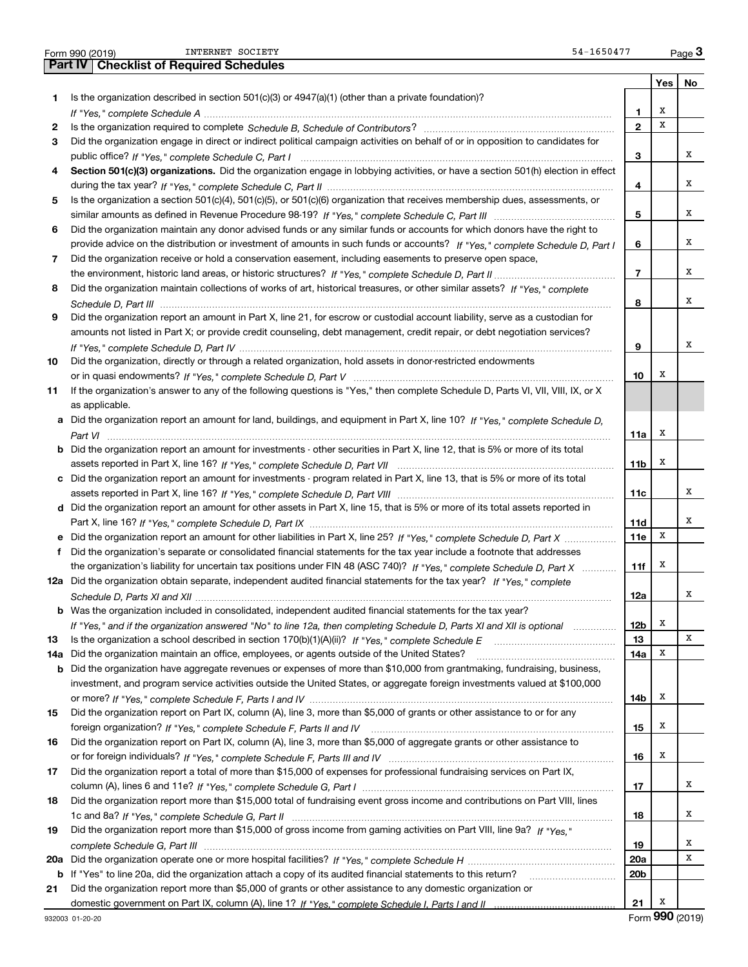| 1   | Is the organization described in section $501(c)(3)$ or $4947(a)(1)$ (other than a private foundation)?                               |
|-----|---------------------------------------------------------------------------------------------------------------------------------------|
| 2   |                                                                                                                                       |
| 3   | Did the organization engage in direct or indirect political campaign activities on behalf of or in opposition to candidates for       |
|     |                                                                                                                                       |
| 4   |                                                                                                                                       |
|     | Section 501(c)(3) organizations. Did the organization engage in lobbying activities, or have a section 501(h) election in effect      |
|     |                                                                                                                                       |
| 5   | Is the organization a section 501(c)(4), 501(c)(5), or 501(c)(6) organization that receives membership dues, assessments, or          |
|     |                                                                                                                                       |
| 6   | Did the organization maintain any donor advised funds or any similar funds or accounts for which donors have the right to             |
|     | provide advice on the distribution or investment of amounts in such funds or accounts? If "Yes," complete Schedule D, Part I          |
| 7   | Did the organization receive or hold a conservation easement, including easements to preserve open space,                             |
|     |                                                                                                                                       |
| 8   | Did the organization maintain collections of works of art, historical treasures, or other similar assets? If "Yes," complete          |
|     |                                                                                                                                       |
| 9   | Did the organization report an amount in Part X, line 21, for escrow or custodial account liability, serve as a custodian for         |
|     | amounts not listed in Part X; or provide credit counseling, debt management, credit repair, or debt negotiation services?             |
|     |                                                                                                                                       |
| 10  | Did the organization, directly or through a related organization, hold assets in donor-restricted endowments                          |
|     |                                                                                                                                       |
| 11  | If the organization's answer to any of the following questions is "Yes," then complete Schedule D, Parts VI, VII, VIII, IX, or X      |
|     | as applicable.                                                                                                                        |
| a   | Did the organization report an amount for land, buildings, and equipment in Part X, line 10? If "Yes," complete Schedule D,           |
|     |                                                                                                                                       |
|     | <b>b</b> Did the organization report an amount for investments - other securities in Part X, line 12, that is 5% or more of its total |
|     |                                                                                                                                       |
| c   | Did the organization report an amount for investments - program related in Part X, line 13, that is 5% or more of its total           |
|     |                                                                                                                                       |
| d   | Did the organization report an amount for other assets in Part X, line 15, that is 5% or more of its total assets reported in         |
|     |                                                                                                                                       |
|     | Did the organization report an amount for other liabilities in Part X, line 25? If "Yes," complete Schedule D, Part X                 |
| f   | Did the organization's separate or consolidated financial statements for the tax year include a footnote that addresses               |
|     | the organization's liability for uncertain tax positions under FIN 48 (ASC 740)? If "Yes," complete Schedule D, Part X                |
|     | 12a Did the organization obtain separate, independent audited financial statements for the tax year? If "Yes," complete               |
|     |                                                                                                                                       |
|     | <b>b</b> Was the organization included in consolidated, independent audited financial statements for the tax year?                    |
|     | If "Yes," and if the organization answered "No" to line 12a, then completing Schedule D, Parts XI and XII is optional                 |
| 13  |                                                                                                                                       |
| 14a | Did the organization maintain an office, employees, or agents outside of the United States?                                           |
| b   | Did the organization have aggregate revenues or expenses of more than \$10,000 from grantmaking, fundraising, business,               |
|     | investment, and program service activities outside the United States, or aggregate foreign investments valued at \$100,000            |
|     |                                                                                                                                       |
| 15  | Did the organization report on Part IX, column (A), line 3, more than \$5,000 of grants or other assistance to or for any             |
|     |                                                                                                                                       |
| 16  | Did the organization report on Part IX, column (A), line 3, more than \$5,000 of aggregate grants or other assistance to              |
|     |                                                                                                                                       |
| 17  | Did the organization report a total of more than \$15,000 of expenses for professional fundraising services on Part IX,               |
|     |                                                                                                                                       |
| 18  | Did the organization report more than \$15,000 total of fundraising event gross income and contributions on Part VIII, lines          |
|     |                                                                                                                                       |
|     |                                                                                                                                       |

| 21 | Did the organization report more than \$5,000 of grants or other assistance to any domestic organization or |
|----|-------------------------------------------------------------------------------------------------------------|
|    |                                                                                                             |

1 2

3

4

5

6

7

8

 $9$ 

10

X

X

X

X

X

11a

11b

11c

11d 11e

11f

12a

12b 13 14a

X

X

X

X

X

X

X

X

X

X

X

X

X

14b

15

16

17

18

19 20a 20b

21

Yes | No

X

X

X

X

X

X

X

X X

Form 990 (2019) **EXECUTE INTERNET SOCIETY Page 10 12 13 14 1650 477 Part IV | Checklist of Required Schedules** INTERNET SOCIETY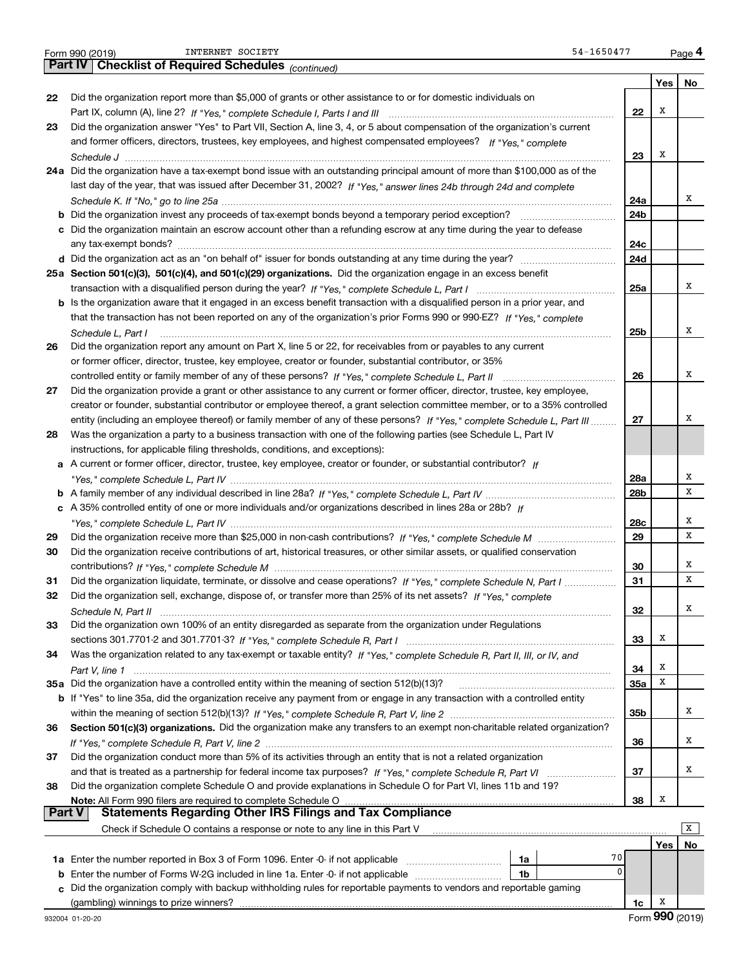|  | Form 990 (2019) |  |
|--|-----------------|--|
|  |                 |  |

|               | INTERNET SOCIETY<br>Form 990 (2019)                                                                                                | 54-1650477 |        | Page 4   |
|---------------|------------------------------------------------------------------------------------------------------------------------------------|------------|--------|----------|
|               | Part IV   Checklist of Required Schedules (continued)                                                                              |            |        |          |
|               |                                                                                                                                    |            |        | Yes   No |
| 22            | Did the organization report more than \$5,000 of grants or other assistance to or for domestic individuals on                      |            |        |          |
|               |                                                                                                                                    | 22         | х      |          |
| 23            | Did the organization answer "Yes" to Part VII, Section A, line 3, 4, or 5 about compensation of the organization's current         |            |        |          |
|               | and former officers, directors, trustees, key employees, and highest compensated employees? If "Yes," complete                     |            |        |          |
|               |                                                                                                                                    | 23         | X      |          |
|               | 24a Did the organization have a tax-exempt bond issue with an outstanding principal amount of more than \$100,000 as of the        |            |        |          |
|               | last day of the year, that was issued after December 31, 2002? If "Yes," answer lines 24b through 24d and complete                 |            |        |          |
|               |                                                                                                                                    | 24a        |        | х        |
|               |                                                                                                                                    | 24b        |        |          |
|               | c Did the organization maintain an escrow account other than a refunding escrow at any time during the year to defease             |            |        |          |
|               |                                                                                                                                    | 24c        |        |          |
|               | d Did the organization act as an "on behalf of" issuer for bonds outstanding at any time during the year?                          | 24d        |        |          |
|               | 25a Section 501(c)(3), 501(c)(4), and 501(c)(29) organizations. Did the organization engage in an excess benefit                   |            |        |          |
|               |                                                                                                                                    | 25a        |        | х        |
|               | b Is the organization aware that it engaged in an excess benefit transaction with a disqualified person in a prior year, and       |            |        |          |
|               | that the transaction has not been reported on any of the organization's prior Forms 990 or 990-EZ? If "Yes," complete              |            |        |          |
|               | Schedule L, Part I                                                                                                                 | 25b        |        | х        |
| 26            | Did the organization report any amount on Part X, line 5 or 22, for receivables from or payables to any current                    |            |        |          |
|               | or former officer, director, trustee, key employee, creator or founder, substantial contributor, or 35%                            |            |        |          |
|               |                                                                                                                                    | 26         |        | х        |
| 27            | Did the organization provide a grant or other assistance to any current or former officer, director, trustee, key employee,        |            |        |          |
|               | creator or founder, substantial contributor or employee thereof, a grant selection committee member, or to a 35% controlled        |            |        |          |
|               | entity (including an employee thereof) or family member of any of these persons? If "Yes," complete Schedule L, Part III           | 27         |        | x        |
| 28            | Was the organization a party to a business transaction with one of the following parties (see Schedule L, Part IV                  |            |        |          |
|               | instructions, for applicable filing thresholds, conditions, and exceptions):                                                       |            |        |          |
|               | a A current or former officer, director, trustee, key employee, creator or founder, or substantial contributor? If                 |            |        |          |
|               |                                                                                                                                    | 28a        |        | х        |
|               |                                                                                                                                    | 28b        |        | x        |
|               | c A 35% controlled entity of one or more individuals and/or organizations described in lines 28a or 28b? If                        |            |        |          |
|               |                                                                                                                                    | 28c        |        | х        |
| 29            |                                                                                                                                    | 29         |        | x        |
| 30            | Did the organization receive contributions of art, historical treasures, or other similar assets, or qualified conservation        |            |        |          |
|               |                                                                                                                                    | 30         |        | х        |
| 31            | Did the organization liquidate, terminate, or dissolve and cease operations? If "Yes," complete Schedule N, Part I                 | 31         |        | x        |
| 32            | Did the organization sell, exchange, dispose of, or transfer more than 25% of its net assets? If "Yes," complete                   |            |        |          |
|               | Schedule N, Part II                                                                                                                | 32         |        | х        |
| 33            | Did the organization own 100% of an entity disregarded as separate from the organization under Regulations                         |            |        |          |
|               |                                                                                                                                    | 33         | х      |          |
| 34            | Was the organization related to any tax-exempt or taxable entity? If "Yes," complete Schedule R, Part II, III, or IV, and          |            |        |          |
|               |                                                                                                                                    | 34         | х<br>X |          |
|               | 35a Did the organization have a controlled entity within the meaning of section 512(b)(13)?                                        | <b>35a</b> |        |          |
|               | <b>b</b> If "Yes" to line 35a, did the organization receive any payment from or engage in any transaction with a controlled entity |            |        |          |
|               |                                                                                                                                    | 35b        |        | x        |
| 36            | Section 501(c)(3) organizations. Did the organization make any transfers to an exempt non-charitable related organization?         |            |        |          |
|               |                                                                                                                                    | 36         |        | x        |
| 37            | Did the organization conduct more than 5% of its activities through an entity that is not a related organization                   |            |        |          |
|               |                                                                                                                                    | 37         |        | х        |
| 38            | Did the organization complete Schedule O and provide explanations in Schedule O for Part VI, lines 11b and 19?                     |            |        |          |
| <b>Part V</b> | Note: All Form 990 filers are required to complete Schedule O<br>Statements Regarding Other IRS Filings and Tax Compliance         | 38         | X      |          |
|               | Check if Schedule O contains a response or note to any line in this Part V                                                         |            |        | x        |
|               |                                                                                                                                    |            |        | No       |
|               |                                                                                                                                    | 70         | Yes    |          |
|               | 1a<br>1b                                                                                                                           | $\Omega$   |        |          |
|               | Did the organization comply with backup withholding rules for reportable payments to vendors and reportable gaming                 |            |        |          |

c Did the organization comply with backup withholding rules for reportable payments to vendors and reportable gaming (gambling) winnings to prize winners?

1c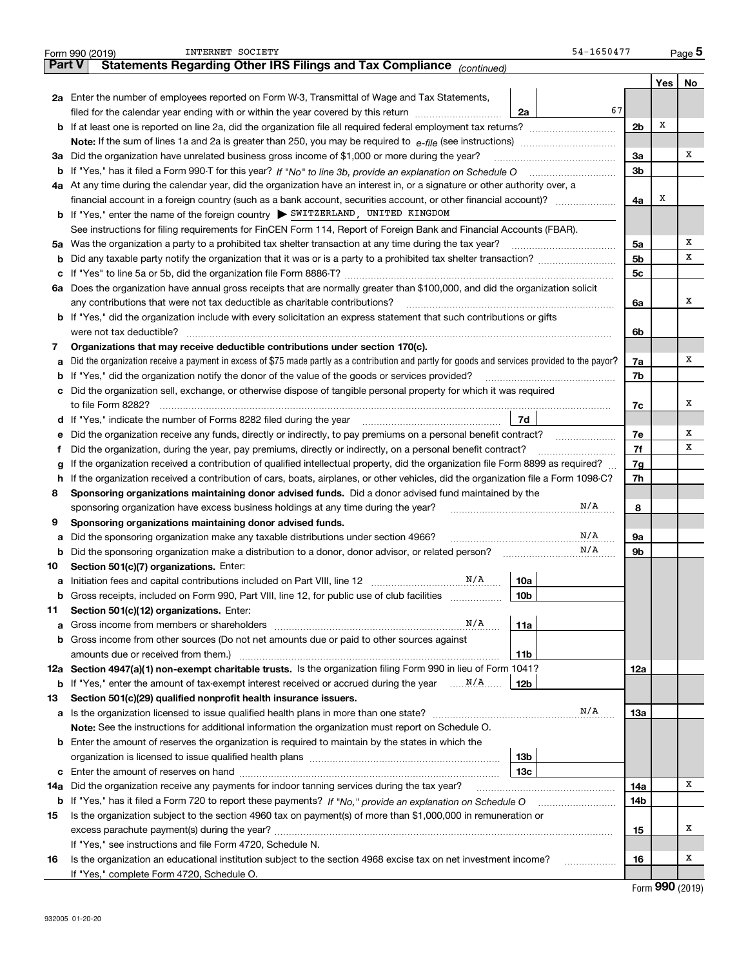|        | 54-1650477<br>INTERNET SOCIETY<br>Form 990 (2019)                                                                                               |                |     | $Page$ <sup>5</sup> |
|--------|-------------------------------------------------------------------------------------------------------------------------------------------------|----------------|-----|---------------------|
| Part V | Statements Regarding Other IRS Filings and Tax Compliance (continued)                                                                           |                |     |                     |
|        |                                                                                                                                                 |                | Yes | No                  |
|        | 2a Enter the number of employees reported on Form W-3, Transmittal of Wage and Tax Statements,                                                  |                |     |                     |
|        | 67<br>filed for the calendar year ending with or within the year covered by this return<br>2a                                                   |                |     |                     |
|        | <b>b</b> If at least one is reported on line 2a, did the organization file all required federal employment tax returns?                         | 2 <sub>b</sub> | X   |                     |
|        | <b>Note:</b> If the sum of lines 1a and 2a is greater than 250, you may be required to $e$ -file (see instructions) <i>manimummmmmm</i>         |                |     |                     |
|        | 3a Did the organization have unrelated business gross income of \$1,000 or more during the year?                                                | За             |     | х                   |
|        | b If "Yes," has it filed a Form 990-T for this year? If "No" to line 3b, provide an explanation on Schedule O                                   | 3b             |     |                     |
|        | 4a At any time during the calendar year, did the organization have an interest in, or a signature or other authority over, a                    |                |     |                     |
|        | financial account in a foreign country (such as a bank account, securities account, or other financial account)?                                | 4a             | X   |                     |
|        | <b>b</b> If "Yes," enter the name of the foreign country $\triangleright$ SWITZERLAND, UNITED KINGDOM                                           |                |     |                     |
|        | See instructions for filing requirements for FinCEN Form 114, Report of Foreign Bank and Financial Accounts (FBAR).                             |                |     |                     |
|        | 5a Was the organization a party to a prohibited tax shelter transaction at any time during the tax year?                                        | 5a             |     | x                   |
|        |                                                                                                                                                 | 5 <sub>b</sub> |     | х                   |
| c      |                                                                                                                                                 | 5с             |     |                     |
|        | 6a Does the organization have annual gross receipts that are normally greater than \$100,000, and did the organization solicit                  |                |     |                     |
|        | any contributions that were not tax deductible as charitable contributions?                                                                     | 6a             |     | х                   |
|        | <b>b</b> If "Yes," did the organization include with every solicitation an express statement that such contributions or gifts                   |                |     |                     |
|        | were not tax deductible?                                                                                                                        | 6b             |     |                     |
| 7      | Organizations that may receive deductible contributions under section 170(c).                                                                   |                |     |                     |
| а      | Did the organization receive a payment in excess of \$75 made partly as a contribution and partly for goods and services provided to the payor? | 7a             |     | x                   |
|        | <b>b</b> If "Yes," did the organization notify the donor of the value of the goods or services provided?                                        | 7b             |     |                     |
|        | c Did the organization sell, exchange, or otherwise dispose of tangible personal property for which it was required                             |                |     |                     |
|        | to file Form 8282?                                                                                                                              | 7c             |     | X                   |
|        | 7d<br>d If "Yes," indicate the number of Forms 8282 filed during the year                                                                       |                |     |                     |
| е      | Did the organization receive any funds, directly or indirectly, to pay premiums on a personal benefit contract?                                 | 7e             |     | x                   |
| Ť      | Did the organization, during the year, pay premiums, directly or indirectly, on a personal benefit contract?                                    | 7f             |     | х                   |
| g      | If the organization received a contribution of qualified intellectual property, did the organization file Form 8899 as required?                | 7g             |     |                     |
| h.     | If the organization received a contribution of cars, boats, airplanes, or other vehicles, did the organization file a Form 1098-C?              | 7h             |     |                     |
| 8      | Sponsoring organizations maintaining donor advised funds. Did a donor advised fund maintained by the                                            |                |     |                     |
|        | N/A<br>sponsoring organization have excess business holdings at any time during the year?                                                       | 8              |     |                     |
| 9      | Sponsoring organizations maintaining donor advised funds.                                                                                       |                |     |                     |
| а      | N/A<br>Did the sponsoring organization make any taxable distributions under section 4966?                                                       | 9а             |     |                     |
| b      | N/A<br>Did the sponsoring organization make a distribution to a donor, donor advisor, or related person?                                        | 9b             |     |                     |
| 10     | Section 501(c)(7) organizations. Enter:                                                                                                         |                |     |                     |
|        | N/A<br>10a<br><b>a</b> Initiation fees and capital contributions included on Part VIII, line 12                                                 |                |     |                     |
|        | b Gross receipts, included on Form 990, Part VIII, line 12, for public use of club facilities<br>10b                                            |                |     |                     |
| 11     | Section 501(c)(12) organizations. Enter:                                                                                                        |                |     |                     |
| а      | N/A<br>11a                                                                                                                                      |                |     |                     |
|        | <b>b</b> Gross income from other sources (Do not net amounts due or paid to other sources against                                               |                |     |                     |
|        | amounts due or received from them.)<br>11b                                                                                                      |                |     |                     |
|        | 12a Section 4947(a)(1) non-exempt charitable trusts. Is the organization filing Form 990 in lieu of Form 1041?                                  | 12a            |     |                     |
|        | b If "Yes," enter the amount of tax-exempt interest received or accrued during the year<br>12b                                                  |                |     |                     |
| 13     | Section 501(c)(29) qualified nonprofit health insurance issuers.<br>N/A                                                                         |                |     |                     |
|        |                                                                                                                                                 | 13а            |     |                     |
|        | <b>Note:</b> See the instructions for additional information the organization must report on Schedule O.                                        |                |     |                     |
|        | <b>b</b> Enter the amount of reserves the organization is required to maintain by the states in which the                                       |                |     |                     |
|        | 13 <sub>b</sub>                                                                                                                                 |                |     |                     |
|        | 13c                                                                                                                                             |                |     |                     |
| 14a    | Did the organization receive any payments for indoor tanning services during the tax year?                                                      | 14a            |     | x                   |
|        |                                                                                                                                                 | 14b            |     |                     |
| 15     | Is the organization subject to the section 4960 tax on payment(s) of more than \$1,000,000 in remuneration or                                   |                |     | X                   |
|        |                                                                                                                                                 | 15             |     |                     |
|        | If "Yes," see instructions and file Form 4720, Schedule N.                                                                                      |                |     | x                   |
| 16     | Is the organization an educational institution subject to the section 4968 excise tax on net investment income?<br>.                            | 16             |     |                     |
|        | If "Yes," complete Form 4720, Schedule O.                                                                                                       |                |     |                     |

Form 990 (2019)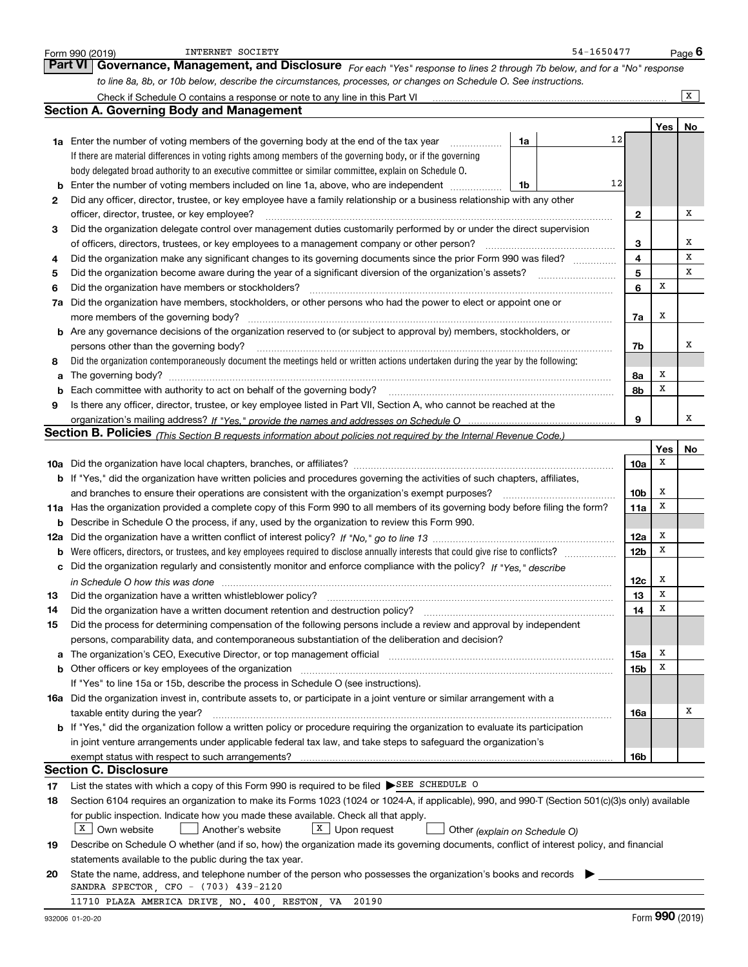|     | INTERNET SOCIETY<br>Form 990 (2019)                                                                                                                                                                                            |    | 54-1650477 |                 |     | Page $6$                |
|-----|--------------------------------------------------------------------------------------------------------------------------------------------------------------------------------------------------------------------------------|----|------------|-----------------|-----|-------------------------|
|     | <b>Part VI</b><br>Governance, Management, and Disclosure For each "Yes" response to lines 2 through 7b below, and for a "No" response                                                                                          |    |            |                 |     |                         |
|     | to line 8a, 8b, or 10b below, describe the circumstances, processes, or changes on Schedule O. See instructions.                                                                                                               |    |            |                 |     |                         |
|     | Check if Schedule O contains a response or note to any line in this Part VI                                                                                                                                                    |    |            |                 |     | $\overline{\mathbf{x}}$ |
|     | <b>Section A. Governing Body and Management</b>                                                                                                                                                                                |    |            |                 |     |                         |
|     |                                                                                                                                                                                                                                |    |            |                 | Yes | No                      |
|     | <b>1a</b> Enter the number of voting members of the governing body at the end of the tax year<br>.                                                                                                                             | 1a | 12         |                 |     |                         |
|     | If there are material differences in voting rights among members of the governing body, or if the governing                                                                                                                    |    |            |                 |     |                         |
|     | body delegated broad authority to an executive committee or similar committee, explain on Schedule O.                                                                                                                          |    |            |                 |     |                         |
|     | Enter the number of voting members included on line 1a, above, who are independent                                                                                                                                             | 1b | 12         |                 |     |                         |
| 2   | Did any officer, director, trustee, or key employee have a family relationship or a business relationship with any other                                                                                                       |    |            |                 |     |                         |
|     | officer, director, trustee, or key employee?                                                                                                                                                                                   |    |            | $\mathbf{2}$    |     | х                       |
| 3   | Did the organization delegate control over management duties customarily performed by or under the direct supervision                                                                                                          |    |            |                 |     |                         |
|     | of officers, directors, trustees, or key employees to a management company or other person?                                                                                                                                    |    |            | 3               |     | х                       |
| 4   | Did the organization make any significant changes to its governing documents since the prior Form 990 was filed?                                                                                                               |    |            | 4               |     | X                       |
| 5   |                                                                                                                                                                                                                                |    |            | 5               |     | X                       |
| 6   | Did the organization have members or stockholders?                                                                                                                                                                             |    |            | 6               | Х   |                         |
| 7a  | Did the organization have members, stockholders, or other persons who had the power to elect or appoint one or                                                                                                                 |    |            |                 |     |                         |
|     | more members of the governing body?                                                                                                                                                                                            |    |            | 7a              | х   |                         |
|     | b Are any governance decisions of the organization reserved to (or subject to approval by) members, stockholders, or                                                                                                           |    |            |                 |     |                         |
|     | persons other than the governing body?                                                                                                                                                                                         |    |            | 7b              |     | х                       |
| 8   | Did the organization contemporaneously document the meetings held or written actions undertaken during the year by the following:                                                                                              |    |            |                 |     |                         |
| a   | The governing body? [[11] matter and the contract of the contract of the contract of the contract of the contract of the contract of the contract of the contract of the contract of the contract of the contract of the contr |    |            | 8a              | x   |                         |
|     | Each committee with authority to act on behalf of the governing body?                                                                                                                                                          |    |            | 8b              | х   |                         |
| 9   | Is there any officer, director, trustee, or key employee listed in Part VII, Section A, who cannot be reached at the                                                                                                           |    |            |                 |     |                         |
|     |                                                                                                                                                                                                                                |    |            | 9               |     | х                       |
|     | Section B. Policies <sub>(This</sub> Section B requests information about policies not required by the Internal Revenue Code.)                                                                                                 |    |            |                 |     |                         |
|     |                                                                                                                                                                                                                                |    |            |                 | Yes | No                      |
|     | <b>10a</b> Did the organization have local chapters, branches, or affiliates? [111] [12] Did the organization have local chapters, branches, or affiliates?                                                                    |    |            | <b>10a</b>      | х   |                         |
|     | <b>b</b> If "Yes," did the organization have written policies and procedures governing the activities of such chapters, affiliates,                                                                                            |    |            |                 |     |                         |
|     | and branches to ensure their operations are consistent with the organization's exempt purposes?                                                                                                                                |    |            | 10 <sub>b</sub> | Х   |                         |
|     | 11a Has the organization provided a complete copy of this Form 990 to all members of its governing body before filing the form?                                                                                                |    |            | 11a             | Х   |                         |
| b   | Describe in Schedule O the process, if any, used by the organization to review this Form 990.                                                                                                                                  |    |            |                 |     |                         |
| 12a |                                                                                                                                                                                                                                |    |            | 12a             | х   |                         |
| b   |                                                                                                                                                                                                                                |    |            | 12 <sub>b</sub> | х   |                         |
| с   | Did the organization regularly and consistently monitor and enforce compliance with the policy? If "Yes," describe                                                                                                             |    |            |                 |     |                         |
|     |                                                                                                                                                                                                                                |    |            | 12c             | x   |                         |
| 13  | Did the organization have a written whistleblower policy?                                                                                                                                                                      |    |            | 13              | x   |                         |
| 14  | Did the organization have a written document retention and destruction policy?                                                                                                                                                 |    |            | 14              | X   |                         |
| 15  | Did the process for determining compensation of the following persons include a review and approval by independent                                                                                                             |    |            |                 |     |                         |
|     | persons, comparability data, and contemporaneous substantiation of the deliberation and decision?                                                                                                                              |    |            |                 |     |                         |
| а   | The organization's CEO, Executive Director, or top management official                                                                                                                                                         |    |            | 15a             | x   |                         |
|     | Other officers or key employees of the organization                                                                                                                                                                            |    |            | 15b             | х   |                         |
|     | If "Yes" to line 15a or 15b, describe the process in Schedule O (see instructions).                                                                                                                                            |    |            |                 |     |                         |
|     | 16a Did the organization invest in, contribute assets to, or participate in a joint venture or similar arrangement with a                                                                                                      |    |            |                 |     |                         |
|     | taxable entity during the year?                                                                                                                                                                                                |    |            | 16a             |     | х                       |
|     | <b>b</b> If "Yes," did the organization follow a written policy or procedure requiring the organization to evaluate its participation                                                                                          |    |            |                 |     |                         |
|     | in joint venture arrangements under applicable federal tax law, and take steps to safeguard the organization's                                                                                                                 |    |            |                 |     |                         |
|     | exempt status with respect to such arrangements?                                                                                                                                                                               |    |            | 16b             |     |                         |
|     | <b>Section C. Disclosure</b>                                                                                                                                                                                                   |    |            |                 |     |                         |
| 17  | List the states with which a copy of this Form 990 is required to be filed SEE SCHEDULE O                                                                                                                                      |    |            |                 |     |                         |
| 18  | Section 6104 requires an organization to make its Forms 1023 (1024 or 1024-A, if applicable), 990, and 990-T (Section 501(c)(3)s only) available                                                                               |    |            |                 |     |                         |
|     | for public inspection. Indicate how you made these available. Check all that apply.                                                                                                                                            |    |            |                 |     |                         |
|     | $X$ Own website<br>$X$ Upon request<br>Another's website<br>Other (explain on Schedule O)                                                                                                                                      |    |            |                 |     |                         |
| 19  | Describe on Schedule O whether (and if so, how) the organization made its governing documents, conflict of interest policy, and financial                                                                                      |    |            |                 |     |                         |
|     | statements available to the public during the tax year.                                                                                                                                                                        |    |            |                 |     |                         |
| 20  | State the name, address, and telephone number of the person who possesses the organization's books and records                                                                                                                 |    |            |                 |     |                         |
|     | SANDRA SPECTOR, CFO - (703) 439-2120                                                                                                                                                                                           |    |            |                 |     |                         |
|     | 11710 PLAZA AMERICA DRIVE, NO. 400, RESTON, VA<br>20190                                                                                                                                                                        |    |            |                 |     |                         |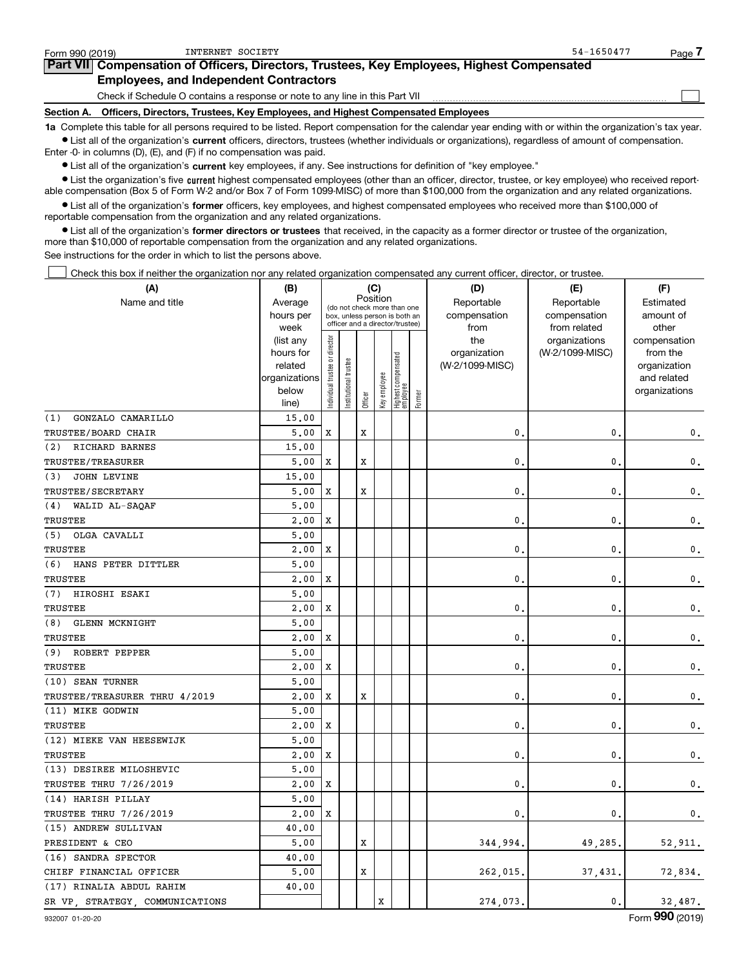| Form 990 (2019) | INTERNET SOCIETY                                                                                                                                           | $54 - 1650477$ | Page |
|-----------------|------------------------------------------------------------------------------------------------------------------------------------------------------------|----------------|------|
|                 | Part VII Compensation of Officers, Directors, Trustees, Key Employees, Highest Compensated                                                                 |                |      |
|                 | <b>Employees, and Independent Contractors</b>                                                                                                              |                |      |
|                 | Check if Schedule O contains a response or note to any line in this Part VII                                                                               |                |      |
|                 | Section A. Officers, Directors, Trustees, Key Employees, and Highest Compensated Employees                                                                 |                |      |
|                 | 1a Complete this table for all persons required to be listed. Report compensation for the calendar year ending with or within the organization's tax year. |                |      |

Ist all of the organization's current officers, directors, trustees (whether individuals or organizations), regardless of amount of compensation. Enter -0- in columns (D), (E), and (F) if no compensation was paid.

 $\bullet$  List all of the organization's current key employees, if any. See instructions for definition of "key employee."

● List the organization's five current highest compensated employees (other than an officer, director, trustee, or key employee) who received reportable compensation (Box 5 of Form W-2 and/or Box 7 of Form 1099-MISC) of more than \$100,000 from the organization and any related organizations.

List all of the organization's former officers, key employees, and highest compensated employees who received more than \$100,000 of reportable compensation from the organization and any related organizations.

• List all of the organization's former directors or trustees that received, in the capacity as a former director or trustee of the organization, more than \$10,000 of reportable compensation from the organization and any related organizations.

See instructions for the order in which to list the persons above.

Check this box if neither the organization nor any related organization compensated any current officer, director, or trustee.  $\Box$ 

| (A)                             | (B)                      |                                |                                 |         | (C)          |                                   |        | (D)             | (E)             | (F)                         |
|---------------------------------|--------------------------|--------------------------------|---------------------------------|---------|--------------|-----------------------------------|--------|-----------------|-----------------|-----------------------------|
| Name and title                  | Average                  |                                | (do not check more than one     |         | Position     |                                   |        | Reportable      | Reportable      | Estimated                   |
|                                 | hours per                |                                | box, unless person is both an   |         |              |                                   |        | compensation    | compensation    | amount of                   |
|                                 | week                     |                                | officer and a director/trustee) |         |              |                                   |        | from            | from related    | other                       |
|                                 | (list any                |                                |                                 |         |              |                                   |        | the             | organizations   | compensation                |
|                                 | hours for                |                                |                                 |         |              |                                   |        | organization    | (W-2/1099-MISC) | from the                    |
|                                 | related<br>organizations |                                |                                 |         |              |                                   |        | (W-2/1099-MISC) |                 | organization<br>and related |
|                                 | below                    |                                |                                 |         |              |                                   |        |                 |                 | organizations               |
|                                 | line)                    | Individual trustee or director | Institutional trustee           | Officer | Key employee | Highest compensated<br>  employee | Former |                 |                 |                             |
| GONZALO CAMARILLO<br>(1)        | 15.00                    |                                |                                 |         |              |                                   |        |                 |                 |                             |
| TRUSTEE/BOARD CHAIR             | 5,00                     | x                              |                                 | X       |              |                                   |        | $\mathbf{0}$ .  | 0.              | 0.                          |
| RICHARD BARNES<br>(2)           | 15.00                    |                                |                                 |         |              |                                   |        |                 |                 |                             |
| TRUSTEE/TREASURER               | 5,00                     | x                              |                                 | X       |              |                                   |        | $\mathbf{0}$ .  | $\mathbf{0}$ .  | $\mathbf 0$ .               |
| JOHN LEVINE<br>(3)              | 15.00                    |                                |                                 |         |              |                                   |        |                 |                 |                             |
| TRUSTEE/SECRETARY               | 5,00                     | x                              |                                 | X       |              |                                   |        | $\mathbf{0}$ .  | $\mathbf{0}$    | $\mathbf 0$ .               |
| WALID AL-SAQAF<br>(4)           | 5.00                     |                                |                                 |         |              |                                   |        |                 |                 |                             |
| TRUSTEE                         | 2,00                     | x                              |                                 |         |              |                                   |        | $\mathbf{0}$    | $\mathbf{0}$ .  | $\mathsf{0}\,.$             |
| OLGA CAVALLI<br>(5)             | 5.00                     |                                |                                 |         |              |                                   |        |                 |                 |                             |
| TRUSTEE                         | 2,00                     | x                              |                                 |         |              |                                   |        | $\mathbf{0}$ .  | $\mathbf{0}$ .  | $\mathsf{0}\,.$             |
| HANS PETER DITTLER<br>(6)       | 5.00                     |                                |                                 |         |              |                                   |        |                 |                 |                             |
| TRUSTEE                         | 2,00                     | x                              |                                 |         |              |                                   |        | $\mathbf{0}$    | $\mathbf{0}$ .  | $\mathbf 0$ .               |
| HIROSHI ESAKI<br>(7)            | 5.00                     |                                |                                 |         |              |                                   |        |                 |                 |                             |
| TRUSTEE                         | 2.00                     | x                              |                                 |         |              |                                   |        | $\mathbf{0}$ .  | $\mathbf{0}$ .  | $\mathbf 0$ .               |
| (8)<br><b>GLENN MCKNIGHT</b>    | 5.00                     |                                |                                 |         |              |                                   |        |                 |                 |                             |
| TRUSTEE                         | 2,00                     | x                              |                                 |         |              |                                   |        | $\mathbf{0}$    | $\mathbf{0}$ .  | $\mathbf 0$ .               |
| (9)<br>ROBERT PEPPER            | 5.00                     |                                |                                 |         |              |                                   |        |                 |                 |                             |
| TRUSTEE                         | 2,00                     | x                              |                                 |         |              |                                   |        | $\mathbf{0}$ .  | $\mathbf{0}$ .  | $\mathbf 0$ .               |
| (10) SEAN TURNER                | 5,00                     |                                |                                 |         |              |                                   |        |                 |                 |                             |
| TRUSTEE/TREASURER THRU 4/2019   | 2,00                     | X                              |                                 | X       |              |                                   |        | $\mathbf{0}$    | $\mathbf{0}$    | $\mathbf 0$ .               |
| (11) MIKE GODWIN                | 5,00                     |                                |                                 |         |              |                                   |        |                 |                 |                             |
| TRUSTEE                         | 2,00                     | X                              |                                 |         |              |                                   |        | $\mathbf{0}$ .  | $\mathbf{0}$    | $\mathbf 0$ .               |
| (12) MIEKE VAN HEESEWIJK        | 5,00                     |                                |                                 |         |              |                                   |        |                 |                 |                             |
| TRUSTEE                         | 2,00                     | x                              |                                 |         |              |                                   |        | 0               | $\mathbf{0}$    | 0.                          |
| (13) DESIREE MILOSHEVIC         | 5,00                     |                                |                                 |         |              |                                   |        |                 |                 |                             |
| <b>TRUSTEE THRU 7/26/2019</b>   | 2,00                     | x                              |                                 |         |              |                                   |        | 0               | $\mathbf{0}$ .  | $\mathbf 0$ .               |
| (14) HARISH PILLAY              | 5,00                     |                                |                                 |         |              |                                   |        |                 |                 |                             |
| <b>TRUSTEE THRU 7/26/2019</b>   | 2,00                     | x                              |                                 |         |              |                                   |        | 0               | 0.              | 0.                          |
| (15) ANDREW SULLIVAN            | 40.00                    |                                |                                 |         |              |                                   |        |                 |                 |                             |
| PRESIDENT & CEO                 | 5,00                     |                                |                                 | x       |              |                                   |        | 344,994.        | 49,285.         | 52,911.                     |
| (16) SANDRA SPECTOR             | 40.00                    |                                |                                 |         |              |                                   |        |                 |                 |                             |
| CHIEF FINANCIAL OFFICER         | 5,00                     |                                |                                 | х       |              |                                   |        | 262,015,        | 37,431.         | 72,834.                     |
| (17) RINALIA ABDUL RAHIM        | 40.00                    |                                |                                 |         |              |                                   |        |                 |                 |                             |
| SR VP, STRATEGY, COMMUNICATIONS |                          |                                |                                 |         | X            |                                   |        | 274,073         | $\mathbf{0}$ .  | 32,487.                     |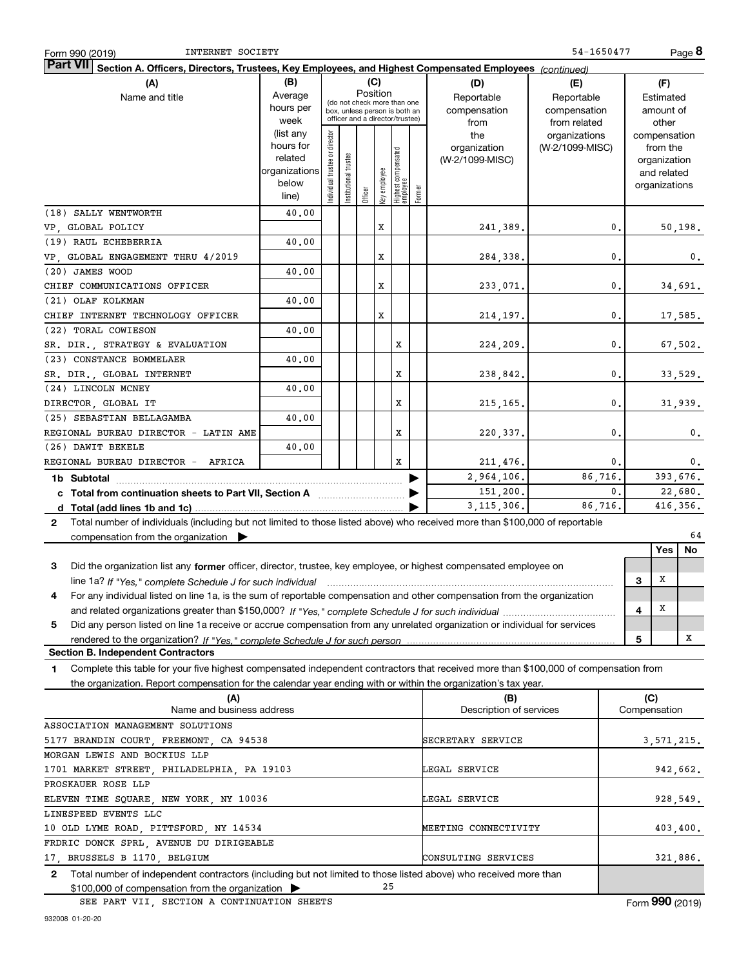| INTERNET SOCIETY<br>Form 990 (2019)                                                                                                          |                        |                               |                       |          |              |                                   |        |                                 | 54-1650477      |                |              |                             | Page 8     |
|----------------------------------------------------------------------------------------------------------------------------------------------|------------------------|-------------------------------|-----------------------|----------|--------------|-----------------------------------|--------|---------------------------------|-----------------|----------------|--------------|-----------------------------|------------|
| <b>Part VII</b><br>Section A. Officers, Directors, Trustees, Key Employees, and Highest Compensated Employees (continued)                    |                        |                               |                       |          |              |                                   |        |                                 |                 |                |              |                             |            |
| (A)                                                                                                                                          | (B)                    |                               |                       | (C)      |              |                                   |        | (D)                             | (E)             |                |              | (F)                         |            |
| Name and title                                                                                                                               | Average                |                               |                       | Position |              | (do not check more than one       |        | Reportable                      | Reportable      |                |              | Estimated                   |            |
|                                                                                                                                              | hours per              |                               |                       |          |              | box, unless person is both an     |        | compensation<br>compensation    |                 |                |              | amount of                   |            |
|                                                                                                                                              | week                   |                               |                       |          |              | officer and a director/trustee)   |        | from                            | from related    |                |              | other                       |            |
|                                                                                                                                              | (list any<br>hours for |                               |                       |          |              |                                   |        | the                             | organizations   |                | compensation |                             |            |
|                                                                                                                                              | related                |                               |                       |          |              |                                   |        | organization<br>(W-2/1099-MISC) | (W-2/1099-MISC) |                |              | from the                    |            |
|                                                                                                                                              | organizations          |                               |                       |          |              |                                   |        |                                 |                 |                |              | organization<br>and related |            |
|                                                                                                                                              | below                  | ndividual trustee or director | Institutional trustee |          |              |                                   |        |                                 |                 |                |              | organizations               |            |
|                                                                                                                                              | line)                  |                               |                       | Officer  | Key employee | Highest compensated<br>  employee | Former |                                 |                 |                |              |                             |            |
| (18) SALLY WENTWORTH                                                                                                                         | 40.00                  |                               |                       |          |              |                                   |        |                                 |                 |                |              |                             |            |
| VP, GLOBAL POLICY                                                                                                                            |                        |                               |                       |          | $\mathbf x$  |                                   |        | 241,389.                        |                 | $\mathbf{0}$ . |              |                             | 50, 198.   |
| (19) RAUL ECHEBERRIA                                                                                                                         | 40.00                  |                               |                       |          |              |                                   |        |                                 |                 |                |              |                             |            |
| VP, GLOBAL ENGAGEMENT THRU 4/2019                                                                                                            |                        |                               |                       |          | X            |                                   |        | 284,338.                        |                 | 0.             |              |                             | 0.         |
| (20) JAMES WOOD                                                                                                                              | 40.00                  |                               |                       |          |              |                                   |        |                                 |                 |                |              |                             |            |
| CHIEF COMMUNICATIONS OFFICER                                                                                                                 |                        |                               |                       |          | X            |                                   |        | 233,071.                        |                 | $\mathbf{0}$ . |              |                             | 34,691.    |
| (21) OLAF KOLKMAN                                                                                                                            | 40.00                  |                               |                       |          |              |                                   |        |                                 |                 |                |              |                             |            |
| CHIEF INTERNET TECHNOLOGY OFFICER                                                                                                            |                        |                               |                       |          | X            |                                   |        | 214,197.                        |                 | 0.             |              |                             | 17,585.    |
| (22) TORAL COWIESON                                                                                                                          | 40.00                  |                               |                       |          |              |                                   |        |                                 |                 |                |              |                             |            |
| SR. DIR. STRATEGY & EVALUATION                                                                                                               |                        |                               |                       |          |              | X                                 |        | 224,209.                        |                 | 0.             |              |                             | 67,502.    |
| (23) CONSTANCE BOMMELAER                                                                                                                     | 40.00                  |                               |                       |          |              |                                   |        |                                 |                 |                |              |                             |            |
| SR. DIR., GLOBAL INTERNET                                                                                                                    |                        |                               |                       |          |              | X                                 |        | 238,842.                        |                 | 0.             |              |                             | 33,529.    |
| (24) LINCOLN MCNEY                                                                                                                           | 40.00                  |                               |                       |          |              |                                   |        |                                 |                 |                |              |                             |            |
| DIRECTOR, GLOBAL IT                                                                                                                          |                        |                               |                       |          |              | X                                 |        | 215,165.                        |                 | 0.             |              |                             | 31,939.    |
| (25) SEBASTIAN BELLAGAMBA                                                                                                                    | 40.00                  |                               |                       |          |              |                                   |        |                                 |                 |                |              |                             |            |
| REGIONAL BUREAU DIRECTOR - LATIN AME                                                                                                         |                        |                               |                       |          |              | X                                 |        | 220,337.                        |                 | 0.             |              |                             | 0.         |
| (26) DAWIT BEKELE                                                                                                                            | 40.00                  |                               |                       |          |              |                                   |        |                                 |                 |                |              |                             |            |
| REGIONAL BUREAU DIRECTOR - AFRICA                                                                                                            |                        |                               |                       |          |              | X                                 |        | 211,476.                        |                 | $\mathbf{0}$ . |              |                             | 0.         |
| 1b Subtotal                                                                                                                                  |                        |                               |                       |          |              |                                   |        | 2,964,106.                      | 86,716.         |                |              |                             | 393,676.   |
|                                                                                                                                              |                        |                               |                       |          |              |                                   |        | 151,200.                        |                 | $\mathbf{0}$ . |              |                             | 22,680.    |
|                                                                                                                                              |                        |                               |                       |          |              |                                   |        | 3, 115, 306.                    | 86,716.         |                |              |                             | 416,356.   |
| Total number of individuals (including but not limited to those listed above) who received more than \$100,000 of reportable<br>$\mathbf{2}$ |                        |                               |                       |          |              |                                   |        |                                 |                 |                |              |                             |            |
| compensation from the organization $\blacktriangleright$                                                                                     |                        |                               |                       |          |              |                                   |        |                                 |                 |                |              |                             | 64         |
|                                                                                                                                              |                        |                               |                       |          |              |                                   |        |                                 |                 |                |              | <b>Yes</b>                  | No         |
| 3<br>Did the organization list any former officer, director, trustee, key employee, or highest compensated employee on                       |                        |                               |                       |          |              |                                   |        |                                 |                 |                |              |                             |            |
|                                                                                                                                              |                        |                               |                       |          |              |                                   |        |                                 |                 |                | 3            | х                           |            |
| For any individual listed on line 1a, is the sum of reportable compensation and other compensation from the organization<br>4                |                        |                               |                       |          |              |                                   |        |                                 |                 |                |              |                             |            |
|                                                                                                                                              |                        |                               |                       |          |              |                                   |        |                                 |                 |                | 4            | X                           |            |
| Did any person listed on line 1a receive or accrue compensation from any unrelated organization or individual for services<br>5              |                        |                               |                       |          |              |                                   |        |                                 |                 |                |              |                             |            |
|                                                                                                                                              |                        |                               |                       |          |              |                                   |        |                                 |                 |                | 5            |                             | Х          |
| <b>Section B. Independent Contractors</b>                                                                                                    |                        |                               |                       |          |              |                                   |        |                                 |                 |                |              |                             |            |
| Complete this table for your five highest compensated independent contractors that received more than \$100,000 of compensation from<br>1.   |                        |                               |                       |          |              |                                   |        |                                 |                 |                |              |                             |            |
| the organization. Report compensation for the calendar year ending with or within the organization's tax year.                               |                        |                               |                       |          |              |                                   |        |                                 |                 |                |              |                             |            |
| (A)                                                                                                                                          |                        |                               |                       |          |              |                                   |        | (B)                             |                 |                | (C)          |                             |            |
| Name and business address                                                                                                                    |                        |                               |                       |          |              |                                   |        | Description of services         |                 |                | Compensation |                             |            |
| ASSOCIATION MANAGEMENT SOLUTIONS                                                                                                             |                        |                               |                       |          |              |                                   |        |                                 |                 |                |              |                             |            |
| 5177 BRANDIN COURT, FREEMONT, CA 94538                                                                                                       |                        |                               |                       |          |              |                                   |        | SECRETARY SERVICE               |                 |                |              |                             | 3,571,215. |
| MORGAN LEWIS AND BOCKIUS LLP<br>1701 MARKET STREET, PHILADELPHIA, PA 19103                                                                   |                        |                               |                       |          |              |                                   |        | LEGAL SERVICE                   |                 |                |              |                             | 942,662.   |
| PROSKAUER ROSE LLP                                                                                                                           |                        |                               |                       |          |              |                                   |        |                                 |                 |                |              |                             |            |
| ELEVEN TIME SQUARE, NEW YORK, NY 10036                                                                                                       |                        |                               |                       |          |              |                                   |        | LEGAL SERVICE                   |                 |                |              |                             | 928,549.   |
| LINESPEED EVENTS LLC                                                                                                                         |                        |                               |                       |          |              |                                   |        |                                 |                 |                |              |                             |            |
| 10 OLD LYME ROAD, PITTSFORD, NY 14534                                                                                                        |                        |                               |                       |          |              |                                   |        | MEETING CONNECTIVITY            |                 |                |              |                             | 403,400.   |
| FRDRIC DONCK SPRL, AVENUE DU DIRIGEABLE                                                                                                      |                        |                               |                       |          |              |                                   |        |                                 |                 |                |              |                             |            |
| 17, BRUSSELS B 1170, BELGIUM                                                                                                                 |                        |                               |                       |          |              |                                   |        | CONSULTING SERVICES             |                 |                |              |                             | 321,886.   |
| Total number of independent contractors (including but not limited to those listed above) who received more than<br>$\mathbf{2}$             |                        |                               |                       |          |              |                                   |        |                                 |                 |                |              |                             |            |
| \$100,000 of compensation from the organization                                                                                              |                        |                               |                       |          | 25           |                                   |        |                                 |                 |                |              |                             |            |

SEE PART VII, SECTION A CONTINUATION SHEETS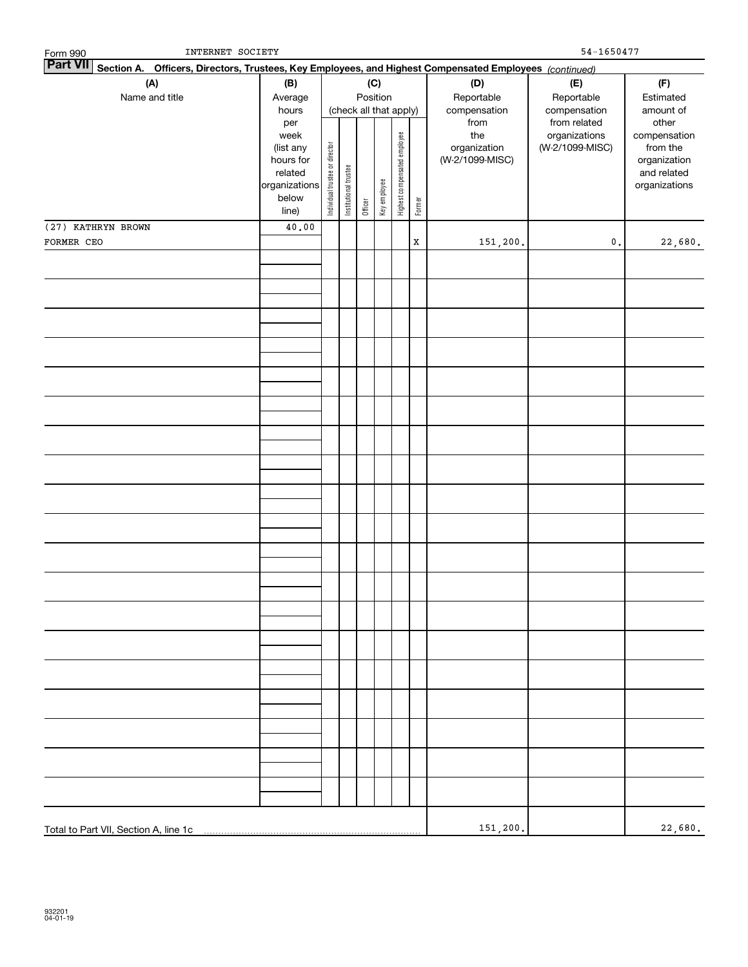| INTERNET SOCIETY<br>Form 990                                                                                              |                        |                                |                       |         |                        |                              |             |                 | $54 - 1650477$  |               |
|---------------------------------------------------------------------------------------------------------------------------|------------------------|--------------------------------|-----------------------|---------|------------------------|------------------------------|-------------|-----------------|-----------------|---------------|
| <b>Part VII</b><br>Section A. Officers, Directors, Trustees, Key Employees, and Highest Compensated Employees (continued) |                        |                                |                       |         |                        |                              |             |                 |                 |               |
| (A)                                                                                                                       | (B)                    |                                |                       |         | (C)                    |                              |             | (D)             | (E)             | (F)           |
| Name and title                                                                                                            | Average                |                                |                       |         | Position               |                              |             | Reportable      | Reportable      | Estimated     |
|                                                                                                                           | hours                  |                                |                       |         | (check all that apply) |                              |             | compensation    | compensation    | amount of     |
|                                                                                                                           | per                    |                                |                       |         |                        |                              |             | from            | from related    | other         |
|                                                                                                                           | week                   |                                |                       |         |                        |                              |             | the             | organizations   | compensation  |
|                                                                                                                           | (list any              |                                |                       |         |                        |                              |             | organization    | (W-2/1099-MISC) | from the      |
|                                                                                                                           | hours for              |                                |                       |         |                        |                              |             | (W-2/1099-MISC) |                 | organization  |
|                                                                                                                           | related                |                                |                       |         |                        |                              |             |                 |                 | and related   |
|                                                                                                                           | organizations<br>below | Individual trustee or director | Institutional trustee |         | Key employee           | Highest compensated employee |             |                 |                 | organizations |
|                                                                                                                           | line)                  |                                |                       | Officer |                        |                              | Former      |                 |                 |               |
|                                                                                                                           |                        |                                |                       |         |                        |                              |             |                 |                 |               |
| (27) KATHRYN BROWN                                                                                                        | 40.00                  |                                |                       |         |                        |                              |             |                 |                 |               |
| FORMER CEO                                                                                                                |                        |                                |                       |         |                        |                              | $\mathbf x$ | 151,200.        | $\mathfrak o$ . | 22,680.       |
|                                                                                                                           |                        |                                |                       |         |                        |                              |             |                 |                 |               |
|                                                                                                                           |                        |                                |                       |         |                        |                              |             |                 |                 |               |
|                                                                                                                           |                        |                                |                       |         |                        |                              |             |                 |                 |               |
|                                                                                                                           |                        |                                |                       |         |                        |                              |             |                 |                 |               |
|                                                                                                                           |                        |                                |                       |         |                        |                              |             |                 |                 |               |
|                                                                                                                           |                        |                                |                       |         |                        |                              |             |                 |                 |               |
|                                                                                                                           |                        |                                |                       |         |                        |                              |             |                 |                 |               |
|                                                                                                                           |                        |                                |                       |         |                        |                              |             |                 |                 |               |
|                                                                                                                           |                        |                                |                       |         |                        |                              |             |                 |                 |               |
|                                                                                                                           |                        |                                |                       |         |                        |                              |             |                 |                 |               |
|                                                                                                                           |                        |                                |                       |         |                        |                              |             |                 |                 |               |
|                                                                                                                           |                        |                                |                       |         |                        |                              |             |                 |                 |               |
|                                                                                                                           |                        |                                |                       |         |                        |                              |             |                 |                 |               |
|                                                                                                                           |                        |                                |                       |         |                        |                              |             |                 |                 |               |
|                                                                                                                           |                        |                                |                       |         |                        |                              |             |                 |                 |               |
|                                                                                                                           |                        |                                |                       |         |                        |                              |             |                 |                 |               |
|                                                                                                                           |                        |                                |                       |         |                        |                              |             |                 |                 |               |
|                                                                                                                           |                        |                                |                       |         |                        |                              |             |                 |                 |               |
|                                                                                                                           |                        |                                |                       |         |                        |                              |             |                 |                 |               |
|                                                                                                                           |                        |                                |                       |         |                        |                              |             |                 |                 |               |
|                                                                                                                           |                        |                                |                       |         |                        |                              |             |                 |                 |               |
|                                                                                                                           |                        |                                |                       |         |                        |                              |             |                 |                 |               |
|                                                                                                                           |                        |                                |                       |         |                        |                              |             |                 |                 |               |
|                                                                                                                           |                        |                                |                       |         |                        |                              |             |                 |                 |               |
|                                                                                                                           |                        |                                |                       |         |                        |                              |             |                 |                 |               |
|                                                                                                                           |                        |                                |                       |         |                        |                              |             |                 |                 |               |
|                                                                                                                           |                        |                                |                       |         |                        |                              |             |                 |                 |               |
|                                                                                                                           |                        |                                |                       |         |                        |                              |             |                 |                 |               |
|                                                                                                                           |                        |                                |                       |         |                        |                              |             |                 |                 |               |
|                                                                                                                           |                        |                                |                       |         |                        |                              |             |                 |                 |               |
|                                                                                                                           |                        |                                |                       |         |                        |                              |             |                 |                 |               |
|                                                                                                                           |                        |                                |                       |         |                        |                              |             |                 |                 |               |
|                                                                                                                           |                        |                                |                       |         |                        |                              |             |                 |                 |               |
|                                                                                                                           |                        |                                |                       |         |                        |                              |             |                 |                 |               |
|                                                                                                                           |                        |                                |                       |         |                        |                              |             |                 |                 |               |
|                                                                                                                           |                        |                                |                       |         |                        |                              |             |                 |                 |               |
|                                                                                                                           |                        |                                |                       |         |                        |                              |             |                 |                 |               |
|                                                                                                                           |                        |                                |                       |         |                        |                              |             |                 |                 |               |
|                                                                                                                           |                        |                                |                       |         |                        |                              |             |                 |                 |               |
|                                                                                                                           |                        |                                |                       |         |                        |                              |             |                 |                 |               |
|                                                                                                                           |                        |                                |                       |         |                        |                              |             | 151,200.        |                 | 22,680.       |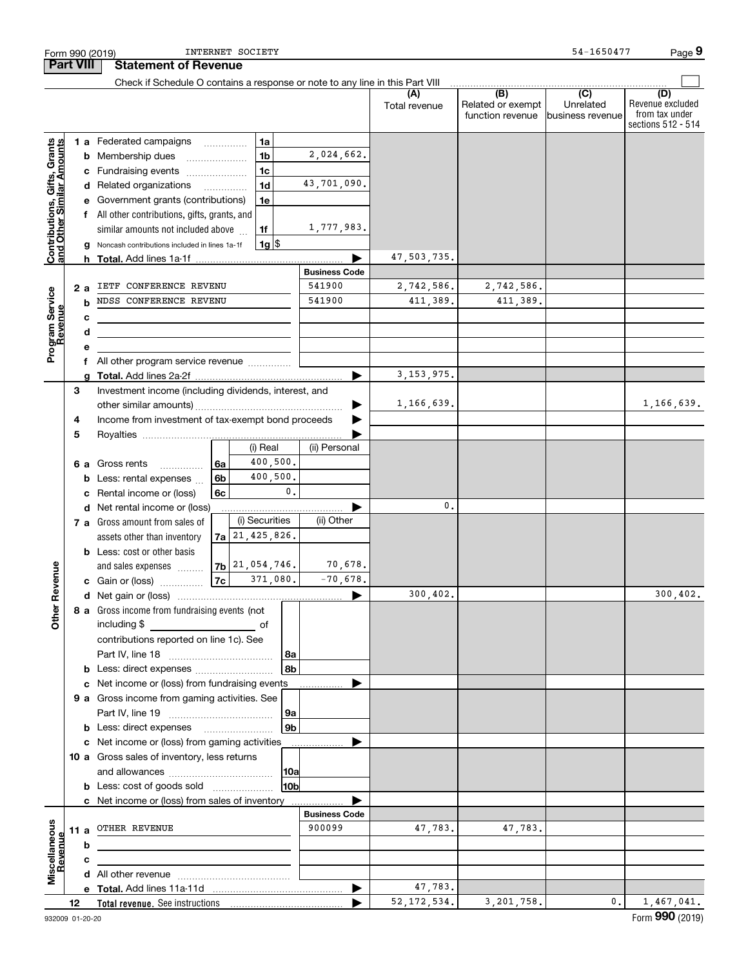|                                                           |                  |        | Form 990 (2019)                                                                                                                                                                                                                      |    | INTERNET SOCIETY   |                |                                |                      |                                                           | $54 - 1650477$                                    | Page 9                                                          |
|-----------------------------------------------------------|------------------|--------|--------------------------------------------------------------------------------------------------------------------------------------------------------------------------------------------------------------------------------------|----|--------------------|----------------|--------------------------------|----------------------|-----------------------------------------------------------|---------------------------------------------------|-----------------------------------------------------------------|
|                                                           | <b>Part VIII</b> |        | <b>Statement of Revenue</b>                                                                                                                                                                                                          |    |                    |                |                                |                      |                                                           |                                                   |                                                                 |
|                                                           |                  |        | Check if Schedule O contains a response or note to any line in this Part VIII                                                                                                                                                        |    |                    |                |                                |                      |                                                           |                                                   |                                                                 |
|                                                           |                  |        |                                                                                                                                                                                                                                      |    |                    |                |                                | (A)<br>Total revenue | $\overline{(B)}$<br>Related or exempt<br>function revenue | $\overline{(C)}$<br>Unrelated<br>business revenue | (D)<br>Revenue excluded<br>from tax under<br>sections 512 - 514 |
|                                                           |                  |        | <b>1 a</b> Federated campaigns                                                                                                                                                                                                       |    |                    | 1a             |                                |                      |                                                           |                                                   |                                                                 |
|                                                           |                  | b      | Membership dues<br>$\ldots \ldots \ldots \ldots \ldots$                                                                                                                                                                              |    |                    | 1 <sub>b</sub> | 2,024,662.                     |                      |                                                           |                                                   |                                                                 |
|                                                           |                  | c      | Fundraising events                                                                                                                                                                                                                   |    |                    | 1 <sub>c</sub> |                                |                      |                                                           |                                                   |                                                                 |
|                                                           |                  |        | d Related organizations                                                                                                                                                                                                              |    |                    | 1 <sub>d</sub> | 43,701,090.                    |                      |                                                           |                                                   |                                                                 |
|                                                           |                  |        | Government grants (contributions)                                                                                                                                                                                                    |    |                    | 1e             |                                |                      |                                                           |                                                   |                                                                 |
|                                                           |                  |        | f All other contributions, gifts, grants, and                                                                                                                                                                                        |    |                    |                |                                |                      |                                                           |                                                   |                                                                 |
|                                                           |                  |        | similar amounts not included above                                                                                                                                                                                                   |    |                    | 1f             | 1,777,983.                     |                      |                                                           |                                                   |                                                                 |
| Contributions, Gifts, Grants<br>and Other Similar Amounts |                  |        | Noncash contributions included in lines 1a-1f                                                                                                                                                                                        |    |                    | $1g$ \$        |                                |                      |                                                           |                                                   |                                                                 |
|                                                           |                  |        |                                                                                                                                                                                                                                      |    |                    |                |                                | 47,503,735.          |                                                           |                                                   |                                                                 |
|                                                           |                  |        | IETF CONFERENCE REVENU                                                                                                                                                                                                               |    |                    |                | <b>Business Code</b><br>541900 | 2,742,586.           | 2,742,586.                                                |                                                   |                                                                 |
|                                                           | 2a               | b      | NDSS CONFERENCE REVENU                                                                                                                                                                                                               |    |                    |                | 541900                         | 411,389.             | 411,389.                                                  |                                                   |                                                                 |
|                                                           |                  |        |                                                                                                                                                                                                                                      |    |                    |                |                                |                      |                                                           |                                                   |                                                                 |
|                                                           |                  | c<br>d |                                                                                                                                                                                                                                      |    |                    |                |                                |                      |                                                           |                                                   |                                                                 |
| Program Service<br>Revenue                                |                  | е      | <u>and the state of the state of the state of the state of the state of the state of the state of the state of the state of the state of the state of the state of the state of the state of the state of the state of the state</u> |    |                    |                |                                |                      |                                                           |                                                   |                                                                 |
|                                                           |                  | f      | All other program service revenue                                                                                                                                                                                                    |    |                    |                |                                |                      |                                                           |                                                   |                                                                 |
|                                                           |                  |        |                                                                                                                                                                                                                                      |    |                    |                |                                | 3, 153, 975.         |                                                           |                                                   |                                                                 |
|                                                           | 3                |        | Investment income (including dividends, interest, and                                                                                                                                                                                |    |                    |                |                                |                      |                                                           |                                                   |                                                                 |
|                                                           |                  |        |                                                                                                                                                                                                                                      |    |                    |                |                                | 1,166,639.           |                                                           |                                                   | 1,166,639.                                                      |
|                                                           | 4                |        | Income from investment of tax-exempt bond proceeds                                                                                                                                                                                   |    |                    |                |                                |                      |                                                           |                                                   |                                                                 |
|                                                           | 5                |        |                                                                                                                                                                                                                                      |    |                    |                |                                |                      |                                                           |                                                   |                                                                 |
|                                                           |                  |        |                                                                                                                                                                                                                                      |    |                    | (i) Real       | (ii) Personal                  |                      |                                                           |                                                   |                                                                 |
|                                                           | 6а               |        | Gross rents<br>$\overline{\phantom{a}}$                                                                                                                                                                                              | 6a |                    | 400,500.       |                                |                      |                                                           |                                                   |                                                                 |
|                                                           |                  | b      | Less: rental expenses                                                                                                                                                                                                                | 6b |                    | 400,500.       |                                |                      |                                                           |                                                   |                                                                 |
|                                                           |                  | c      | Rental income or (loss)                                                                                                                                                                                                              | 6c |                    | 0.             |                                |                      |                                                           |                                                   |                                                                 |
|                                                           |                  | d      | Net rental income or (loss)                                                                                                                                                                                                          |    |                    | (i) Securities |                                | 0.                   |                                                           |                                                   |                                                                 |
|                                                           |                  |        | 7 a Gross amount from sales of                                                                                                                                                                                                       |    | $7a$ 21, 425, 826. |                | (ii) Other                     |                      |                                                           |                                                   |                                                                 |
|                                                           |                  |        | assets other than inventory<br><b>b</b> Less: cost or other basis                                                                                                                                                                    |    |                    |                |                                |                      |                                                           |                                                   |                                                                 |
|                                                           |                  |        | and sales expenses                                                                                                                                                                                                                   |    | $7b$ $21,054,746.$ |                | 70,678.                        |                      |                                                           |                                                   |                                                                 |
| evenue                                                    |                  |        | c Gain or (loss)                                                                                                                                                                                                                     | 7c |                    | 371,080.       | $-70,678.$                     |                      |                                                           |                                                   |                                                                 |
|                                                           |                  |        |                                                                                                                                                                                                                                      |    |                    |                |                                | 300, 402.            |                                                           |                                                   | 300,402.                                                        |
| Other <sub>R</sub>                                        |                  |        | 8 a Gross income from fundraising events (not                                                                                                                                                                                        |    |                    |                |                                |                      |                                                           |                                                   |                                                                 |
|                                                           |                  |        | including \$                                                                                                                                                                                                                         |    |                    |                |                                |                      |                                                           |                                                   |                                                                 |
|                                                           |                  |        | contributions reported on line 1c). See                                                                                                                                                                                              |    |                    |                |                                |                      |                                                           |                                                   |                                                                 |
|                                                           |                  |        |                                                                                                                                                                                                                                      |    |                    | 8а             |                                |                      |                                                           |                                                   |                                                                 |
|                                                           |                  | b      |                                                                                                                                                                                                                                      |    |                    | 8b             |                                |                      |                                                           |                                                   |                                                                 |
|                                                           |                  | c      | Net income or (loss) from fundraising events                                                                                                                                                                                         |    |                    |                |                                |                      |                                                           |                                                   |                                                                 |
|                                                           |                  |        | 9 a Gross income from gaming activities. See                                                                                                                                                                                         |    |                    |                |                                |                      |                                                           |                                                   |                                                                 |
|                                                           |                  |        |                                                                                                                                                                                                                                      |    |                    | 9а             |                                |                      |                                                           |                                                   |                                                                 |
|                                                           |                  |        | <b>b</b> Less: direct expenses <b>manually</b>                                                                                                                                                                                       |    |                    | 9 <sub>b</sub> |                                |                      |                                                           |                                                   |                                                                 |
|                                                           |                  |        | c Net income or (loss) from gaming activities                                                                                                                                                                                        |    |                    |                | .                              |                      |                                                           |                                                   |                                                                 |
|                                                           |                  |        | 10 a Gross sales of inventory, less returns                                                                                                                                                                                          |    |                    | 10a            |                                |                      |                                                           |                                                   |                                                                 |
|                                                           |                  |        | <b>b</b> Less: cost of goods sold                                                                                                                                                                                                    |    |                    | 10b            |                                |                      |                                                           |                                                   |                                                                 |
|                                                           |                  |        | c Net income or (loss) from sales of inventory                                                                                                                                                                                       |    |                    |                |                                |                      |                                                           |                                                   |                                                                 |
|                                                           |                  |        |                                                                                                                                                                                                                                      |    |                    |                | <b>Business Code</b>           |                      |                                                           |                                                   |                                                                 |
|                                                           | 11 a             |        | OTHER REVENUE                                                                                                                                                                                                                        |    |                    |                | 900099                         | 47,783.              | 47,783.                                                   |                                                   |                                                                 |
|                                                           |                  | b      |                                                                                                                                                                                                                                      |    |                    |                |                                |                      |                                                           |                                                   |                                                                 |
|                                                           |                  | c      |                                                                                                                                                                                                                                      |    |                    |                |                                |                      |                                                           |                                                   |                                                                 |
| Miscellaneous<br>Revenue                                  |                  |        |                                                                                                                                                                                                                                      |    |                    |                |                                |                      |                                                           |                                                   |                                                                 |
|                                                           |                  |        |                                                                                                                                                                                                                                      |    |                    |                | ▶                              | 47,783.              |                                                           |                                                   |                                                                 |
|                                                           | 12               |        |                                                                                                                                                                                                                                      |    |                    |                |                                | 52, 172, 534.        | 3, 201, 758.                                              | 0.                                                | 1,467,041.                                                      |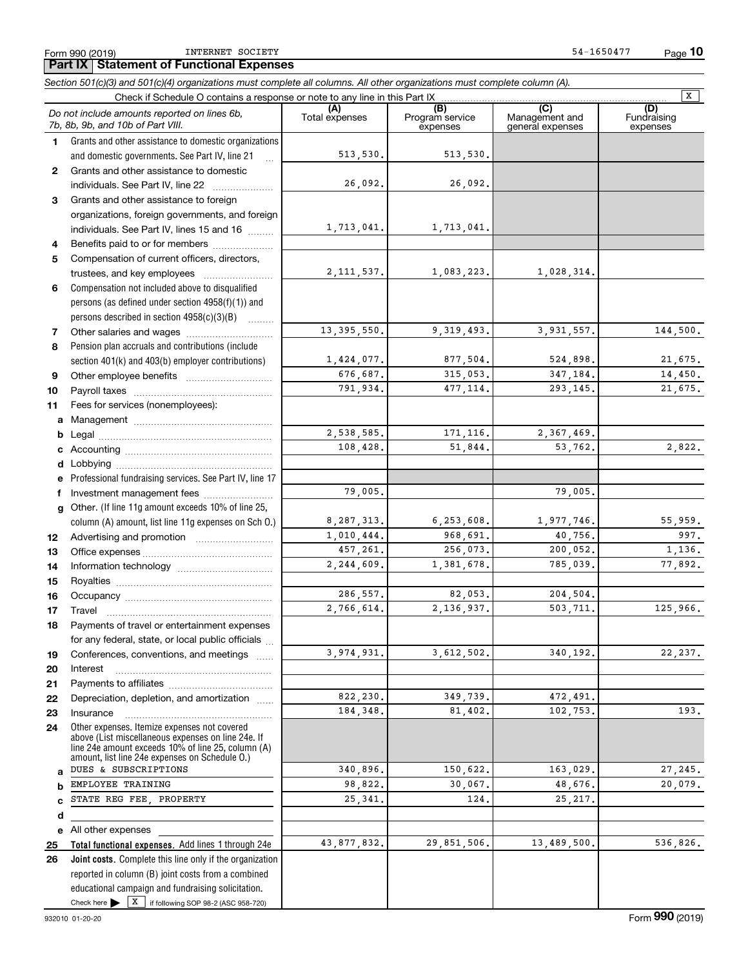INTERNET SOCIETY **54-1650477** 

Form 990 (2019) INTERNET SOCIETY 54–1650477 <sub>Page</sub><br>| **Part IX | Statement of Functional Expenses** 54–1650477 <sub>Page</sub>

| Section 501(c)(3) and 501(c)(4) organizations must complete all columns. All other organizations must complete column (A). |  |  |
|----------------------------------------------------------------------------------------------------------------------------|--|--|
|                                                                                                                            |  |  |

|              | Check if Schedule O contains a response or note to any line in this Part IX                                                                                                                                |                       |                                    |                                           | X                              |
|--------------|------------------------------------------------------------------------------------------------------------------------------------------------------------------------------------------------------------|-----------------------|------------------------------------|-------------------------------------------|--------------------------------|
|              | Do not include amounts reported on lines 6b.<br>7b, 8b, 9b, and 10b of Part VIII.                                                                                                                          | (A)<br>Total expenses | (B)<br>Program service<br>expenses | (C)<br>Management and<br>general expenses | (D)<br>Fundraising<br>expenses |
| 1.           | Grants and other assistance to domestic organizations                                                                                                                                                      |                       |                                    |                                           |                                |
|              | and domestic governments. See Part IV, line 21                                                                                                                                                             | 513,530.              | 513,530.                           |                                           |                                |
| $\mathbf{2}$ | Grants and other assistance to domestic                                                                                                                                                                    |                       |                                    |                                           |                                |
|              | individuals. See Part IV, line 22                                                                                                                                                                          | 26,092.               | 26,092.                            |                                           |                                |
| 3            | Grants and other assistance to foreign                                                                                                                                                                     |                       |                                    |                                           |                                |
|              | organizations, foreign governments, and foreign                                                                                                                                                            |                       |                                    |                                           |                                |
|              | individuals. See Part IV, lines 15 and 16                                                                                                                                                                  | 1,713,041.            | 1,713,041.                         |                                           |                                |
| 4            | Benefits paid to or for members                                                                                                                                                                            |                       |                                    |                                           |                                |
| 5            | Compensation of current officers, directors,                                                                                                                                                               |                       |                                    |                                           |                                |
|              |                                                                                                                                                                                                            | 2, 111, 537.          | 1,083,223.                         | 1,028,314.                                |                                |
| 6            | Compensation not included above to disqualified                                                                                                                                                            |                       |                                    |                                           |                                |
|              | persons (as defined under section 4958(f)(1)) and                                                                                                                                                          |                       |                                    |                                           |                                |
|              | persons described in section 4958(c)(3)(B)                                                                                                                                                                 |                       |                                    |                                           |                                |
| 7            |                                                                                                                                                                                                            | 13, 395, 550.         | 9, 319, 493.                       | 3,931,557.                                | 144,500.                       |
| 8            | Pension plan accruals and contributions (include                                                                                                                                                           |                       |                                    |                                           |                                |
|              | section 401(k) and 403(b) employer contributions)                                                                                                                                                          | 1,424,077.            | 877,504.                           | 524,898.                                  | 21,675.                        |
| 9            |                                                                                                                                                                                                            | 676,687.              | 315,053.                           | 347,184.                                  | 14,450.                        |
| 10           |                                                                                                                                                                                                            | 791,934.              | 477, 114.                          | 293, 145.                                 | 21,675.                        |
| 11           | Fees for services (nonemployees):                                                                                                                                                                          |                       |                                    |                                           |                                |
| a            |                                                                                                                                                                                                            |                       |                                    |                                           |                                |
| b            |                                                                                                                                                                                                            | 2,538,585.            | 171, 116.                          | 2,367,469.                                |                                |
|              |                                                                                                                                                                                                            | 108,428.              | 51,844.                            | 53,762.                                   | 2,822.                         |
| d            |                                                                                                                                                                                                            |                       |                                    |                                           |                                |
|              | Professional fundraising services. See Part IV, line 17                                                                                                                                                    |                       |                                    |                                           |                                |
| f            | Investment management fees                                                                                                                                                                                 | 79,005.               |                                    | 79,005.                                   |                                |
| $\mathbf{q}$ | Other. (If line 11g amount exceeds 10% of line 25,                                                                                                                                                         |                       |                                    |                                           |                                |
|              | column (A) amount, list line 11g expenses on Sch 0.)                                                                                                                                                       | 8, 287, 313.          | 6, 253, 608.                       | 1,977,746.                                | 55,959.                        |
| 12           |                                                                                                                                                                                                            | 1,010,444.            | 968,691.                           | 40,756.                                   | 997.                           |
| 13           |                                                                                                                                                                                                            | 457,261.              | 256,073.                           | 200,052.                                  | 1,136.                         |
| 14           |                                                                                                                                                                                                            | 2,244,609.            | 1,381,678.                         | 785,039.                                  | 77,892.                        |
| 15           |                                                                                                                                                                                                            |                       |                                    |                                           |                                |
| 16           |                                                                                                                                                                                                            | 286,557.              | 82,053.                            | 204,504.                                  |                                |
| 17           | Travel                                                                                                                                                                                                     | 2,766,614.            | 2,136,937.                         | 503,711.                                  | 125,966.                       |
| 18           | Payments of travel or entertainment expenses                                                                                                                                                               |                       |                                    |                                           |                                |
|              | for any federal, state, or local public officials                                                                                                                                                          |                       |                                    |                                           |                                |
| 19           | Conferences, conventions, and meetings                                                                                                                                                                     | 3,974,931.            | 3,612,502.                         | 340,192.                                  | 22, 237.                       |
| 20           | Interest                                                                                                                                                                                                   |                       |                                    |                                           |                                |
| 21           |                                                                                                                                                                                                            |                       |                                    |                                           |                                |
| 22           | Depreciation, depletion, and amortization                                                                                                                                                                  | 822,230.              | 349,739.                           | 472,491.                                  |                                |
| 23           | Insurance                                                                                                                                                                                                  | 184, 348.             | 81,402.                            | 102,753.                                  | 193.                           |
| 24           | Other expenses. Itemize expenses not covered<br>above (List miscellaneous expenses on line 24e. If<br>line 24e amount exceeds 10% of line 25, column (A)<br>amount, list line 24e expenses on Schedule O.) |                       |                                    |                                           |                                |
| a            | DUES & SUBSCRIPTIONS                                                                                                                                                                                       | 340,896.              | 150,622.                           | 163,029.                                  | 27, 245.                       |
| b            | EMPLOYEE TRAINING                                                                                                                                                                                          | 98,822.               | 30,067.                            | 48,676.                                   | 20,079.                        |
| C            | STATE REG FEE, PROPERTY                                                                                                                                                                                    | 25, 341.              | 124.                               | 25, 217.                                  |                                |
| d            |                                                                                                                                                                                                            |                       |                                    |                                           |                                |
| е            | All other expenses                                                                                                                                                                                         |                       |                                    |                                           |                                |
| 25           | Total functional expenses. Add lines 1 through 24e                                                                                                                                                         | 43,877,832.           | 29,851,506.                        | 13,489,500.                               | 536,826.                       |
| 26           | <b>Joint costs.</b> Complete this line only if the organization                                                                                                                                            |                       |                                    |                                           |                                |
|              | reported in column (B) joint costs from a combined                                                                                                                                                         |                       |                                    |                                           |                                |
|              | educational campaign and fundraising solicitation.                                                                                                                                                         |                       |                                    |                                           |                                |
|              | Check here $\triangleright$ $\vert X \vert$ if following SOP 98-2 (ASC 958-720)                                                                                                                            |                       |                                    |                                           |                                |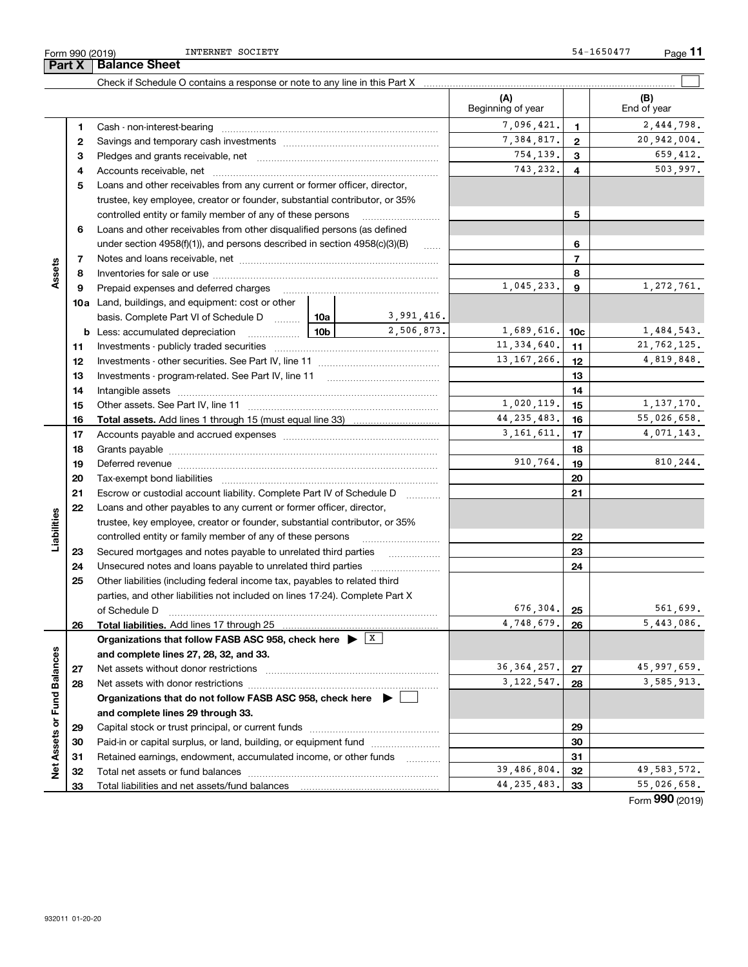Total liabilities and net assets/fund balances

|                      |                           | INTERNET SOCIETY                                                                                                                                   |  |               |                   |                     | 54-1650477   |
|----------------------|---------------------------|----------------------------------------------------------------------------------------------------------------------------------------------------|--|---------------|-------------------|---------------------|--------------|
|                      | Form 990 (2019)<br>Part X | <b>Balance Sheet</b>                                                                                                                               |  |               |                   |                     | $Page$ 11    |
|                      |                           |                                                                                                                                                    |  |               |                   |                     |              |
|                      |                           |                                                                                                                                                    |  |               | (A)               |                     | (B)          |
|                      |                           |                                                                                                                                                    |  |               | Beginning of year |                     | End of year  |
|                      | 1                         |                                                                                                                                                    |  |               | 7,096,421.        | 1.                  | 2,444,798.   |
|                      | 2                         |                                                                                                                                                    |  |               | 7,384,817.        | $\mathbf{2}$        | 20,942,004.  |
|                      | 3                         |                                                                                                                                                    |  |               | 754,139.          | 3                   | 659,412.     |
|                      | 4                         |                                                                                                                                                    |  |               | 743,232.          | 4                   | 503,997.     |
|                      | 5                         | Loans and other receivables from any current or former officer, director,                                                                          |  |               |                   |                     |              |
|                      |                           | trustee, key employee, creator or founder, substantial contributor, or 35%                                                                         |  |               |                   |                     |              |
|                      |                           | controlled entity or family member of any of these persons                                                                                         |  |               |                   | 5                   |              |
|                      | 6                         | Loans and other receivables from other disqualified persons (as defined                                                                            |  |               |                   |                     |              |
|                      |                           | under section $4958(f)(1)$ , and persons described in section $4958(c)(3)(B)$                                                                      |  | $\ldots$      |                   | 6                   |              |
| Assets               | 7                         |                                                                                                                                                    |  |               |                   | $\overline{7}$<br>8 |              |
|                      | 8<br>9                    | Prepaid expenses and deferred charges                                                                                                              |  |               | 1,045,233.        | 9                   | 1,272,761.   |
|                      |                           | <b>10a</b> Land, buildings, and equipment: cost or other                                                                                           |  |               |                   |                     |              |
|                      |                           | basis. Complete Part VI of Schedule D  10a                                                                                                         |  | 3,991,416.    |                   |                     |              |
|                      |                           | <u>10b</u><br><b>b</b> Less: accumulated depreciation                                                                                              |  | 2,506,873.    | 1,689,616.        | 10c                 | 1,484,543.   |
|                      | 11                        |                                                                                                                                                    |  |               | 11, 334, 640.     | 11                  | 21,762,125.  |
|                      | 12                        |                                                                                                                                                    |  | 13, 167, 266. | 12                | 4,819,848.          |              |
|                      | 13                        |                                                                                                                                                    |  |               |                   | 13                  |              |
|                      | 14                        |                                                                                                                                                    |  |               |                   | 14                  |              |
|                      | 15                        |                                                                                                                                                    |  |               | 1,020,119.        | 15                  | 1, 137, 170. |
|                      | 16                        |                                                                                                                                                    |  |               | 44, 235, 483.     | 16                  | 55,026,658.  |
|                      | 17                        |                                                                                                                                                    |  |               | 3, 161, 611.      | 17                  | 4,071,143.   |
|                      | 18                        |                                                                                                                                                    |  |               |                   | 18                  |              |
|                      | 19                        | Deferred revenue manual contracts and contracts are all the manual contracts and contracts are contracted and c                                    |  |               | 910,764.          | 19                  | 810.244.     |
|                      | 20                        | Tax-exempt bond liabilities                                                                                                                        |  |               |                   | 20                  |              |
|                      | 21<br>22                  | Escrow or custodial account liability. Complete Part IV of Schedule D                                                                              |  |               |                   | 21                  |              |
|                      |                           | Loans and other payables to any current or former officer, director,<br>trustee, key employee, creator or founder, substantial contributor, or 35% |  |               |                   |                     |              |
| Liabilities          |                           | controlled entity or family member of any of these persons                                                                                         |  |               |                   | 22                  |              |
|                      | 23                        | Secured mortgages and notes payable to unrelated third parties                                                                                     |  |               |                   | 23                  |              |
|                      | 24                        | Unsecured notes and loans payable to unrelated third parties                                                                                       |  |               |                   | 24                  |              |
|                      | 25                        | Other liabilities (including federal income tax, payables to related third                                                                         |  |               |                   |                     |              |
|                      |                           | parties, and other liabilities not included on lines 17-24). Complete Part X                                                                       |  |               |                   |                     |              |
|                      |                           | of Schedule D                                                                                                                                      |  |               | 676,304.          | 25                  | 561,699.     |
|                      | 26                        | Total liabilities. Add lines 17 through 25                                                                                                         |  |               | 4,748,679.        | 26                  | 5,443,086.   |
|                      |                           | Organizations that follow FASB ASC 958, check here $\blacktriangleright$ $\boxed{\text{X}}$                                                        |  |               |                   |                     |              |
|                      |                           | and complete lines 27, 28, 32, and 33.                                                                                                             |  |               |                   |                     |              |
|                      | 27                        |                                                                                                                                                    |  |               | 36, 364, 257.     | 27                  | 45,997,659.  |
| <b>Fund Balances</b> | 28                        | Net assets with donor restrictions                                                                                                                 |  |               | 3, 122, 547.      | 28                  | 3,585,913.   |
|                      |                           | Organizations that do not follow FASB ASC 958, check here $\blacktriangleright$                                                                    |  |               |                   |                     |              |
|                      | 29                        | and complete lines 29 through 33.                                                                                                                  |  |               |                   | 29                  |              |
|                      | 30                        | Paid-in or capital surplus, or land, building, or equipment fund                                                                                   |  |               |                   | 30                  |              |
|                      | 31                        | Retained earnings, endowment, accumulated income, or other funds                                                                                   |  |               |                   | 31                  |              |
| Net Assets or        | 32                        |                                                                                                                                                    |  |               | 39,486,804.       | 32                  | 49,583,572.  |
|                      |                           |                                                                                                                                                    |  |               |                   |                     |              |

Form **990** (2019)

33

44,235,483. 55,026,658.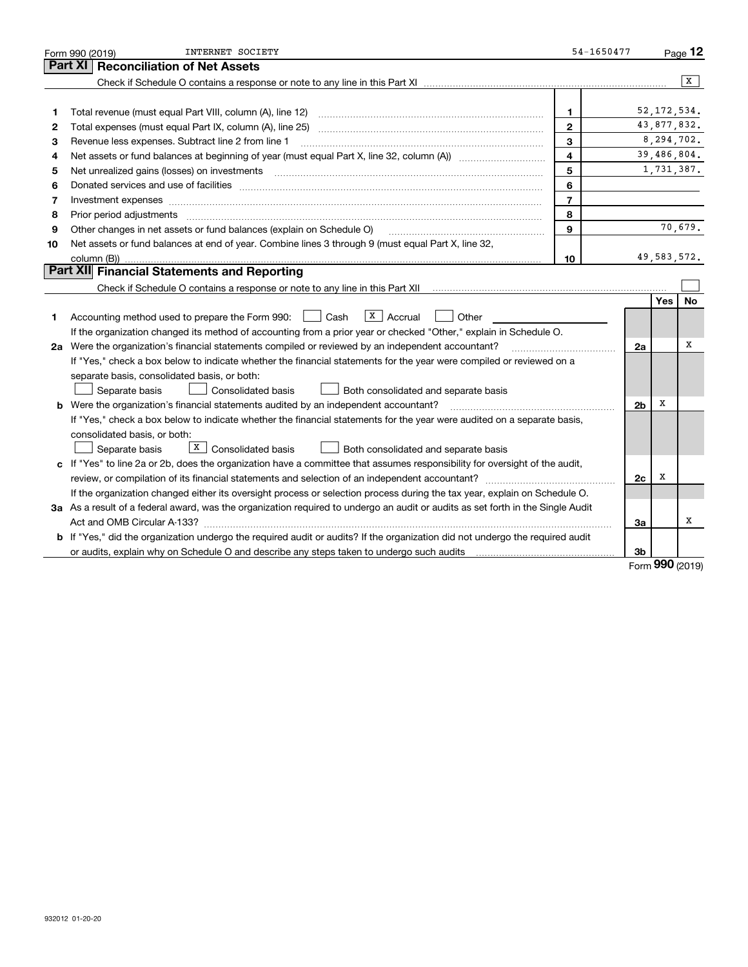|    | INTERNET SOCIETY<br>Form 990 (2019)                                                                                                                                                                                            | 54-1650477              |                |               | Page 12     |
|----|--------------------------------------------------------------------------------------------------------------------------------------------------------------------------------------------------------------------------------|-------------------------|----------------|---------------|-------------|
|    | <b>Part XI</b><br><b>Reconciliation of Net Assets</b>                                                                                                                                                                          |                         |                |               |             |
|    |                                                                                                                                                                                                                                |                         |                |               | x           |
|    |                                                                                                                                                                                                                                |                         |                |               |             |
| 1  | Total revenue (must equal Part VIII, column (A), line 12)                                                                                                                                                                      | $\mathbf{1}$            |                | 52, 172, 534. |             |
| 2  |                                                                                                                                                                                                                                | $\overline{2}$          |                |               | 43,877,832. |
| 3  | Revenue less expenses. Subtract line 2 from line 1                                                                                                                                                                             | 3                       |                |               | 8,294,702.  |
| 4  |                                                                                                                                                                                                                                | $\overline{\mathbf{4}}$ |                |               | 39,486,804. |
| 5  | Net unrealized gains (losses) on investments [11] matter continuum matter is a set of the set of the set of the                                                                                                                | 5                       |                |               | 1,731,387.  |
| 6  | Donated services and use of facilities [111] matter contracts and the service of facilities [11] matter contracts and use of facilities [11] matter contracts and the service of facilities [11] matter contracts and the serv | 6                       |                |               |             |
| 7  | Investment expenses www.communication.com/www.communication.com/www.communication.com/www.com                                                                                                                                  | $\overline{7}$          |                |               |             |
| 8  | Prior period adjustments material contents and content of the content of the content of the content of the content of the content of the content of the content of the content of the content of the content of the content of | 8                       |                |               |             |
| 9  | Other changes in net assets or fund balances (explain on Schedule O)                                                                                                                                                           | $\mathbf{9}$            |                |               | 70,679.     |
| 10 | Net assets or fund balances at end of year. Combine lines 3 through 9 (must equal Part X, line 32,                                                                                                                             |                         |                |               |             |
|    |                                                                                                                                                                                                                                | 10                      |                | 49,583,572.   |             |
|    | Part XII Financial Statements and Reporting                                                                                                                                                                                    |                         |                |               |             |
|    |                                                                                                                                                                                                                                |                         |                |               |             |
|    |                                                                                                                                                                                                                                |                         |                | Yes           | No          |
| 1. | $X$ Accrual<br>Accounting method used to prepare the Form 990: <u>I</u> Cash<br>Other                                                                                                                                          |                         |                |               |             |
|    | If the organization changed its method of accounting from a prior year or checked "Other," explain in Schedule O.                                                                                                              |                         |                |               |             |
|    | 2a Were the organization's financial statements compiled or reviewed by an independent accountant?                                                                                                                             |                         | 2a             |               | х           |
|    | If "Yes," check a box below to indicate whether the financial statements for the year were compiled or reviewed on a                                                                                                           |                         |                |               |             |
|    | separate basis, consolidated basis, or both:                                                                                                                                                                                   |                         |                |               |             |
|    | Separate basis<br>Consolidated basis<br>Both consolidated and separate basis                                                                                                                                                   |                         |                |               |             |
|    | <b>b</b> Were the organization's financial statements audited by an independent accountant?                                                                                                                                    |                         | 2 <sub>b</sub> | х             |             |
|    | If "Yes," check a box below to indicate whether the financial statements for the year were audited on a separate basis,                                                                                                        |                         |                |               |             |
|    | consolidated basis, or both:                                                                                                                                                                                                   |                         |                |               |             |
|    | $X$ Consolidated basis<br>Separate basis<br>Both consolidated and separate basis                                                                                                                                               |                         |                |               |             |
| c  | If "Yes" to line 2a or 2b, does the organization have a committee that assumes responsibility for oversight of the audit,                                                                                                      |                         |                |               |             |
|    | review, or compilation of its financial statements and selection of an independent accountant?                                                                                                                                 |                         | 2c             | х             |             |
|    | If the organization changed either its oversight process or selection process during the tax year, explain on Schedule O.                                                                                                      |                         |                |               |             |
|    | 3a As a result of a federal award, was the organization required to undergo an audit or audits as set forth in the Single Audit                                                                                                |                         |                |               |             |
|    |                                                                                                                                                                                                                                |                         | 3a             |               | х           |
|    | If "Yes," did the organization undergo the required audit or audits? If the organization did not undergo the required audit                                                                                                    |                         |                |               |             |
|    | or audits, explain why on Schedule O and describe any steps taken to undergo such audits                                                                                                                                       |                         | 3b             | ההה           |             |

Form 990 (2019)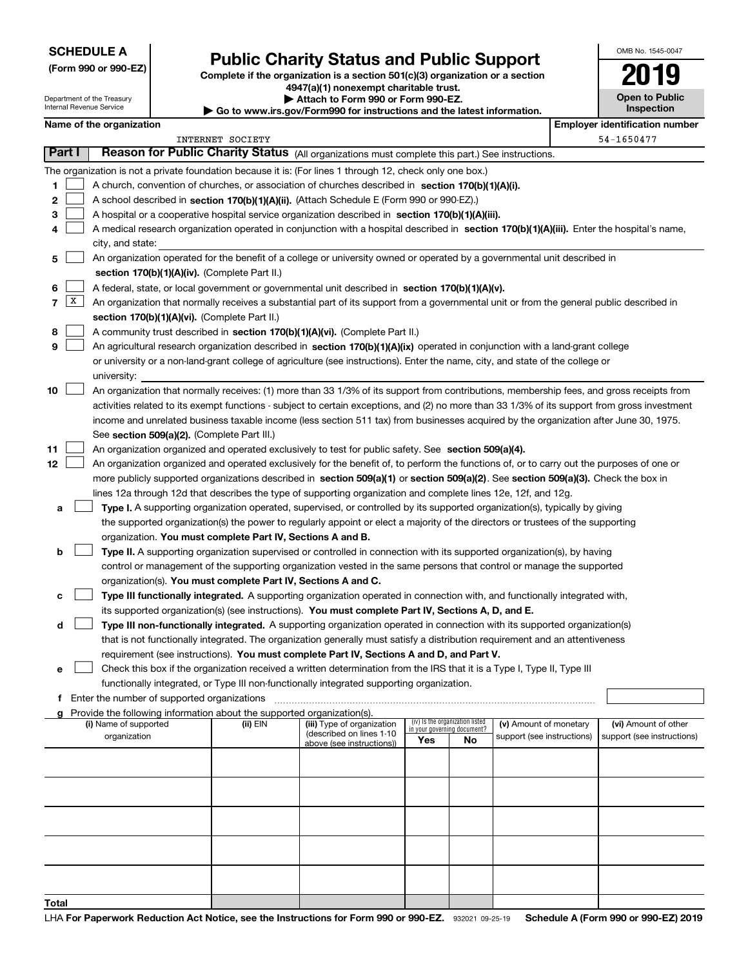## SCHEDULE A

#### Department of the Treasury Internal Revenue Service

## Public Charity Status and Public Support

(Form 990 or 990-EZ) Complete if the organization is a section 501(c)(3) organization or a section 4947(a)(1) nonexempt charitable trust. | Attach to Form 990 or Form 990-EZ.

| 0                                   |  |
|-------------------------------------|--|
| <b>Open to Public</b><br>Inspection |  |

OMB No. 1545-0047

|                 |        | internal Revenue Service                                                                                                                                                                                                                        |                  | $\blacktriangleright$ Go to www.irs.gov/Form990 for instructions and the latest information. |                                    |                                 |                            | <b>Inspection</b>                                   |
|-----------------|--------|-------------------------------------------------------------------------------------------------------------------------------------------------------------------------------------------------------------------------------------------------|------------------|----------------------------------------------------------------------------------------------|------------------------------------|---------------------------------|----------------------------|-----------------------------------------------------|
|                 |        | Name of the organization                                                                                                                                                                                                                        | INTERNET SOCIETY |                                                                                              |                                    |                                 |                            | <b>Employer identification number</b><br>54-1650477 |
|                 | Part I | Reason for Public Charity Status (All organizations must complete this part.) See instructions.                                                                                                                                                 |                  |                                                                                              |                                    |                                 |                            |                                                     |
|                 |        | The organization is not a private foundation because it is: (For lines 1 through 12, check only one box.)                                                                                                                                       |                  |                                                                                              |                                    |                                 |                            |                                                     |
| 1               |        | A church, convention of churches, or association of churches described in section 170(b)(1)(A)(i).                                                                                                                                              |                  |                                                                                              |                                    |                                 |                            |                                                     |
| 2               |        |                                                                                                                                                                                                                                                 |                  |                                                                                              |                                    |                                 |                            |                                                     |
|                 |        | A school described in section 170(b)(1)(A)(ii). (Attach Schedule E (Form 990 or 990-EZ).)                                                                                                                                                       |                  |                                                                                              |                                    |                                 |                            |                                                     |
| З               |        | A hospital or a cooperative hospital service organization described in section 170(b)(1)(A)(iii).<br>A medical research organization operated in conjunction with a hospital described in section 170(b)(1)(A)(iii). Enter the hospital's name, |                  |                                                                                              |                                    |                                 |                            |                                                     |
| 4               |        | city, and state:                                                                                                                                                                                                                                |                  |                                                                                              |                                    |                                 |                            |                                                     |
| 5               |        | An organization operated for the benefit of a college or university owned or operated by a governmental unit described in                                                                                                                       |                  |                                                                                              |                                    |                                 |                            |                                                     |
|                 |        | section 170(b)(1)(A)(iv). (Complete Part II.)                                                                                                                                                                                                   |                  |                                                                                              |                                    |                                 |                            |                                                     |
| 6               |        | A federal, state, or local government or governmental unit described in section 170(b)(1)(A)(v).                                                                                                                                                |                  |                                                                                              |                                    |                                 |                            |                                                     |
| $\overline{7}$  | X      |                                                                                                                                                                                                                                                 |                  |                                                                                              |                                    |                                 |                            |                                                     |
|                 |        | An organization that normally receives a substantial part of its support from a governmental unit or from the general public described in                                                                                                       |                  |                                                                                              |                                    |                                 |                            |                                                     |
|                 |        | section 170(b)(1)(A)(vi). (Complete Part II.)                                                                                                                                                                                                   |                  |                                                                                              |                                    |                                 |                            |                                                     |
| 8               |        | A community trust described in section 170(b)(1)(A)(vi). (Complete Part II.)                                                                                                                                                                    |                  |                                                                                              |                                    |                                 |                            |                                                     |
| 9               |        | An agricultural research organization described in section 170(b)(1)(A)(ix) operated in conjunction with a land-grant college                                                                                                                   |                  |                                                                                              |                                    |                                 |                            |                                                     |
|                 |        | or university or a non-land-grant college of agriculture (see instructions). Enter the name, city, and state of the college or                                                                                                                  |                  |                                                                                              |                                    |                                 |                            |                                                     |
|                 |        | university:                                                                                                                                                                                                                                     |                  |                                                                                              |                                    |                                 |                            |                                                     |
| 10              |        | An organization that normally receives: (1) more than 33 1/3% of its support from contributions, membership fees, and gross receipts from                                                                                                       |                  |                                                                                              |                                    |                                 |                            |                                                     |
|                 |        | activities related to its exempt functions - subject to certain exceptions, and (2) no more than 33 1/3% of its support from gross investment                                                                                                   |                  |                                                                                              |                                    |                                 |                            |                                                     |
|                 |        | income and unrelated business taxable income (less section 511 tax) from businesses acquired by the organization after June 30, 1975.                                                                                                           |                  |                                                                                              |                                    |                                 |                            |                                                     |
|                 |        | See section 509(a)(2). (Complete Part III.)                                                                                                                                                                                                     |                  |                                                                                              |                                    |                                 |                            |                                                     |
| 11              |        | An organization organized and operated exclusively to test for public safety. See section 509(a)(4).                                                                                                                                            |                  |                                                                                              |                                    |                                 |                            |                                                     |
| 12 <sub>2</sub> |        | An organization organized and operated exclusively for the benefit of, to perform the functions of, or to carry out the purposes of one or                                                                                                      |                  |                                                                                              |                                    |                                 |                            |                                                     |
|                 |        | more publicly supported organizations described in section 509(a)(1) or section 509(a)(2). See section 509(a)(3). Check the box in                                                                                                              |                  |                                                                                              |                                    |                                 |                            |                                                     |
|                 |        | lines 12a through 12d that describes the type of supporting organization and complete lines 12e, 12f, and 12g.                                                                                                                                  |                  |                                                                                              |                                    |                                 |                            |                                                     |
| а               |        | Type I. A supporting organization operated, supervised, or controlled by its supported organization(s), typically by giving                                                                                                                     |                  |                                                                                              |                                    |                                 |                            |                                                     |
|                 |        | the supported organization(s) the power to regularly appoint or elect a majority of the directors or trustees of the supporting                                                                                                                 |                  |                                                                                              |                                    |                                 |                            |                                                     |
|                 |        | organization. You must complete Part IV, Sections A and B.                                                                                                                                                                                      |                  |                                                                                              |                                    |                                 |                            |                                                     |
| b               |        | Type II. A supporting organization supervised or controlled in connection with its supported organization(s), by having                                                                                                                         |                  |                                                                                              |                                    |                                 |                            |                                                     |
|                 |        | control or management of the supporting organization vested in the same persons that control or manage the supported                                                                                                                            |                  |                                                                                              |                                    |                                 |                            |                                                     |
|                 |        | organization(s). You must complete Part IV, Sections A and C.                                                                                                                                                                                   |                  |                                                                                              |                                    |                                 |                            |                                                     |
| с               |        | Type III functionally integrated. A supporting organization operated in connection with, and functionally integrated with,                                                                                                                      |                  |                                                                                              |                                    |                                 |                            |                                                     |
|                 |        | its supported organization(s) (see instructions). You must complete Part IV, Sections A, D, and E.                                                                                                                                              |                  |                                                                                              |                                    |                                 |                            |                                                     |
| d               |        | Type III non-functionally integrated. A supporting organization operated in connection with its supported organization(s)                                                                                                                       |                  |                                                                                              |                                    |                                 |                            |                                                     |
|                 |        | that is not functionally integrated. The organization generally must satisfy a distribution requirement and an attentiveness                                                                                                                    |                  |                                                                                              |                                    |                                 |                            |                                                     |
|                 |        | requirement (see instructions). You must complete Part IV, Sections A and D, and Part V.                                                                                                                                                        |                  |                                                                                              |                                    |                                 |                            |                                                     |
| е               |        | Check this box if the organization received a written determination from the IRS that it is a Type I, Type II, Type III                                                                                                                         |                  |                                                                                              |                                    |                                 |                            |                                                     |
|                 |        | functionally integrated, or Type III non-functionally integrated supporting organization.                                                                                                                                                       |                  |                                                                                              |                                    |                                 |                            |                                                     |
| f               |        | Enter the number of supported organizations                                                                                                                                                                                                     |                  |                                                                                              |                                    |                                 |                            |                                                     |
| a               |        | Provide the following information about the supported organization(s).<br>(i) Name of supported                                                                                                                                                 | (ii) EIN         | (iii) Type of organization                                                                   |                                    | (iv) Is the organization listed | (v) Amount of monetary     | (vi) Amount of other                                |
|                 |        | organization                                                                                                                                                                                                                                    |                  | (described on lines 1-10                                                                     | in your governing document?<br>Yes | No                              | support (see instructions) | support (see instructions)                          |
|                 |        |                                                                                                                                                                                                                                                 |                  | above (see instructions))                                                                    |                                    |                                 |                            |                                                     |
|                 |        |                                                                                                                                                                                                                                                 |                  |                                                                                              |                                    |                                 |                            |                                                     |
|                 |        |                                                                                                                                                                                                                                                 |                  |                                                                                              |                                    |                                 |                            |                                                     |
|                 |        |                                                                                                                                                                                                                                                 |                  |                                                                                              |                                    |                                 |                            |                                                     |
|                 |        |                                                                                                                                                                                                                                                 |                  |                                                                                              |                                    |                                 |                            |                                                     |
|                 |        |                                                                                                                                                                                                                                                 |                  |                                                                                              |                                    |                                 |                            |                                                     |
|                 |        |                                                                                                                                                                                                                                                 |                  |                                                                                              |                                    |                                 |                            |                                                     |
|                 |        |                                                                                                                                                                                                                                                 |                  |                                                                                              |                                    |                                 |                            |                                                     |
|                 |        |                                                                                                                                                                                                                                                 |                  |                                                                                              |                                    |                                 |                            |                                                     |
|                 |        |                                                                                                                                                                                                                                                 |                  |                                                                                              |                                    |                                 |                            |                                                     |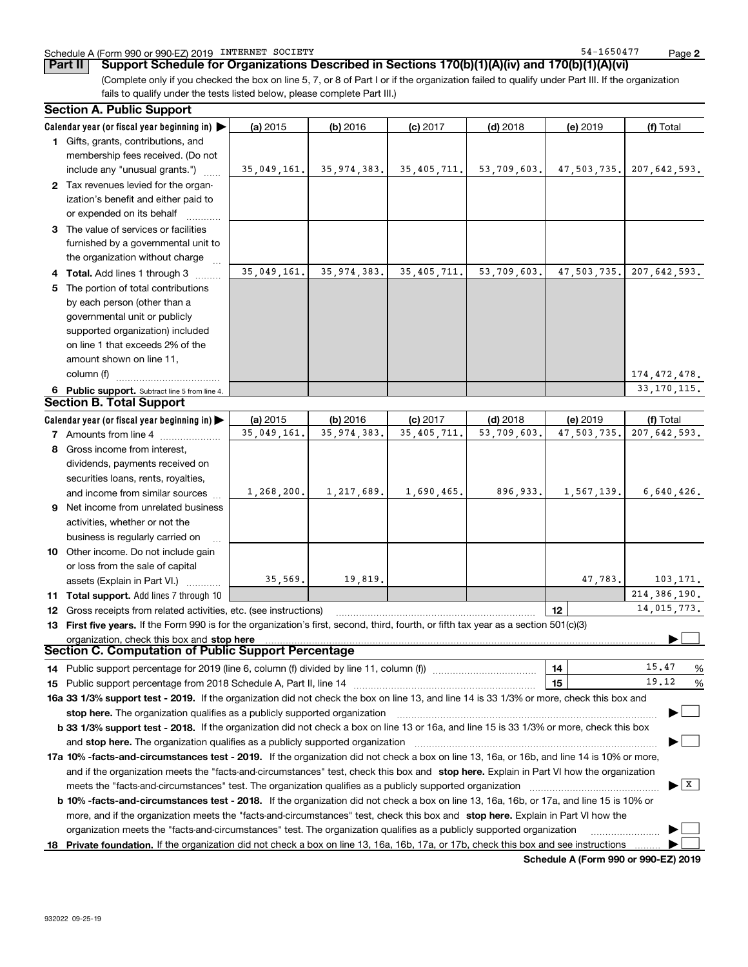## Schedule A (Form 990 or 990-EZ) 2019 INTERNET SOCIETY SOMEROUS CONSUMING SALE SALES AND SALE Page

932022 09-25-19

(Complete only if you checked the box on line 5, 7, or 8 of Part I or if the organization failed to qualify under Part III. If the organization fails to qualify under the tests listed below, please complete Part III.)

#### 6 Public support. Subtract line 5 from line 4. Calendar year (or fiscal year beginning in)  $\blacktriangleright$ Calendar year (or fiscal year beginning in)  $\blacktriangleright$ (a) 2015  $\vert$  (b) 2016  $\vert$  (c) 2017  $\vert$  (d) 2018  $\vert$  (e) 2019  $\vert$  (f) 1 Gifts, grants, contributions, and 2 Tax revenues levied for the organ-3 The value of services or facilities 4 Total. Add lines 1 through 3 ........ 5 The portion of total contributions (**a)** 2015 **| (b)** 2016 **| (c)** 2017 **| (d)** 2018 **| (e)** 2019 **| (f)** Total **7** Amounts from line 4 .................... 8 Gross income from interest, 9 Net income from unrelated business 10 Other income. Do not include gain 11 Total support. Add lines 7 through 10 12 Gross receipts from related activities, etc. (see instructions) www.community.community.community.com 13 First five years. If the Form 990 is for the organization's first, second, third, fourth, or fifth tax year as a section 501(c)(3) 12 stop here organization, check this box and | 14 15 14 Public support percentage for 2019 (line 6, column (f) divided by line 11, column (f)) ~~~~~~~~~~~~ 15 Public support percentage from 2018 Schedule A, Part II, line 14 ~~~~~~~~~~~~~~~~~~~~~ % 16a 33 1/3% support test - 2019. If the organization did not check the box on line 13, and line 14 is 33 1/3% or more, check this box and 17a 10% -facts-and-circumstances test - 2019. If the organization did not check a box on line 13, 16a, or 16b, and line 14 is 10% or more, 18 Private foundation. If the organization did not check a box on line 13, 16a, 16b, 17a, or 17b, check this box and see instructions ......... **b 33 1/3% support test - 2018.** If the organization did not check a box on line 13 or 16a, and line 15 is 33 1/3% or more, check this box **b 10% -facts-and-circumstances test - 2018.** If the organization did not check a box on line 13, 16a, 16b, or 17a, and line 15 is 10% or stop here. The organization qualifies as a publicly supported organization ~~~~~~~~~~~~~~~~~~~~~~~~~~~~~~ | stop here. and The organization qualifies as a publicly supported organization ~~~~~~~~~~~~~~~~~~~~~~~~~~~~ | and if the organization meets the "facts-and-circumstances" test, check this box and stop here. Explain in Part VI how the organization more, and if the organization meets the "facts-and-circumstances" test, check this box and stop here. Explain in Part VI how the 2015 **| (b)** 2016 **| (c)** 2017 **| (d)** 2018 **| (e)** 2019 **| (f)** Total membership fees received. (Do not include any "unusual grants.") ization's benefit and either paid to or expended on its behalf *www.* furnished by a governmental unit to the organization without charge by each person (other than a governmental unit or publicly supported organization) included on line 1 that exceeds 2% of the amount shown on line 11, column (f)  $\ldots$   $\ldots$   $\ldots$   $\ldots$   $\ldots$   $\ldots$   $\ldots$ dividends, payments received on securities loans, rents, royalties, and income from similar sources activities, whether or not the business is regularly carried on ~ or loss from the sale of capital assets (Explain in Part VI.)  $\ldots$ % meets the "facts-and-circumstances" test. The organization qualifies as a publicly supported organization ~~~~~~~~~~~~~~~ | organization meets the "facts-and-circumstances" test. The organization qualifies as a publicly supported organization Section A. Public Support Section B. Total Support Section C. Computation of Public Support Percentage  $\cdot \Box$  $\vdash$  $\blacktriangleright$  $\cdot$   $\boxed{\text{X}}$  $\vdash$  $\cdot \Box$ 35,049,161. 35,049,161. 35,974,383. 35,974,383. 35,405,711. 53,709,603. 47,503,735. 207,642,593. 35,405,711. 53,709,603. 47,503,735. 207,642,593. 174,472,478. 33,170,115. (a) 2015 (b) 2016 (c) 2017 (d) 2018 (e) 2019 (f) Total (a) 2015 (b) 2016 (c) 2017 (d) 2018 (e) 2019 (f) Total  $1,268,200.$   $1,217,689.$   $1,690,465.$  896,933.  $1,567,139.$  6,640,426. 35,569. 19,819. 103,171. 103,171. 214,386,190. 14,015,773. 15.47 19.12

Schedule A (Form 990 or 990-EZ) 2019

Page 2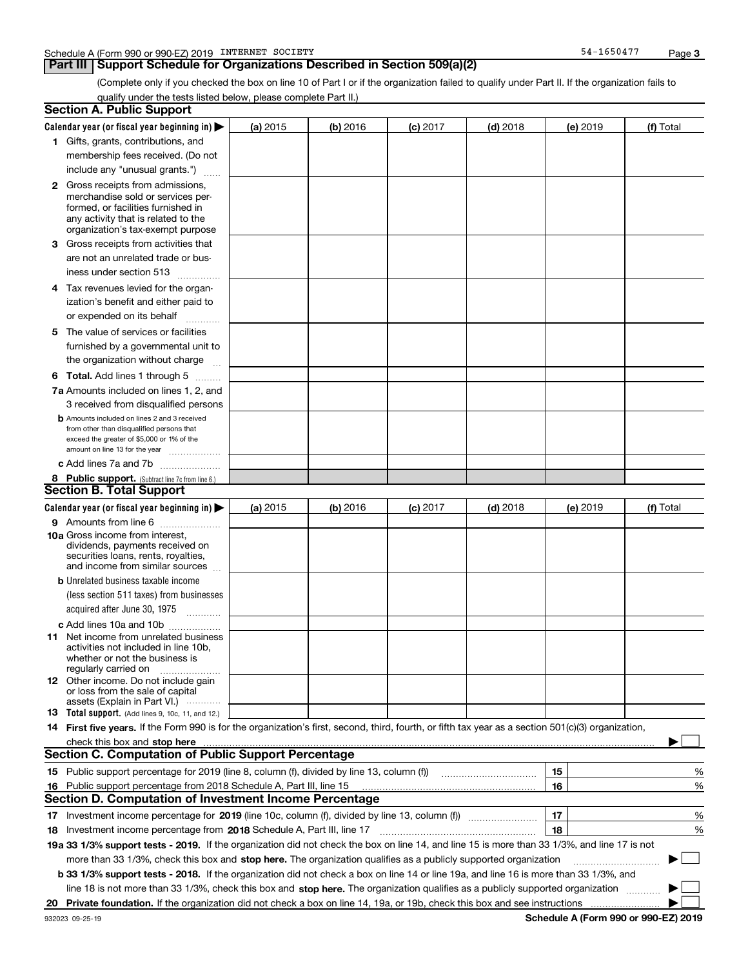## **Part III | Support Schedule for Organizations Described in Section 509(a)(2)**

Page 3

(Complete only if you checked the box on line 10 of Part I or if the organization failed to qualify under Part II. If the organization fails to qualify under the tests listed below, please complete Part II.)

| <b>Section A. Public Support</b>                                                                                                                                                                                               |          |          |            |            |          |           |
|--------------------------------------------------------------------------------------------------------------------------------------------------------------------------------------------------------------------------------|----------|----------|------------|------------|----------|-----------|
| Calendar year (or fiscal year beginning in) $\blacktriangleright$                                                                                                                                                              | (a) 2015 | (b) 2016 | $(c)$ 2017 | $(d)$ 2018 | (e) 2019 | (f) Total |
| 1 Gifts, grants, contributions, and                                                                                                                                                                                            |          |          |            |            |          |           |
| membership fees received. (Do not                                                                                                                                                                                              |          |          |            |            |          |           |
| include any "unusual grants.")                                                                                                                                                                                                 |          |          |            |            |          |           |
| <b>2</b> Gross receipts from admissions,<br>merchandise sold or services per-<br>formed, or facilities furnished in<br>any activity that is related to the<br>organization's tax-exempt purpose                                |          |          |            |            |          |           |
| Gross receipts from activities that<br>3                                                                                                                                                                                       |          |          |            |            |          |           |
| are not an unrelated trade or bus-<br>iness under section 513                                                                                                                                                                  |          |          |            |            |          |           |
|                                                                                                                                                                                                                                |          |          |            |            |          |           |
| 4 Tax revenues levied for the organ-<br>ization's benefit and either paid to                                                                                                                                                   |          |          |            |            |          |           |
| or expended on its behalf                                                                                                                                                                                                      |          |          |            |            |          |           |
| 5 The value of services or facilities<br>furnished by a governmental unit to<br>the organization without charge                                                                                                                |          |          |            |            |          |           |
| <b>6 Total.</b> Add lines 1 through 5                                                                                                                                                                                          |          |          |            |            |          |           |
| 7a Amounts included on lines 1, 2, and<br>3 received from disqualified persons                                                                                                                                                 |          |          |            |            |          |           |
| <b>b</b> Amounts included on lines 2 and 3 received<br>from other than disqualified persons that<br>exceed the greater of \$5,000 or 1% of the<br>amount on line 13 for the year                                               |          |          |            |            |          |           |
| c Add lines 7a and 7b                                                                                                                                                                                                          |          |          |            |            |          |           |
| 8 Public support. (Subtract line 7c from line 6.)                                                                                                                                                                              |          |          |            |            |          |           |
| <b>Section B. Total Support</b>                                                                                                                                                                                                |          |          |            |            |          |           |
| Calendar year (or fiscal year beginning in) $\blacktriangleright$                                                                                                                                                              | (a) 2015 | (b) 2016 | $(c)$ 2017 | $(d)$ 2018 | (e) 2019 | (f) Total |
| 9 Amounts from line 6                                                                                                                                                                                                          |          |          |            |            |          |           |
| 10a Gross income from interest,<br>dividends, payments received on<br>securities loans, rents, royalties,<br>and income from similar sources                                                                                   |          |          |            |            |          |           |
| <b>b</b> Unrelated business taxable income                                                                                                                                                                                     |          |          |            |            |          |           |
| (less section 511 taxes) from businesses                                                                                                                                                                                       |          |          |            |            |          |           |
| acquired after June 30, 1975<br>$\cdots$                                                                                                                                                                                       |          |          |            |            |          |           |
| c Add lines 10a and 10b                                                                                                                                                                                                        |          |          |            |            |          |           |
| <b>11</b> Net income from unrelated business<br>activities not included in line 10b,<br>whether or not the business is<br>regularly carried on                                                                                 |          |          |            |            |          |           |
| <b>12</b> Other income. Do not include gain<br>or loss from the sale of capital<br>assets (Explain in Part VI.)                                                                                                                |          |          |            |            |          |           |
| <b>13</b> Total support. (Add lines 9, 10c, 11, and 12.)                                                                                                                                                                       |          |          |            |            |          |           |
| 14 First five years. If the Form 990 is for the organization's first, second, third, fourth, or fifth tax year as a section 501(c)(3) organization,                                                                            |          |          |            |            |          |           |
| check this box and stop here measurements and stop here contained and stop here measurements and stop here measurements and stop here measurements and stop here measurements and stop here are all the states of the states o |          |          |            |            |          |           |
| <b>Section C. Computation of Public Support Percentage</b>                                                                                                                                                                     |          |          |            |            |          |           |
| 15 Public support percentage for 2019 (line 8, column (f), divided by line 13, column (f))                                                                                                                                     |          |          |            |            | 15       | %         |
| 16 Public support percentage from 2018 Schedule A, Part III, line 15                                                                                                                                                           |          |          |            |            | 16       | %         |
| <b>Section D. Computation of Investment Income Percentage</b>                                                                                                                                                                  |          |          |            |            |          |           |
|                                                                                                                                                                                                                                |          |          |            |            | 17       | %         |
| 18 Investment income percentage from 2018 Schedule A, Part III, line 17                                                                                                                                                        |          |          |            |            | 18       | %         |
| 19a 33 1/3% support tests - 2019. If the organization did not check the box on line 14, and line 15 is more than 33 1/3%, and line 17 is not                                                                                   |          |          |            |            |          |           |
| more than 33 1/3%, check this box and stop here. The organization qualifies as a publicly supported organization                                                                                                               |          |          |            |            |          |           |
| b 33 1/3% support tests - 2018. If the organization did not check a box on line 14 or line 19a, and line 16 is more than 33 1/3%, and                                                                                          |          |          |            |            |          |           |
| line 18 is not more than 33 1/3%, check this box and stop here. The organization qualifies as a publicly supported organization                                                                                                |          |          |            |            |          |           |
| Private foundation. If the organization did not check a box on line 14, 19a, or 19b, check this box and see instructions<br>20                                                                                                 |          |          |            |            |          |           |

Schedule A (Form 990 or 990-EZ) 2019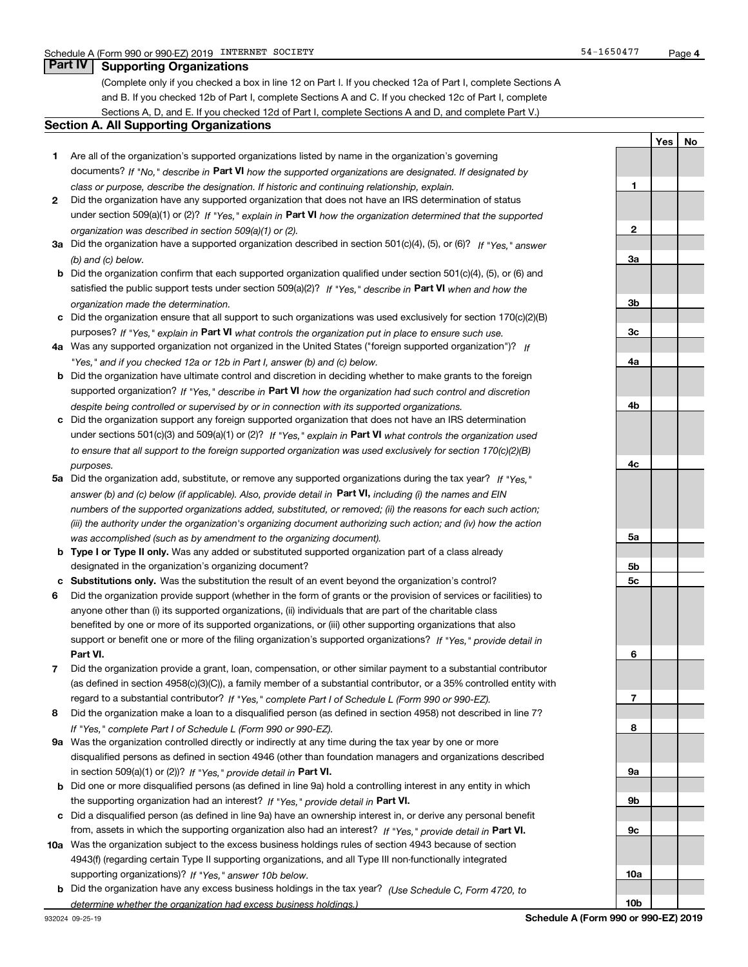(Complete only if you checked a box in line 12 on Part I. If you checked 12a of Part I, complete Sections A and B. If you checked 12b of Part I, complete Sections A and C. If you checked 12c of Part I, complete Sections A, D, and E. If you checked 12d of Part I, complete Sections A and D, and complete Part V.)

### Section A. All Supporting Organizations

- 1 Are all of the organization's supported organizations listed by name in the organization's governing documents? If "No," describe in Part VI how the supported organizations are designated. If designated by class or purpose, describe the designation. If historic and continuing relationship, explain.
- 2 Did the organization have any supported organization that does not have an IRS determination of status under section 509(a)(1) or (2)? If "Yes," explain in Part VI how the organization determined that the supported organization was described in section 509(a)(1) or (2).
- 3a Did the organization have a supported organization described in section 501(c)(4), (5), or (6)? If "Yes," answer (b) and (c) below.
- b Did the organization confirm that each supported organization qualified under section 501(c)(4), (5), or (6) and satisfied the public support tests under section 509(a)(2)? If "Yes," describe in Part VI when and how the organization made the determination.
- c Did the organization ensure that all support to such organizations was used exclusively for section 170(c)(2)(B) purposes? If "Yes," explain in Part VI what controls the organization put in place to ensure such use.
- 4a Was any supported organization not organized in the United States ("foreign supported organization")? If "Yes," and if you checked 12a or 12b in Part I, answer (b) and (c) below.
- b Did the organization have ultimate control and discretion in deciding whether to make grants to the foreign supported organization? If "Yes," describe in Part VI how the organization had such control and discretion despite being controlled or supervised by or in connection with its supported organizations.
- c Did the organization support any foreign supported organization that does not have an IRS determination under sections 501(c)(3) and 509(a)(1) or (2)? If "Yes," explain in Part VI what controls the organization used to ensure that all support to the foreign supported organization was used exclusively for section 170(c)(2)(B) purposes.
- 5a Did the organization add, substitute, or remove any supported organizations during the tax year? If "Yes," answer (b) and (c) below (if applicable). Also, provide detail in Part VI, including (i) the names and EIN numbers of the supported organizations added, substituted, or removed; (ii) the reasons for each such action; (iii) the authority under the organization's organizing document authorizing such action; and (iv) how the action was accomplished (such as by amendment to the organizing document).
- **b Type I or Type II only.** Was any added or substituted supported organization part of a class already designated in the organization's organizing document?
- c Substitutions only. Was the substitution the result of an event beyond the organization's control?
- 6 Did the organization provide support (whether in the form of grants or the provision of services or facilities) to Part VI. support or benefit one or more of the filing organization's supported organizations? If "Yes," provide detail in anyone other than (i) its supported organizations, (ii) individuals that are part of the charitable class benefited by one or more of its supported organizations, or (iii) other supporting organizations that also
- 7 Did the organization provide a grant, loan, compensation, or other similar payment to a substantial contributor regard to a substantial contributor? If "Yes," complete Part I of Schedule L (Form 990 or 990-EZ). (as defined in section 4958(c)(3)(C)), a family member of a substantial contributor, or a 35% controlled entity with
- 8 Did the organization make a loan to a disqualified person (as defined in section 4958) not described in line 7? If "Yes," complete Part I of Schedule L (Form 990 or 990-EZ).
- **9a** Was the organization controlled directly or indirectly at any time during the tax year by one or more in section 509(a)(1) or (2))? If "Yes," provide detail in Part VI. disqualified persons as defined in section 4946 (other than foundation managers and organizations described
- b Did one or more disqualified persons (as defined in line 9a) hold a controlling interest in any entity in which the supporting organization had an interest? If "Yes," provide detail in Part VI.
- c Did a disqualified person (as defined in line 9a) have an ownership interest in, or derive any personal benefit from, assets in which the supporting organization also had an interest? If "Yes," provide detail in Part VI.
- 10a Was the organization subject to the excess business holdings rules of section 4943 because of section supporting organizations)? If "Yes," answer 10b below. 4943(f) (regarding certain Type II supporting organizations, and all Type III non-functionally integrated
	- **b** Did the organization have any excess business holdings in the tax year? (Use Schedule C, Form 4720, to determine whether the organization had excess business holdings.)

2 3a 3b 3c 4a 4b 4c 5a 5b 5c 6 7 8 9a 9b 9c 10a

1

Yes | No

10b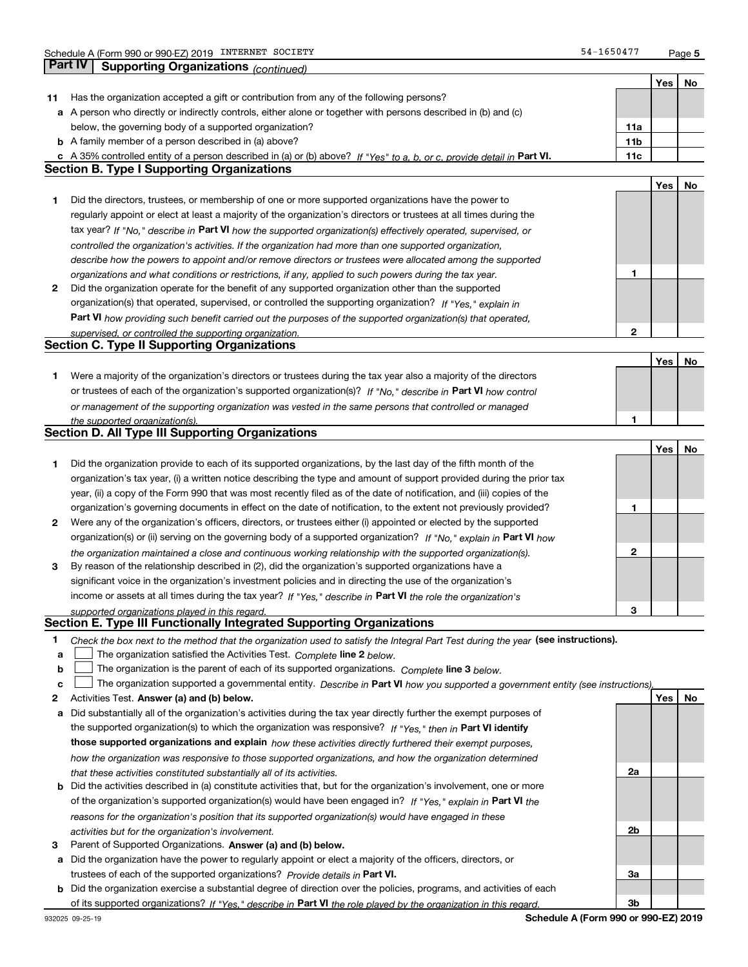|    |                                                                                                                                                                                                               |                 | Yes | No |
|----|---------------------------------------------------------------------------------------------------------------------------------------------------------------------------------------------------------------|-----------------|-----|----|
| 11 | Has the organization accepted a gift or contribution from any of the following persons?                                                                                                                       |                 |     |    |
|    | a A person who directly or indirectly controls, either alone or together with persons described in (b) and (c)                                                                                                |                 |     |    |
|    | below, the governing body of a supported organization?                                                                                                                                                        | 11a             |     |    |
|    | <b>b</b> A family member of a person described in (a) above?                                                                                                                                                  | 11 <sub>b</sub> |     |    |
|    | c A 35% controlled entity of a person described in (a) or (b) above? If "Yes" to a, b, or c, provide detail in Part VI.                                                                                       | 11c             |     |    |
|    | <b>Section B. Type I Supporting Organizations</b>                                                                                                                                                             |                 |     |    |
|    |                                                                                                                                                                                                               |                 | Yes | No |
| 1  | Did the directors, trustees, or membership of one or more supported organizations have the power to                                                                                                           |                 |     |    |
|    | regularly appoint or elect at least a majority of the organization's directors or trustees at all times during the                                                                                            |                 |     |    |
|    |                                                                                                                                                                                                               |                 |     |    |
|    | tax year? If "No," describe in Part VI how the supported organization(s) effectively operated, supervised, or                                                                                                 |                 |     |    |
|    | controlled the organization's activities. If the organization had more than one supported organization,                                                                                                       |                 |     |    |
|    | describe how the powers to appoint and/or remove directors or trustees were allocated among the supported                                                                                                     | 1               |     |    |
| 2  | organizations and what conditions or restrictions, if any, applied to such powers during the tax year.<br>Did the organization operate for the benefit of any supported organization other than the supported |                 |     |    |
|    | organization(s) that operated, supervised, or controlled the supporting organization? If "Yes," explain in                                                                                                    |                 |     |    |
|    |                                                                                                                                                                                                               |                 |     |    |
|    | Part VI how providing such benefit carried out the purposes of the supported organization(s) that operated,                                                                                                   | $\mathbf{2}$    |     |    |
|    | supervised, or controlled the supporting organization.<br><b>Section C. Type II Supporting Organizations</b>                                                                                                  |                 |     |    |
|    |                                                                                                                                                                                                               |                 |     |    |
|    |                                                                                                                                                                                                               |                 | Yes | No |
| 1. | Were a majority of the organization's directors or trustees during the tax year also a majority of the directors                                                                                              |                 |     |    |
|    | or trustees of each of the organization's supported organization(s)? If "No," describe in Part VI how control                                                                                                 |                 |     |    |
|    | or management of the supporting organization was vested in the same persons that controlled or managed                                                                                                        |                 |     |    |
|    | the supported organization(s).<br><b>Section D. All Type III Supporting Organizations</b>                                                                                                                     | 1               |     |    |
|    |                                                                                                                                                                                                               |                 |     |    |
|    |                                                                                                                                                                                                               |                 | Yes | No |
| 1  | Did the organization provide to each of its supported organizations, by the last day of the fifth month of the                                                                                                |                 |     |    |
|    | organization's tax year, (i) a written notice describing the type and amount of support provided during the prior tax                                                                                         |                 |     |    |
|    | year, (ii) a copy of the Form 990 that was most recently filed as of the date of notification, and (iii) copies of the                                                                                        |                 |     |    |
|    | organization's governing documents in effect on the date of notification, to the extent not previously provided?                                                                                              | 1               |     |    |
| 2  | Were any of the organization's officers, directors, or trustees either (i) appointed or elected by the supported                                                                                              |                 |     |    |
|    | organization(s) or (ii) serving on the governing body of a supported organization? If "No," explain in Part VI how                                                                                            |                 |     |    |
|    | the organization maintained a close and continuous working relationship with the supported organization(s).                                                                                                   | 2               |     |    |
| 3  | By reason of the relationship described in (2), did the organization's supported organizations have a                                                                                                         |                 |     |    |
|    | significant voice in the organization's investment policies and in directing the use of the organization's                                                                                                    |                 |     |    |
|    | income or assets at all times during the tax year? If "Yes," describe in Part VI the role the organization's                                                                                                  |                 |     |    |
|    | supported organizations played in this regard.<br>Section E. Type III Functionally Integrated Supporting Organizations                                                                                        | 3               |     |    |
|    |                                                                                                                                                                                                               |                 |     |    |
| 1  | Check the box next to the method that the organization used to satisfy the Integral Part Test during the year (see instructions).                                                                             |                 |     |    |
| а  | The organization satisfied the Activities Test. Complete line 2 below.                                                                                                                                        |                 |     |    |
| b  | The organization is the parent of each of its supported organizations. Complete line 3 below.                                                                                                                 |                 |     |    |
| c  | The organization supported a governmental entity. Describe in Part VI how you supported a government entity (see instructions),                                                                               |                 |     |    |
| 2  | Activities Test. Answer (a) and (b) below.                                                                                                                                                                    |                 | Yes | No |
| а  | Did substantially all of the organization's activities during the tax year directly further the exempt purposes of                                                                                            |                 |     |    |
|    | the supported organization(s) to which the organization was responsive? If "Yes." then in Part VI identify                                                                                                    |                 |     |    |
|    | those supported organizations and explain how these activities directly furthered their exempt purposes,                                                                                                      |                 |     |    |
|    | how the organization was responsive to those supported organizations, and how the organization determined                                                                                                     |                 |     |    |
|    | that these activities constituted substantially all of its activities.                                                                                                                                        | 2a              |     |    |
|    | <b>b</b> Did the activities described in (a) constitute activities that, but for the organization's involvement, one or more                                                                                  |                 |     |    |
|    | of the organization's supported organization(s) would have been engaged in? If "Yes," explain in Part VI the                                                                                                  |                 |     |    |
|    | reasons for the organization's position that its supported organization(s) would have engaged in these                                                                                                        |                 |     |    |
|    | activities but for the organization's involvement.                                                                                                                                                            | 2b              |     |    |
| 3  | Parent of Supported Organizations. Answer (a) and (b) below.                                                                                                                                                  |                 |     |    |
|    | a Did the organization have the power to regularly appoint or elect a majority of the officers, directors, or                                                                                                 |                 |     |    |
|    | trustees of each of the supported organizations? Provide details in Part VI.                                                                                                                                  | За              |     |    |
|    | <b>b</b> Did the organization exercise a substantial degree of direction over the policies, programs, and activities of each                                                                                  |                 |     |    |
|    | of its supported organizations? If "Yes." describe in Part VI the role played by the organization in this regard.                                                                                             | 3b              |     |    |

Schedule A (Form 990 or 990-EZ) 2019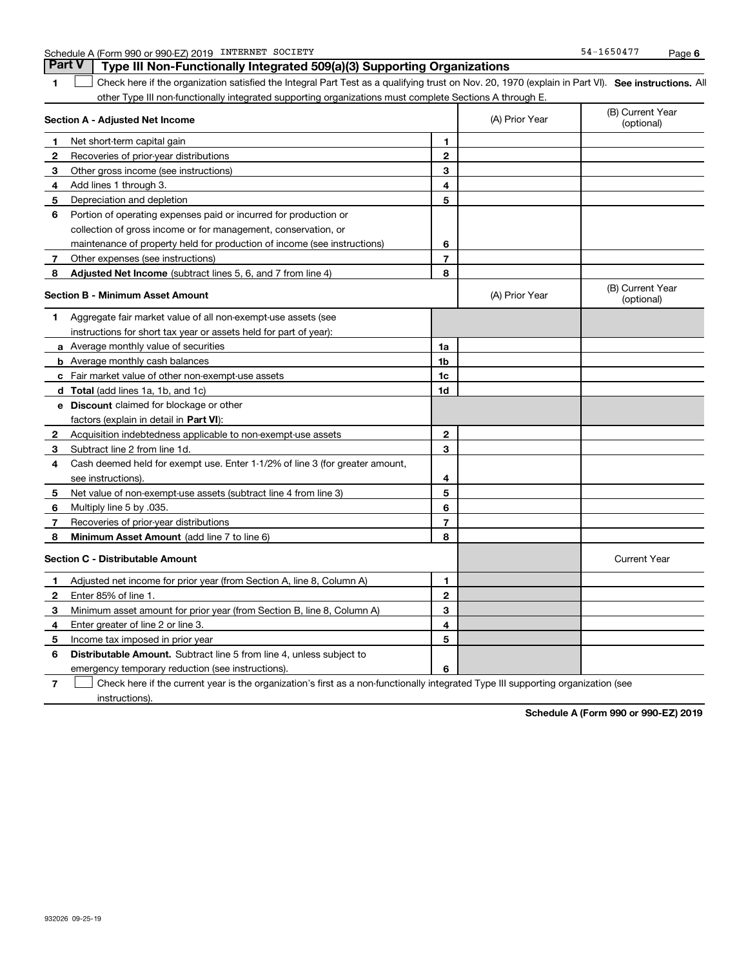| A (Form 990 or 990-EZ) 2019<br>Schedule | INTERNET | SOCIETY | 650477<br>$54 -$<br>L D. | Paɑe |  |
|-----------------------------------------|----------|---------|--------------------------|------|--|
|-----------------------------------------|----------|---------|--------------------------|------|--|

|                                         | <b>Part V</b><br>Type III Non-Functionally Integrated 509(a)(3) Supporting Organizations                                                           |                |                |                                |
|-----------------------------------------|----------------------------------------------------------------------------------------------------------------------------------------------------|----------------|----------------|--------------------------------|
| 1                                       | Check here if the organization satisfied the Integral Part Test as a qualifying trust on Nov. 20, 1970 (explain in Part VI). See instructions. All |                |                |                                |
|                                         | other Type III non-functionally integrated supporting organizations must complete Sections A through E.                                            |                |                |                                |
|                                         | Section A - Adjusted Net Income                                                                                                                    |                | (A) Prior Year | (B) Current Year<br>(optional) |
| 1                                       | Net short-term capital gain                                                                                                                        | 1              |                |                                |
| $\mathbf{2}$                            | Recoveries of prior-year distributions                                                                                                             | $\overline{2}$ |                |                                |
| 3                                       | Other gross income (see instructions)                                                                                                              | 3              |                |                                |
| 4                                       | Add lines 1 through 3.                                                                                                                             | 4              |                |                                |
| 5                                       | Depreciation and depletion                                                                                                                         | 5              |                |                                |
| 6                                       | Portion of operating expenses paid or incurred for production or                                                                                   |                |                |                                |
|                                         | collection of gross income or for management, conservation, or                                                                                     |                |                |                                |
|                                         | maintenance of property held for production of income (see instructions)                                                                           | 6              |                |                                |
| 7                                       | Other expenses (see instructions)                                                                                                                  | $\overline{7}$ |                |                                |
| 8                                       | <b>Adjusted Net Income</b> (subtract lines 5, 6, and 7 from line 4)                                                                                | 8              |                |                                |
|                                         | <b>Section B - Minimum Asset Amount</b>                                                                                                            |                | (A) Prior Year | (B) Current Year<br>(optional) |
| 1                                       | Aggregate fair market value of all non-exempt-use assets (see                                                                                      |                |                |                                |
|                                         | instructions for short tax year or assets held for part of year):                                                                                  |                |                |                                |
|                                         | <b>a</b> Average monthly value of securities                                                                                                       | 1a             |                |                                |
|                                         | <b>b</b> Average monthly cash balances                                                                                                             | 1 <sub>b</sub> |                |                                |
|                                         | c Fair market value of other non-exempt-use assets                                                                                                 | 1c             |                |                                |
|                                         | d Total (add lines 1a, 1b, and 1c)                                                                                                                 | 1d             |                |                                |
|                                         | <b>e</b> Discount claimed for blockage or other                                                                                                    |                |                |                                |
|                                         | factors (explain in detail in Part VI):                                                                                                            |                |                |                                |
| $\mathbf{2}$                            | Acquisition indebtedness applicable to non-exempt-use assets                                                                                       | $\mathbf{2}$   |                |                                |
| 3                                       | Subtract line 2 from line 1d.                                                                                                                      | 3              |                |                                |
| 4                                       | Cash deemed held for exempt use. Enter 1-1/2% of line 3 (for greater amount,                                                                       |                |                |                                |
|                                         | see instructions)                                                                                                                                  | 4              |                |                                |
| 5                                       | Net value of non-exempt-use assets (subtract line 4 from line 3)                                                                                   | 5              |                |                                |
| 6                                       | Multiply line 5 by .035.                                                                                                                           | 6              |                |                                |
| 7                                       | Recoveries of prior-year distributions                                                                                                             | $\overline{7}$ |                |                                |
| 8                                       | <b>Minimum Asset Amount</b> (add line 7 to line 6)                                                                                                 | 8              |                |                                |
| <b>Section C - Distributable Amount</b> |                                                                                                                                                    |                |                | <b>Current Year</b>            |
| 1                                       | Adjusted net income for prior year (from Section A, line 8, Column A)                                                                              | 1              |                |                                |
| $\mathbf{2}$                            | Enter 85% of line 1.                                                                                                                               | $\mathbf{2}$   |                |                                |
| 3                                       | Minimum asset amount for prior year (from Section B, line 8, Column A)                                                                             | 3              |                |                                |
| 4                                       | Enter greater of line 2 or line 3.                                                                                                                 | 4              |                |                                |
| 5                                       | Income tax imposed in prior year                                                                                                                   | 5              |                |                                |
| 6                                       | <b>Distributable Amount.</b> Subtract line 5 from line 4, unless subject to                                                                        |                |                |                                |
|                                         | emergency temporary reduction (see instructions).                                                                                                  | 6              |                |                                |

7 Check here if the current year is the organization's first as a non-functionally integrated Type III supporting organization (see instructions).

Schedule A (Form 990 or 990-EZ) 2019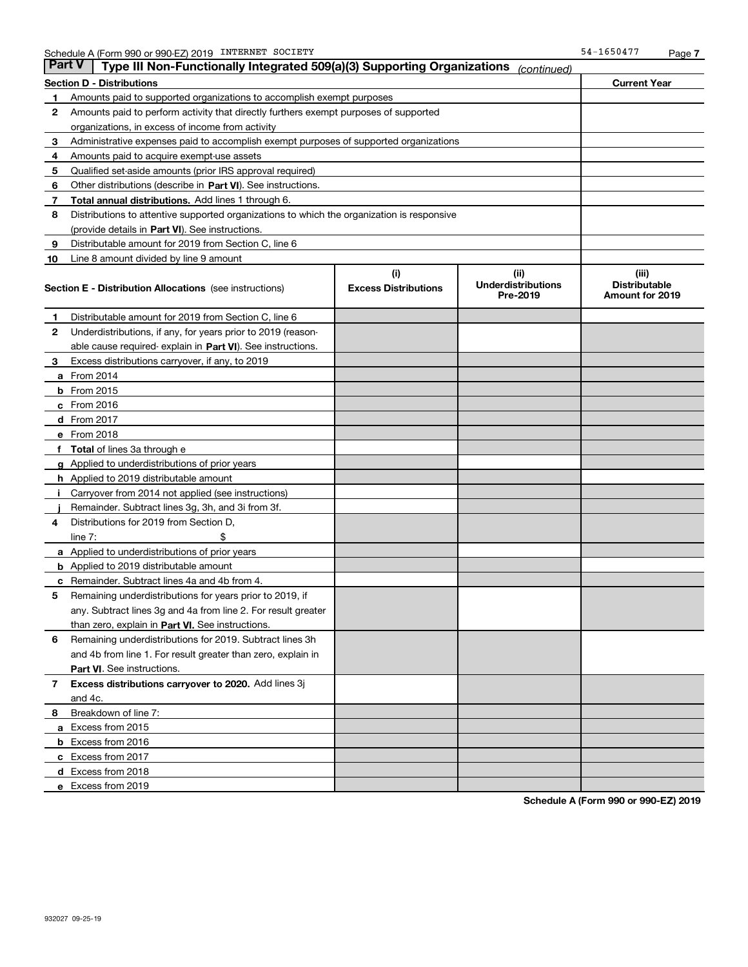|              | <b>Part V</b><br>Type III Non-Functionally Integrated 509(a)(3) Supporting Organizations<br>(continued) |                                    |                                                |                                                         |  |
|--------------|---------------------------------------------------------------------------------------------------------|------------------------------------|------------------------------------------------|---------------------------------------------------------|--|
|              | <b>Current Year</b><br><b>Section D - Distributions</b>                                                 |                                    |                                                |                                                         |  |
| 1            | Amounts paid to supported organizations to accomplish exempt purposes                                   |                                    |                                                |                                                         |  |
| 2            | Amounts paid to perform activity that directly furthers exempt purposes of supported                    |                                    |                                                |                                                         |  |
|              | organizations, in excess of income from activity                                                        |                                    |                                                |                                                         |  |
| 3            | Administrative expenses paid to accomplish exempt purposes of supported organizations                   |                                    |                                                |                                                         |  |
| 4            | Amounts paid to acquire exempt-use assets                                                               |                                    |                                                |                                                         |  |
| 5            | Qualified set-aside amounts (prior IRS approval required)                                               |                                    |                                                |                                                         |  |
| 6            | Other distributions (describe in Part VI). See instructions.                                            |                                    |                                                |                                                         |  |
| 7            | <b>Total annual distributions.</b> Add lines 1 through 6.                                               |                                    |                                                |                                                         |  |
| 8            | Distributions to attentive supported organizations to which the organization is responsive              |                                    |                                                |                                                         |  |
|              | (provide details in Part VI). See instructions.                                                         |                                    |                                                |                                                         |  |
| 9            | Distributable amount for 2019 from Section C, line 6                                                    |                                    |                                                |                                                         |  |
| 10           | Line 8 amount divided by line 9 amount                                                                  |                                    |                                                |                                                         |  |
|              | <b>Section E - Distribution Allocations</b> (see instructions)                                          | (i)<br><b>Excess Distributions</b> | (iii)<br><b>Underdistributions</b><br>Pre-2019 | (iii)<br><b>Distributable</b><br><b>Amount for 2019</b> |  |
| 1            | Distributable amount for 2019 from Section C, line 6                                                    |                                    |                                                |                                                         |  |
| 2            | Underdistributions, if any, for years prior to 2019 (reason-                                            |                                    |                                                |                                                         |  |
|              | able cause required- explain in Part VI). See instructions.                                             |                                    |                                                |                                                         |  |
| 3            | Excess distributions carryover, if any, to 2019                                                         |                                    |                                                |                                                         |  |
|              | <b>a</b> From 2014                                                                                      |                                    |                                                |                                                         |  |
|              | $b$ From 2015                                                                                           |                                    |                                                |                                                         |  |
|              | c From 2016                                                                                             |                                    |                                                |                                                         |  |
|              | <b>d</b> From 2017                                                                                      |                                    |                                                |                                                         |  |
|              | e From 2018                                                                                             |                                    |                                                |                                                         |  |
| f            | <b>Total</b> of lines 3a through e                                                                      |                                    |                                                |                                                         |  |
|              | g Applied to underdistributions of prior years                                                          |                                    |                                                |                                                         |  |
|              | <b>h</b> Applied to 2019 distributable amount                                                           |                                    |                                                |                                                         |  |
| Ť.           | Carryover from 2014 not applied (see instructions)                                                      |                                    |                                                |                                                         |  |
|              | Remainder. Subtract lines 3g, 3h, and 3i from 3f.                                                       |                                    |                                                |                                                         |  |
| 4            | Distributions for 2019 from Section D,                                                                  |                                    |                                                |                                                         |  |
|              | line $7:$                                                                                               |                                    |                                                |                                                         |  |
|              | a Applied to underdistributions of prior years                                                          |                                    |                                                |                                                         |  |
|              | <b>b</b> Applied to 2019 distributable amount                                                           |                                    |                                                |                                                         |  |
| c            | Remainder. Subtract lines 4a and 4b from 4.                                                             |                                    |                                                |                                                         |  |
| 5            | Remaining underdistributions for years prior to 2019, if                                                |                                    |                                                |                                                         |  |
|              | any. Subtract lines 3g and 4a from line 2. For result greater                                           |                                    |                                                |                                                         |  |
|              | than zero, explain in Part VI. See instructions.                                                        |                                    |                                                |                                                         |  |
| 6            | Remaining underdistributions for 2019. Subtract lines 3h                                                |                                    |                                                |                                                         |  |
|              | and 4b from line 1. For result greater than zero, explain in                                            |                                    |                                                |                                                         |  |
|              | Part VI. See instructions.                                                                              |                                    |                                                |                                                         |  |
| $\mathbf{7}$ | Excess distributions carryover to 2020. Add lines 3j                                                    |                                    |                                                |                                                         |  |
|              | and 4c.                                                                                                 |                                    |                                                |                                                         |  |
| 8            | Breakdown of line 7:                                                                                    |                                    |                                                |                                                         |  |
|              | a Excess from 2015                                                                                      |                                    |                                                |                                                         |  |
|              | <b>b</b> Excess from 2016                                                                               |                                    |                                                |                                                         |  |
|              | c Excess from 2017                                                                                      |                                    |                                                |                                                         |  |
|              | d Excess from 2018                                                                                      |                                    |                                                |                                                         |  |
|              | e Excess from 2019                                                                                      |                                    |                                                |                                                         |  |

Schedule A (Form 990 or 990-EZ) 2019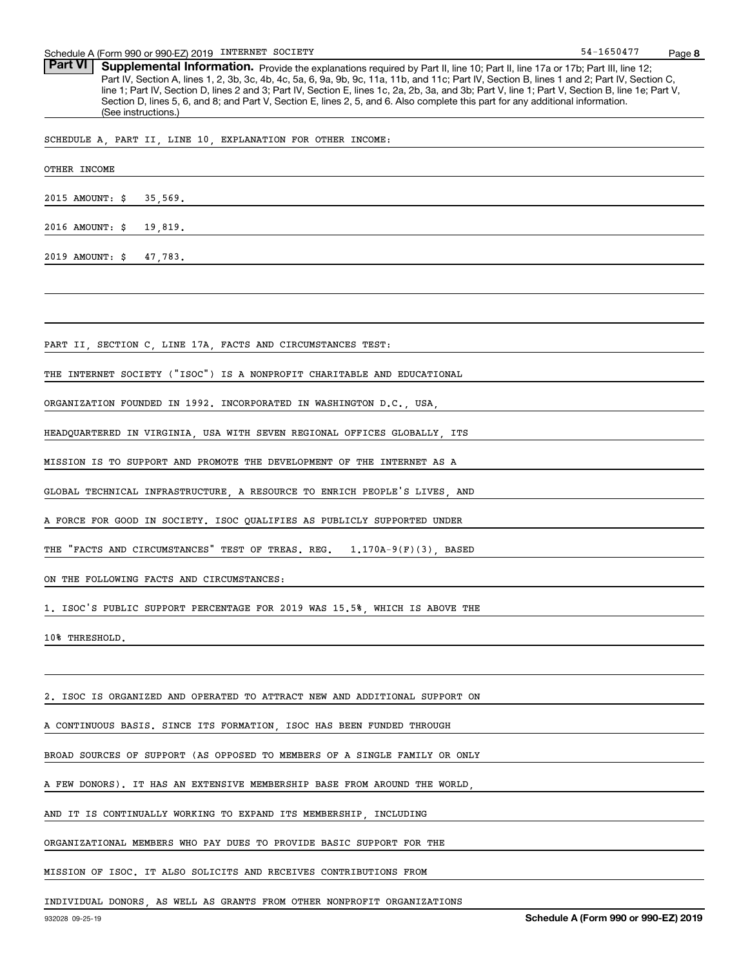| SCHEDULE A, PART II, LINE 10, EXPLANATION FOR OTHER INCOME:                |
|----------------------------------------------------------------------------|
| OTHER INCOME                                                               |
| 2015 AMOUNT: \$ 35,569.                                                    |
| 2016 AMOUNT: \$19,819.                                                     |
| 2019 AMOUNT: \$47,783.                                                     |
|                                                                            |
|                                                                            |
| PART II, SECTION C, LINE 17A, FACTS AND CIRCUMSTANCES TEST:                |
| THE INTERNET SOCIETY ("ISOC") IS A NONPROFIT CHARITABLE AND EDUCATIONAL    |
| ORGANIZATION FOUNDED IN 1992. INCORPORATED IN WASHINGTON D.C., USA,        |
| HEADQUARTERED IN VIRGINIA, USA WITH SEVEN REGIONAL OFFICES GLOBALLY, ITS   |
| MISSION IS TO SUPPORT AND PROMOTE THE DEVELOPMENT OF THE INTERNET AS A     |
| GLOBAL TECHNICAL INFRASTRUCTURE, A RESOURCE TO ENRICH PEOPLE'S LIVES, AND  |
| A FORCE FOR GOOD IN SOCIETY. ISOC QUALIFIES AS PUBLICLY SUPPORTED UNDER    |
| THE "FACTS AND CIRCUMSTANCES" TEST OF TREAS. REG. 1.170A-9(F)(3), BASED    |
| ON THE FOLLOWING FACTS AND CIRCUMSTANCES:                                  |
| 1. ISOC'S PUBLIC SUPPORT PERCENTAGE FOR 2019 WAS 15.5%, WHICH IS ABOVE THE |
| 10% THRESHOLD.                                                             |
|                                                                            |
| 2. ISOC IS ORGANIZED AND OPERATED TO ATTRACT NEW AND ADDITIONAL SUPPORT ON |
| A CONTINUOUS BASIS. SINCE ITS FORMATION, ISOC HAS BEEN FUNDED THROUGH      |
| BROAD SOURCES OF SUPPORT (AS OPPOSED TO MEMBERS OF A SINGLE FAMILY OR ONLY |
| A FEW DONORS). IT HAS AN EXTENSIVE MEMBERSHIP BASE FROM AROUND THE WORLD,  |
| AND IT IS CONTINUALLY WORKING TO EXPAND ITS MEMBERSHIP, INCLUDING          |
| ORGANIZATIONAL MEMBERS WHO PAY DUES TO PROVIDE BASIC SUPPORT FOR THE       |
| MISSION OF ISOC. IT ALSO SOLICITS AND RECEIVES CONTRIBUTIONS FROM          |
| INDIVIDUAL DONORS, AS WELL AS GRANTS FROM OTHER NONPROFIT ORGANIZATIONS    |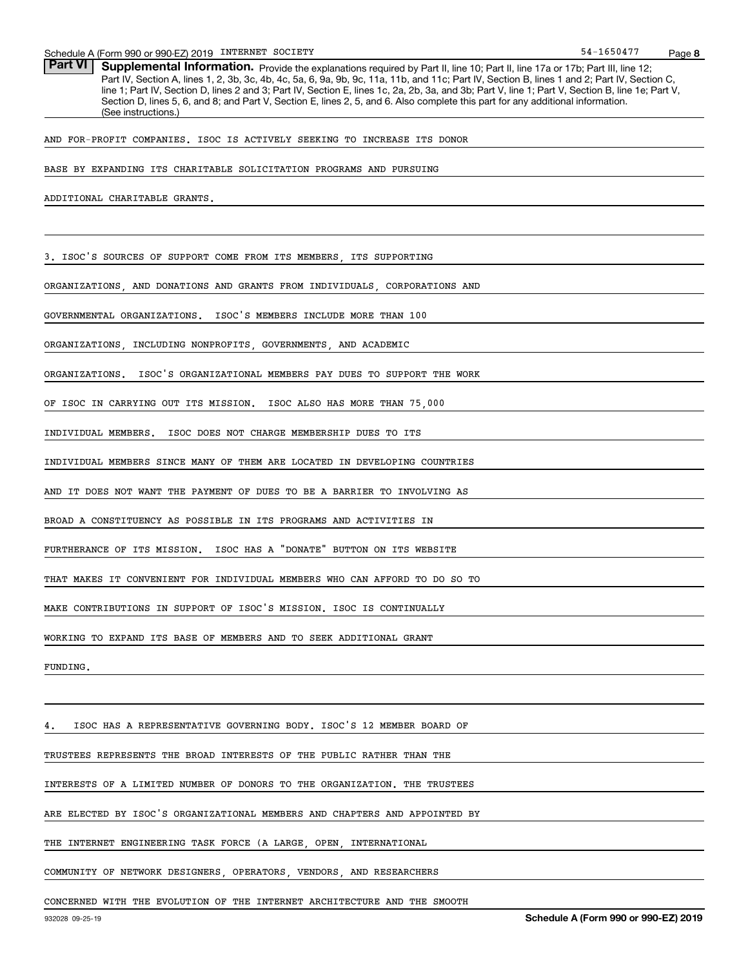AND FOR-PROFIT COMPANIES. ISOC IS ACTIVELY SEEKING TO INCREASE ITS DONOR

BASE BY EXPANDING ITS CHARITABLE SOLICITATION PROGRAMS AND PURSUING

ADDITIONAL CHARITABLE GRANTS.

3. ISOC'S SOURCES OF SUPPORT COME FROM ITS MEMBERS, ITS SUPPORTING

ORGANIZATIONS, AND DONATIONS AND GRANTS FROM INDIVIDUALS, CORPORATIONS AND

GOVERNMENTAL ORGANIZATIONS. ISOC'S MEMBERS INCLUDE MORE THAN 100

ORGANIZATIONS, INCLUDING NONPROFITS, GOVERNMENTS, AND ACADEMIC

ORGANIZATIONS. ISOC'S ORGANIZATIONAL MEMBERS PAY DUES TO SUPPORT THE WORK

OF ISOC IN CARRYING OUT ITS MISSION. ISOC ALSO HAS MORE THAN 75,000

INDIVIDUAL MEMBERS. ISOC DOES NOT CHARGE MEMBERSHIP DUES TO ITS

INDIVIDUAL MEMBERS SINCE MANY OF THEM ARE LOCATED IN DEVELOPING COUNTRIES

AND IT DOES NOT WANT THE PAYMENT OF DUES TO BE A BARRIER TO INVOLVING AS

BROAD A CONSTITUENCY AS POSSIBLE IN ITS PROGRAMS AND ACTIVITIES IN

FURTHERANCE OF ITS MISSION. ISOC HAS A "DONATE" BUTTON ON ITS WEBSITE

THAT MAKES IT CONVENIENT FOR INDIVIDUAL MEMBERS WHO CAN AFFORD TO DO SO TO

MAKE CONTRIBUTIONS IN SUPPORT OF ISOC'S MISSION. ISOC IS CONTINUALLY

WORKING TO EXPAND ITS BASE OF MEMBERS AND TO SEEK ADDITIONAL GRANT

FUNDING.

4. ISOC HAS A REPRESENTATIVE GOVERNING BODY. ISOC'S 12 MEMBER BOARD OF

TRUSTEES REPRESENTS THE BROAD INTERESTS OF THE PUBLIC RATHER THAN THE

INTERESTS OF A LIMITED NUMBER OF DONORS TO THE ORGANIZATION. THE TRUSTEES

ARE ELECTED BY ISOC'S ORGANIZATIONAL MEMBERS AND CHAPTERS AND APPOINTED BY

THE INTERNET ENGINEERING TASK FORCE (A LARGE) OPEN, INTERNATIONAL

COMMUNITY OF NETWORK DESIGNERS, OPERATORS, VENDORS, AND RESEARCHERS

CONCERNED WITH THE EVOLUTION OF THE INTERNET ARCHITECTURE AND THE SMOOTH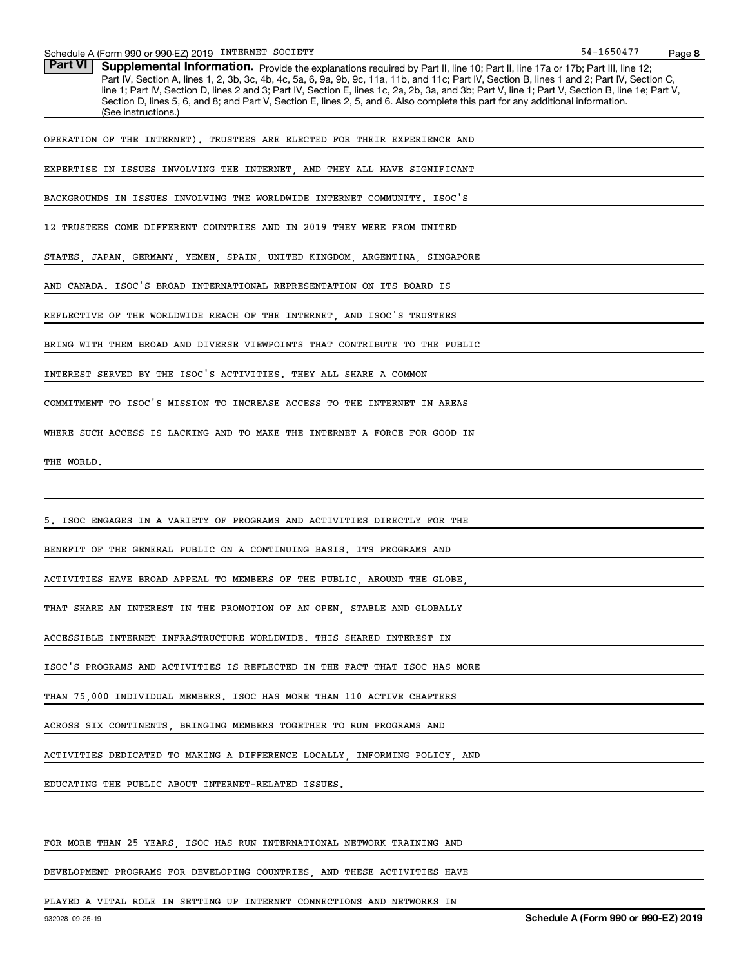OPERATION OF THE INTERNET). TRUSTEES ARE ELECTED FOR THEIR EXPERIENCE AND

EXPERTISE IN ISSUES INVOLVING THE INTERNET, AND THEY ALL HAVE SIGNIFICANT

BACKGROUNDS IN ISSUES INVOLVING THE WORLDWIDE INTERNET COMMUNITY. ISOC'S

12 TRUSTEES COME DIFFERENT COUNTRIES AND IN 2019 THEY WERE FROM UNITED

STATES, JAPAN, GERMANY, YEMEN, SPAIN, UNITED KINGDOM, ARGENTINA, SINGAPORE

AND CANADA. ISOC'S BROAD INTERNATIONAL REPRESENTATION ON ITS BOARD IS

REFLECTIVE OF THE WORLDWIDE REACH OF THE INTERNET, AND ISOC'S TRUSTEES

BRING WITH THEM BROAD AND DIVERSE VIEWPOINTS THAT CONTRIBUTE TO THE PUBLIC

INTEREST SERVED BY THE ISOC'S ACTIVITIES. THEY ALL SHARE A COMMON

COMMITMENT TO ISOC'S MISSION TO INCREASE ACCESS TO THE INTERNET IN AREAS

WHERE SUCH ACCESS IS LACKING AND TO MAKE THE INTERNET A FORCE FOR GOOD IN

THE WORLD.

5. ISOC ENGAGES IN A VARIETY OF PROGRAMS AND ACTIVITIES DIRECTLY FOR THE

BENEFIT OF THE GENERAL PUBLIC ON A CONTINUING BASIS. ITS PROGRAMS AND

ACTIVITIES HAVE BROAD APPEAL TO MEMBERS OF THE PUBLIC, AROUND THE GLOBE,

THAT SHARE AN INTEREST IN THE PROMOTION OF AN OPEN, STABLE AND GLOBALLY

ACCESSIBLE INTERNET INFRASTRUCTURE WORLDWIDE. THIS SHARED INTEREST IN

ISOC'S PROGRAMS AND ACTIVITIES IS REFLECTED IN THE FACT THAT ISOC HAS MORE

THAN 75,000 INDIVIDUAL MEMBERS. ISOC HAS MORE THAN 110 ACTIVE CHAPTERS

ACROSS SIX CONTINENTS, BRINGING MEMBERS TOGETHER TO RUN PROGRAMS AND

ACTIVITIES DEDICATED TO MAKING A DIFFERENCE LOCALLY, INFORMING POLICY, AND

EDUCATING THE PUBLIC ABOUT INTERNET-RELATED ISSUES.

FOR MORE THAN 25 YEARS ISOC HAS RUN INTERNATIONAL NETWORK TRAINING AND

DEVELOPMENT PROGRAMS FOR DEVELOPING COUNTRIES, AND THESE ACTIVITIES HAVE

PLAYED A VITAL ROLE IN SETTING UP INTERNET CONNECTIONS AND NETWORKS IN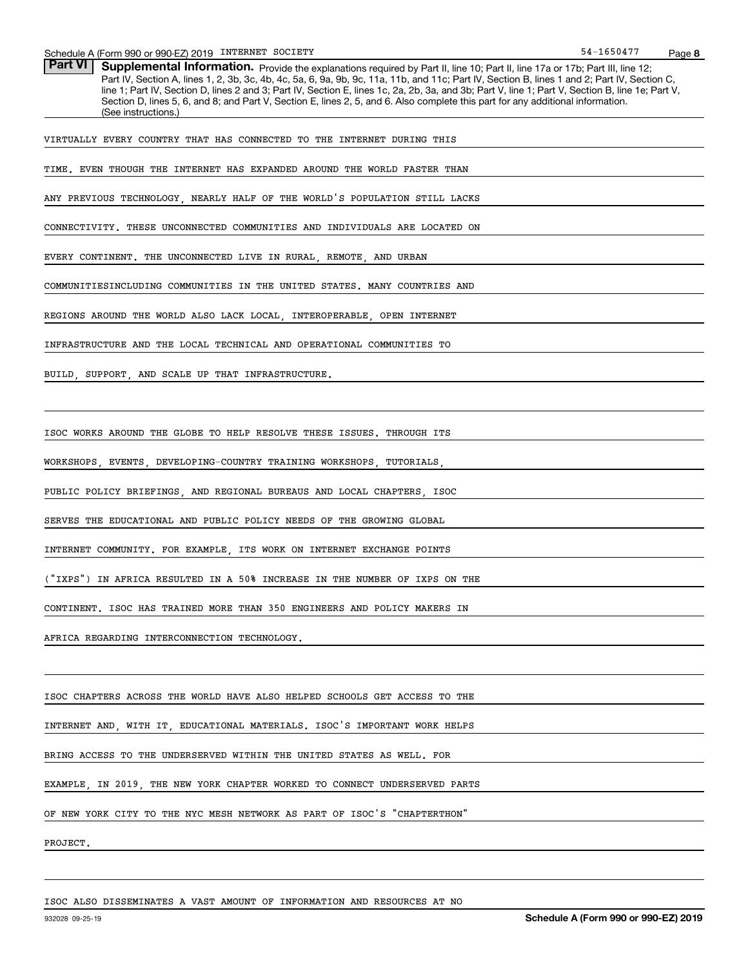VIRTUALLY EVERY COUNTRY THAT HAS CONNECTED TO THE INTERNET DURING THIS

TIME. EVEN THOUGH THE INTERNET HAS EXPANDED AROUND THE WORLD FASTER THAN

ANY PREVIOUS TECHNOLOGY, NEARLY HALF OF THE WORLD'S POPULATION STILL LACKS

CONNECTIVITY. THESE UNCONNECTED COMMUNITIES AND INDIVIDUALS ARE LOCATED ON

EVERY CONTINENT. THE UNCONNECTED LIVE IN RURAL, REMOTE, AND URBAN

COMMUNITIESINCLUDING COMMUNITIES IN THE UNITED STATES. MANY COUNTRIES AND

REGIONS AROUND THE WORLD ALSO LACK LOCAL, INTEROPERABLE, OPEN INTERNET

INFRASTRUCTURE AND THE LOCAL TECHNICAL AND OPERATIONAL COMMUNITIES TO

BUILD, SUPPORT, AND SCALE UP THAT INFRASTRUCTURE.

ISOC WORKS AROUND THE GLOBE TO HELP RESOLVE THESE ISSUES. THROUGH ITS

WORKSHOPS, EVENTS, DEVELOPING-COUNTRY TRAINING WORKSHOPS, TUTORIALS,

PUBLIC POLICY BRIEFINGS, AND REGIONAL BUREAUS AND LOCAL CHAPTERS, ISOC

SERVES THE EDUCATIONAL AND PUBLIC POLICY NEEDS OF THE GROWING GLOBAL

INTERNET COMMUNITY. FOR EXAMPLE, ITS WORK ON INTERNET EXCHANGE POINTS

("IXPS") IN AFRICA RESULTED IN A 50% INCREASE IN THE NUMBER OF IXPS ON THE

CONTINENT. ISOC HAS TRAINED MORE THAN 350 ENGINEERS AND POLICY MAKERS IN

AFRICA REGARDING INTERCONNECTION TECHNOLOGY.

ISOC CHAPTERS ACROSS THE WORLD HAVE ALSO HELPED SCHOOLS GET ACCESS TO THE

INTERNET AND, WITH IT, EDUCATIONAL MATERIALS. ISOC'S IMPORTANT WORK HELPS

BRING ACCESS TO THE UNDERSERVED WITHIN THE UNITED STATES AS WELL. FOR

EXAMPLE, IN 2019, THE NEW YORK CHAPTER WORKED TO CONNECT UNDERSERVED PARTS

OF NEW YORK CITY TO THE NYC MESH NETWORK AS PART OF ISOC'S "CHAPTERTHON"

PROJECT.

ISOC ALSO DISSEMINATES A VAST AMOUNT OF INFORMATION AND RESOURCES AT NO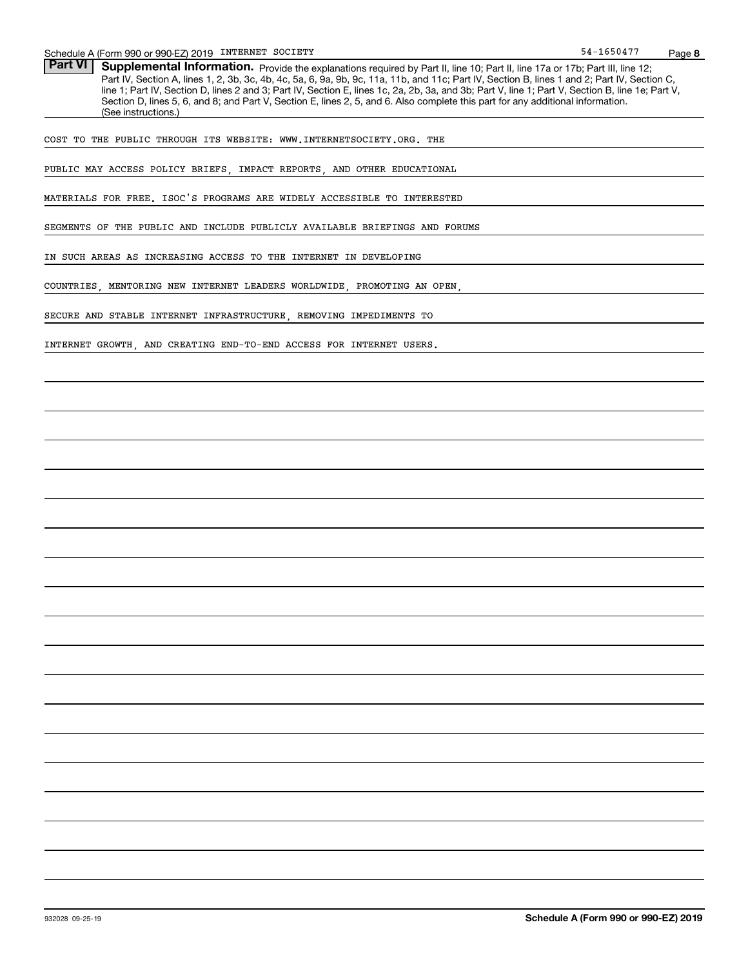COST TO THE PUBLIC THROUGH ITS WEBSITE: WWW.INTERNETSOCIETY.ORG. THE

PUBLIC MAY ACCESS POLICY BRIEFS, IMPACT REPORTS, AND OTHER EDUCATIONAL

MATERIALS FOR FREE. ISOC'S PROGRAMS ARE WIDELY ACCESSIBLE TO INTERESTED

SEGMENTS OF THE PUBLIC AND INCLUDE PUBLICLY AVAILABLE BRIEFINGS AND FORUMS

IN SUCH AREAS AS INCREASING ACCESS TO THE INTERNET IN DEVELOPING

COUNTRIES, MENTORING NEW INTERNET LEADERS WORLDWIDE, PROMOTING AN OPEN,

SECURE AND STABLE INTERNET INFRASTRUCTURE, REMOVING IMPEDIMENTS TO

INTERNET GROWTH, AND CREATING END-TO-END ACCESS FOR INTERNET USERS.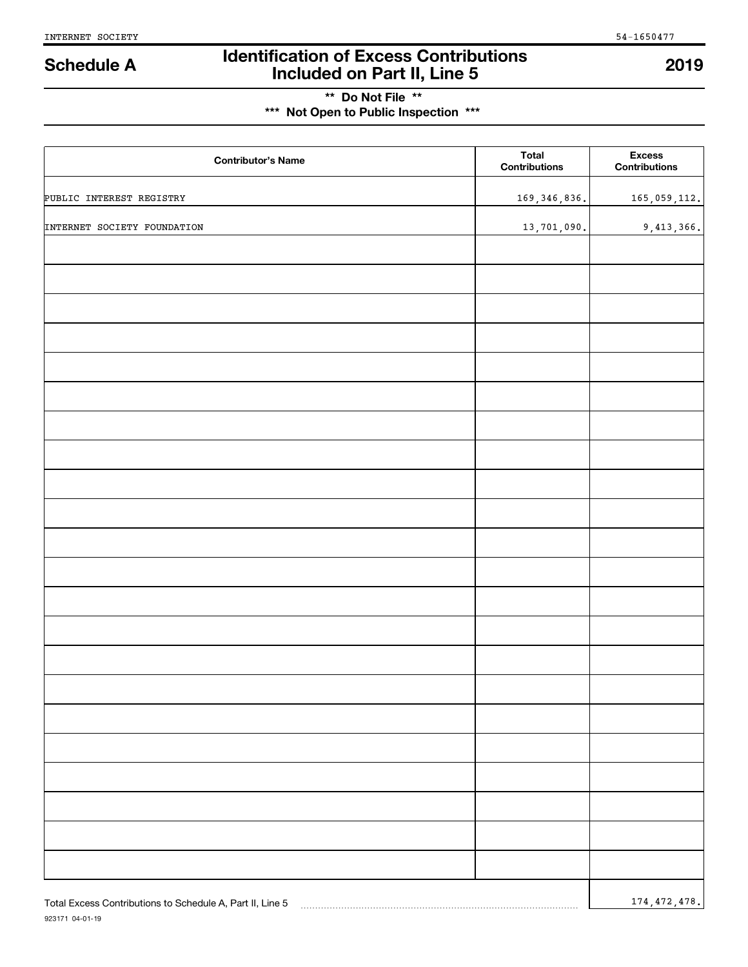## Identification of Excess Contributions Schedule A Bellutication of Excess Contributions<br>Included on Part II, Line 5

## \*\* Do Not File \*\* \*\*\* Not Open to Public Inspection \*\*\*

| <b>Contributor's Name</b>                                 | <b>Total</b><br><b>Contributions</b> | <b>Excess</b><br><b>Contributions</b> |
|-----------------------------------------------------------|--------------------------------------|---------------------------------------|
| PUBLIC INTEREST REGISTRY                                  | 169, 346, 836.                       | 165,059,112.                          |
| INTERNET SOCIETY FOUNDATION                               | 13,701,090.                          | 9,413,366.                            |
|                                                           |                                      |                                       |
|                                                           |                                      |                                       |
|                                                           |                                      |                                       |
|                                                           |                                      |                                       |
|                                                           |                                      |                                       |
|                                                           |                                      |                                       |
|                                                           |                                      |                                       |
|                                                           |                                      |                                       |
|                                                           |                                      |                                       |
|                                                           |                                      |                                       |
|                                                           |                                      |                                       |
|                                                           |                                      |                                       |
|                                                           |                                      |                                       |
|                                                           |                                      |                                       |
|                                                           |                                      |                                       |
|                                                           |                                      |                                       |
|                                                           |                                      |                                       |
|                                                           |                                      |                                       |
|                                                           |                                      |                                       |
|                                                           |                                      |                                       |
|                                                           |                                      |                                       |
|                                                           |                                      |                                       |
|                                                           |                                      |                                       |
| Total Excess Contributions to Schedule A, Part II, Line 5 |                                      | 174, 472, 478.                        |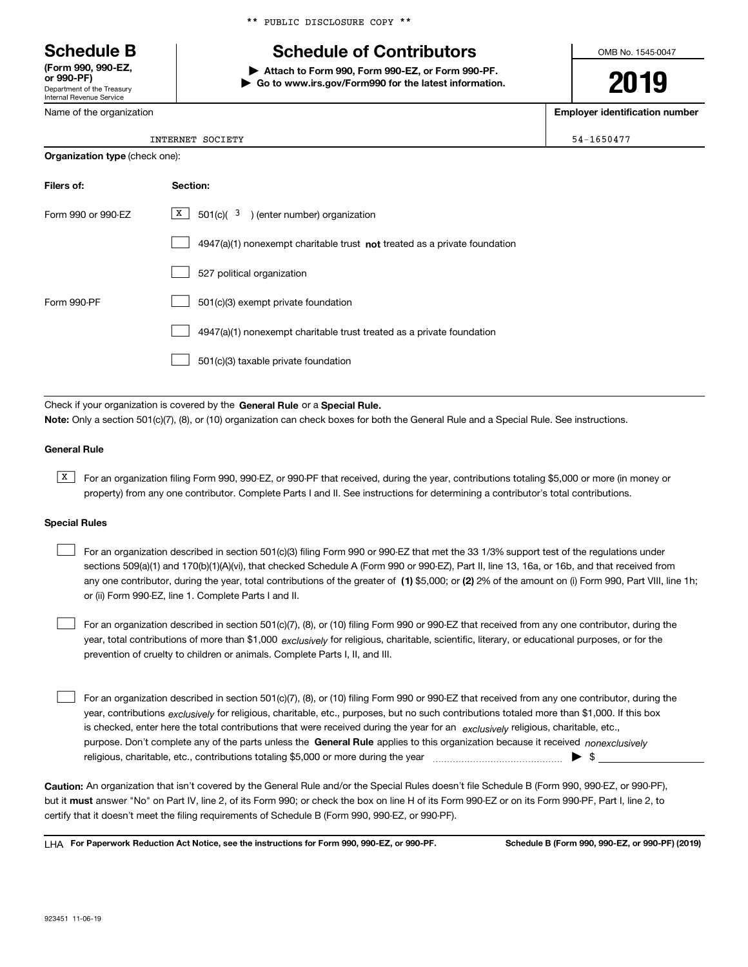Department of the Treasury Internal Revenue Service (Form 990, 990-EZ,

Name of the organization

\*\* PUBLIC DISCLOSURE COPY \*\*

## Schedule B The Schedule of Contributors

Attach to Form 990, Form 990-EZ, or Form 990-PF. | Go to www.irs.gov/Form990 for the latest information. OMB No. 1545-0047

# 2019

Employer identification number

|          | 504    |
|----------|--------|
| INTERNET | $54 -$ |
| SOCIETY  | . .    |
|          |        |

| <b>Organization type (check one):</b> |                                                                             |  |  |
|---------------------------------------|-----------------------------------------------------------------------------|--|--|
| Filers of:                            | Section:                                                                    |  |  |
| Form 990 or 990-EZ                    | X <br>$501(c)$ ( $3$ ) (enter number) organization                          |  |  |
|                                       | $4947(a)(1)$ nonexempt charitable trust not treated as a private foundation |  |  |
|                                       | 527 political organization                                                  |  |  |
| Form 990-PF                           | 501(c)(3) exempt private foundation                                         |  |  |
|                                       | 4947(a)(1) nonexempt charitable trust treated as a private foundation       |  |  |
|                                       | 501(c)(3) taxable private foundation                                        |  |  |

Check if your organization is covered by the General Rule or a Special Rule. Note: Only a section 501(c)(7), (8), or (10) organization can check boxes for both the General Rule and a Special Rule. See instructions.

### General Rule

**K** For an organization filing Form 990, 990-EZ, or 990-PF that received, during the year, contributions totaling \$5,000 or more (in money or property) from any one contributor. Complete Parts I and II. See instructions for determining a contributor's total contributions.

#### Special Rules

any one contributor, during the year, total contributions of the greater of  $\,$  (1) \$5,000; or (2) 2% of the amount on (i) Form 990, Part VIII, line 1h; For an organization described in section 501(c)(3) filing Form 990 or 990-EZ that met the 33 1/3% support test of the regulations under sections 509(a)(1) and 170(b)(1)(A)(vi), that checked Schedule A (Form 990 or 990-EZ), Part II, line 13, 16a, or 16b, and that received from or (ii) Form 990-EZ, line 1. Complete Parts I and II.  $\begin{array}{c} \hline \end{array}$ 

year, total contributions of more than \$1,000 *exclusively* for religious, charitable, scientific, literary, or educational purposes, or for the For an organization described in section 501(c)(7), (8), or (10) filing Form 990 or 990-EZ that received from any one contributor, during the prevention of cruelty to children or animals. Complete Parts I, II, and III.  $\begin{array}{c} \hline \end{array}$ 

purpose. Don't complete any of the parts unless the General Rule applies to this organization because it received nonexclusively year, contributions <sub>exclusively</sub> for religious, charitable, etc., purposes, but no such contributions totaled more than \$1,000. If this box is checked, enter here the total contributions that were received during the year for an exclusively religious, charitable, etc., For an organization described in section 501(c)(7), (8), or (10) filing Form 990 or 990-EZ that received from any one contributor, during the religious, charitable, etc., contributions totaling \$5,000 or more during the year  $\Box$ — $\Box$   $\Box$  $\begin{array}{c} \hline \end{array}$ 

Caution: An organization that isn't covered by the General Rule and/or the Special Rules doesn't file Schedule B (Form 990, 990-EZ, or 990-PF), but it **must** answer "No" on Part IV, line 2, of its Form 990; or check the box on line H of its Form 990-EZ or on its Form 990-PF, Part I, line 2, to certify that it doesn't meet the filing requirements of Schedule B (Form 990, 990-EZ, or 990-PF).

LHA For Paperwork Reduction Act Notice, see the instructions for Form 990, 990-EZ, or 990-PF. Schedule B (Form 990, 990-EZ, or 990-PF) (2019)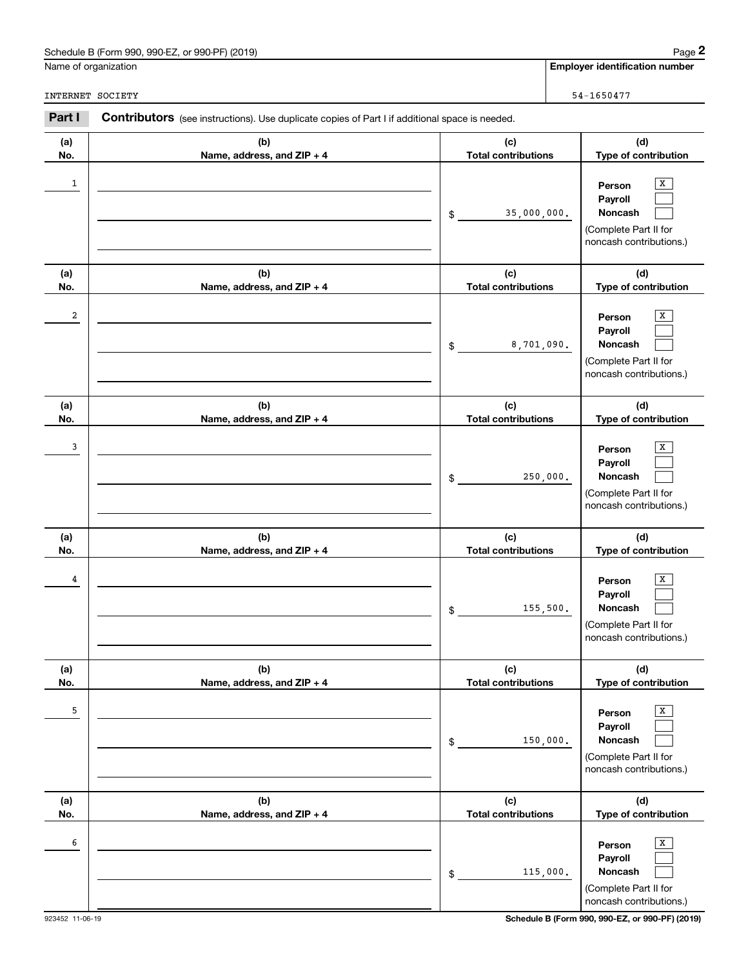| Schedule B (Form 990, 990-EZ, or 990-PF) (2019) | Page |
|-------------------------------------------------|------|
|-------------------------------------------------|------|

Page 2

Employer identification number

INTERNET SOCIETY 54-1650477

| Part I       | Contributors (see instructions). Use duplicate copies of Part I if additional space is needed. |                                   |                                                                                       |
|--------------|------------------------------------------------------------------------------------------------|-----------------------------------|---------------------------------------------------------------------------------------|
| (a)<br>No.   | (b)<br>Name, address, and ZIP + 4                                                              | (c)<br><b>Total contributions</b> | (d)<br>Type of contribution                                                           |
| $\mathbf{1}$ |                                                                                                | 35,000,000.<br>\$                 | Х<br>Person<br>Payroll<br>Noncash<br>(Complete Part II for<br>noncash contributions.) |
| (a)<br>No.   | (b)<br>Name, address, and ZIP + 4                                                              | (c)<br><b>Total contributions</b> | (d)<br>Type of contribution                                                           |
| 2            |                                                                                                | 8,701,090.<br>\$                  | X<br>Person<br>Payroll<br>Noncash<br>(Complete Part II for<br>noncash contributions.) |
| (a)<br>No.   | (b)<br>Name, address, and ZIP + 4                                                              | (c)<br><b>Total contributions</b> | (d)<br>Type of contribution                                                           |
| 3            |                                                                                                | 250,000.<br>$\mathsf{\$}$         | X<br>Person<br>Payroll<br>Noncash<br>(Complete Part II for<br>noncash contributions.) |
| (a)<br>No.   | (b)<br>Name, address, and ZIP + 4                                                              | (c)<br><b>Total contributions</b> | (d)<br>Type of contribution                                                           |
| 4            |                                                                                                | 155,500.<br>\$                    | X<br>Person<br>Payroll<br>Noncash<br>(Complete Part II for<br>noncash contributions.) |
| (a)<br>No.   | (b)<br>Name, address, and ZIP + 4                                                              | (c)<br><b>Total contributions</b> | (d)<br>Type of contribution                                                           |
| 5            |                                                                                                | 150,000.<br>\$                    | X<br>Person<br>Payroll<br>Noncash<br>(Complete Part II for<br>noncash contributions.) |
| (a)<br>No.   | (b)<br>Name, address, and ZIP + 4                                                              | (c)<br><b>Total contributions</b> | (d)<br>Type of contribution                                                           |
| 6            |                                                                                                | 115,000.<br>\$                    | X<br>Person<br>Payroll<br>Noncash<br>(Complete Part II for<br>noncash contributions.) |

923452 11-06-19 Schedule B (Form 990, 990-EZ, or 990-PF) (2019)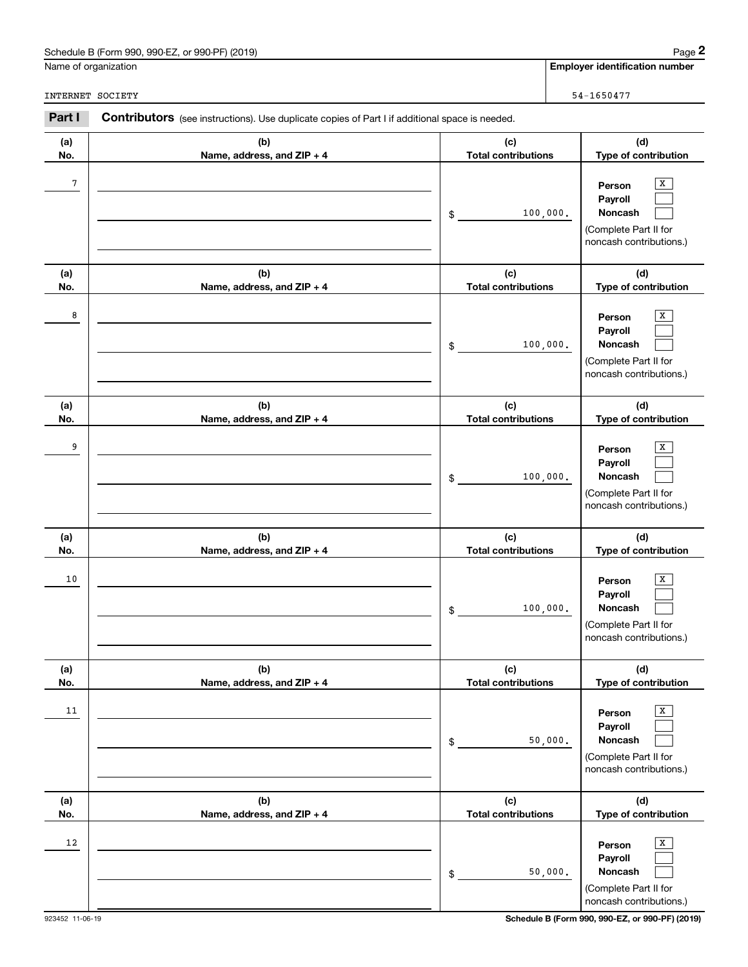| Schedule B (Form 990, 990-EZ, or 990-PF) (2019) | Page |
|-------------------------------------------------|------|
|-------------------------------------------------|------|

INTERNET SOCIETY 54-1650477

Employer identification number

| Part I     | Contributors (see instructions). Use duplicate copies of Part I if additional space is needed. |                                   |                                                                                              |
|------------|------------------------------------------------------------------------------------------------|-----------------------------------|----------------------------------------------------------------------------------------------|
| (a)<br>No. | (b)<br>Name, address, and ZIP + 4                                                              | (c)<br><b>Total contributions</b> | (d)<br>Type of contribution                                                                  |
| 7          |                                                                                                | 100,000.<br>$$^{\circ}$           | x<br>Person<br>Payroll<br><b>Noncash</b><br>(Complete Part II for<br>noncash contributions.) |
| (a)<br>No. | (b)<br>Name, address, and ZIP + 4                                                              | (c)<br><b>Total contributions</b> | (d)<br>Type of contribution                                                                  |
| 8          |                                                                                                | 100,000.<br>\$                    | X<br>Person<br>Payroll<br>Noncash<br>(Complete Part II for<br>noncash contributions.)        |
| (a)<br>No. | (b)<br>Name, address, and ZIP + 4                                                              | (c)<br><b>Total contributions</b> | (d)<br>Type of contribution                                                                  |
| 9          |                                                                                                | 100,000.<br>\$                    | X<br>Person<br>Payroll<br>Noncash<br>(Complete Part II for<br>noncash contributions.)        |
| (a)<br>No. | (b)<br>Name, address, and ZIP + 4                                                              | (c)<br><b>Total contributions</b> | (d)<br>Type of contribution                                                                  |
| 10         |                                                                                                | 100,000.<br>\$                    | X<br>Person<br>Payroll<br>Noncash<br>(Complete Part II for<br>noncash contributions.)        |
| (a)<br>No. | (b)<br>Name, address, and ZIP + 4                                                              | (c)<br><b>Total contributions</b> | (d)<br>Type of contribution                                                                  |
| 11         |                                                                                                | 50,000.<br>\$                     | Х<br>Person<br>Payroll<br>Noncash<br>(Complete Part II for<br>noncash contributions.)        |
| (a)<br>No. | (b)<br>Name, address, and ZIP + 4                                                              | (c)<br><b>Total contributions</b> | (d)<br>Type of contribution                                                                  |
| 12         |                                                                                                | 50,000.<br>\$                     | Х<br>Person<br>Payroll<br>Noncash<br>(Complete Part II for<br>noncash contributions.)        |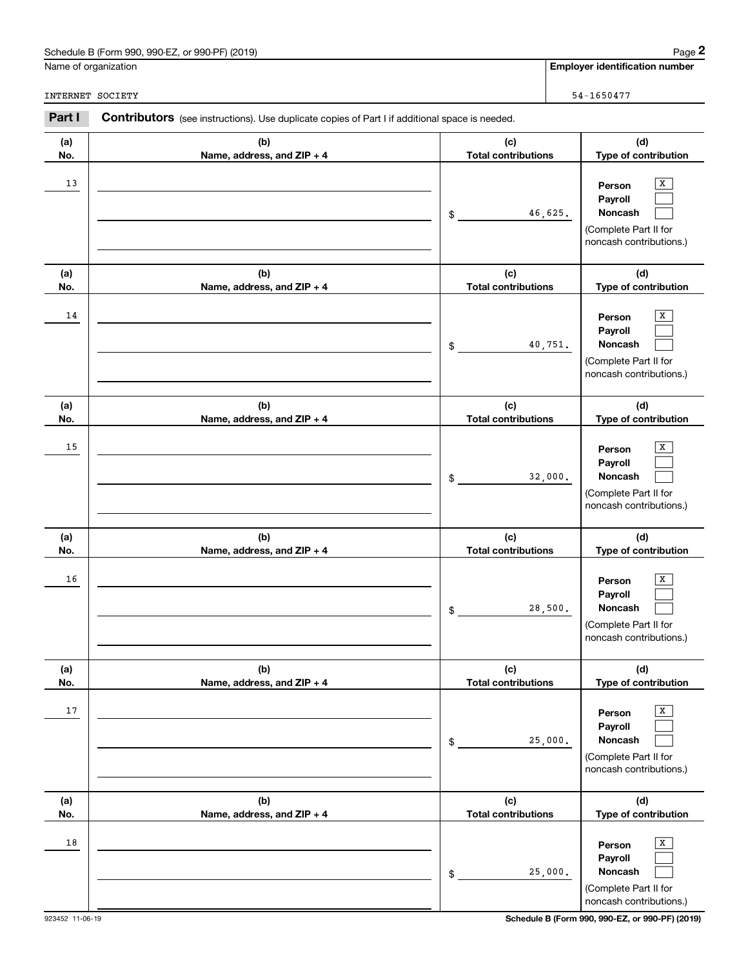| Schedule B (Form 990, 990-EZ, or 990-PF) (2019) | Page |
|-------------------------------------------------|------|
|-------------------------------------------------|------|

Employer identification number

| Part I     | <b>Contributors</b> (see instructions). Use duplicate copies of Part I if additional space is needed. |                                   |                                                                                       |
|------------|-------------------------------------------------------------------------------------------------------|-----------------------------------|---------------------------------------------------------------------------------------|
| (a)<br>No. | (b)<br>Name, address, and ZIP + 4                                                                     | (c)<br><b>Total contributions</b> | (d)<br>Type of contribution                                                           |
| 13         |                                                                                                       | 46,625.<br>\$                     | X<br>Person<br>Payroll<br>Noncash<br>(Complete Part II for<br>noncash contributions.) |
| (a)<br>No. | (b)<br>Name, address, and ZIP + 4                                                                     | (c)<br><b>Total contributions</b> | (d)<br>Type of contribution                                                           |
| 14         |                                                                                                       | 40,751.<br>$\$$                   | x<br>Person<br>Payroll<br>Noncash<br>(Complete Part II for<br>noncash contributions.) |
| (a)<br>No. | (b)<br>Name, address, and ZIP + 4                                                                     | (c)<br><b>Total contributions</b> | (d)<br>Type of contribution                                                           |
| 15         |                                                                                                       | 32,000.<br>$\$$                   | x<br>Person<br>Payroll<br>Noncash<br>(Complete Part II for<br>noncash contributions.) |
| (a)<br>No. | (b)<br>Name, address, and ZIP + 4                                                                     | (c)<br><b>Total contributions</b> | (d)<br>Type of contribution                                                           |
| 16         |                                                                                                       | 28,500.<br>\$                     | x<br>Person<br>Payroll<br>Noncash<br>(Complete Part II for<br>noncash contributions.) |
| (a)<br>No. | (b)<br>Name, address, and ZIP + 4                                                                     | (c)<br><b>Total contributions</b> | (d)<br>Type of contribution                                                           |
| 17         |                                                                                                       | 25,000.<br>\$                     | X<br>Person<br>Payroll<br>Noncash<br>(Complete Part II for<br>noncash contributions.) |
| (a)<br>No. | (b)<br>Name, address, and ZIP + 4                                                                     | (c)<br><b>Total contributions</b> | (d)<br>Type of contribution                                                           |
| 18         |                                                                                                       | 25,000.<br>\$                     | X<br>Person<br>Payroll<br>Noncash<br>(Complete Part II for<br>noncash contributions.) |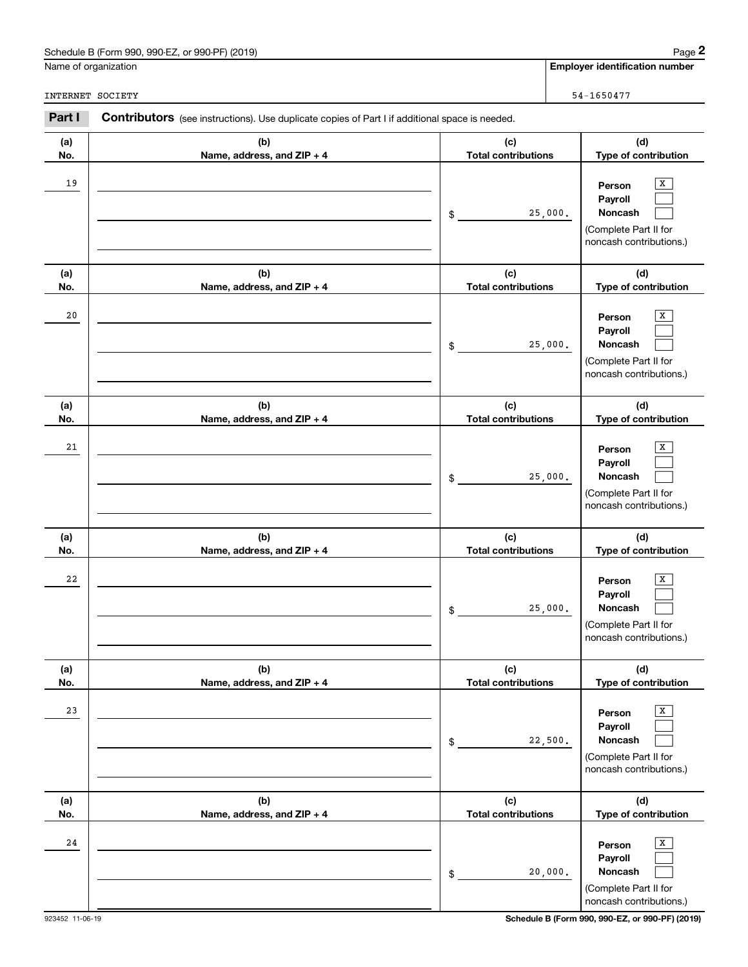| Schedule B (Form 990, 990-EZ, or 990-PF) (2019) | Page |
|-------------------------------------------------|------|
|-------------------------------------------------|------|

Employer identification number

| Part I     | <b>Contributors</b> (see instructions). Use duplicate copies of Part I if additional space is needed. |                                   |                                                                                       |
|------------|-------------------------------------------------------------------------------------------------------|-----------------------------------|---------------------------------------------------------------------------------------|
| (a)<br>No. | (b)<br>Name, address, and ZIP + 4                                                                     | (c)<br><b>Total contributions</b> | (d)<br>Type of contribution                                                           |
| 19         |                                                                                                       | 25,000.<br>\$                     | X<br>Person<br>Payroll<br>Noncash<br>(Complete Part II for<br>noncash contributions.) |
| (a)<br>No. | (b)<br>Name, address, and ZIP + 4                                                                     | (c)<br><b>Total contributions</b> | (d)<br>Type of contribution                                                           |
| 20         |                                                                                                       | 25,000.<br>\$                     | Х<br>Person<br>Payroll<br>Noncash<br>(Complete Part II for<br>noncash contributions.) |
| (a)<br>No. | (b)<br>Name, address, and ZIP + 4                                                                     | (c)<br><b>Total contributions</b> | (d)<br>Type of contribution                                                           |
| 21         |                                                                                                       | 25,000.<br>\$                     | Х<br>Person<br>Payroll<br>Noncash<br>(Complete Part II for<br>noncash contributions.) |
| (a)<br>No. | (b)<br>Name, address, and ZIP + 4                                                                     | (c)<br><b>Total contributions</b> | (d)<br>Type of contribution                                                           |
| 22         |                                                                                                       | 25,000.<br>\$                     | X<br>Person<br>Payroll<br>Noncash<br>(Complete Part II for<br>noncash contributions.) |
| (a)<br>No. | (b)<br>Name, address, and ZIP + 4                                                                     | (c)<br><b>Total contributions</b> | (d)<br>Type of contribution                                                           |
| 23         |                                                                                                       | 22,500.<br>\$                     | X<br>Person<br>Payroll<br>Noncash<br>(Complete Part II for<br>noncash contributions.) |
| (a)<br>No. | (b)<br>Name, address, and ZIP + 4                                                                     | (c)<br><b>Total contributions</b> | (d)<br>Type of contribution                                                           |
| ${\bf 24}$ |                                                                                                       | 20,000.<br>\$                     | х<br>Person<br>Payroll<br>Noncash<br>(Complete Part II for<br>noncash contributions.) |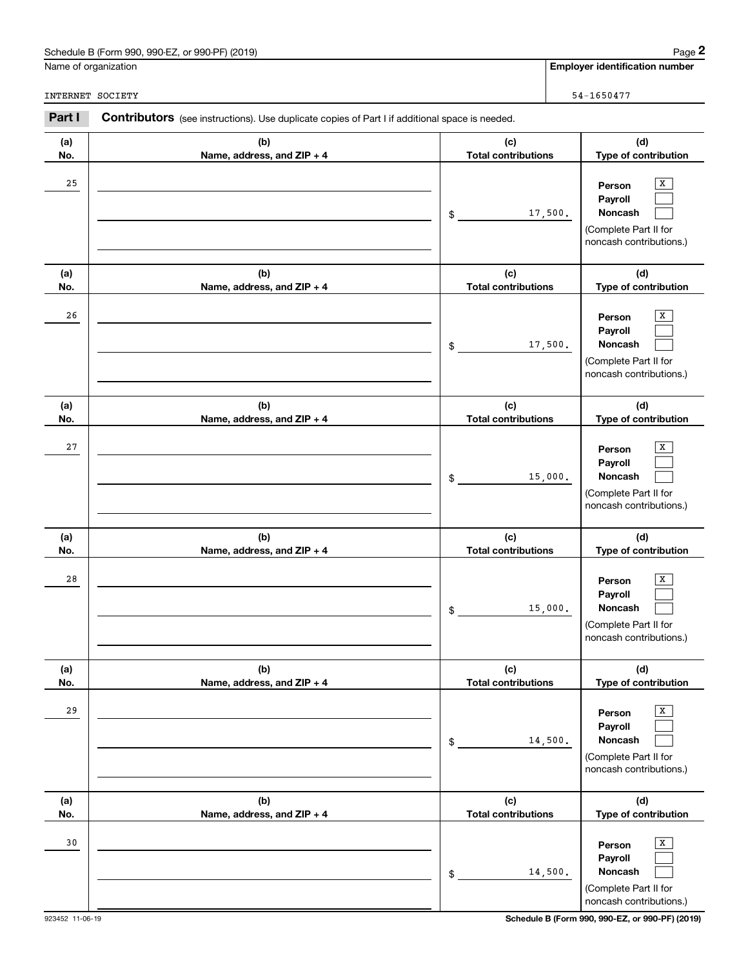| Schedule B (Form 990, 990-EZ, or 990-PF) (2019) | Page |
|-------------------------------------------------|------|
|-------------------------------------------------|------|

Employer identification number

| Part I | Contributors (see instructions). Use duplicate copies of Part I if additional space is needed. |  |
|--------|------------------------------------------------------------------------------------------------|--|

| (a)<br>No. | (b)<br>Name, address, and ZIP + 4 | (c)<br><b>Total contributions</b> | (d)<br>Type of contribution                                                                                 |
|------------|-----------------------------------|-----------------------------------|-------------------------------------------------------------------------------------------------------------|
| 25         |                                   | 17,500.<br>\$                     | X<br>Person<br>Payroll<br><b>Noncash</b><br>(Complete Part II for<br>noncash contributions.)                |
| (a)<br>No. | (b)<br>Name, address, and ZIP + 4 | (c)<br><b>Total contributions</b> | (d)<br>Type of contribution                                                                                 |
| 26         |                                   | 17,500.<br>\$                     | X<br>Person<br>Payroll<br>Noncash<br>(Complete Part II for<br>noncash contributions.)                       |
| (a)<br>No. | (b)<br>Name, address, and ZIP + 4 | (c)<br><b>Total contributions</b> | (d)<br>Type of contribution                                                                                 |
| 27         |                                   | 15,000.<br>\$                     | x<br>Person<br>Payroll<br>Noncash<br>(Complete Part II for<br>noncash contributions.)                       |
| (a)<br>No. | (b)<br>Name, address, and ZIP + 4 | (c)<br><b>Total contributions</b> | (d)<br>Type of contribution                                                                                 |
| 28         |                                   | 15,000.<br>$\$$                   | x<br>Person<br>Payroll<br><b>Noncash</b><br>(Complete Part II for<br>noncash contributions.)                |
| (a)<br>No. | (b)<br>Name, address, and ZIP + 4 | (c)<br><b>Total contributions</b> | (d)<br>Type of contribution                                                                                 |
| 29         |                                   | 14,500.<br>$\frac{1}{2}$          | $\overline{\textbf{X}}$<br>Person<br>Payroll<br>Noncash<br>(Complete Part II for<br>noncash contributions.) |
| (a)<br>No. | (b)<br>Name, address, and ZIP + 4 | (c)<br><b>Total contributions</b> | (d)<br>Type of contribution                                                                                 |
| 30         |                                   | 14,500.<br>\$                     | X<br>Person<br>Payroll<br>Noncash<br>(Complete Part II for<br>noncash contributions.)                       |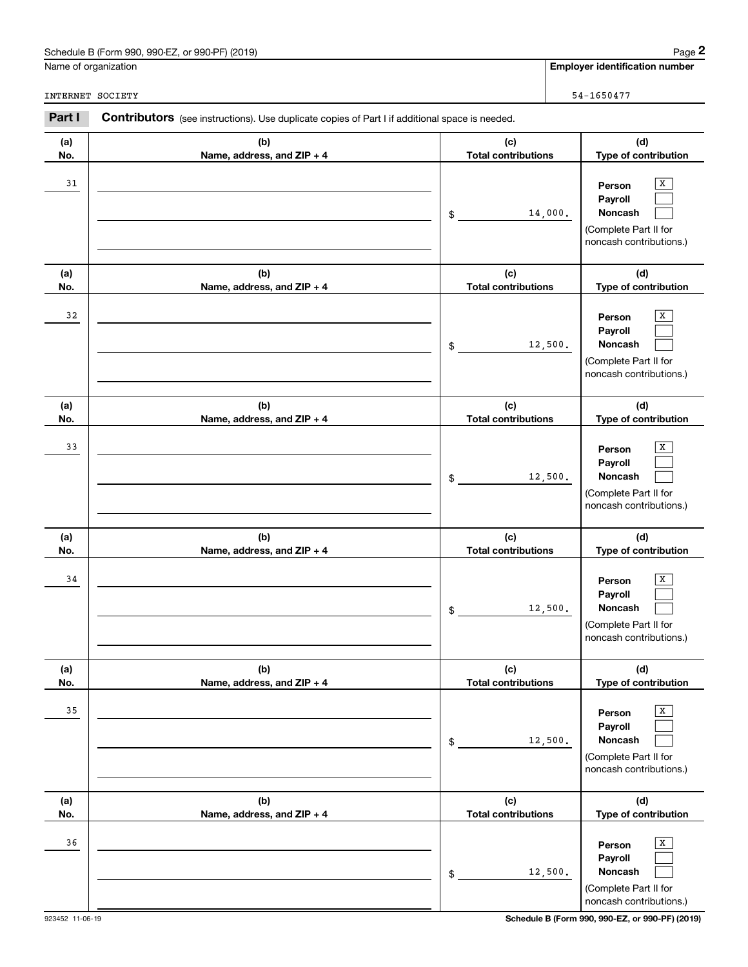| Schedule B (Form 990, 990-EZ, or 990-PF) (2019) | Page |
|-------------------------------------------------|------|
|-------------------------------------------------|------|

Employer identification number

| INTERNET SOCIETY |                                                                                                     | 54-1650477 |
|------------------|-----------------------------------------------------------------------------------------------------|------------|
| Part I           | <b>Contributors</b> (see instructions) Lise duplicate copies of Part Lif additional space is needed |            |

| Part I     | Contributors (see instructions). Use duplicate copies of Part I if additional space is needed. |                                   |                                                                                       |
|------------|------------------------------------------------------------------------------------------------|-----------------------------------|---------------------------------------------------------------------------------------|
| (a)<br>No. | (b)<br>Name, address, and ZIP + 4                                                              | (c)<br><b>Total contributions</b> | (d)<br>Type of contribution                                                           |
| 31         |                                                                                                | 14,000.<br>$\frac{1}{2}$          | X<br>Person<br>Payroll<br>Noncash<br>(Complete Part II for<br>noncash contributions.) |
| (a)<br>No. | (b)<br>Name, address, and ZIP + 4                                                              | (c)<br><b>Total contributions</b> | (d)<br>Type of contribution                                                           |
| 32         |                                                                                                | 12,500.<br>$\frac{1}{2}$          | X<br>Person<br>Payroll<br>Noncash<br>(Complete Part II for<br>noncash contributions.) |
| (a)<br>No. | (b)<br>Name, address, and ZIP + 4                                                              | (c)<br><b>Total contributions</b> | (d)<br>Type of contribution                                                           |
| 33         |                                                                                                | 12,500.<br>$\frac{1}{2}$          | X<br>Person<br>Payroll<br>Noncash<br>(Complete Part II for<br>noncash contributions.) |
| (a)<br>No. | (b)<br>Name, address, and ZIP + 4                                                              | (c)<br><b>Total contributions</b> | (d)<br>Type of contribution                                                           |
| 34         |                                                                                                | 12,500.<br>$\frac{1}{2}$          | X<br>Person<br>Payroll<br>Noncash<br>(Complete Part II for<br>noncash contributions.) |
| (a)<br>No. | (b)<br>Name, address, and ZIP + 4                                                              | (c)<br><b>Total contributions</b> | (d)<br>Type of contribution                                                           |
| 35         |                                                                                                | 12,500.<br>\$                     | X<br>Person<br>Payroll<br>Noncash<br>(Complete Part II for<br>noncash contributions.) |
| (a)<br>No. | (b)<br>Name, address, and ZIP + 4                                                              | (c)<br><b>Total contributions</b> | (d)<br>Type of contribution                                                           |
| 36         |                                                                                                | 12,500.<br>$\frac{1}{2}$          | X<br>Person<br>Payroll<br>Noncash<br>(Complete Part II for<br>noncash contributions.) |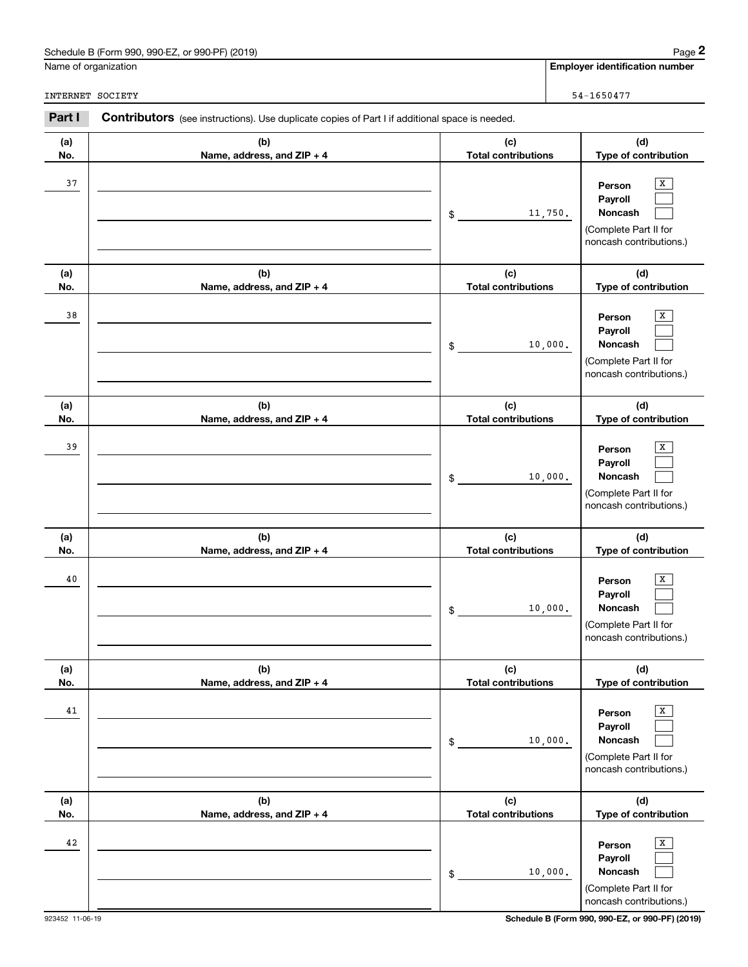| Schedule B (Form 990, 990-EZ, or 990-PF) (2019) | Page |
|-------------------------------------------------|------|
|-------------------------------------------------|------|

Employer identification number

INTERNET SOCIETY 54-1650477

| Part I     | Contributors (see instructions). Use duplicate copies of Part I if additional space is needed. |                                   |                                                                                       |  |
|------------|------------------------------------------------------------------------------------------------|-----------------------------------|---------------------------------------------------------------------------------------|--|
| (a)<br>No. | (b)<br>Name, address, and ZIP + 4                                                              | (c)<br><b>Total contributions</b> | (d)<br>Type of contribution                                                           |  |
| 37         |                                                                                                | 11,750.<br>$\frac{1}{2}$          | X<br>Person<br>Payroll<br>Noncash<br>(Complete Part II for<br>noncash contributions.) |  |
| (a)<br>No. | (b)<br>Name, address, and ZIP + 4                                                              | (c)<br><b>Total contributions</b> | (d)<br>Type of contribution                                                           |  |
| 38         |                                                                                                | 10,000.<br>$\frac{1}{2}$          | X<br>Person<br>Payroll<br>Noncash<br>(Complete Part II for<br>noncash contributions.) |  |
| (a)<br>No. | (b)<br>Name, address, and ZIP + 4                                                              | (c)<br><b>Total contributions</b> | (d)<br>Type of contribution                                                           |  |
| 39         |                                                                                                | 10,000.<br>$\frac{1}{2}$          | X<br>Person<br>Payroll<br>Noncash<br>(Complete Part II for<br>noncash contributions.) |  |
| (a)<br>No. | (b)<br>Name, address, and ZIP + 4                                                              | (c)<br><b>Total contributions</b> | (d)<br>Type of contribution                                                           |  |
| 40         |                                                                                                | 10,000.<br>\$                     | X<br>Person<br>Payroll<br>Noncash<br>(Complete Part II for<br>noncash contributions.) |  |
| (a)<br>No. | (b)<br>Name, address, and ZIP + 4                                                              | (c)<br><b>Total contributions</b> | (d)<br>Type of contribution                                                           |  |
| $4\,1$     |                                                                                                | 10,000.<br>\$                     | x<br>Person<br>Payroll<br>Noncash<br>(Complete Part II for<br>noncash contributions.) |  |

 $42$  Person  $\overline{\text{X}}$ 

(b) Name, address, and ZIP + 4

923452 11-06-19 Schedule B (Form 990, 990-EZ, or 990-PF) (2019)

Person Payroll Noncash

(Complete Part II for noncash contributions.)

(d) Type of contribution

> $\boxed{\mathbf{X}}$  $\begin{array}{c} \hline \end{array}$  $\begin{array}{c} \hline \end{array}$

(c) Total contributions

10,000.

\$

(a) No.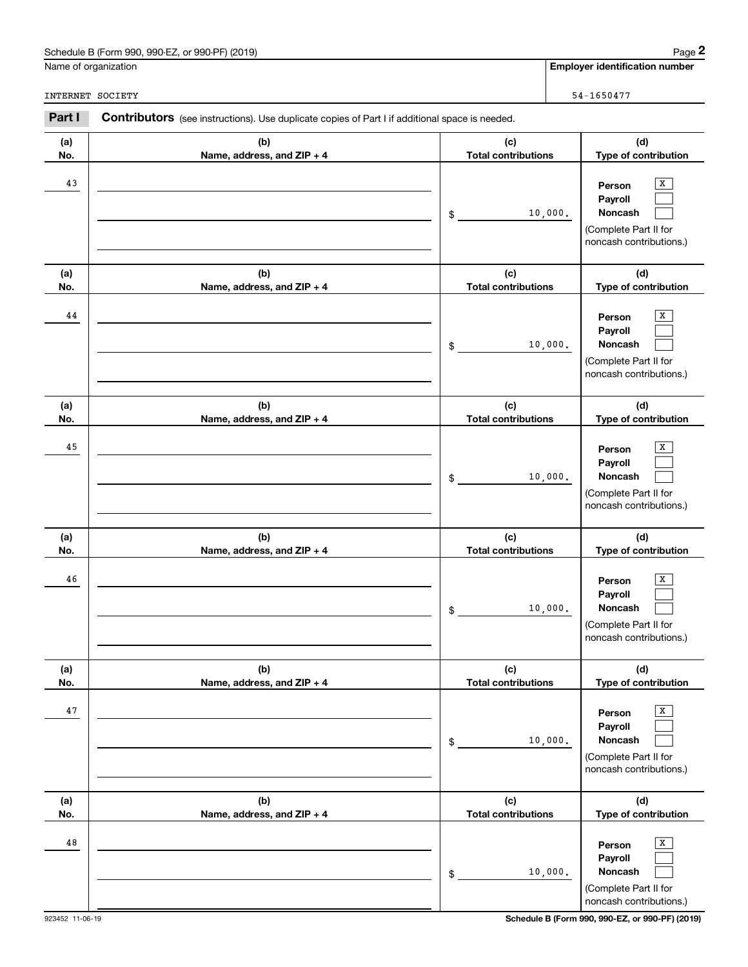| Schedule B (Form 990, 990-EZ, or 990-PF) (2019) | Page |
|-------------------------------------------------|------|
|-------------------------------------------------|------|

Employer identification number

|            | INTERNET SOCIETY                                                                               |                                   | 54-1650477                                                                            |
|------------|------------------------------------------------------------------------------------------------|-----------------------------------|---------------------------------------------------------------------------------------|
| Part I     | Contributors (see instructions). Use duplicate copies of Part I if additional space is needed. |                                   |                                                                                       |
| (a)<br>No. | (b)<br>Name, address, and ZIP + 4                                                              | (c)<br><b>Total contributions</b> | (d)<br>Type of contribution                                                           |
| 43         |                                                                                                | 10,000.<br>\$                     | X<br>Person<br>Payroll<br>Noncash<br>(Complete Part II for<br>noncash contributions.) |
| (a)<br>No. | (b)<br>Name, address, and ZIP + 4                                                              | (c)<br><b>Total contributions</b> | (d)<br>Type of contribution                                                           |
| 44         |                                                                                                | 10,000.<br>$\frac{1}{2}$          | x<br>Person<br>Payroll<br>Noncash<br>(Complete Part II for<br>noncash contributions.) |
| (a)<br>No. | (b)<br>Name, address, and ZIP + 4                                                              | (c)<br><b>Total contributions</b> | (d)<br>Type of contribution                                                           |
| 45         |                                                                                                | 10,000.<br>\$                     | X<br>Person<br>Payroll<br>Noncash<br>(Complete Part II for<br>noncash contributions.) |
| (a)<br>No. | (b)<br>Name, address, and ZIP + 4                                                              | (c)<br><b>Total contributions</b> | (d)<br>Type of contribution                                                           |
| 46         |                                                                                                | 10,000.<br>\$                     | x<br>Person<br>Payroll<br>Noncash<br>(Complete Part II for<br>noncash contributions.) |
| (a)<br>No. | (b)<br>Name, address, and ZIP + 4                                                              | (c)<br><b>Total contributions</b> | (d)<br>Type of contribution                                                           |
| 47         |                                                                                                | 10,000.<br>\$                     | х<br>Person<br>Payroll<br>Noncash<br>(Complete Part II for<br>noncash contributions.) |
| (a)<br>No. | (b)<br>Name, address, and ZIP + 4                                                              | (c)<br><b>Total contributions</b> | (d)<br>Type of contribution                                                           |
| 48         |                                                                                                | 10,000.<br>$$\mathsf{S}$$         | X<br>Person<br>Payroll<br>Noncash<br>(Complete Part II for<br>noncash contributions.) |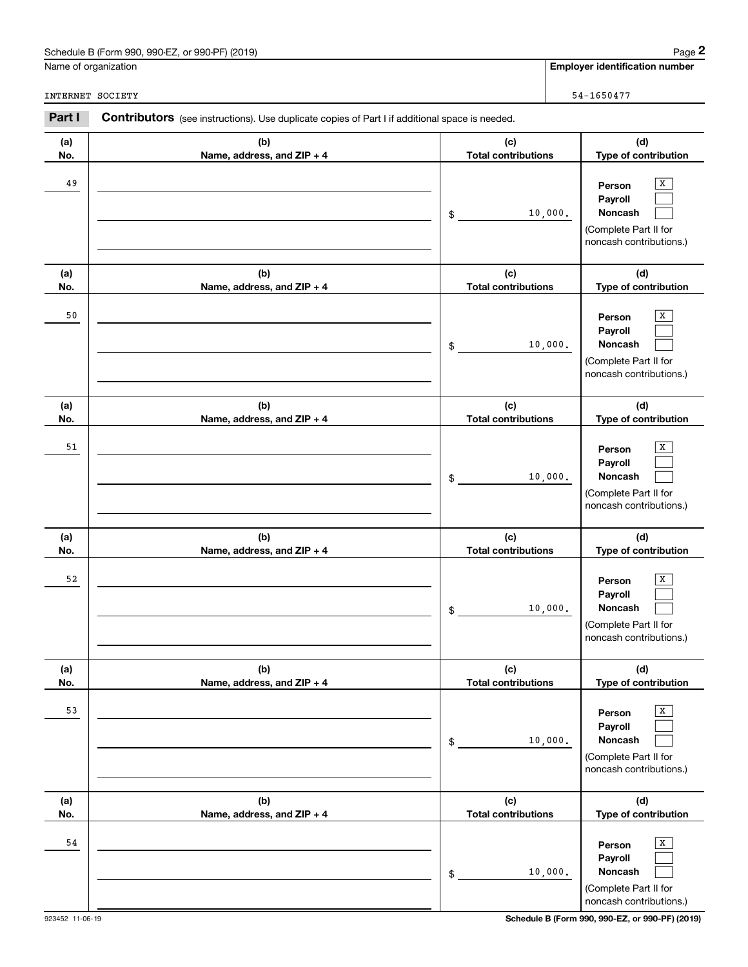| Schedule B (Form 990, 990-EZ, or 990-PF) (2019) | Page |
|-------------------------------------------------|------|
|-------------------------------------------------|------|

Employer identification number

| Part I     | Contributors (see instructions). Use duplicate copies of Part I if additional space is needed. |                                   |                                                                                       |
|------------|------------------------------------------------------------------------------------------------|-----------------------------------|---------------------------------------------------------------------------------------|
| (a)<br>No. | (b)<br>Name, address, and ZIP + 4                                                              | (c)<br><b>Total contributions</b> | (d)<br>Type of contribution                                                           |
| 49         |                                                                                                | 10,000.<br>\$                     | х<br>Person<br>Payroll<br>Noncash<br>(Complete Part II for<br>noncash contributions.) |
| (a)<br>No. | (b)<br>Name, address, and ZIP + 4                                                              | (c)<br><b>Total contributions</b> | (d)<br>Type of contribution                                                           |
| 50         |                                                                                                | 10,000.<br>\$                     | x<br>Person<br>Payroll<br>Noncash<br>(Complete Part II for<br>noncash contributions.) |
| (a)<br>No. | (b)<br>Name, address, and ZIP + 4                                                              | (c)<br><b>Total contributions</b> | (d)<br>Type of contribution                                                           |
| 51         |                                                                                                | 10,000.<br>\$                     | x<br>Person<br>Payroll<br>Noncash<br>(Complete Part II for<br>noncash contributions.) |
| (a)<br>No. | (b)<br>Name, address, and ZIP + 4                                                              | (c)<br><b>Total contributions</b> | (d)<br>Type of contribution                                                           |
| 52         |                                                                                                | 10,000.<br>\$                     | x<br>Person<br>Payroll<br>Noncash<br>(Complete Part II for<br>noncash contributions.) |
| (a)<br>No. | (b)<br>Name, address, and ZIP + 4                                                              | (c)<br><b>Total contributions</b> | (d)<br>Type of contribution                                                           |
| 53         |                                                                                                | 10,000.<br>\$                     | X<br>Person<br>Payroll<br>Noncash<br>(Complete Part II for<br>noncash contributions.) |
| (a)<br>No. | (b)<br>Name, address, and ZIP + 4                                                              | (c)<br><b>Total contributions</b> | (d)<br>Type of contribution                                                           |
| 54         |                                                                                                | 10,000.<br>\$                     | х<br>Person<br>Payroll<br>Noncash<br>(Complete Part II for<br>noncash contributions.) |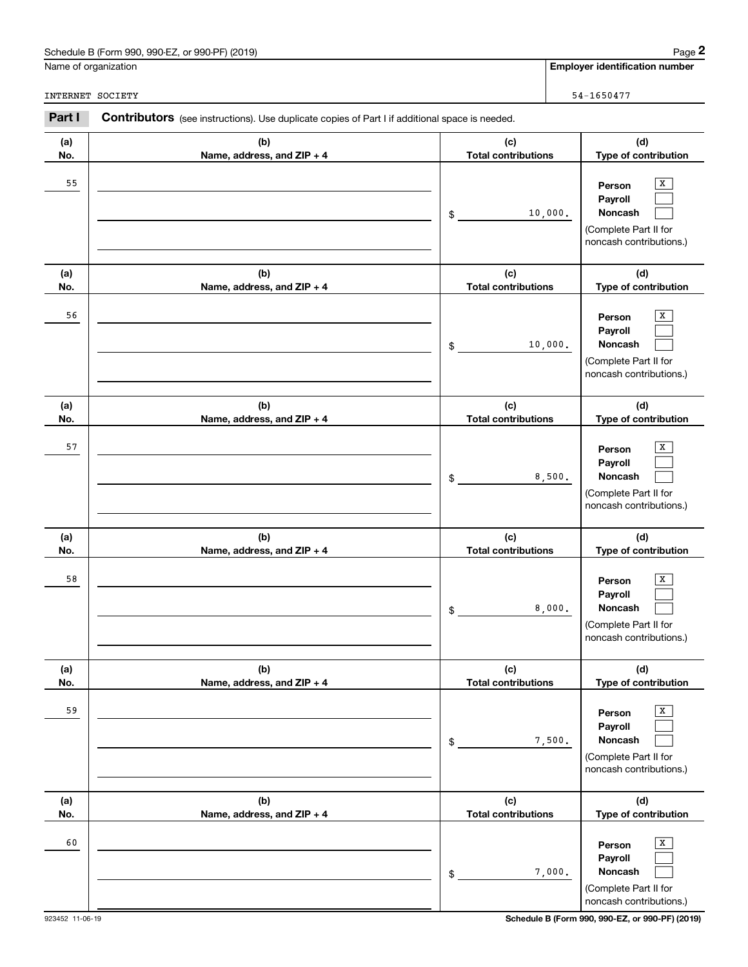| Schedule B (Form 990, 990-EZ, or 990-PF) (2019) | Page |
|-------------------------------------------------|------|
|-------------------------------------------------|------|

Employer identification number

| Part I     | Contributors (see instructions). Use duplicate copies of Part I if additional space is needed. |                                   |                                                                                       |
|------------|------------------------------------------------------------------------------------------------|-----------------------------------|---------------------------------------------------------------------------------------|
| (a)<br>No. | (b)<br>Name, address, and ZIP + 4                                                              | (c)<br><b>Total contributions</b> | (d)<br>Type of contribution                                                           |
| 55         |                                                                                                | 10,000.<br>\$                     | Х<br>Person<br>Payroll<br>Noncash<br>(Complete Part II for<br>noncash contributions.) |
| (a)<br>No. | (b)<br>Name, address, and ZIP + 4                                                              | (c)<br><b>Total contributions</b> | (d)<br>Type of contribution                                                           |
| 56         |                                                                                                | 10,000.<br>\$                     | Х<br>Person<br>Payroll<br>Noncash<br>(Complete Part II for<br>noncash contributions.) |
| (a)<br>No. | (b)<br>Name, address, and ZIP + 4                                                              | (c)<br><b>Total contributions</b> | (d)<br>Type of contribution                                                           |
| 57         |                                                                                                | 8,500.<br>\$                      | Х<br>Person<br>Payroll<br>Noncash<br>(Complete Part II for<br>noncash contributions.) |
| (a)<br>No. | (b)<br>Name, address, and ZIP + 4                                                              | (c)<br><b>Total contributions</b> | (d)<br>Type of contribution                                                           |
| 58         |                                                                                                | 8,000.<br>\$                      | Х<br>Person<br>Payroll<br>Noncash<br>(Complete Part II for<br>noncash contributions.) |
| (a)<br>No. | (b)<br>Name, address, and ZIP + 4                                                              | (c)<br><b>Total contributions</b> | (d)<br>Type of contribution                                                           |
| 59         |                                                                                                | 7,500.<br>\$                      | Х<br>Person<br>Payroll<br>Noncash<br>(Complete Part II for<br>noncash contributions.) |
| (a)<br>No. | (b)<br>Name, address, and ZIP + 4                                                              | (c)<br><b>Total contributions</b> | (d)<br>Type of contribution                                                           |
| 60         |                                                                                                | 7,000.<br>\$                      | х<br>Person<br>Payroll<br>Noncash<br>(Complete Part II for<br>noncash contributions.) |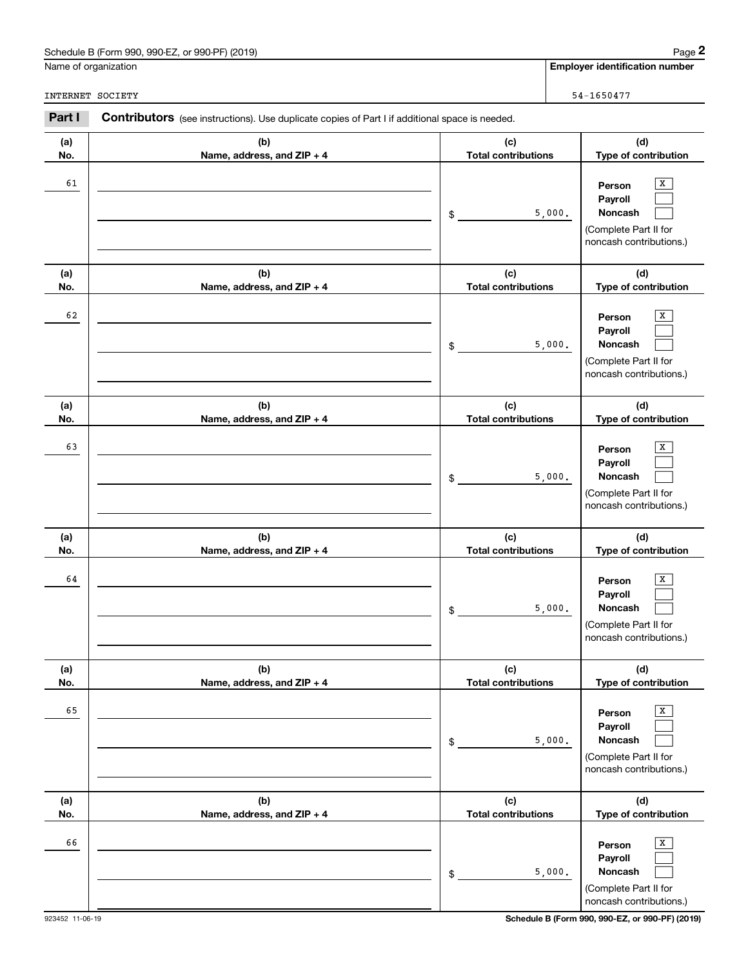| Schedule B (Form 990, 990-EZ, or 990-PF) (2019) | Page |
|-------------------------------------------------|------|
|-------------------------------------------------|------|

Employer identification number

| Part I     | <b>Contributors</b> (see instructions). Use duplicate copies of Part I if additional space is needed. |                                   |                                                                                       |
|------------|-------------------------------------------------------------------------------------------------------|-----------------------------------|---------------------------------------------------------------------------------------|
| (a)<br>No. | (b)<br>Name, address, and ZIP + 4                                                                     | (c)<br><b>Total contributions</b> | (d)<br>Type of contribution                                                           |
| 61         |                                                                                                       | 5,000.<br>\$                      | X<br>Person<br>Payroll<br>Noncash<br>(Complete Part II for<br>noncash contributions.) |
| (a)<br>No. | (b)<br>Name, address, and ZIP + 4                                                                     | (c)<br><b>Total contributions</b> | (d)<br>Type of contribution                                                           |
| 62         |                                                                                                       | 5,000.<br>\$                      | x<br>Person<br>Payroll<br>Noncash<br>(Complete Part II for<br>noncash contributions.) |
| (a)<br>No. | (b)<br>Name, address, and ZIP + 4                                                                     | (c)<br><b>Total contributions</b> | (d)<br>Type of contribution                                                           |
| 63         |                                                                                                       | 5,000.<br>\$                      | x<br>Person<br>Payroll<br>Noncash<br>(Complete Part II for<br>noncash contributions.) |
| (a)<br>No. | (b)<br>Name, address, and ZIP + 4                                                                     | (c)<br><b>Total contributions</b> | (d)<br>Type of contribution                                                           |
| 64         |                                                                                                       | 5,000.<br>\$                      | X<br>Person<br>Payroll<br>Noncash<br>(Complete Part II for<br>noncash contributions.) |
| (a)<br>No. | (b)<br>Name, address, and ZIP + 4                                                                     | (c)<br><b>Total contributions</b> | (d)<br>Type of contribution                                                           |
| 65         |                                                                                                       | 5,000.<br>\$                      | Х<br>Person<br>Payroll<br>Noncash<br>(Complete Part II for<br>noncash contributions.) |
| (a)<br>No. | (b)<br>Name, address, and ZIP + 4                                                                     | (c)<br><b>Total contributions</b> | (d)<br>Type of contribution                                                           |
| 66         |                                                                                                       | 5,000.<br>\$                      | Х<br>Person<br>Payroll<br>Noncash<br>(Complete Part II for<br>noncash contributions.) |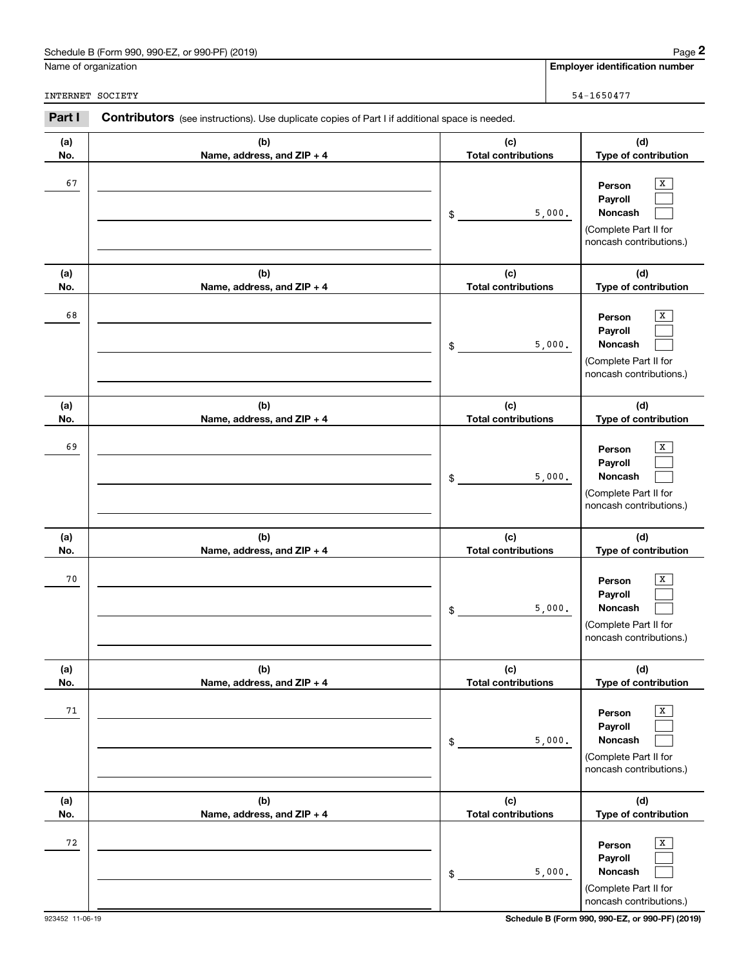| Schedule B (Form 990, 990-EZ, or 990-PF) (2019) | Page |
|-------------------------------------------------|------|
|-------------------------------------------------|------|

Employer identification number

| Part I     | <b>Contributors</b> (see instructions). Use duplicate copies of Part I if additional space is needed. |                                   |                                                                                       |
|------------|-------------------------------------------------------------------------------------------------------|-----------------------------------|---------------------------------------------------------------------------------------|
| (a)<br>No. | (b)<br>Name, address, and ZIP + 4                                                                     | (c)<br><b>Total contributions</b> | (d)<br>Type of contribution                                                           |
| 67         |                                                                                                       | 5,000.<br>\$                      | X<br>Person<br>Payroll<br>Noncash<br>(Complete Part II for<br>noncash contributions.) |
| (a)<br>No. | (b)<br>Name, address, and ZIP + 4                                                                     | (c)<br><b>Total contributions</b> | (d)<br>Type of contribution                                                           |
| 68         |                                                                                                       | 5,000.<br>\$                      | x<br>Person<br>Payroll<br>Noncash<br>(Complete Part II for<br>noncash contributions.) |
| (a)<br>No. | (b)<br>Name, address, and ZIP + 4                                                                     | (c)<br><b>Total contributions</b> | (d)<br>Type of contribution                                                           |
| 69         |                                                                                                       | 5,000.<br>\$                      | x<br>Person<br>Payroll<br>Noncash<br>(Complete Part II for<br>noncash contributions.) |
| (a)<br>No. | (b)<br>Name, address, and ZIP + 4                                                                     | (c)<br><b>Total contributions</b> | (d)<br>Type of contribution                                                           |
| 70         |                                                                                                       | 5,000.<br>\$                      | X<br>Person<br>Payroll<br>Noncash<br>(Complete Part II for<br>noncash contributions.) |
| (a)<br>No. | (b)<br>Name, address, and ZIP + 4                                                                     | (c)<br><b>Total contributions</b> | (d)<br>Type of contribution                                                           |
| 71         |                                                                                                       | 5,000.<br>\$                      | Х<br>Person<br>Payroll<br>Noncash<br>(Complete Part II for<br>noncash contributions.) |
| (a)<br>No. | (b)<br>Name, address, and ZIP + 4                                                                     | (c)<br><b>Total contributions</b> | (d)<br>Type of contribution                                                           |
| 72         |                                                                                                       | 5,000.<br>\$                      | Х<br>Person<br>Payroll<br>Noncash<br>(Complete Part II for<br>noncash contributions.) |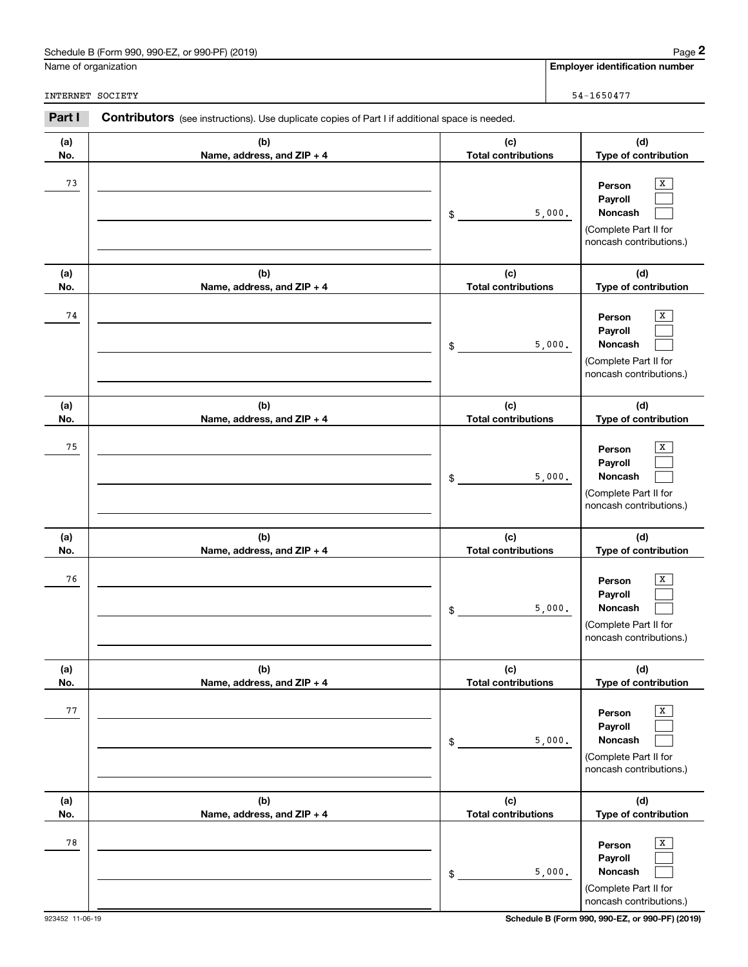| Schedule B (Form 990, 990-EZ, or 990-PF) (2019) | Page |
|-------------------------------------------------|------|
|-------------------------------------------------|------|

Employer identification number

| Part I     | <b>Contributors</b> (see instructions). Use duplicate copies of Part I if additional space is needed. |                                   |                                                                                       |
|------------|-------------------------------------------------------------------------------------------------------|-----------------------------------|---------------------------------------------------------------------------------------|
| (a)<br>No. | (b)<br>Name, address, and ZIP + 4                                                                     | (c)<br><b>Total contributions</b> | (d)<br>Type of contribution                                                           |
| 73         |                                                                                                       | 5,000.<br>\$                      | x<br>Person<br>Payroll<br>Noncash<br>(Complete Part II for<br>noncash contributions.) |
| (a)<br>No. | (b)<br>Name, address, and ZIP + 4                                                                     | (c)<br><b>Total contributions</b> | (d)<br>Type of contribution                                                           |
| 74         |                                                                                                       | 5,000.<br>\$                      | x<br>Person<br>Payroll<br>Noncash<br>(Complete Part II for<br>noncash contributions.) |
| (a)<br>No. | (b)<br>Name, address, and ZIP + 4                                                                     | (c)<br><b>Total contributions</b> | (d)<br>Type of contribution                                                           |
| 75         |                                                                                                       | 5,000.<br>\$                      | x<br>Person<br>Payroll<br>Noncash<br>(Complete Part II for<br>noncash contributions.) |
| (a)<br>No. | (b)<br>Name, address, and ZIP + 4                                                                     | (c)<br><b>Total contributions</b> | (d)<br>Type of contribution                                                           |
| 76         |                                                                                                       | 5,000.<br>\$                      | X<br>Person<br>Payroll<br>Noncash<br>(Complete Part II for<br>noncash contributions.) |
| (a)<br>No. | (b)<br>Name, address, and ZIP + 4                                                                     | (c)<br><b>Total contributions</b> | (d)<br>Type of contribution                                                           |
| 77         |                                                                                                       | 5,000.<br>\$                      | Х<br>Person<br>Payroll<br>Noncash<br>(Complete Part II for<br>noncash contributions.) |
| (a)<br>No. | (b)<br>Name, address, and ZIP + 4                                                                     | (c)<br><b>Total contributions</b> | (d)<br>Type of contribution                                                           |
| 78         |                                                                                                       | 5,000.<br>\$                      | Х<br>Person<br>Payroll<br>Noncash<br>(Complete Part II for<br>noncash contributions.) |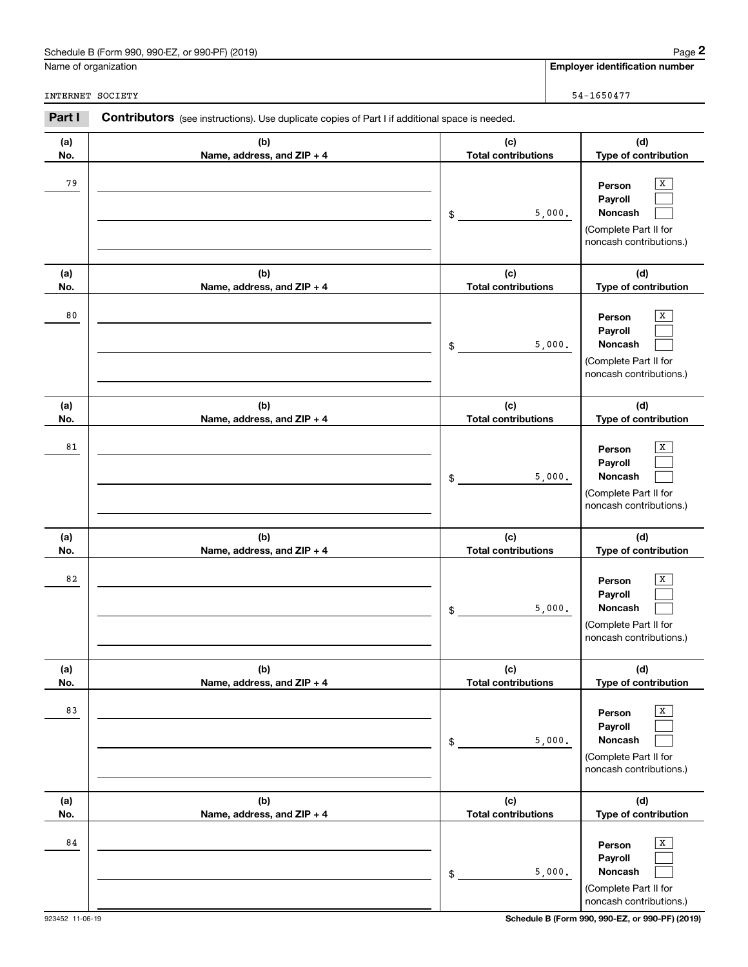| Schedule B (Form 990, 990-EZ, or 990-PF) (2019) | Page |
|-------------------------------------------------|------|
|-------------------------------------------------|------|

Employer identification number

| Part I     | <b>Contributors</b> (see instructions). Use duplicate copies of Part I if additional space is needed. |                                   |                                                                                       |
|------------|-------------------------------------------------------------------------------------------------------|-----------------------------------|---------------------------------------------------------------------------------------|
| (a)<br>No. | (b)<br>Name, address, and ZIP + 4                                                                     | (c)<br><b>Total contributions</b> | (d)<br>Type of contribution                                                           |
| 79         |                                                                                                       | 5,000.<br>\$                      | X<br>Person<br>Payroll<br>Noncash<br>(Complete Part II for<br>noncash contributions.) |
| (a)<br>No. | (b)<br>Name, address, and ZIP + 4                                                                     | (c)<br><b>Total contributions</b> | (d)<br>Type of contribution                                                           |
| 80         |                                                                                                       | 5,000.<br>\$                      | x<br>Person<br>Payroll<br>Noncash<br>(Complete Part II for<br>noncash contributions.) |
| (a)<br>No. | (b)<br>Name, address, and ZIP + 4                                                                     | (c)<br><b>Total contributions</b> | (d)<br>Type of contribution                                                           |
| 81         |                                                                                                       | 5,000.<br>\$                      | x<br>Person<br>Payroll<br>Noncash<br>(Complete Part II for<br>noncash contributions.) |
| (a)<br>No. | (b)<br>Name, address, and ZIP + 4                                                                     | (c)<br><b>Total contributions</b> | (d)<br>Type of contribution                                                           |
| 82         |                                                                                                       | 5,000.<br>\$                      | X<br>Person<br>Payroll<br>Noncash<br>(Complete Part II for<br>noncash contributions.) |
| (a)<br>No. | (b)<br>Name, address, and ZIP + 4                                                                     | (c)<br><b>Total contributions</b> | (d)<br>Type of contribution                                                           |
| 83         |                                                                                                       | 5,000.<br>\$                      | Х<br>Person<br>Payroll<br>Noncash<br>(Complete Part II for<br>noncash contributions.) |
| (a)<br>No. | (b)<br>Name, address, and ZIP + 4                                                                     | (c)<br><b>Total contributions</b> | (d)<br>Type of contribution                                                           |
| 84         |                                                                                                       | 5,000.<br>\$                      | Х<br>Person<br>Payroll<br>Noncash<br>(Complete Part II for<br>noncash contributions.) |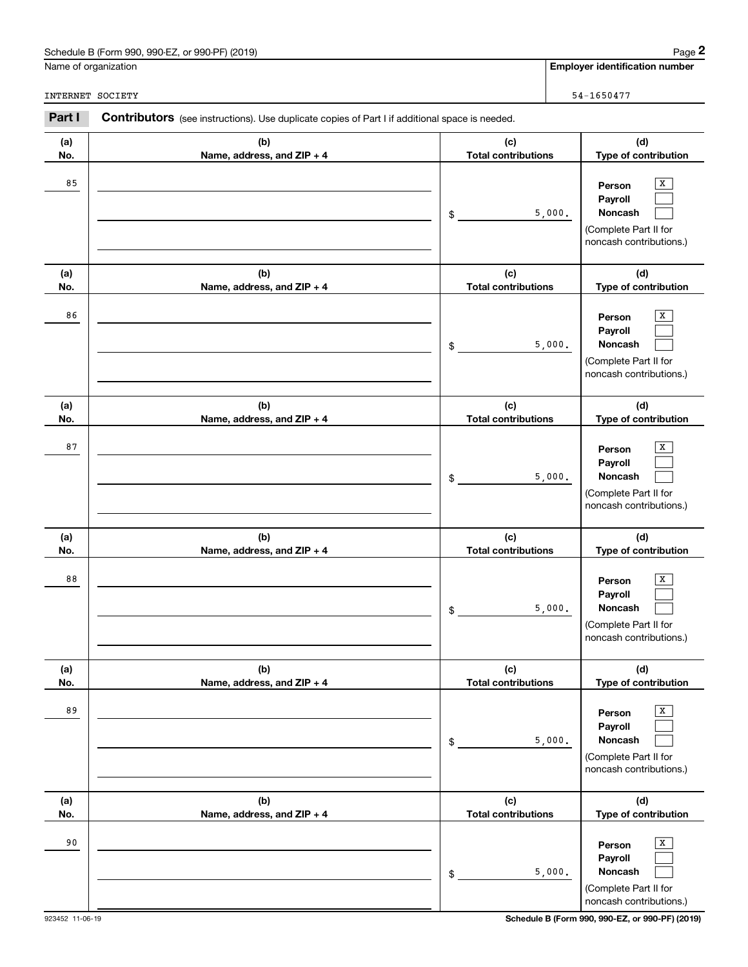| Schedule B (Form 990, 990-EZ, or 990-PF) (2019) | Page |
|-------------------------------------------------|------|
|-------------------------------------------------|------|

Employer identification number

| Part I     | <b>Contributors</b> (see instructions). Use duplicate copies of Part I if additional space is needed. |                                   |                                                                                       |
|------------|-------------------------------------------------------------------------------------------------------|-----------------------------------|---------------------------------------------------------------------------------------|
| (a)<br>No. | (b)<br>Name, address, and ZIP + 4                                                                     | (c)<br><b>Total contributions</b> | (d)<br>Type of contribution                                                           |
| 85         |                                                                                                       | 5,000.<br>\$                      | X<br>Person<br>Payroll<br>Noncash<br>(Complete Part II for<br>noncash contributions.) |
| (a)<br>No. | (b)<br>Name, address, and ZIP + 4                                                                     | (c)<br><b>Total contributions</b> | (d)<br>Type of contribution                                                           |
| 86         |                                                                                                       | 5,000.<br>\$                      | x<br>Person<br>Payroll<br>Noncash<br>(Complete Part II for<br>noncash contributions.) |
| (a)<br>No. | (b)<br>Name, address, and ZIP + 4                                                                     | (c)<br><b>Total contributions</b> | (d)<br>Type of contribution                                                           |
| 87         |                                                                                                       | 5,000.<br>\$                      | x<br>Person<br>Payroll<br>Noncash<br>(Complete Part II for<br>noncash contributions.) |
| (a)<br>No. | (b)<br>Name, address, and ZIP + 4                                                                     | (c)<br><b>Total contributions</b> | (d)<br>Type of contribution                                                           |
| 88         |                                                                                                       | 5,000.<br>\$                      | X<br>Person<br>Payroll<br>Noncash<br>(Complete Part II for<br>noncash contributions.) |
| (a)<br>No. | (b)<br>Name, address, and ZIP + 4                                                                     | (c)<br><b>Total contributions</b> | (d)<br>Type of contribution                                                           |
| 89         |                                                                                                       | 5,000.<br>\$                      | Х<br>Person<br>Payroll<br>Noncash<br>(Complete Part II for<br>noncash contributions.) |
| (a)<br>No. | (b)<br>Name, address, and ZIP + 4                                                                     | (c)<br><b>Total contributions</b> | (d)<br>Type of contribution                                                           |
| 90         |                                                                                                       | 5,000.<br>\$                      | Х<br>Person<br>Payroll<br>Noncash<br>(Complete Part II for<br>noncash contributions.) |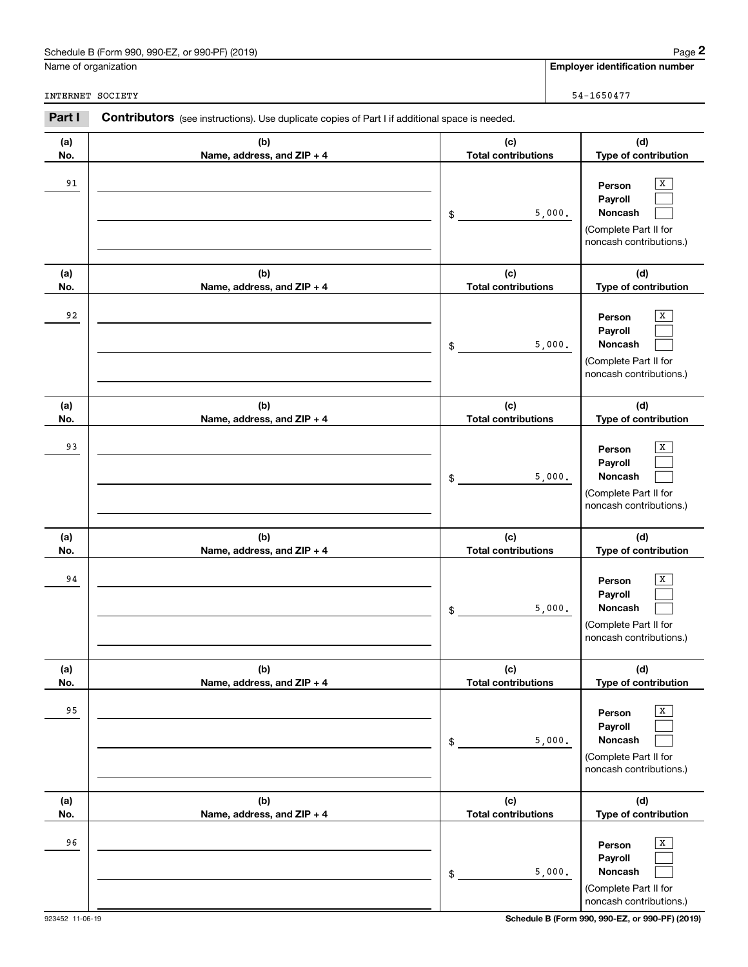| Schedule B (Form 990, 990-EZ, or 990-PF) (2019) | Page |
|-------------------------------------------------|------|
|-------------------------------------------------|------|

Employer identification number

| SOCIETY<br>INTERNET | $\sim$ $-$<br>54-<br>، 6504° |
|---------------------|------------------------------|
|                     |                              |

| Part I     | Contributors (see instructions). Use duplicate copies of Part I if additional space is needed. |                                   |                                                                                       |
|------------|------------------------------------------------------------------------------------------------|-----------------------------------|---------------------------------------------------------------------------------------|
| (a)<br>No. | (b)<br>Name, address, and ZIP + 4                                                              | (c)<br><b>Total contributions</b> | (d)<br>Type of contribution                                                           |
| 91         |                                                                                                | 5,000.<br>\$                      | X<br>Person<br>Payroll<br>Noncash<br>(Complete Part II for<br>noncash contributions.) |
| (a)<br>No. | (b)<br>Name, address, and ZIP + 4                                                              | (c)<br><b>Total contributions</b> | (d)<br>Type of contribution                                                           |
| 92         |                                                                                                | 5,000.<br>\$                      | x<br>Person<br>Payroll<br>Noncash<br>(Complete Part II for<br>noncash contributions.) |
| (a)<br>No. | (b)<br>Name, address, and ZIP + 4                                                              | (c)<br><b>Total contributions</b> | (d)<br>Type of contribution                                                           |
| 93         |                                                                                                | 5,000.<br>$$\mathbb{S}$$          | x<br>Person<br>Payroll<br>Noncash<br>(Complete Part II for<br>noncash contributions.) |
| (a)<br>No. | (b)<br>Name, address, and ZIP + 4                                                              | (c)<br><b>Total contributions</b> | (d)<br>Type of contribution                                                           |
| 94         |                                                                                                | 5,000.<br>\$                      | x<br>Person<br>Payroll<br>Noncash<br>(Complete Part II for<br>noncash contributions.) |
| (a)<br>No. | (b)<br>Name, address, and ZIP + 4                                                              | (c)<br><b>Total contributions</b> | (d)<br>Type of contribution                                                           |
| 95         |                                                                                                | 5,000.<br>\$                      | x<br>Person<br>Payroll<br>Noncash<br>(Complete Part II for<br>noncash contributions.) |
| (a)<br>No. | (b)<br>Name, address, and ZIP + 4                                                              | (c)<br><b>Total contributions</b> | (d)<br>Type of contribution                                                           |
| 96         |                                                                                                | 5,000.<br>\$                      | x<br>Person<br>Payroll<br>Noncash<br>(Complete Part II for<br>noncash contributions.) |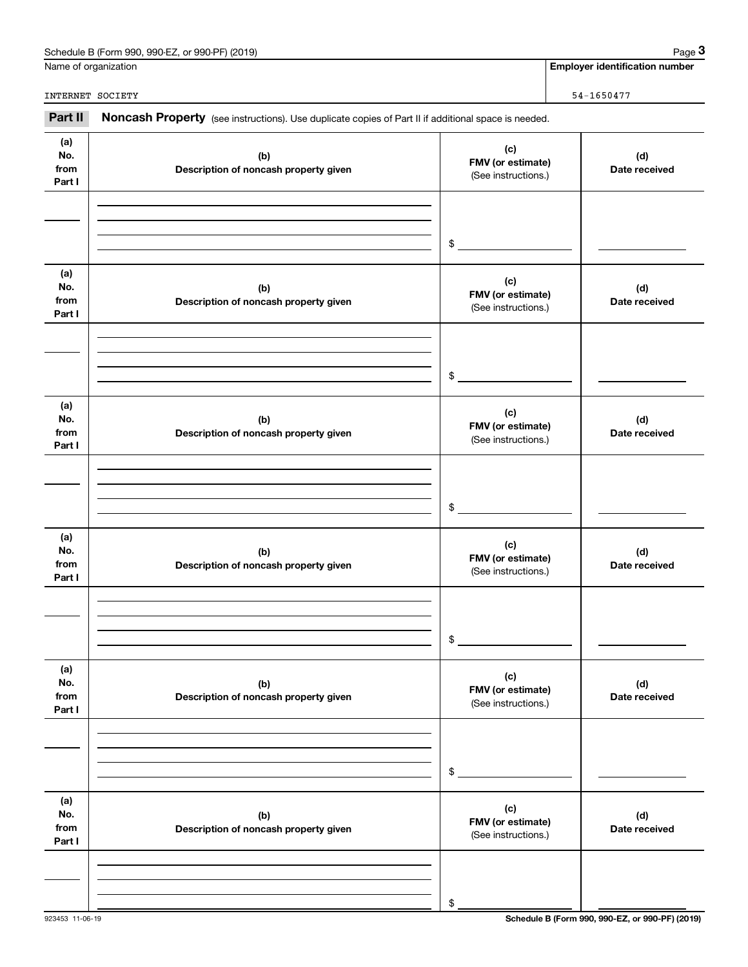| Name of organization         |                                                                                                     |                                                                  | <b>Employer identification number</b> |
|------------------------------|-----------------------------------------------------------------------------------------------------|------------------------------------------------------------------|---------------------------------------|
|                              | INTERNET SOCIETY                                                                                    |                                                                  | $54 - 1650477$                        |
| Part II                      | Noncash Property (see instructions). Use duplicate copies of Part II if additional space is needed. |                                                                  |                                       |
| (a)<br>No.<br>from<br>Part I | (b)<br>Description of noncash property given                                                        | (d)<br>FMV (or estimate)<br>Date received<br>(See instructions.) |                                       |
|                              |                                                                                                     | $\frac{1}{2}$                                                    |                                       |
| (a)<br>No.<br>from<br>Part I | (b)<br>Description of noncash property given                                                        | (c)<br>FMV (or estimate)<br>(See instructions.)                  | (d)<br>Date received                  |
|                              |                                                                                                     | $\mathsf{\$}$                                                    |                                       |
| (a)<br>No.<br>from<br>Part I | (b)<br>Description of noncash property given                                                        | (c)<br>FMV (or estimate)<br>(See instructions.)                  | (d)<br>Date received                  |
|                              |                                                                                                     | $\frac{1}{2}$                                                    |                                       |
| (a)<br>No.<br>from<br>Part I | (b)<br>Description of noncash property given                                                        | (c)<br>FMV (or estimate)<br>(See instructions.)                  | (d)<br>Date received                  |
|                              |                                                                                                     | \$                                                               |                                       |
| (a)<br>No.<br>from<br>Part I | (b)<br>Description of noncash property given                                                        | (c)<br>FMV (or estimate)<br>(See instructions.)                  | (d)<br>Date received                  |
|                              |                                                                                                     | \$                                                               |                                       |
| (a)<br>No.<br>from<br>Part I | (b)<br>Description of noncash property given                                                        | (c)<br>FMV (or estimate)<br>(See instructions.)                  | (d)<br>Date received                  |
|                              |                                                                                                     | \$                                                               |                                       |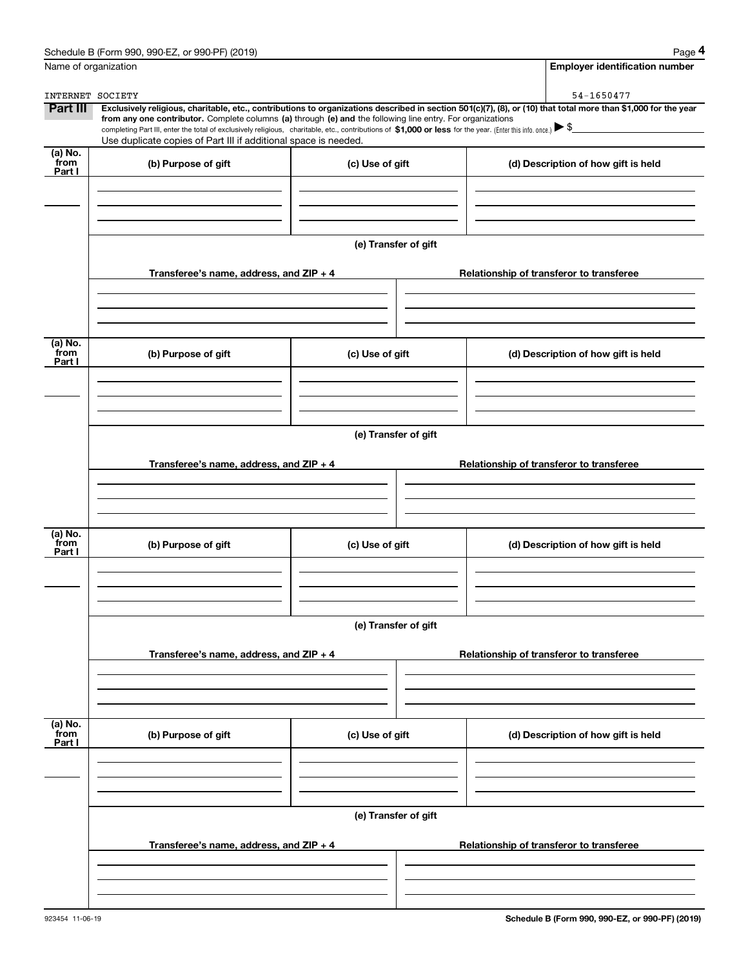| Name of organization        |                                                                                                                                                                                                                                                                                                                                                                    |                      | <b>Employer identification number</b>                                                                                                                          |
|-----------------------------|--------------------------------------------------------------------------------------------------------------------------------------------------------------------------------------------------------------------------------------------------------------------------------------------------------------------------------------------------------------------|----------------------|----------------------------------------------------------------------------------------------------------------------------------------------------------------|
|                             | INTERNET SOCIETY                                                                                                                                                                                                                                                                                                                                                   |                      | 54-1650477                                                                                                                                                     |
| Part III                    | from any one contributor. Complete columns (a) through (e) and the following line entry. For organizations<br>completing Part III, enter the total of exclusively religious, charitable, etc., contributions of \$1,000 or less for the year. (Enter this info. once.) $\blacktriangleright$ \$<br>Use duplicate copies of Part III if additional space is needed. |                      | Exclusively religious, charitable, etc., contributions to organizations described in section 501(c)(7), (8), or (10) that total more than \$1,000 for the year |
| $(a)$ No.<br>from<br>Part I | (b) Purpose of gift                                                                                                                                                                                                                                                                                                                                                | (c) Use of gift      | (d) Description of how gift is held                                                                                                                            |
|                             |                                                                                                                                                                                                                                                                                                                                                                    |                      |                                                                                                                                                                |
|                             |                                                                                                                                                                                                                                                                                                                                                                    | (e) Transfer of gift |                                                                                                                                                                |
|                             | Transferee's name, address, and ZIP + 4                                                                                                                                                                                                                                                                                                                            |                      | Relationship of transferor to transferee                                                                                                                       |
| (a) No.<br>from             | (b) Purpose of gift                                                                                                                                                                                                                                                                                                                                                | (c) Use of gift      | (d) Description of how gift is held                                                                                                                            |
| Part I                      |                                                                                                                                                                                                                                                                                                                                                                    |                      |                                                                                                                                                                |
|                             |                                                                                                                                                                                                                                                                                                                                                                    | (e) Transfer of gift |                                                                                                                                                                |
|                             | Transferee's name, address, and ZIP + 4                                                                                                                                                                                                                                                                                                                            |                      | Relationship of transferor to transferee                                                                                                                       |
| (a) No.<br>from<br>Part I   | (b) Purpose of gift                                                                                                                                                                                                                                                                                                                                                | (c) Use of gift      | (d) Description of how gift is held                                                                                                                            |
|                             |                                                                                                                                                                                                                                                                                                                                                                    | (e) Transfer of gift |                                                                                                                                                                |
|                             | Transferee's name, address, and ZIP + 4                                                                                                                                                                                                                                                                                                                            |                      | Relationship of transferor to transferee                                                                                                                       |
| (a) No.<br>from<br>Part I   | (b) Purpose of gift                                                                                                                                                                                                                                                                                                                                                | (c) Use of gift      | (d) Description of how gift is held                                                                                                                            |
|                             |                                                                                                                                                                                                                                                                                                                                                                    |                      |                                                                                                                                                                |
|                             |                                                                                                                                                                                                                                                                                                                                                                    | (e) Transfer of gift |                                                                                                                                                                |
|                             | Transferee's name, address, and $ZIP + 4$                                                                                                                                                                                                                                                                                                                          |                      | Relationship of transferor to transferee                                                                                                                       |
|                             |                                                                                                                                                                                                                                                                                                                                                                    |                      |                                                                                                                                                                |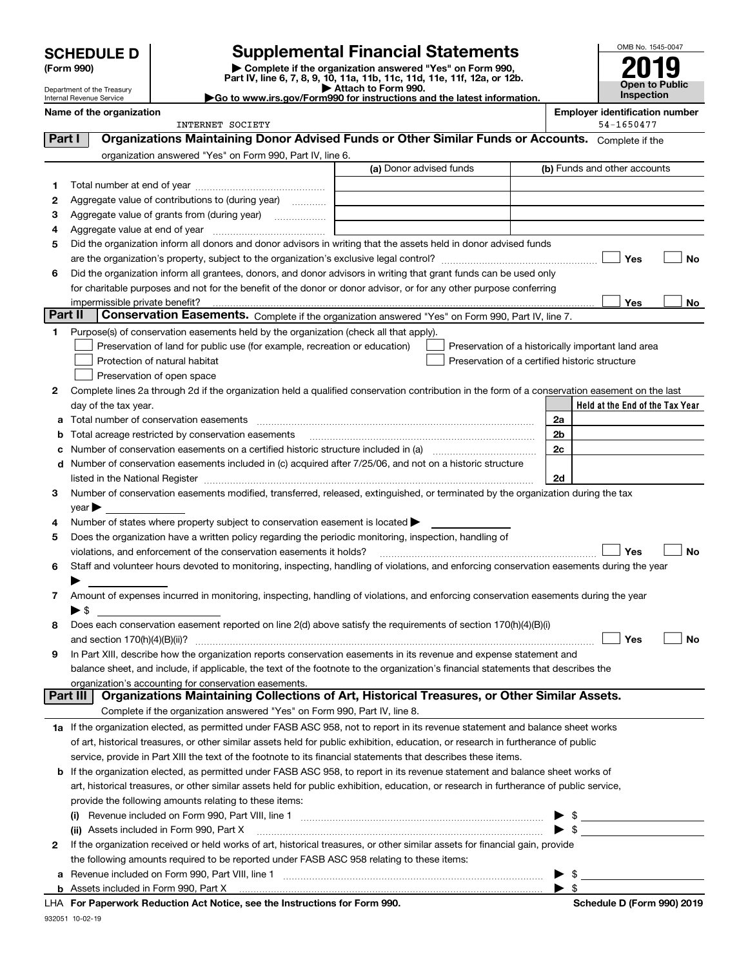| <b>SCHEDULE D</b> |
|-------------------|
|                   |

Department of the Treasury Internal Revenue Service

(Form 990) | Complete if the organization answered "Yes" on Form 990, Part IV, line 6, 7, 8, 9, 10, 11a, 11b, 11c, 11d, 11e, 11f, 12a, or 12b. SCHEDULE D Supplemental Financial Statements<br>
Form 990) Somplete if the organization answered "Yes" on Form 990,<br>
Part IV, line 6, 7, 8, 9, 10, 11a, 11b, 11c, 11d, 11e, 11f, 12a, or 12b.



▶ Attach to Form 990.<br>▶ Go to www.irs.gov/Form990 for instructions and the latest information.

|  | Name of the organizatio |
|--|-------------------------|
|  |                         |

|        | Name of the organization<br>INTERNET SOCIETY                                                                                                                                            |                         | <b>Employer identification number</b><br>54-1650477 |
|--------|-----------------------------------------------------------------------------------------------------------------------------------------------------------------------------------------|-------------------------|-----------------------------------------------------|
| Part I | Organizations Maintaining Donor Advised Funds or Other Similar Funds or Accounts. Complete if the                                                                                       |                         |                                                     |
|        | organization answered "Yes" on Form 990, Part IV, line 6.                                                                                                                               |                         |                                                     |
|        |                                                                                                                                                                                         | (a) Donor advised funds | (b) Funds and other accounts                        |
| 1      |                                                                                                                                                                                         |                         |                                                     |
| 2      | Aggregate value of contributions to (during year)                                                                                                                                       |                         |                                                     |
| з      | Aggregate value of grants from (during year)                                                                                                                                            |                         |                                                     |
| 4      |                                                                                                                                                                                         |                         |                                                     |
| 5      | Did the organization inform all donors and donor advisors in writing that the assets held in donor advised funds                                                                        |                         |                                                     |
|        |                                                                                                                                                                                         |                         | Yes<br>No                                           |
| 6      | Did the organization inform all grantees, donors, and donor advisors in writing that grant funds can be used only                                                                       |                         |                                                     |
|        | for charitable purposes and not for the benefit of the donor or donor advisor, or for any other purpose conferring                                                                      |                         |                                                     |
|        |                                                                                                                                                                                         |                         | Yes<br>No                                           |
|        | Part II<br>Conservation Easements. Complete if the organization answered "Yes" on Form 990, Part IV, line 7.                                                                            |                         |                                                     |
| 1      | Purpose(s) of conservation easements held by the organization (check all that apply).                                                                                                   |                         |                                                     |
|        | Preservation of land for public use (for example, recreation or education)                                                                                                              |                         | Preservation of a historically important land area  |
|        | Protection of natural habitat                                                                                                                                                           |                         | Preservation of a certified historic structure      |
|        | Preservation of open space                                                                                                                                                              |                         |                                                     |
| 2      | Complete lines 2a through 2d if the organization held a qualified conservation contribution in the form of a conservation easement on the last                                          |                         |                                                     |
|        | day of the tax year.                                                                                                                                                                    |                         | Held at the End of the Tax Year                     |
| а      | Total number of conservation easements                                                                                                                                                  |                         | 2a                                                  |
| b      | Total acreage restricted by conservation easements                                                                                                                                      |                         | 2b                                                  |
| с      |                                                                                                                                                                                         |                         | 2c                                                  |
| d      | Number of conservation easements included in (c) acquired after 7/25/06, and not on a historic structure                                                                                |                         |                                                     |
|        |                                                                                                                                                                                         |                         | 2d                                                  |
| 3      | Number of conservation easements modified, transferred, released, extinguished, or terminated by the organization during the tax                                                        |                         |                                                     |
|        | year $\blacktriangleright$                                                                                                                                                              |                         |                                                     |
| 4<br>5 | Number of states where property subject to conservation easement is located ><br>Does the organization have a written policy regarding the periodic monitoring, inspection, handling of |                         |                                                     |
|        | violations, and enforcement of the conservation easements it holds?                                                                                                                     |                         | Yes<br>No                                           |
| 6      | Staff and volunteer hours devoted to monitoring, inspecting, handling of violations, and enforcing conservation easements during the year                                               |                         |                                                     |
|        |                                                                                                                                                                                         |                         |                                                     |
| 7      | Amount of expenses incurred in monitoring, inspecting, handling of violations, and enforcing conservation easements during the year                                                     |                         |                                                     |
|        | $\blacktriangleright$ \$                                                                                                                                                                |                         |                                                     |
| 8      | Does each conservation easement reported on line 2(d) above satisfy the requirements of section 170(h)(4)(B)(i)                                                                         |                         |                                                     |
|        |                                                                                                                                                                                         |                         | Yes<br>No                                           |
| 9      | In Part XIII, describe how the organization reports conservation easements in its revenue and expense statement and                                                                     |                         |                                                     |
|        | balance sheet, and include, if applicable, the text of the footnote to the organization's financial statements that describes the                                                       |                         |                                                     |
|        | organization's accounting for conservation easements.                                                                                                                                   |                         |                                                     |
|        | Organizations Maintaining Collections of Art, Historical Treasures, or Other Similar Assets.<br>Part III                                                                                |                         |                                                     |
|        | Complete if the organization answered "Yes" on Form 990, Part IV, line 8.                                                                                                               |                         |                                                     |
|        | 1a If the organization elected, as permitted under FASB ASC 958, not to report in its revenue statement and balance sheet works                                                         |                         |                                                     |
|        | of art, historical treasures, or other similar assets held for public exhibition, education, or research in furtherance of public                                                       |                         |                                                     |
|        | service, provide in Part XIII the text of the footnote to its financial statements that describes these items.                                                                          |                         |                                                     |
| b      | If the organization elected, as permitted under FASB ASC 958, to report in its revenue statement and balance sheet works of                                                             |                         |                                                     |
|        | art, historical treasures, or other similar assets held for public exhibition, education, or research in furtherance of public service,                                                 |                         |                                                     |
|        | provide the following amounts relating to these items:                                                                                                                                  |                         |                                                     |
|        |                                                                                                                                                                                         |                         | $\blacktriangleright$ \$                            |
|        | (ii) Assets included in Form 990, Part X                                                                                                                                                |                         | $\blacktriangleright$ \$                            |
| 2      | If the organization received or held works of art, historical treasures, or other similar assets for financial gain, provide                                                            |                         |                                                     |
|        | the following amounts required to be reported under FASB ASC 958 relating to these items:<br>a Revenue included on Form 990, Part VIII, line 1                                          |                         | $\blacktriangleright$ \$                            |
|        |                                                                                                                                                                                         |                         |                                                     |

| \$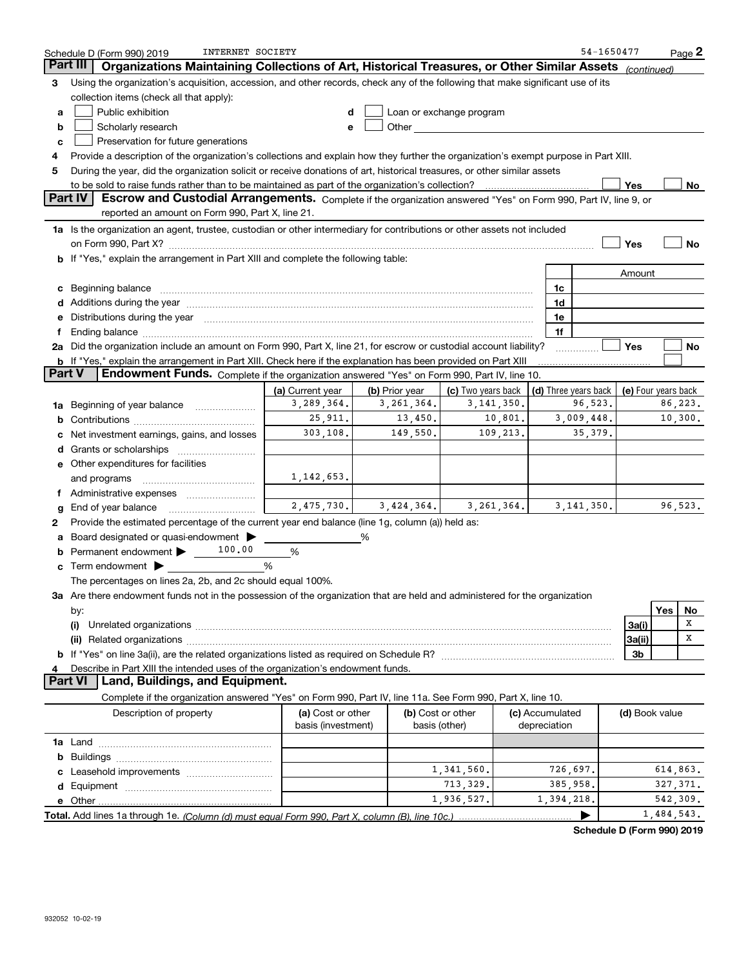|               | INTERNET SOCIETY<br>Schedule D (Form 990) 2019                                                                                                                                                                                 |                                         |                |                                    |                                 | 54-1650477           |                     |            | $Page$ 2  |
|---------------|--------------------------------------------------------------------------------------------------------------------------------------------------------------------------------------------------------------------------------|-----------------------------------------|----------------|------------------------------------|---------------------------------|----------------------|---------------------|------------|-----------|
| Part III      | Organizations Maintaining Collections of Art, Historical Treasures, or Other Similar Assets                                                                                                                                    |                                         |                |                                    |                                 |                      | (continued)         |            |           |
| 3             | Using the organization's acquisition, accession, and other records, check any of the following that make significant use of its                                                                                                |                                         |                |                                    |                                 |                      |                     |            |           |
|               | collection items (check all that apply):                                                                                                                                                                                       |                                         |                |                                    |                                 |                      |                     |            |           |
| a             | Public exhibition                                                                                                                                                                                                              | d                                       |                | Loan or exchange program           |                                 |                      |                     |            |           |
| b             | Scholarly research                                                                                                                                                                                                             | е                                       |                |                                    |                                 |                      |                     |            |           |
| c             | Preservation for future generations                                                                                                                                                                                            |                                         |                |                                    |                                 |                      |                     |            |           |
| 4             | Provide a description of the organization's collections and explain how they further the organization's exempt purpose in Part XIII.                                                                                           |                                         |                |                                    |                                 |                      |                     |            |           |
| 5             | During the year, did the organization solicit or receive donations of art, historical treasures, or other similar assets                                                                                                       |                                         |                |                                    |                                 |                      |                     |            |           |
|               |                                                                                                                                                                                                                                |                                         |                |                                    |                                 |                      | Yes                 |            | No        |
|               | Part IV<br>Escrow and Custodial Arrangements. Complete if the organization answered "Yes" on Form 990, Part IV, line 9, or<br>reported an amount on Form 990, Part X, line 21.                                                 |                                         |                |                                    |                                 |                      |                     |            |           |
|               | 1a Is the organization an agent, trustee, custodian or other intermediary for contributions or other assets not included                                                                                                       |                                         |                |                                    |                                 |                      |                     |            |           |
|               |                                                                                                                                                                                                                                |                                         |                |                                    |                                 |                      | Yes                 |            | <b>No</b> |
|               | If "Yes," explain the arrangement in Part XIII and complete the following table:                                                                                                                                               |                                         |                |                                    |                                 |                      |                     |            |           |
|               |                                                                                                                                                                                                                                |                                         |                |                                    |                                 |                      | Amount              |            |           |
| с             | Beginning balance manufactured and contain an account of the state of the state of the state of the state of the state of the state of the state of the state of the state of the state of the state of the state of the state |                                         |                |                                    | 1c                              |                      |                     |            |           |
| d             | Additions during the year manufactured and an annual contract of the year manufactured and all the year manufactured and all the year manufactured and all the year manufactured and all the year manufactured and all the yea |                                         |                |                                    | 1d                              |                      |                     |            |           |
| е             | Distributions during the year measurements are all the set of the set of the set of the set of the set of the set of the set of the set of the set of the set of the set of the set of the set of the set of the set of the se |                                         |                |                                    | 1e                              |                      |                     |            |           |
| f             |                                                                                                                                                                                                                                |                                         |                |                                    | 1f                              |                      |                     |            |           |
|               | 2a Did the organization include an amount on Form 990, Part X, line 21, for escrow or custodial account liability?                                                                                                             |                                         |                |                                    |                                 |                      | Yes                 |            | No        |
|               | <b>b</b> If "Yes," explain the arrangement in Part XIII. Check here if the explanation has been provided on Part XIII                                                                                                          |                                         |                |                                    |                                 |                      |                     |            |           |
| <b>Part V</b> | <b>Endowment Funds.</b> Complete if the organization answered "Yes" on Form 990, Part IV, line 10.                                                                                                                             |                                         |                |                                    |                                 |                      |                     |            |           |
|               |                                                                                                                                                                                                                                | (a) Current year                        | (b) Prior year | (c) Two years back                 |                                 | (d) Three years back | (e) Four years back |            |           |
| 1a            | Beginning of year balance <i>manumman</i>                                                                                                                                                                                      | 3,289,364.                              | 3, 261, 364.   | 3, 141, 350.                       |                                 | 96,523.              |                     |            | 86,223.   |
| b             |                                                                                                                                                                                                                                | 25,911.                                 | 13,450.        | 10,801.                            |                                 | 3,009,448.           |                     |            | 10,300.   |
|               | Net investment earnings, gains, and losses                                                                                                                                                                                     | 303,108.                                | 149,550.       | 109,213.                           |                                 | 35, 379.             |                     |            |           |
| d             |                                                                                                                                                                                                                                |                                         |                |                                    |                                 |                      |                     |            |           |
|               | e Other expenditures for facilities                                                                                                                                                                                            |                                         |                |                                    |                                 |                      |                     |            |           |
|               | and programs                                                                                                                                                                                                                   | 1, 142, 653.                            |                |                                    |                                 |                      |                     |            |           |
|               | f Administrative expenses <i></i>                                                                                                                                                                                              | 2,475,730.                              | 3,424,364.     | 3, 261, 364.                       |                                 | 3, 141, 350.         |                     |            | 96,523.   |
| g             | End of year balance                                                                                                                                                                                                            |                                         |                |                                    |                                 |                      |                     |            |           |
| 2             | Provide the estimated percentage of the current year end balance (line 1g, column (a)) held as:                                                                                                                                |                                         |                |                                    |                                 |                      |                     |            |           |
|               | Board designated or quasi-endowment ><br>100.00<br>Permanent endowment                                                                                                                                                         | %                                       | %              |                                    |                                 |                      |                     |            |           |
| c             | Term endowment $\blacktriangleright$                                                                                                                                                                                           | %                                       |                |                                    |                                 |                      |                     |            |           |
|               | The percentages on lines 2a, 2b, and 2c should equal 100%.                                                                                                                                                                     |                                         |                |                                    |                                 |                      |                     |            |           |
|               | 3a Are there endowment funds not in the possession of the organization that are held and administered for the organization                                                                                                     |                                         |                |                                    |                                 |                      |                     |            |           |
|               | by:                                                                                                                                                                                                                            |                                         |                |                                    |                                 |                      |                     | Yes        | No        |
|               | (i)                                                                                                                                                                                                                            |                                         |                |                                    |                                 |                      | 3a(i)               |            | х         |
|               |                                                                                                                                                                                                                                |                                         |                |                                    |                                 |                      | 3a(ii)              |            | x         |
|               |                                                                                                                                                                                                                                |                                         |                |                                    |                                 |                      | 3b                  |            |           |
|               | Describe in Part XIII the intended uses of the organization's endowment funds.                                                                                                                                                 |                                         |                |                                    |                                 |                      |                     |            |           |
|               | <b>Part VI</b><br>Land, Buildings, and Equipment.                                                                                                                                                                              |                                         |                |                                    |                                 |                      |                     |            |           |
|               | Complete if the organization answered "Yes" on Form 990, Part IV, line 11a. See Form 990, Part X, line 10.                                                                                                                     |                                         |                |                                    |                                 |                      |                     |            |           |
|               | Description of property                                                                                                                                                                                                        | (a) Cost or other<br>basis (investment) |                | (b) Cost or other<br>basis (other) | (c) Accumulated<br>depreciation |                      | (d) Book value      |            |           |
|               |                                                                                                                                                                                                                                |                                         |                |                                    |                                 |                      |                     |            |           |
| b             |                                                                                                                                                                                                                                |                                         |                |                                    |                                 |                      |                     |            |           |
|               |                                                                                                                                                                                                                                |                                         |                | 1,341,560.                         | 726,697.                        |                      |                     | 614,863.   |           |
|               |                                                                                                                                                                                                                                |                                         |                | 713,329.                           | 385,958.                        |                      |                     | 327, 371.  |           |
|               |                                                                                                                                                                                                                                |                                         |                | 1,936,527.                         | 1,394,218.                      |                      |                     |            | 542,309.  |
|               |                                                                                                                                                                                                                                |                                         |                |                                    |                                 |                      |                     | 1,484,543. |           |
|               |                                                                                                                                                                                                                                |                                         |                |                                    |                                 |                      |                     |            |           |

Schedule D (Form 990) 2019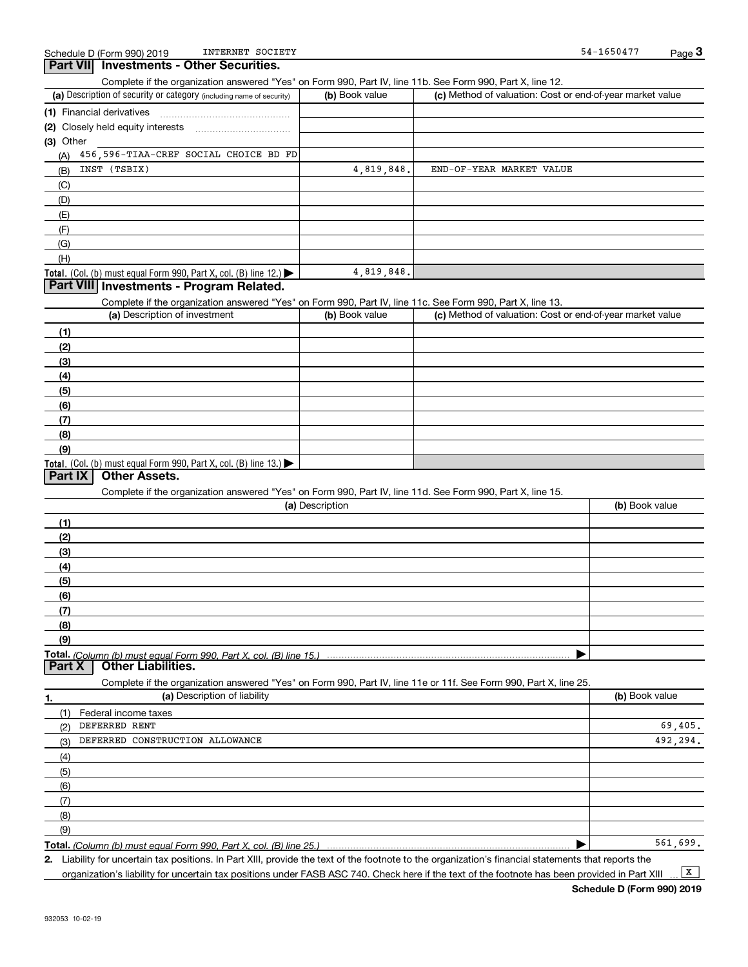INTERNET SOCIETY

| $     -$<br>Complete if the organization answered "Yes" on Form 990, Part IV, line 11b. See Form 990, Part X, line 12.                            |                 |                                                           |                |
|---------------------------------------------------------------------------------------------------------------------------------------------------|-----------------|-----------------------------------------------------------|----------------|
| (a) Description of security or category (including name of security)                                                                              | (b) Book value  | (c) Method of valuation: Cost or end-of-year market value |                |
| (1) Financial derivatives                                                                                                                         |                 |                                                           |                |
| (2) Closely held equity interests                                                                                                                 |                 |                                                           |                |
| (3) Other                                                                                                                                         |                 |                                                           |                |
| 456,596-TIAA-CREF SOCIAL CHOICE BD FD<br>(A)                                                                                                      |                 |                                                           |                |
| INST (TSBIX)<br>(B)                                                                                                                               | 4,819,848.      | END-OF-YEAR MARKET VALUE                                  |                |
| (C)                                                                                                                                               |                 |                                                           |                |
| (D)                                                                                                                                               |                 |                                                           |                |
| (E)                                                                                                                                               |                 |                                                           |                |
| (F)                                                                                                                                               |                 |                                                           |                |
| (G)                                                                                                                                               |                 |                                                           |                |
| (H)                                                                                                                                               |                 |                                                           |                |
| Total. (Col. (b) must equal Form 990, Part X, col. (B) line 12.) $\blacktriangleright$                                                            | 4,819,848.      |                                                           |                |
| Part VIII Investments - Program Related.                                                                                                          |                 |                                                           |                |
| Complete if the organization answered "Yes" on Form 990, Part IV, line 11c. See Form 990, Part X, line 13.                                        |                 |                                                           |                |
| (a) Description of investment                                                                                                                     | (b) Book value  | (c) Method of valuation: Cost or end-of-year market value |                |
| (1)                                                                                                                                               |                 |                                                           |                |
| (2)                                                                                                                                               |                 |                                                           |                |
|                                                                                                                                                   |                 |                                                           |                |
| (3)                                                                                                                                               |                 |                                                           |                |
| (4)                                                                                                                                               |                 |                                                           |                |
| (5)                                                                                                                                               |                 |                                                           |                |
| (6)                                                                                                                                               |                 |                                                           |                |
| (7)                                                                                                                                               |                 |                                                           |                |
| (8)<br>(9)                                                                                                                                        |                 |                                                           |                |
| Total. (Col. (b) must equal Form 990, Part X, col. (B) line 13.)                                                                                  |                 |                                                           |                |
| <b>Other Assets.</b><br>Part IX                                                                                                                   |                 |                                                           |                |
| Complete if the organization answered "Yes" on Form 990, Part IV, line 11d. See Form 990, Part X, line 15.                                        |                 |                                                           |                |
|                                                                                                                                                   | (a) Description |                                                           | (b) Book value |
| (1)                                                                                                                                               |                 |                                                           |                |
| (2)                                                                                                                                               |                 |                                                           |                |
| (3)                                                                                                                                               |                 |                                                           |                |
| (4)                                                                                                                                               |                 |                                                           |                |
| (5)                                                                                                                                               |                 |                                                           |                |
| (6)                                                                                                                                               |                 |                                                           |                |
| (7)                                                                                                                                               |                 |                                                           |                |
| (8)                                                                                                                                               |                 |                                                           |                |
| (9)                                                                                                                                               |                 |                                                           |                |
| <b>Total.</b> (Column (b) must equal Form 990, Part X, col. (B) line 15.)<br>Part X<br><b>Other Liabilities.</b>                                  |                 |                                                           |                |
|                                                                                                                                                   |                 |                                                           |                |
| Complete if the organization answered "Yes" on Form 990, Part IV, line 11e or 11f. See Form 990, Part X, line 25.<br>(a) Description of liability |                 |                                                           | (b) Book value |
| 1.                                                                                                                                                |                 |                                                           |                |
| (1)<br>Federal income taxes                                                                                                                       |                 |                                                           |                |
| DEFERRED RENT<br>(2)                                                                                                                              |                 |                                                           | 69,405.        |
| DEFERRED CONSTRUCTION ALLOWANCE<br>(3)                                                                                                            |                 |                                                           | 492,294.       |
| (4)                                                                                                                                               |                 |                                                           |                |
| (5)                                                                                                                                               |                 |                                                           |                |
| (6)                                                                                                                                               |                 |                                                           |                |
| (7)                                                                                                                                               |                 |                                                           |                |
| (8)                                                                                                                                               |                 |                                                           |                |
| (9)                                                                                                                                               |                 |                                                           |                |
| Total. (Column (b) must equal Form 990. Part X, col. (B) line 25.)                                                                                |                 |                                                           | 561,699.       |

Total. (Column (b) must equal Form 990, Part X, col. (B) line 25.) …………………………………………………………………………………… ▶

2. Liability for uncertain tax positions. In Part XIII, provide the text of the footnote to the organization's financial statements that reports the organization's liability for uncertain tax positions under FASB ASC 740. Check here if the text of the footnote has been provided in Part XIII  $\boxed{\mathbf{X}}$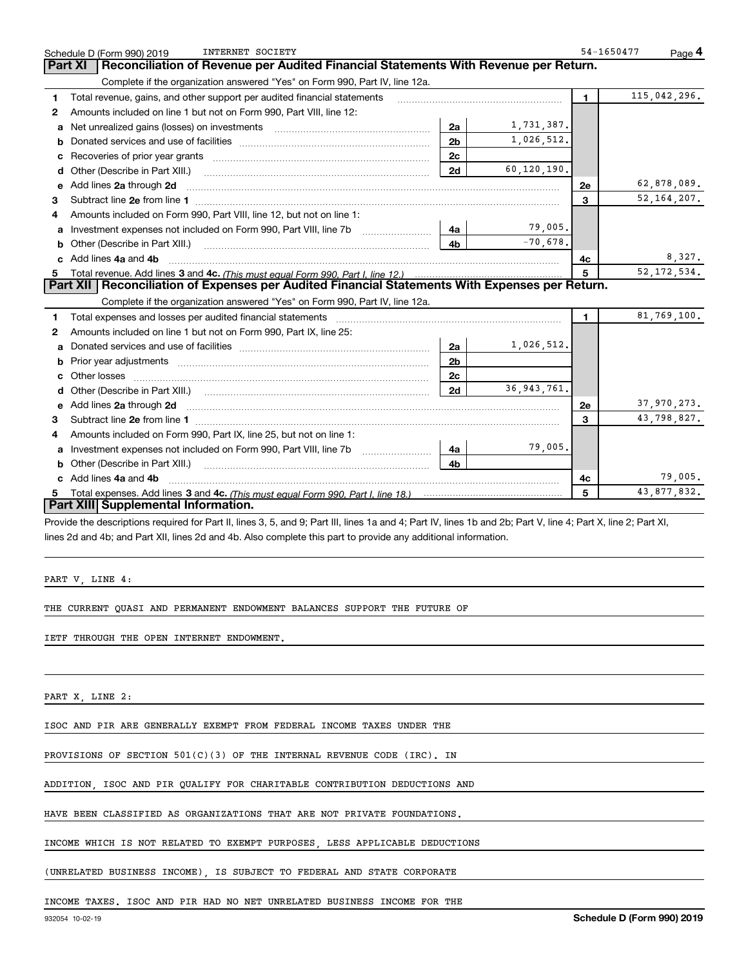|              | INTERNET SOCIETY<br>Schedule D (Form 990) 2019                                                                                                                              |                |               | 54-1650477     | Page 4        |
|--------------|-----------------------------------------------------------------------------------------------------------------------------------------------------------------------------|----------------|---------------|----------------|---------------|
|              | <b>Part XI</b><br>Reconciliation of Revenue per Audited Financial Statements With Revenue per Return.                                                                       |                |               |                |               |
|              | Complete if the organization answered "Yes" on Form 990, Part IV, line 12a.                                                                                                 |                |               |                |               |
| 1            | Total revenue, gains, and other support per audited financial statements                                                                                                    |                |               | $\blacksquare$ | 115,042,296.  |
| $\mathbf{2}$ | Amounts included on line 1 but not on Form 990, Part VIII, line 12:                                                                                                         |                |               |                |               |
| a            | Net unrealized gains (losses) on investments [11] [11] Met unrealized gains (losses) on investments [11] Metaman materials and the unrealized gains (losses) on investments | 2a             | 1,731,387.    |                |               |
| b            |                                                                                                                                                                             | 2 <sub>b</sub> | 1,026,512.    |                |               |
|              |                                                                                                                                                                             | 2c             |               |                |               |
| d            |                                                                                                                                                                             | 2d             | 60,120,190.   |                |               |
| e            | Add lines 2a through 2d                                                                                                                                                     |                |               | 2е             | 62,878,089.   |
| з            |                                                                                                                                                                             |                |               | 3              | 52, 164, 207. |
| 4            | Amounts included on Form 990, Part VIII, line 12, but not on line 1:                                                                                                        |                |               |                |               |
| a            |                                                                                                                                                                             | 4a             | 79,005.       |                |               |
|              |                                                                                                                                                                             | 4 <sub>b</sub> | $-70,678.$    |                |               |
|              | c Add lines 4a and 4b                                                                                                                                                       |                |               | 4с             | 8,327.        |
| 5            |                                                                                                                                                                             |                |               | 5              | 52, 172, 534. |
|              | Part XII   Reconciliation of Expenses per Audited Financial Statements With Expenses per Return.                                                                            |                |               |                |               |
|              | Complete if the organization answered "Yes" on Form 990, Part IV, line 12a.                                                                                                 |                |               |                |               |
| 1            | Total expenses and losses per audited financial statements                                                                                                                  |                |               | $\mathbf{1}$   | 81,769,100.   |
| 2            | Amounts included on line 1 but not on Form 990, Part IX, line 25:                                                                                                           |                |               |                |               |
|              |                                                                                                                                                                             | 2a             | 1,026,512.    |                |               |
| b            |                                                                                                                                                                             | 2 <sub>b</sub> |               |                |               |
|              |                                                                                                                                                                             | 2c             |               |                |               |
| d            |                                                                                                                                                                             | 2d             | 36, 943, 761. |                |               |
| е            | Add lines 2a through 2d <b>contained a construction of the constant of the constant of the constant of the construction</b>                                                 |                |               | 2e             | 37,970,273.   |
| з            |                                                                                                                                                                             |                |               | 3              | 43,798,827.   |
| 4            | Amounts included on Form 990, Part IX, line 25, but not on line 1:                                                                                                          |                |               |                |               |
| a            |                                                                                                                                                                             | 4a             | 79,005.       |                |               |
| b            | Other (Describe in Part XIII.)                                                                                                                                              | 4 <sub>b</sub> |               |                |               |
|              | c Add lines 4a and 4b                                                                                                                                                       |                |               | 4c             | 79,005.       |
| 5            |                                                                                                                                                                             |                |               | 5              | 43,877,832.   |
|              | <b>Part XIII Supplemental Information.</b>                                                                                                                                  |                |               |                |               |
|              | Draughs the descriptions required for Dart II, lines 2, 5, and 0; Dart III, lines 10, and 4; Dart IV, lines 1b, and 2b; Dart V, line 4; Dart V, line 2; Dart VI             |                |               |                |               |

Provide the descriptions required for Part II, lines 3, 5, and 9; Part III, lines 1a and 4; Part IV, lines 1b and 2b; Part V, line 4; Part X, line 2; Part XI, lines 2d and 4b; and Part XII, lines 2d and 4b. Also complete this part to provide any additional information.

PART V, LINE 4:

THE CURRENT QUASI AND PERMANENT ENDOWMENT BALANCES SUPPORT THE FUTURE OF

IETF THROUGH THE OPEN INTERNET ENDOWMENT.

PART X, LINE 2:

ISOC AND PIR ARE GENERALLY EXEMPT FROM FEDERAL INCOME TAXES UNDER THE

PROVISIONS OF SECTION 501(C)(3) OF THE INTERNAL REVENUE CODE (IRC). IN

ADDITION, ISOC AND PIR QUALIFY FOR CHARITABLE CONTRIBUTION DEDUCTIONS AND

HAVE BEEN CLASSIFIED AS ORGANIZATIONS THAT ARE NOT PRIVATE FOUNDATIONS.

INCOME WHICH IS NOT RELATED TO EXEMPT PURPOSES, LESS APPLICABLE DEDUCTIONS

(UNRELATED BUSINESS INCOME), IS SUBJECT TO FEDERAL AND STATE CORPORATE

INCOME TAXES. ISOC AND PIR HAD NO NET UNRELATED BUSINESS INCOME FOR THE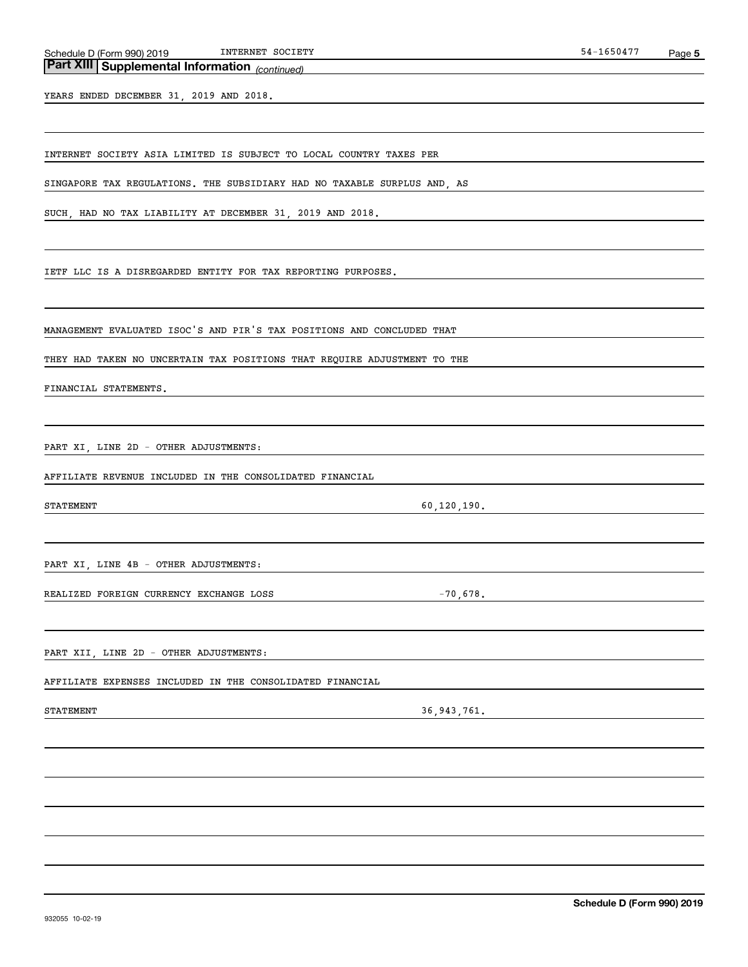Part XIII Supplemental Information <sub>(continued)</sub>

YEARS ENDED DECEMBER 31, 2019 AND 2018.

INTERNET SOCIETY ASIA LIMITED IS SUBJECT TO LOCAL COUNTRY TAXES PER

SINGAPORE TAX REGULATIONS. THE SUBSIDIARY HAD NO TAXABLE SURPLUS AND, AS

SUCH, HAD NO TAX LIABILITY AT DECEMBER 31, 2019 AND 2018.

IETF LLC IS A DISREGARDED ENTITY FOR TAX REPORTING PURPOSES.

MANAGEMENT EVALUATED ISOC'S AND PIR'S TAX POSITIONS AND CONCLUDED THAT

THEY HAD TAKEN NO UNCERTAIN TAX POSITIONS THAT REQUIRE ADJUSTMENT TO THE

FINANCIAL STATEMENTS.

PART XI, LINE 2D - OTHER ADJUSTMENTS:

AFFILIATE REVENUE INCLUDED IN THE CONSOLIDATED FINANCIAL

STATEMENT 60, 120, 190.

PART XI, LINE 4B - OTHER ADJUSTMENTS:

REALIZED FOREIGN CURRENCY EXCHANGE LOSS  $-70,678$ .

PART XII, LINE 2D - OTHER ADJUSTMENTS:

AFFILIATE EXPENSES INCLUDED IN THE CONSOLIDATED FINANCIAL

STATEMENT 36,943,761.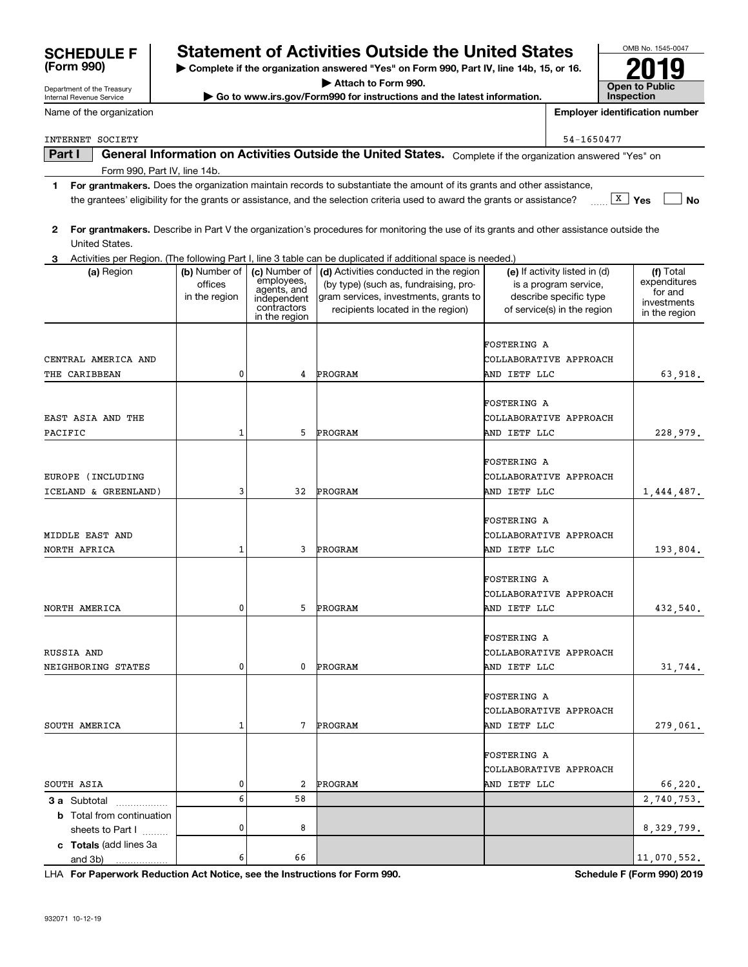## SCHEDULE  $F \mid$  Statement of Activities Outside the United States

| Complete if the organization answered "Yes" on Form 990, Part IV, line 14b, 15, or 16.

| Attach to Form 990.

 $\triangleright$  Go to www.irs.gov/Form990 for instructions and the latest information.

| $\mathbf{2}$                                         |                                           |                                                                                           | For grantmakers. Describe in Part V the organization's procedures for monitoring the use of its grants and other assistance outside the                                                                                                                                       |                                                                                                                 |                                                                      |
|------------------------------------------------------|-------------------------------------------|-------------------------------------------------------------------------------------------|-------------------------------------------------------------------------------------------------------------------------------------------------------------------------------------------------------------------------------------------------------------------------------|-----------------------------------------------------------------------------------------------------------------|----------------------------------------------------------------------|
| United States.                                       |                                           |                                                                                           |                                                                                                                                                                                                                                                                               |                                                                                                                 |                                                                      |
| 3<br>(a) Region                                      | (b) Number of<br>offices<br>in the region | (c) Number of<br>employees,<br>agents, and<br>independent<br>contractors<br>in the region | Activities per Region. (The following Part I, line 3 table can be duplicated if additional space is needed.)<br>(d) Activities conducted in the region<br>(by type) (such as, fundraising, pro-<br>gram services, investments, grants to<br>recipients located in the region) | (e) If activity listed in (d)<br>is a program service,<br>describe specific type<br>of service(s) in the region | (f) Total<br>expenditures<br>for and<br>investments<br>in the region |
| CENTRAL AMERICA AND<br>THE CARIBBEAN                 | 0                                         | 4                                                                                         | <b>PROGRAM</b>                                                                                                                                                                                                                                                                | FOSTERING A<br>COLLABORATIVE APPROACH<br>AND IETF LLC                                                           | 63,918.                                                              |
| EAST ASIA AND THE<br>PACIFIC                         | 1                                         | 5                                                                                         | PROGRAM                                                                                                                                                                                                                                                                       | FOSTERING A<br>COLLABORATIVE APPROACH<br>AND IETF LLC                                                           | 228,979.                                                             |
| EUROPE (INCLUDING<br>ICELAND & GREENLAND)            | 3                                         | 32                                                                                        | PROGRAM                                                                                                                                                                                                                                                                       | FOSTERING A<br>COLLABORATIVE APPROACH<br>AND IETF LLC                                                           | 1,444,487.                                                           |
| MIDDLE EAST AND<br>NORTH AFRICA                      | 1                                         | 3                                                                                         | PROGRAM                                                                                                                                                                                                                                                                       | FOSTERING A<br>COLLABORATIVE APPROACH<br>AND IETF LLC                                                           | 193,804.                                                             |
| NORTH AMERICA                                        | 0                                         | 5                                                                                         | PROGRAM                                                                                                                                                                                                                                                                       | FOSTERING A<br>COLLABORATIVE APPROACH<br>AND IETF LLC                                                           | 432,540.                                                             |
| RUSSIA AND<br>NEIGHBORING STATES                     | 0                                         | 0                                                                                         | PROGRAM                                                                                                                                                                                                                                                                       | FOSTERING A<br>COLLABORATIVE APPROACH<br>AND IETF LLC                                                           | 31,744.                                                              |
| SOUTH AMERICA                                        | 1                                         | 7                                                                                         | PROGRAM                                                                                                                                                                                                                                                                       | FOSTERING A<br>COLLABORATIVE APPROACH<br>AND IETF LLC                                                           | 279,061.                                                             |
| SOUTH ASIA                                           | 0                                         | 2                                                                                         | PROGRAM                                                                                                                                                                                                                                                                       | FOSTERING A<br>COLLABORATIVE APPROACH<br>AND IETF LLC                                                           | 66,220.                                                              |
| 3 a Subtotal<br>.                                    | 6                                         | 58                                                                                        |                                                                                                                                                                                                                                                                               |                                                                                                                 | 2,740,753.                                                           |
| <b>b</b> Total from continuation<br>sheets to Part I | 0                                         | 8                                                                                         |                                                                                                                                                                                                                                                                               |                                                                                                                 | 8, 329, 799.                                                         |
| c Totals (add lines 3a<br>and 3b)                    | 6                                         | 66                                                                                        |                                                                                                                                                                                                                                                                               |                                                                                                                 | 11,070,552.                                                          |

Part  $I \parallel$  General Information on Activities Outside the United States. Complete if the organization answered "Yes" on

Department of the Treasury Internal Revenue Service

Name of the organization

- Form 990, Part IV, line 14b.
- 1 For grantmakers. Does the organization maintain records to substantiate the amount of its grants and other assistance,  $X$  Yes  $N$ o the grantees' eligibility for the grants or assistance, and the selection criteria used to award the grants or assistance?

INTERNET SOCIETY 54-1650477

(Form 990)

**Inspection** Employer identification number

| OMB No. 1545-0047 |
|-------------------|
|                   |
| )pen to Public    |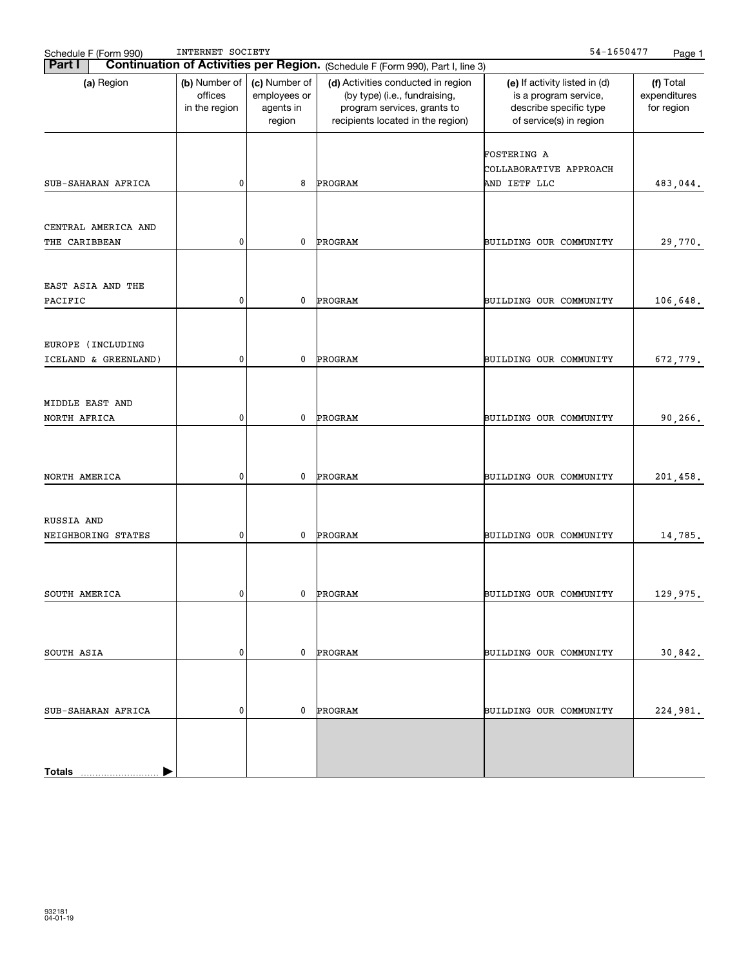| 54-1650477<br>INTERNET SOCIETY<br>Schedule F (Form 990)<br>Page 1<br>Continuation of Activities per Region. (Schedule F (Form 990), Part I, line 3) |                                           |                                                      |                                                                                                                                         |                                                                                                             |                                         |  |  |
|-----------------------------------------------------------------------------------------------------------------------------------------------------|-------------------------------------------|------------------------------------------------------|-----------------------------------------------------------------------------------------------------------------------------------------|-------------------------------------------------------------------------------------------------------------|-----------------------------------------|--|--|
| Part I                                                                                                                                              |                                           |                                                      |                                                                                                                                         |                                                                                                             |                                         |  |  |
| (a) Region                                                                                                                                          | (b) Number of<br>offices<br>in the region | (c) Number of<br>employees or<br>agents in<br>region | (d) Activities conducted in region<br>(by type) (i.e., fundraising,<br>program services, grants to<br>recipients located in the region) | (e) If activity listed in (d)<br>is a program service,<br>describe specific type<br>of service(s) in region | (f) Total<br>expenditures<br>for region |  |  |
| SUB-SAHARAN AFRICA                                                                                                                                  | 0                                         | 8                                                    | <b>PROGRAM</b>                                                                                                                          | FOSTERING A<br>COLLABORATIVE APPROACH<br>AND IETF LLC                                                       | 483,044.                                |  |  |
| CENTRAL AMERICA AND<br>THE CARIBBEAN                                                                                                                | 0                                         | 0                                                    | <b>PROGRAM</b>                                                                                                                          | BUILDING OUR COMMUNITY                                                                                      | 29,770.                                 |  |  |
| EAST ASIA AND THE<br>PACIFIC                                                                                                                        | 0                                         | 0                                                    | <b>PROGRAM</b>                                                                                                                          | BUILDING OUR COMMUNITY                                                                                      | 106,648.                                |  |  |
| EUROPE (INCLUDING<br>ICELAND & GREENLAND)                                                                                                           | 0                                         | 0                                                    | <b>PROGRAM</b>                                                                                                                          | BUILDING OUR COMMUNITY                                                                                      | 672,779.                                |  |  |
|                                                                                                                                                     |                                           |                                                      |                                                                                                                                         |                                                                                                             |                                         |  |  |
| MIDDLE EAST AND<br>NORTH AFRICA                                                                                                                     | 0                                         | 0                                                    | <b>PROGRAM</b>                                                                                                                          | BUILDING OUR COMMUNITY                                                                                      | 90,266.                                 |  |  |
| NORTH AMERICA                                                                                                                                       | 0                                         | 0                                                    | PROGRAM                                                                                                                                 | BUILDING OUR COMMUNITY                                                                                      | 201,458.                                |  |  |
| RUSSIA AND<br>NEIGHBORING STATES                                                                                                                    | 0                                         | 0                                                    | <b>PROGRAM</b>                                                                                                                          | BUILDING OUR COMMUNITY                                                                                      | 14,785.                                 |  |  |
| SOUTH AMERICA                                                                                                                                       | U                                         | 0                                                    | PROGRAM                                                                                                                                 | BUILDING OUR COMMUNITY                                                                                      | 129,975.                                |  |  |
| SOUTH ASIA                                                                                                                                          | 0                                         | 0                                                    | PROGRAM                                                                                                                                 | BUILDING OUR COMMUNITY                                                                                      | 30,842.                                 |  |  |
| SUB-SAHARAN AFRICA                                                                                                                                  | 0                                         | 0                                                    | PROGRAM                                                                                                                                 | BUILDING OUR COMMUNITY                                                                                      | 224,981.                                |  |  |
| <b>Totals</b>                                                                                                                                       |                                           |                                                      |                                                                                                                                         |                                                                                                             |                                         |  |  |
|                                                                                                                                                     |                                           |                                                      |                                                                                                                                         |                                                                                                             |                                         |  |  |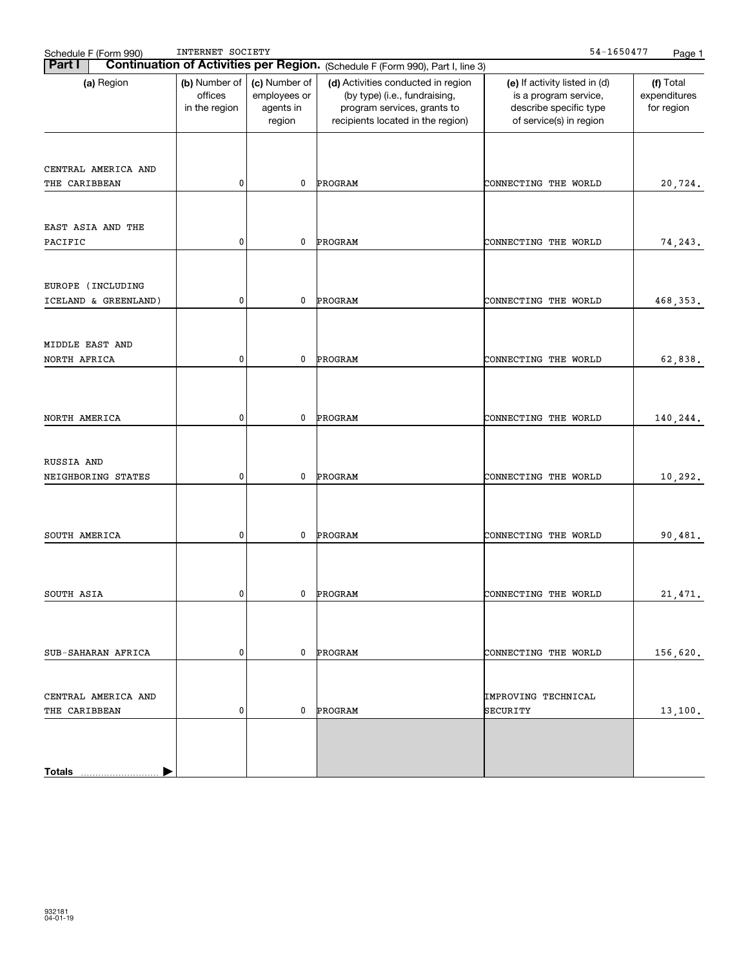| INTERNET SOCIETY<br>$54 - 1650477$<br>Schedule F (Form 990)<br>Page 1<br>Continuation of Activities per Region. (Schedule F (Form 990), Part I, line 3) |                                           |                                                      |                                                                                                                                         |                                                                                                             |                                         |  |  |  |
|---------------------------------------------------------------------------------------------------------------------------------------------------------|-------------------------------------------|------------------------------------------------------|-----------------------------------------------------------------------------------------------------------------------------------------|-------------------------------------------------------------------------------------------------------------|-----------------------------------------|--|--|--|
| <b>Part I</b>                                                                                                                                           |                                           |                                                      |                                                                                                                                         |                                                                                                             |                                         |  |  |  |
| (a) Region                                                                                                                                              | (b) Number of<br>offices<br>in the region | (c) Number of<br>employees or<br>agents in<br>region | (d) Activities conducted in region<br>(by type) (i.e., fundraising,<br>program services, grants to<br>recipients located in the region) | (e) If activity listed in (d)<br>is a program service,<br>describe specific type<br>of service(s) in region | (f) Total<br>expenditures<br>for region |  |  |  |
| CENTRAL AMERICA AND<br>THE CARIBBEAN                                                                                                                    | 0                                         | 0                                                    | PROGRAM                                                                                                                                 | CONNECTING THE WORLD                                                                                        | 20,724.                                 |  |  |  |
| EAST ASIA AND THE<br>PACIFIC                                                                                                                            | 0                                         | 0                                                    | PROGRAM                                                                                                                                 | CONNECTING THE WORLD                                                                                        | 74,243.                                 |  |  |  |
| EUROPE (INCLUDING<br>ICELAND & GREENLAND)                                                                                                               | 0                                         | 0                                                    | <b>PROGRAM</b>                                                                                                                          | CONNECTING THE WORLD                                                                                        | 468, 353.                               |  |  |  |
| MIDDLE EAST AND<br>NORTH AFRICA                                                                                                                         | 0                                         | 0                                                    | PROGRAM                                                                                                                                 | CONNECTING THE WORLD                                                                                        | 62,838.                                 |  |  |  |
| NORTH AMERICA                                                                                                                                           | 0                                         | 0                                                    | PROGRAM                                                                                                                                 | CONNECTING THE WORLD                                                                                        | 140,244.                                |  |  |  |
| RUSSIA AND<br>NEIGHBORING STATES                                                                                                                        | 0                                         | 0                                                    | PROGRAM                                                                                                                                 | CONNECTING THE WORLD                                                                                        | 10,292.                                 |  |  |  |
| SOUTH AMERICA                                                                                                                                           | 0                                         | 0                                                    | PROGRAM                                                                                                                                 | CONNECTING THE WORLD                                                                                        | 90,481.                                 |  |  |  |
| SOUTH ASIA                                                                                                                                              | 0                                         |                                                      | 0 PROGRAM                                                                                                                               | CONNECTING THE WORLD                                                                                        | 21,471.                                 |  |  |  |
| SUB-SAHARAN AFRICA                                                                                                                                      | 0                                         |                                                      | 0 PROGRAM                                                                                                                               | CONNECTING THE WORLD                                                                                        | 156,620.                                |  |  |  |
| CENTRAL AMERICA AND<br>THE CARIBBEAN                                                                                                                    | 0                                         | $\mathbf{0}$                                         | PROGRAM                                                                                                                                 | IMPROVING TECHNICAL<br>SECURITY                                                                             | 13,100.                                 |  |  |  |
| <b>Totals</b>                                                                                                                                           |                                           |                                                      |                                                                                                                                         |                                                                                                             |                                         |  |  |  |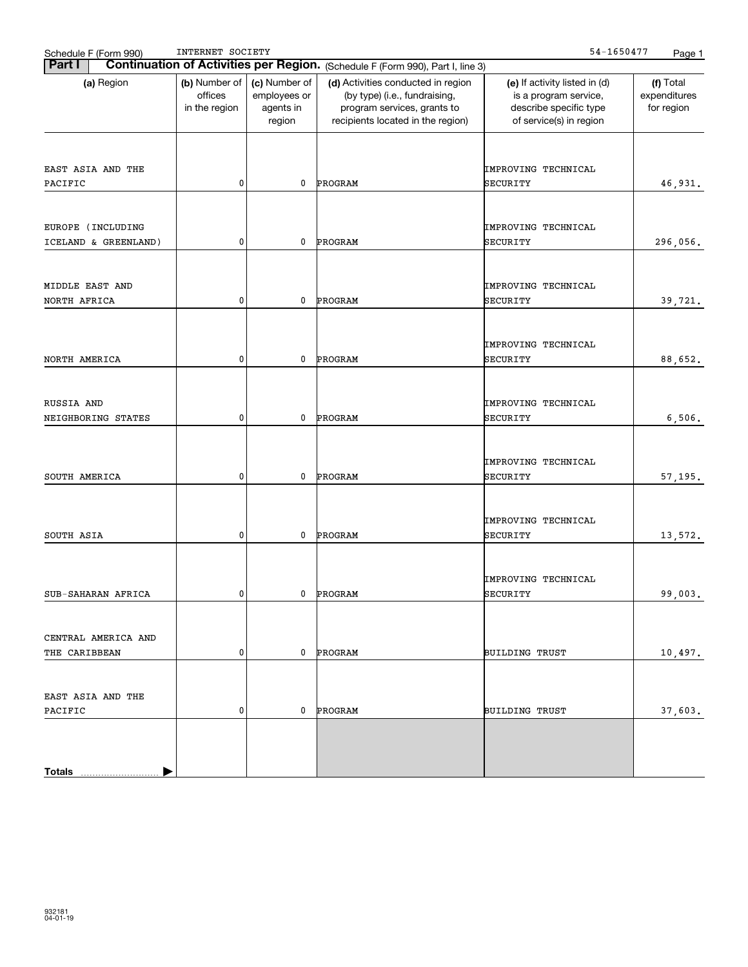| INTERNET SOCIETY<br>$54 - 1650477$<br>Schedule F (Form 990)<br>Page 1 |                                           |                                                      |                                                                                                                                         |                                                                                                             |                                         |  |  |
|-----------------------------------------------------------------------|-------------------------------------------|------------------------------------------------------|-----------------------------------------------------------------------------------------------------------------------------------------|-------------------------------------------------------------------------------------------------------------|-----------------------------------------|--|--|
| <b>Part I</b>                                                         |                                           |                                                      | Continuation of Activities per Region. (Schedule F (Form 990), Part I, line 3)                                                          |                                                                                                             |                                         |  |  |
| (a) Region                                                            | (b) Number of<br>offices<br>in the region | (c) Number of<br>employees or<br>agents in<br>region | (d) Activities conducted in region<br>(by type) (i.e., fundraising,<br>program services, grants to<br>recipients located in the region) | (e) If activity listed in (d)<br>is a program service,<br>describe specific type<br>of service(s) in region | (f) Total<br>expenditures<br>for region |  |  |
| EAST ASIA AND THE<br>PACIFIC                                          | 0                                         | $\mathbf 0$                                          | PROGRAM                                                                                                                                 | IMPROVING TECHNICAL<br>SECURITY                                                                             | 46,931.                                 |  |  |
| EUROPE (INCLUDING<br>ICELAND & GREENLAND)                             | 0                                         | $\mathbf 0$                                          | PROGRAM                                                                                                                                 | IMPROVING TECHNICAL<br>SECURITY                                                                             | 296,056.                                |  |  |
| MIDDLE EAST AND<br>NORTH AFRICA                                       | 0                                         | $\mathbf 0$                                          | PROGRAM                                                                                                                                 | IMPROVING TECHNICAL<br>SECURITY                                                                             | 39,721.                                 |  |  |
| NORTH AMERICA                                                         | 0                                         | $\mathbf 0$                                          | PROGRAM                                                                                                                                 | IMPROVING TECHNICAL<br>SECURITY                                                                             | 88,652.                                 |  |  |
| RUSSIA AND<br>NEIGHBORING STATES                                      | 0                                         | $\mathbf 0$                                          | PROGRAM                                                                                                                                 | IMPROVING TECHNICAL<br>SECURITY                                                                             | 6,506.                                  |  |  |
| SOUTH AMERICA                                                         | 0                                         | 0                                                    | PROGRAM                                                                                                                                 | IMPROVING TECHNICAL<br>SECURITY                                                                             | 57, 195.                                |  |  |
| SOUTH ASIA                                                            | $\mathbf 0$                               | 0                                                    | PROGRAM                                                                                                                                 | <b>IMPROVING TECHNICAL</b><br>SECURITY                                                                      | 13,572.                                 |  |  |
| SUB-SAHARAN AFRICA                                                    | 0                                         | $\mathbf 0$                                          | PROGRAM                                                                                                                                 | IMPROVING TECHNICAL<br>SECURITY                                                                             | 99,003.                                 |  |  |
| CENTRAL AMERICA AND<br>THE CARIBBEAN                                  | 0                                         | 0                                                    | PROGRAM                                                                                                                                 | BUILDING TRUST                                                                                              | 10,497.                                 |  |  |
| EAST ASIA AND THE<br>PACIFIC                                          | 0                                         | 0                                                    | PROGRAM                                                                                                                                 | BUILDING TRUST                                                                                              | 37,603.                                 |  |  |
| Totals                                                                |                                           |                                                      |                                                                                                                                         |                                                                                                             |                                         |  |  |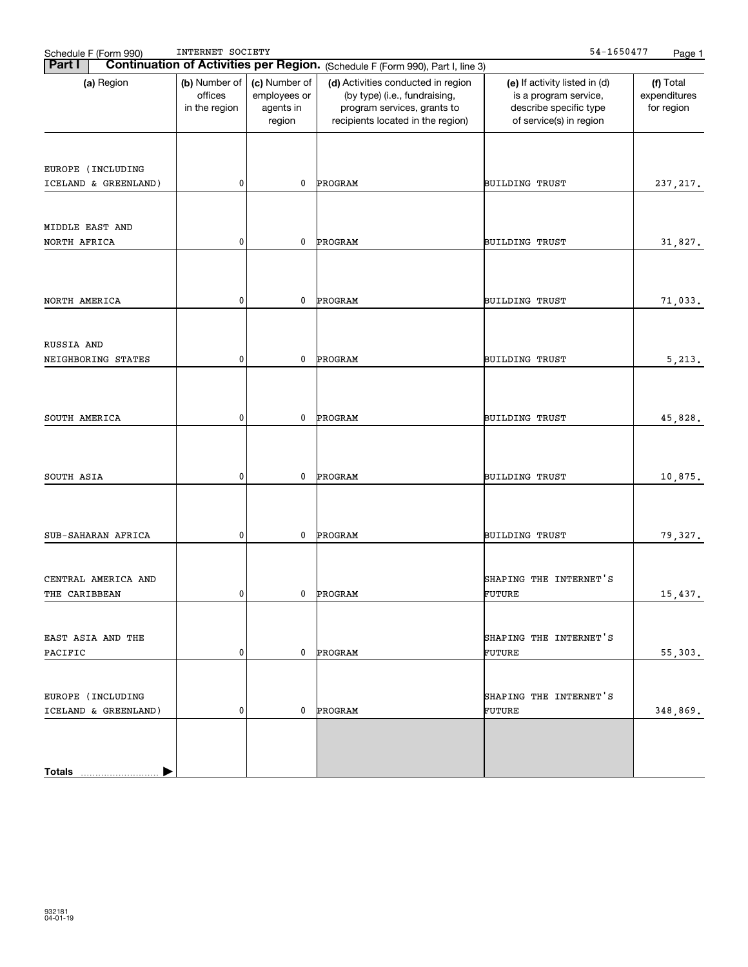| Schedule F (Form 990)                     | INTERNET SOCIETY                          |                                                      |                                                                                                                                         | $54 - 1650477$                                                                                              | Page 1                                  |
|-------------------------------------------|-------------------------------------------|------------------------------------------------------|-----------------------------------------------------------------------------------------------------------------------------------------|-------------------------------------------------------------------------------------------------------------|-----------------------------------------|
| <b>Part I</b>                             |                                           |                                                      | Continuation of Activities per Region. (Schedule F (Form 990), Part I, line 3)                                                          |                                                                                                             |                                         |
| (a) Region                                | (b) Number of<br>offices<br>in the region | (c) Number of<br>employees or<br>agents in<br>region | (d) Activities conducted in region<br>(by type) (i.e., fundraising,<br>program services, grants to<br>recipients located in the region) | (e) If activity listed in (d)<br>is a program service,<br>describe specific type<br>of service(s) in region | (f) Total<br>expenditures<br>for region |
| EUROPE (INCLUDING<br>ICELAND & GREENLAND) | 0                                         | 0                                                    | PROGRAM                                                                                                                                 | <b>BUILDING TRUST</b>                                                                                       | 237, 217.                               |
| MIDDLE EAST AND<br>NORTH AFRICA           | 0                                         | 0                                                    | PROGRAM                                                                                                                                 | <b>BUILDING TRUST</b>                                                                                       | 31,827.                                 |
| NORTH AMERICA                             | 0                                         | 0                                                    | PROGRAM                                                                                                                                 | <b>BUILDING TRUST</b>                                                                                       | 71,033.                                 |
| RUSSIA AND<br>NEIGHBORING STATES          | 0                                         | 0                                                    | <b>PROGRAM</b>                                                                                                                          | <b>BUILDING TRUST</b>                                                                                       | 5,213.                                  |
| SOUTH AMERICA                             | 0                                         | 0                                                    | PROGRAM                                                                                                                                 | <b>BUILDING TRUST</b>                                                                                       | 45,828.                                 |
| SOUTH ASIA                                | 0                                         | 0                                                    | PROGRAM                                                                                                                                 | BUILDING TRUST                                                                                              | 10,875.                                 |
| SUB-SAHARAN AFRICA                        | 0                                         | 0                                                    | PROGRAM                                                                                                                                 | <b>BUILDING TRUST</b>                                                                                       | 79,327.                                 |
| CENTRAL AMERICA AND<br>THE CARIBBEAN      | 0                                         |                                                      | 0 PROGRAM                                                                                                                               | SHAPING THE INTERNET'S<br>FUTURE                                                                            | 15,437.                                 |
| EAST ASIA AND THE<br>PACIFIC              | 0                                         |                                                      | 0 PROGRAM                                                                                                                               | SHAPING THE INTERNET'S<br>FUTURE                                                                            | 55,303.                                 |
| EUROPE (INCLUDING<br>ICELAND & GREENLAND) | 0                                         | $\mathbf{0}$                                         | PROGRAM                                                                                                                                 | SHAPING THE INTERNET'S<br>FUTURE                                                                            | 348,869.                                |
| <b>Totals</b>                             |                                           |                                                      |                                                                                                                                         |                                                                                                             |                                         |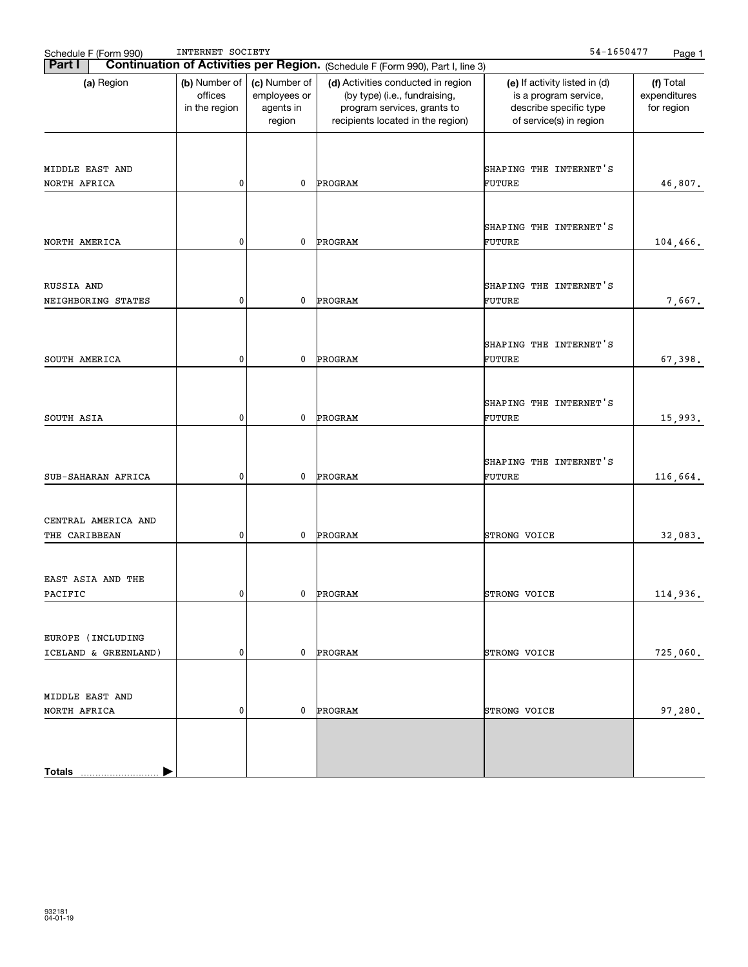| INTERNET SOCIETY<br>54-1650477<br>Schedule F (Form 990)<br>Page 1 |                                           |                                                      |                                                                                                                                         |                                                                                                             |                                         |  |  |
|-------------------------------------------------------------------|-------------------------------------------|------------------------------------------------------|-----------------------------------------------------------------------------------------------------------------------------------------|-------------------------------------------------------------------------------------------------------------|-----------------------------------------|--|--|
| <b>Part I</b>                                                     |                                           |                                                      | Continuation of Activities per Region. (Schedule F (Form 990), Part I, line 3)                                                          |                                                                                                             |                                         |  |  |
| (a) Region                                                        | (b) Number of<br>offices<br>in the region | (c) Number of<br>employees or<br>agents in<br>region | (d) Activities conducted in region<br>(by type) (i.e., fundraising,<br>program services, grants to<br>recipients located in the region) | (e) If activity listed in (d)<br>is a program service,<br>describe specific type<br>of service(s) in region | (f) Total<br>expenditures<br>for region |  |  |
| MIDDLE EAST AND<br>NORTH AFRICA                                   | 0                                         | 0                                                    | PROGRAM                                                                                                                                 | SHAPING THE INTERNET'S<br>FUTURE                                                                            | 46,807.                                 |  |  |
| NORTH AMERICA                                                     | $\mathbf 0$                               | 0                                                    | PROGRAM                                                                                                                                 | SHAPING THE INTERNET'S<br>FUTURE                                                                            | 104,466.                                |  |  |
| RUSSIA AND<br>NEIGHBORING STATES                                  | $\mathbf 0$                               | 0                                                    | PROGRAM                                                                                                                                 | SHAPING THE INTERNET'S<br>FUTURE                                                                            | 7,667.                                  |  |  |
| SOUTH AMERICA                                                     | $\mathbf 0$                               | 0                                                    | PROGRAM                                                                                                                                 | SHAPING THE INTERNET'S<br>FUTURE                                                                            | 67,398.                                 |  |  |
| SOUTH ASIA                                                        | 0                                         | 0                                                    | PROGRAM                                                                                                                                 | SHAPING THE INTERNET'S<br>FUTURE                                                                            | 15,993.                                 |  |  |
| SUB-SAHARAN AFRICA                                                | 0                                         | 0                                                    | PROGRAM                                                                                                                                 | SHAPING THE INTERNET'S<br>FUTURE                                                                            | 116,664.                                |  |  |
| CENTRAL AMERICA AND<br>THE CARIBBEAN                              | 0                                         | 0                                                    | PROGRAM                                                                                                                                 | STRONG VOICE                                                                                                | 32,083.                                 |  |  |
| EAST ASIA AND THE<br>PACIFIC                                      | $\overline{0}$                            |                                                      | 0 PROGRAM                                                                                                                               | STRONG VOICE                                                                                                | 114,936.                                |  |  |
| EUROPE (INCLUDING<br>ICELAND & GREENLAND)                         | 0                                         |                                                      | 0 PROGRAM                                                                                                                               | STRONG VOICE                                                                                                | 725,060.                                |  |  |
| MIDDLE EAST AND<br>NORTH AFRICA                                   | 0                                         | 0                                                    | PROGRAM                                                                                                                                 | STRONG VOICE                                                                                                | 97,280.                                 |  |  |
| Totals                                                            |                                           |                                                      |                                                                                                                                         |                                                                                                             |                                         |  |  |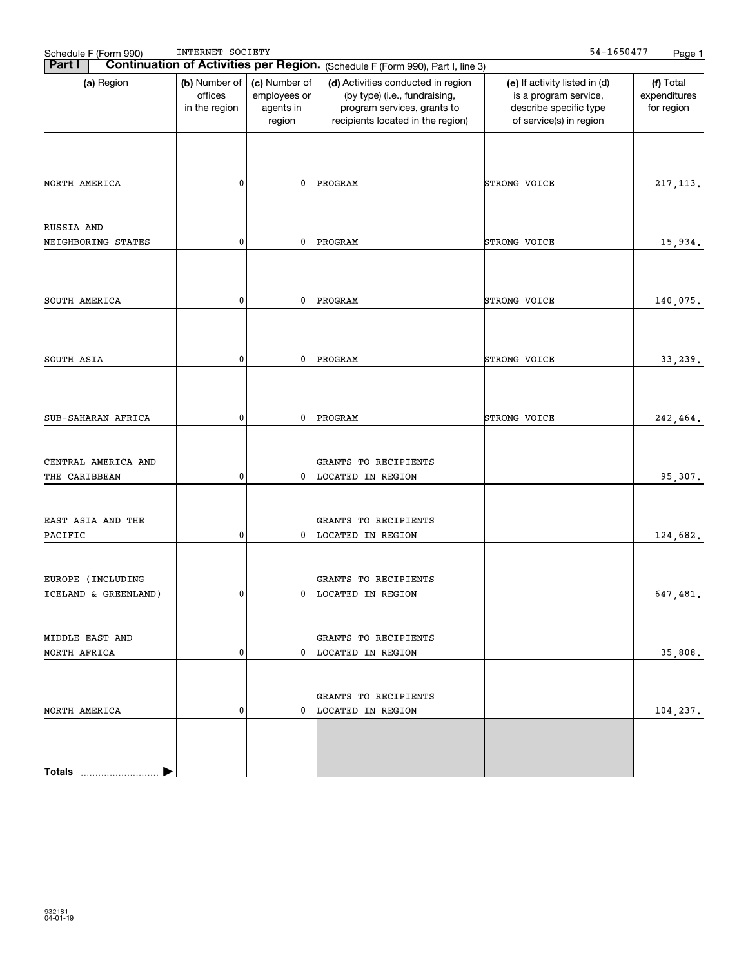| Schedule F (Form 990)                     | INTERNET SOCIETY                          |                                                      |                                                                                                                                         | 54-1650477                                                                                                  | Page 1                                  |
|-------------------------------------------|-------------------------------------------|------------------------------------------------------|-----------------------------------------------------------------------------------------------------------------------------------------|-------------------------------------------------------------------------------------------------------------|-----------------------------------------|
| Part I                                    |                                           |                                                      | Continuation of Activities per Region. (Schedule F (Form 990), Part I, line 3)                                                          |                                                                                                             |                                         |
| (a) Region                                | (b) Number of<br>offices<br>in the region | (c) Number of<br>employees or<br>agents in<br>region | (d) Activities conducted in region<br>(by type) (i.e., fundraising,<br>program services, grants to<br>recipients located in the region) | (e) If activity listed in (d)<br>is a program service,<br>describe specific type<br>of service(s) in region | (f) Total<br>expenditures<br>for region |
| NORTH AMERICA                             | 0                                         | 0                                                    | PROGRAM                                                                                                                                 | STRONG VOICE                                                                                                | 217, 113.                               |
| RUSSIA AND<br>NEIGHBORING STATES          | 0                                         | 0                                                    | <b>PROGRAM</b>                                                                                                                          | STRONG VOICE                                                                                                | 15,934.                                 |
| SOUTH AMERICA                             | 0                                         | $\mathbf 0$                                          | <b>PROGRAM</b>                                                                                                                          | STRONG VOICE                                                                                                | 140,075.                                |
| SOUTH ASIA                                | 0                                         | 0                                                    | <b>PROGRAM</b>                                                                                                                          | STRONG VOICE                                                                                                | 33,239.                                 |
| SUB-SAHARAN AFRICA                        | 0                                         | 0                                                    | PROGRAM                                                                                                                                 | STRONG VOICE                                                                                                | 242,464.                                |
| CENTRAL AMERICA AND<br>THE CARIBBEAN      | 0                                         | 0                                                    | GRANTS TO RECIPIENTS<br>LOCATED IN REGION                                                                                               |                                                                                                             | 95,307.                                 |
| EAST ASIA AND THE<br>PACIFIC              | 0                                         | 0                                                    | GRANTS TO RECIPIENTS<br>LOCATED IN REGION                                                                                               |                                                                                                             | 124,682.                                |
| EUROPE (INCLUDING<br>ICELAND & GREENLAND) | 0                                         | 0                                                    | GRANTS TO RECIPIENTS<br>LOCATED IN REGION                                                                                               |                                                                                                             | 647,481.                                |
| MIDDLE EAST AND<br>NORTH AFRICA           | 0                                         |                                                      | GRANTS TO RECIPIENTS<br>0 LOCATED IN REGION                                                                                             |                                                                                                             | 35,808.                                 |
| NORTH AMERICA                             | 0                                         |                                                      | GRANTS TO RECIPIENTS<br>0 LOCATED IN REGION                                                                                             |                                                                                                             | 104,237.                                |
| Totals                                    |                                           |                                                      |                                                                                                                                         |                                                                                                             |                                         |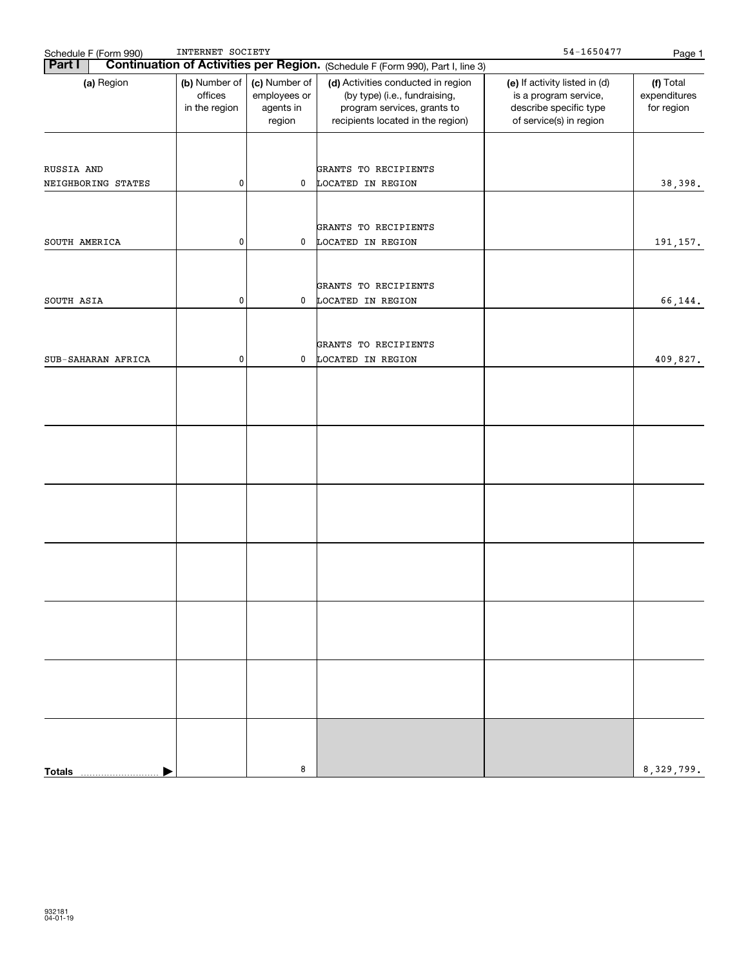| Schedule F (Form 990) | $54 - 1650477$<br>Page 1                  |                                                      |                                                                                                                                         |                                                                                                             |                                         |
|-----------------------|-------------------------------------------|------------------------------------------------------|-----------------------------------------------------------------------------------------------------------------------------------------|-------------------------------------------------------------------------------------------------------------|-----------------------------------------|
| Part I                |                                           |                                                      | Continuation of Activities per Region. (Schedule F (Form 990), Part I, line 3)                                                          |                                                                                                             |                                         |
| (a) Region            | (b) Number of<br>offices<br>in the region | (c) Number of<br>employees or<br>agents in<br>region | (d) Activities conducted in region<br>(by type) (i.e., fundraising,<br>program services, grants to<br>recipients located in the region) | (e) If activity listed in (d)<br>is a program service,<br>describe specific type<br>of service(s) in region | (f) Total<br>expenditures<br>for region |
|                       |                                           |                                                      |                                                                                                                                         |                                                                                                             |                                         |
| RUSSIA AND            |                                           |                                                      | GRANTS TO RECIPIENTS                                                                                                                    |                                                                                                             |                                         |
| NEIGHBORING STATES    | 0                                         | 0                                                    | LOCATED IN REGION                                                                                                                       |                                                                                                             | 38,398.                                 |
|                       |                                           |                                                      |                                                                                                                                         |                                                                                                             |                                         |
|                       |                                           |                                                      | GRANTS TO RECIPIENTS                                                                                                                    |                                                                                                             |                                         |
| SOUTH AMERICA         | 0                                         | 0                                                    | LOCATED IN REGION                                                                                                                       |                                                                                                             | 191,157.                                |
|                       |                                           |                                                      |                                                                                                                                         |                                                                                                             |                                         |
|                       |                                           |                                                      | GRANTS TO RECIPIENTS                                                                                                                    |                                                                                                             |                                         |
| SOUTH ASIA            | 0                                         | 0                                                    | LOCATED IN REGION                                                                                                                       |                                                                                                             | 66,144.                                 |
|                       |                                           |                                                      |                                                                                                                                         |                                                                                                             |                                         |
|                       |                                           |                                                      | GRANTS TO RECIPIENTS                                                                                                                    |                                                                                                             |                                         |
| SUB-SAHARAN AFRICA    | 0                                         | 0                                                    | LOCATED IN REGION                                                                                                                       |                                                                                                             | 409,827.                                |
|                       |                                           |                                                      |                                                                                                                                         |                                                                                                             |                                         |
|                       |                                           |                                                      |                                                                                                                                         |                                                                                                             |                                         |
|                       |                                           |                                                      |                                                                                                                                         |                                                                                                             |                                         |
|                       |                                           |                                                      |                                                                                                                                         |                                                                                                             |                                         |
|                       |                                           |                                                      |                                                                                                                                         |                                                                                                             |                                         |
|                       |                                           |                                                      |                                                                                                                                         |                                                                                                             |                                         |
|                       |                                           |                                                      |                                                                                                                                         |                                                                                                             |                                         |
|                       |                                           |                                                      |                                                                                                                                         |                                                                                                             |                                         |
|                       |                                           |                                                      |                                                                                                                                         |                                                                                                             |                                         |
|                       |                                           |                                                      |                                                                                                                                         |                                                                                                             |                                         |
|                       |                                           |                                                      |                                                                                                                                         |                                                                                                             |                                         |
|                       |                                           |                                                      |                                                                                                                                         |                                                                                                             |                                         |
|                       |                                           |                                                      |                                                                                                                                         |                                                                                                             |                                         |
|                       |                                           |                                                      |                                                                                                                                         |                                                                                                             |                                         |
|                       |                                           |                                                      |                                                                                                                                         |                                                                                                             |                                         |
|                       |                                           |                                                      |                                                                                                                                         |                                                                                                             |                                         |
|                       |                                           |                                                      |                                                                                                                                         |                                                                                                             |                                         |
|                       |                                           |                                                      |                                                                                                                                         |                                                                                                             |                                         |
|                       |                                           |                                                      |                                                                                                                                         |                                                                                                             |                                         |
|                       |                                           |                                                      |                                                                                                                                         |                                                                                                             |                                         |
| <b>Totals</b>         |                                           | 8                                                    |                                                                                                                                         |                                                                                                             | 8, 329, 799.                            |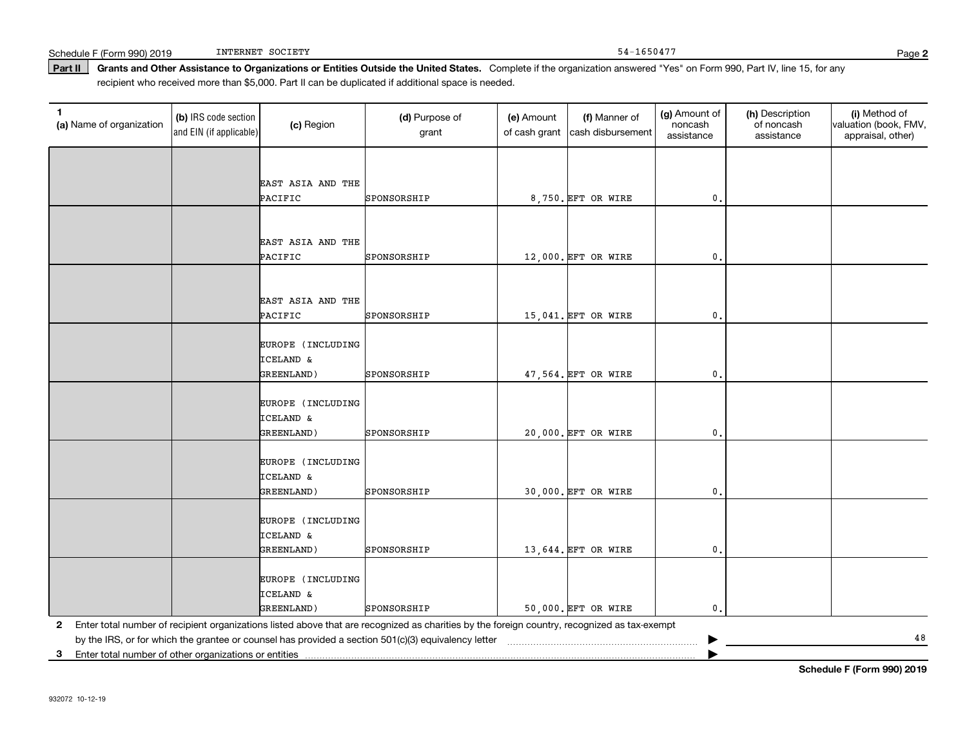Part II Grants and Other Assistance to Organizations or Entities Outside the United States. Complete if the organization answered "Yes" on Form 990, Part IV, line 15, for any recipient who received more than \$5,000. Part II can be duplicated if additional space is needed.

| 1<br>(a) Name of organization                           | (b) IRS code section<br>and EIN (if applicable) | (c) Region              | (d) Purpose of<br>grant                                                                                                                                                                                                                             | (e) Amount<br>of cash grant | (f) Manner of<br>cash disbursement | (g) Amount of<br>noncash<br>assistance | (h) Description<br>of noncash<br>assistance | (i) Method of<br>valuation (book, FMV,<br>appraisal, other) |
|---------------------------------------------------------|-------------------------------------------------|-------------------------|-----------------------------------------------------------------------------------------------------------------------------------------------------------------------------------------------------------------------------------------------------|-----------------------------|------------------------------------|----------------------------------------|---------------------------------------------|-------------------------------------------------------------|
|                                                         |                                                 |                         |                                                                                                                                                                                                                                                     |                             |                                    |                                        |                                             |                                                             |
|                                                         |                                                 | EAST ASIA AND THE       |                                                                                                                                                                                                                                                     |                             |                                    |                                        |                                             |                                                             |
|                                                         |                                                 | PACIFIC                 | SPONSORSHIP                                                                                                                                                                                                                                         |                             | 8,750. EFT OR WIRE                 | $\mathbf{0}$ .                         |                                             |                                                             |
|                                                         |                                                 |                         |                                                                                                                                                                                                                                                     |                             |                                    |                                        |                                             |                                                             |
|                                                         |                                                 | EAST ASIA AND THE       |                                                                                                                                                                                                                                                     |                             |                                    |                                        |                                             |                                                             |
|                                                         |                                                 | PACIFIC                 | SPONSORSHIP                                                                                                                                                                                                                                         |                             | 12,000. EFT OR WIRE                | 0.                                     |                                             |                                                             |
|                                                         |                                                 |                         |                                                                                                                                                                                                                                                     |                             |                                    |                                        |                                             |                                                             |
|                                                         |                                                 | EAST ASIA AND THE       |                                                                                                                                                                                                                                                     |                             |                                    |                                        |                                             |                                                             |
|                                                         |                                                 | PACIFIC                 | SPONSORSHIP                                                                                                                                                                                                                                         |                             | 15,041. EFT OR WIRE                | $\mathfrak o$ .                        |                                             |                                                             |
|                                                         |                                                 |                         |                                                                                                                                                                                                                                                     |                             |                                    |                                        |                                             |                                                             |
|                                                         |                                                 | EUROPE (INCLUDING       |                                                                                                                                                                                                                                                     |                             |                                    |                                        |                                             |                                                             |
|                                                         |                                                 | ICELAND &<br>GREENLAND) | SPONSORSHIP                                                                                                                                                                                                                                         |                             | 47,564. EFT OR WIRE                | 0.                                     |                                             |                                                             |
|                                                         |                                                 |                         |                                                                                                                                                                                                                                                     |                             |                                    |                                        |                                             |                                                             |
|                                                         |                                                 | EUROPE (INCLUDING       |                                                                                                                                                                                                                                                     |                             |                                    |                                        |                                             |                                                             |
|                                                         |                                                 | ICELAND &<br>GREENLAND) | SPONSORSHIP                                                                                                                                                                                                                                         |                             | 20,000. EFT OR WIRE                | 0.                                     |                                             |                                                             |
|                                                         |                                                 |                         |                                                                                                                                                                                                                                                     |                             |                                    |                                        |                                             |                                                             |
|                                                         |                                                 | EUROPE (INCLUDING       |                                                                                                                                                                                                                                                     |                             |                                    |                                        |                                             |                                                             |
|                                                         |                                                 | ICELAND &<br>GREENLAND) | SPONSORSHIP                                                                                                                                                                                                                                         |                             | 30,000. EFT OR WIRE                | 0.                                     |                                             |                                                             |
|                                                         |                                                 |                         |                                                                                                                                                                                                                                                     |                             |                                    |                                        |                                             |                                                             |
|                                                         |                                                 | EUROPE (INCLUDING       |                                                                                                                                                                                                                                                     |                             |                                    |                                        |                                             |                                                             |
|                                                         |                                                 | ICELAND &               |                                                                                                                                                                                                                                                     |                             |                                    |                                        |                                             |                                                             |
|                                                         |                                                 | GREENLAND)              | SPONSORSHIP                                                                                                                                                                                                                                         |                             | 13,644. EFT OR WIRE                | 0.                                     |                                             |                                                             |
|                                                         |                                                 | EUROPE (INCLUDING       |                                                                                                                                                                                                                                                     |                             |                                    |                                        |                                             |                                                             |
|                                                         |                                                 | ICELAND &               |                                                                                                                                                                                                                                                     |                             |                                    |                                        |                                             |                                                             |
|                                                         |                                                 | GREENLAND)              | SPONSORSHIP                                                                                                                                                                                                                                         |                             | 50,000. EFT OR WIRE                | 0.                                     |                                             |                                                             |
| $\mathbf{2}$                                            |                                                 |                         | Enter total number of recipient organizations listed above that are recognized as charities by the foreign country, recognized as tax-exempt<br>by the IRS, or for which the grantee or counsel has provided a section 501(c)(3) equivalency letter |                             |                                    |                                        |                                             | 48                                                          |
| 3 Enter total number of other organizations or entities |                                                 |                         |                                                                                                                                                                                                                                                     |                             |                                    |                                        |                                             |                                                             |

Schedule F (Form 990) 2019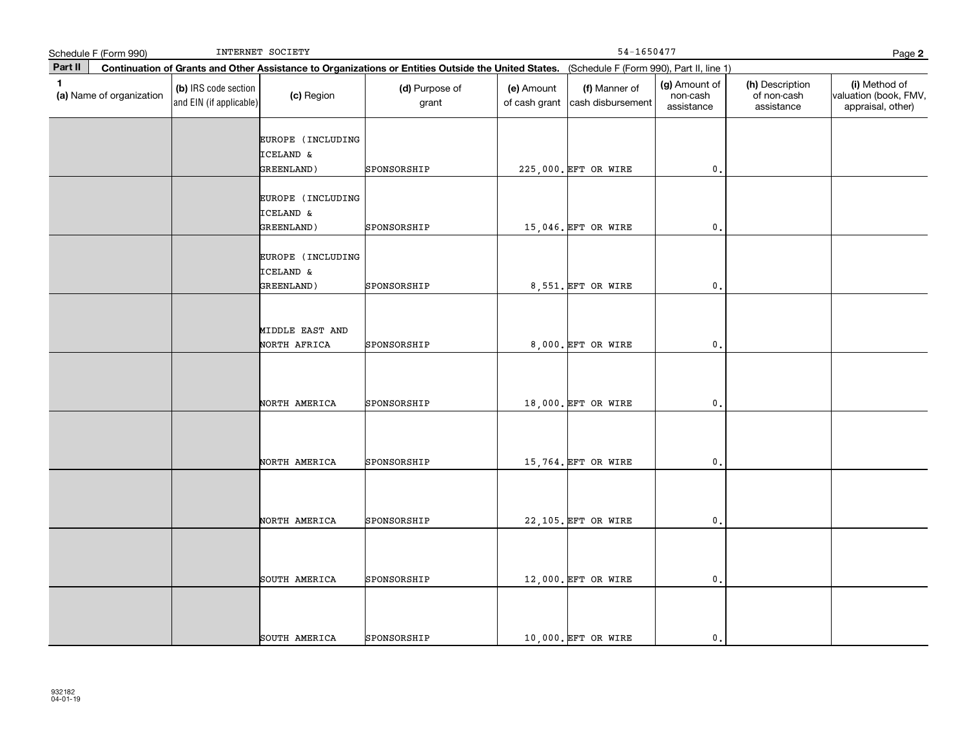|                | Schedule F (Form 990)    |                                                 | INTERNET SOCIETY                                        |                         | $54 - 1650477$<br>Page 2                                                                                                                     |                                    |                                         |                                              |                                                             |
|----------------|--------------------------|-------------------------------------------------|---------------------------------------------------------|-------------------------|----------------------------------------------------------------------------------------------------------------------------------------------|------------------------------------|-----------------------------------------|----------------------------------------------|-------------------------------------------------------------|
| Part II        |                          |                                                 |                                                         |                         | Continuation of Grants and Other Assistance to Organizations or Entities Outside the United States. (Schedule F (Form 990), Part II, line 1) |                                    |                                         |                                              |                                                             |
| $\blacksquare$ | (a) Name of organization | (b) IRS code section<br>and EIN (if applicable) | (c) Region                                              | (d) Purpose of<br>grant | (e) Amount<br>of cash grant                                                                                                                  | (f) Manner of<br>cash disbursement | (g) Amount of<br>non-cash<br>assistance | (h) Description<br>of non-cash<br>assistance | (i) Method of<br>valuation (book, FMV,<br>appraisal, other) |
|                |                          |                                                 | EUROPE (INCLUDING<br>ICELAND &<br>GREENLAND)            | SPONSORSHIP             |                                                                                                                                              | 225,000. EFT OR WIRE               | $\mathbf{0}$ .                          |                                              |                                                             |
|                |                          |                                                 | EUROPE (INCLUDING<br>ICELAND &<br>GREENLAND)            | SPONSORSHIP             |                                                                                                                                              | 15,046. EFT OR WIRE                | $\mathbf 0$ .                           |                                              |                                                             |
|                |                          |                                                 | EUROPE (INCLUDING<br><b>ICELAND &amp;</b><br>GREENLAND) | SPONSORSHIP             |                                                                                                                                              | $8,551$ . EFT OR WIRE              | $\mathbf 0$ .                           |                                              |                                                             |
|                |                          |                                                 | MIDDLE EAST AND<br>NORTH AFRICA                         | SPONSORSHIP             |                                                                                                                                              | $8,000$ . EFT OR WIRE              | $\mathbf{0}$ .                          |                                              |                                                             |
|                |                          |                                                 | NORTH AMERICA                                           | SPONSORSHIP             |                                                                                                                                              | 18,000. EFT OR WIRE                | $\mathfrak{o}$ .                        |                                              |                                                             |
|                |                          |                                                 | NORTH AMERICA                                           | SPONSORSHIP             |                                                                                                                                              | 15,764. EFT OR WIRE                | $\mathbf{0}$ .                          |                                              |                                                             |
|                |                          |                                                 | NORTH AMERICA                                           | SPONSORSHIP             |                                                                                                                                              | 22,105. EFT OR WIRE                | $\mathbf{0}$ .                          |                                              |                                                             |
|                |                          |                                                 | SOUTH AMERICA                                           | SPONSORSHIP             |                                                                                                                                              | $12,000$ . EFT OR WIRE             | $\mathbf{0}$ .                          |                                              |                                                             |
|                |                          |                                                 | SOUTH AMERICA                                           | SPONSORSHIP             |                                                                                                                                              | $10,000$ . EFT OR WIRE             | $\mathbf{0}$ .                          |                                              |                                                             |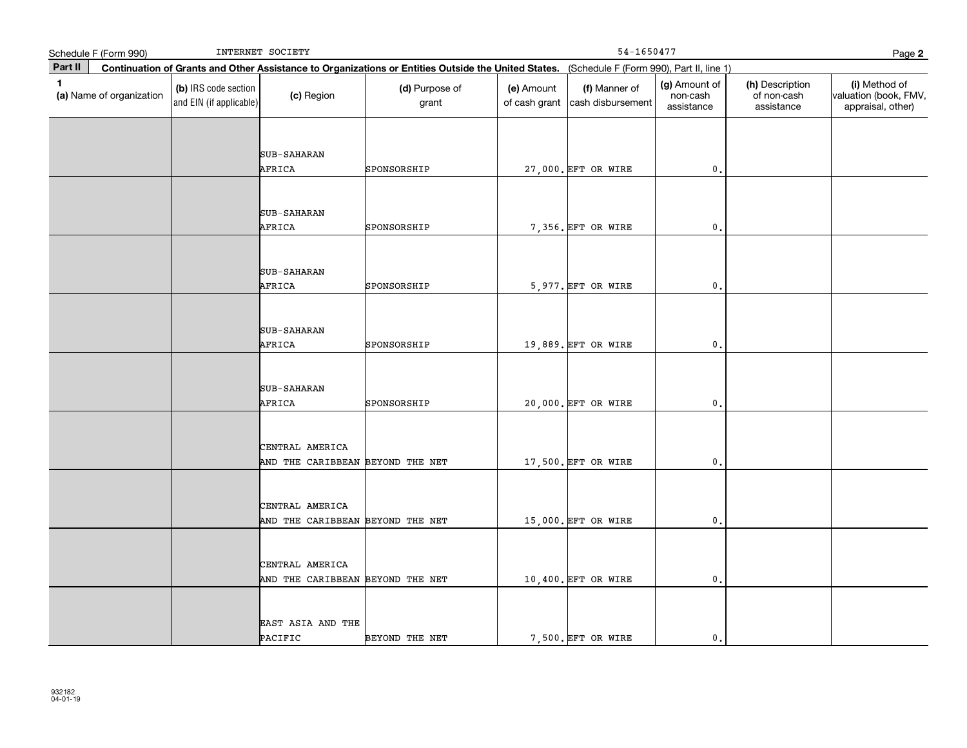|              | Schedule F (Form 990)    |                                                 | INTERNET SOCIETY                                    |                         | $54 - 1650477$<br>Page 2                                                                                                                     |                                    |                                         |                                              |                                                             |
|--------------|--------------------------|-------------------------------------------------|-----------------------------------------------------|-------------------------|----------------------------------------------------------------------------------------------------------------------------------------------|------------------------------------|-----------------------------------------|----------------------------------------------|-------------------------------------------------------------|
| Part II      |                          |                                                 |                                                     |                         | Continuation of Grants and Other Assistance to Organizations or Entities Outside the United States. (Schedule F (Form 990), Part II, line 1) |                                    |                                         |                                              |                                                             |
| $\mathbf{1}$ | (a) Name of organization | (b) IRS code section<br>and EIN (if applicable) | (c) Region                                          | (d) Purpose of<br>grant | (e) Amount<br>of cash grant                                                                                                                  | (f) Manner of<br>cash disbursement | (g) Amount of<br>non-cash<br>assistance | (h) Description<br>of non-cash<br>assistance | (i) Method of<br>valuation (book, FMV,<br>appraisal, other) |
|              |                          |                                                 | SUB-SAHARAN<br>AFRICA                               | SPONSORSHIP             |                                                                                                                                              | 27,000. EFT OR WIRE                | $\mathbf{0}$ .                          |                                              |                                                             |
|              |                          |                                                 | SUB-SAHARAN<br>AFRICA                               | SPONSORSHIP             |                                                                                                                                              | 7,356. EFT OR WIRE                 | $\mathbf{0}$                            |                                              |                                                             |
|              |                          |                                                 | SUB-SAHARAN<br>AFRICA                               | SPONSORSHIP             |                                                                                                                                              | $5,977.$ EFT OR WIRE               | $\mathbf{0}$                            |                                              |                                                             |
|              |                          |                                                 | SUB-SAHARAN<br>AFRICA                               | SPONSORSHIP             |                                                                                                                                              | 19,889. EFT OR WIRE                | $\mathbf{0}$ .                          |                                              |                                                             |
|              |                          |                                                 | SUB-SAHARAN<br>AFRICA                               | SPONSORSHIP             |                                                                                                                                              | 20,000. EFT OR WIRE                | $\mathbf{0}$ .                          |                                              |                                                             |
|              |                          |                                                 | CENTRAL AMERICA<br>AND THE CARIBBEAN BEYOND THE NET |                         |                                                                                                                                              | 17,500. EFT OR WIRE                | $\mathbf 0$ .                           |                                              |                                                             |
|              |                          |                                                 | CENTRAL AMERICA<br>AND THE CARIBBEAN BEYOND THE NET |                         |                                                                                                                                              | 15,000. EFT OR WIRE                | $\mathbf{0}$ .                          |                                              |                                                             |
|              |                          |                                                 | CENTRAL AMERICA<br>AND THE CARIBBEAN BEYOND THE NET |                         |                                                                                                                                              | $10,400$ . EFT OR WIRE             | $\mathbf{0}$ .                          |                                              |                                                             |
|              |                          |                                                 | EAST ASIA AND THE<br>PACIFIC                        | BEYOND THE NET          |                                                                                                                                              | $7,500$ . EFT OR WIRE              | $\mathbf{0}$ .                          |                                              |                                                             |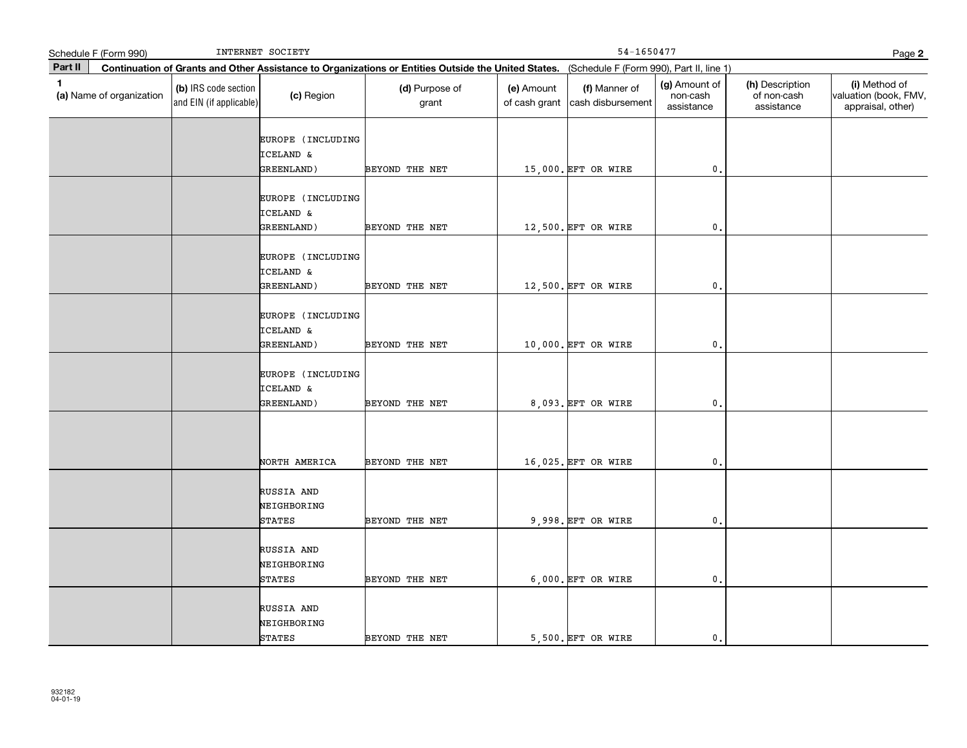|         | INTERNET SOCIETY<br>Schedule F (Form 990) |                                                 |                                                         |                         |                                                                                                                                              | 54-1650477                         |                                         |                                              |                                                             |
|---------|-------------------------------------------|-------------------------------------------------|---------------------------------------------------------|-------------------------|----------------------------------------------------------------------------------------------------------------------------------------------|------------------------------------|-----------------------------------------|----------------------------------------------|-------------------------------------------------------------|
| Part II |                                           |                                                 |                                                         |                         | Continuation of Grants and Other Assistance to Organizations or Entities Outside the United States. (Schedule F (Form 990), Part II, line 1) |                                    |                                         |                                              |                                                             |
| 1       | (a) Name of organization                  | (b) IRS code section<br>and EIN (if applicable) | (c) Region                                              | (d) Purpose of<br>grant | (e) Amount<br>of cash grant                                                                                                                  | (f) Manner of<br>cash disbursement | (g) Amount of<br>non-cash<br>assistance | (h) Description<br>of non-cash<br>assistance | (i) Method of<br>valuation (book, FMV,<br>appraisal, other) |
|         |                                           |                                                 | EUROPE (INCLUDING<br><b>ICELAND &amp;</b><br>GREENLAND) | BEYOND THE NET          |                                                                                                                                              | 15,000. EFT OR WIRE                | $\mathbf{0}$ .                          |                                              |                                                             |
|         |                                           |                                                 | EUROPE (INCLUDING<br><b>ICELAND &amp;</b><br>GREENLAND) | BEYOND THE NET          |                                                                                                                                              | 12,500. EFT OR WIRE                | $\mathbf{0}$ .                          |                                              |                                                             |
|         |                                           |                                                 | EUROPE (INCLUDING<br>ICELAND &<br>GREENLAND)            | BEYOND THE NET          |                                                                                                                                              | 12,500. EFT OR WIRE                | $\mathbf 0$ .                           |                                              |                                                             |
|         |                                           |                                                 | EUROPE (INCLUDING<br>ICELAND &<br>GREENLAND)            | BEYOND THE NET          |                                                                                                                                              | $10,000$ . EFT OR WIRE             | $\mathbf{0}$ .                          |                                              |                                                             |
|         |                                           |                                                 | EUROPE (INCLUDING<br>ICELAND &<br>GREENLAND)            | BEYOND THE NET          |                                                                                                                                              | $8,093$ . EFT OR WIRE              | $\mathbf{0}$ .                          |                                              |                                                             |
|         |                                           |                                                 | NORTH AMERICA                                           | BEYOND THE NET          |                                                                                                                                              | 16,025. EFT OR WIRE                | $\mathbf{0}$ .                          |                                              |                                                             |
|         |                                           |                                                 | RUSSIA AND<br>NEIGHBORING<br><b>STATES</b>              | BEYOND THE NET          |                                                                                                                                              | 9,998. EFT OR WIRE                 | $\mathbf{0}$ .                          |                                              |                                                             |
|         |                                           |                                                 | RUSSIA AND<br>NEIGHBORING<br>STATES                     | BEYOND THE NET          |                                                                                                                                              | $6,000$ . EFT OR WIRE              | $\mathbf{0}$ .                          |                                              |                                                             |
|         |                                           |                                                 | RUSSIA AND<br>NEIGHBORING<br><b>STATES</b>              | BEYOND THE NET          |                                                                                                                                              | 5,500. EFT OR WIRE                 | $\mathbf{0}$ .                          |                                              |                                                             |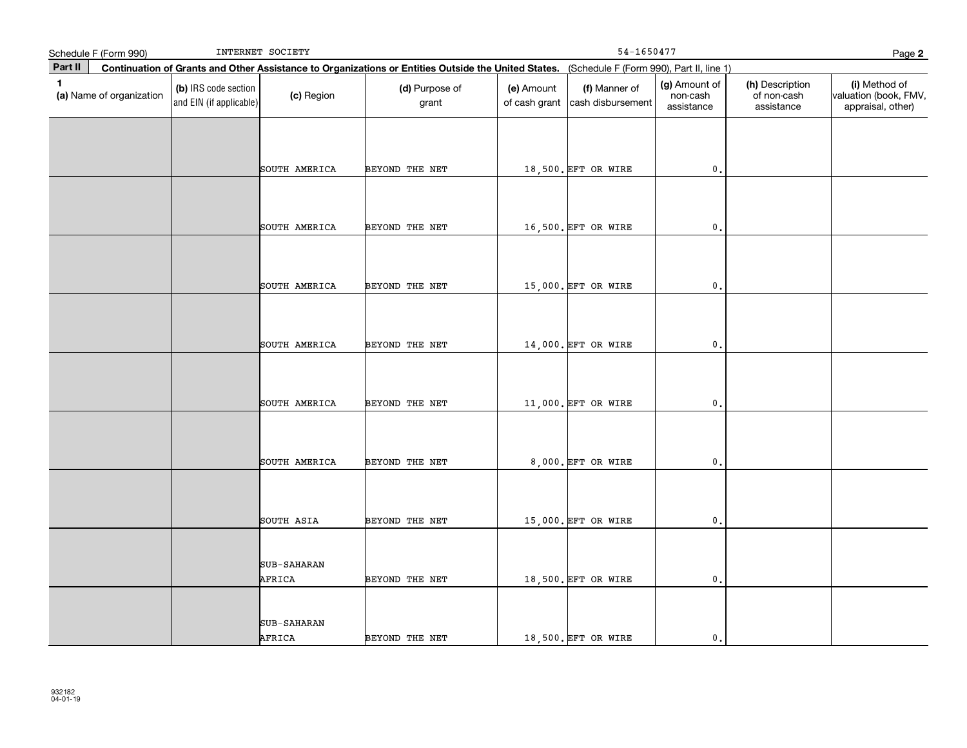|              | INTERNET SOCIETY<br>Schedule F (Form 990)                                                                                                    |                                                 |                       |                         |                             | 54-1650477                         |                                         |                                              |                                                             |  |  |  |
|--------------|----------------------------------------------------------------------------------------------------------------------------------------------|-------------------------------------------------|-----------------------|-------------------------|-----------------------------|------------------------------------|-----------------------------------------|----------------------------------------------|-------------------------------------------------------------|--|--|--|
| Part II      | Continuation of Grants and Other Assistance to Organizations or Entities Outside the United States. (Schedule F (Form 990), Part II, line 1) |                                                 |                       |                         |                             | Page 2                             |                                         |                                              |                                                             |  |  |  |
| $\mathbf{1}$ | (a) Name of organization                                                                                                                     | (b) IRS code section<br>and EIN (if applicable) | (c) Region            | (d) Purpose of<br>grant | (e) Amount<br>of cash grant | (f) Manner of<br>cash disbursement | (g) Amount of<br>non-cash<br>assistance | (h) Description<br>of non-cash<br>assistance | (i) Method of<br>valuation (book, FMV,<br>appraisal, other) |  |  |  |
|              |                                                                                                                                              |                                                 | SOUTH AMERICA         | BEYOND THE NET          |                             | 18,500. EFT OR WIRE                | $\mathbf{0}$ .                          |                                              |                                                             |  |  |  |
|              |                                                                                                                                              |                                                 |                       |                         |                             |                                    |                                         |                                              |                                                             |  |  |  |
|              |                                                                                                                                              |                                                 | SOUTH AMERICA         | BEYOND THE NET          |                             | 16,500. EFT OR WIRE                | $\mathbf 0$ .                           |                                              |                                                             |  |  |  |
|              |                                                                                                                                              |                                                 |                       |                         |                             |                                    |                                         |                                              |                                                             |  |  |  |
|              |                                                                                                                                              |                                                 | SOUTH AMERICA         | BEYOND THE NET          |                             | $15,000$ . EFT OR WIRE             | $\mathbf 0$ .                           |                                              |                                                             |  |  |  |
|              |                                                                                                                                              |                                                 | SOUTH AMERICA         | BEYOND THE NET          |                             | 14,000. EFT OR WIRE                | $^{\rm 0}$ .                            |                                              |                                                             |  |  |  |
|              |                                                                                                                                              |                                                 | SOUTH AMERICA         | BEYOND THE NET          |                             | $11,000$ . EFT OR WIRE             | $\mathfrak o$ .                         |                                              |                                                             |  |  |  |
|              |                                                                                                                                              |                                                 | SOUTH AMERICA         | BEYOND THE NET          |                             | 8,000. EFT OR WIRE                 | $\mathfrak o$ .                         |                                              |                                                             |  |  |  |
|              |                                                                                                                                              |                                                 | SOUTH ASIA            | BEYOND THE NET          |                             | $15,000$ . EFT OR WIRE             | $\mathfrak o$ .                         |                                              |                                                             |  |  |  |
|              |                                                                                                                                              |                                                 | SUB-SAHARAN<br>AFRICA | BEYOND THE NET          |                             | 18,500. EFT OR WIRE                | $\mathfrak o$ .                         |                                              |                                                             |  |  |  |
|              |                                                                                                                                              |                                                 | SUB-SAHARAN<br>AFRICA | BEYOND THE NET          |                             | 18,500. EFT OR WIRE                | $\mathbf{0}$ .                          |                                              |                                                             |  |  |  |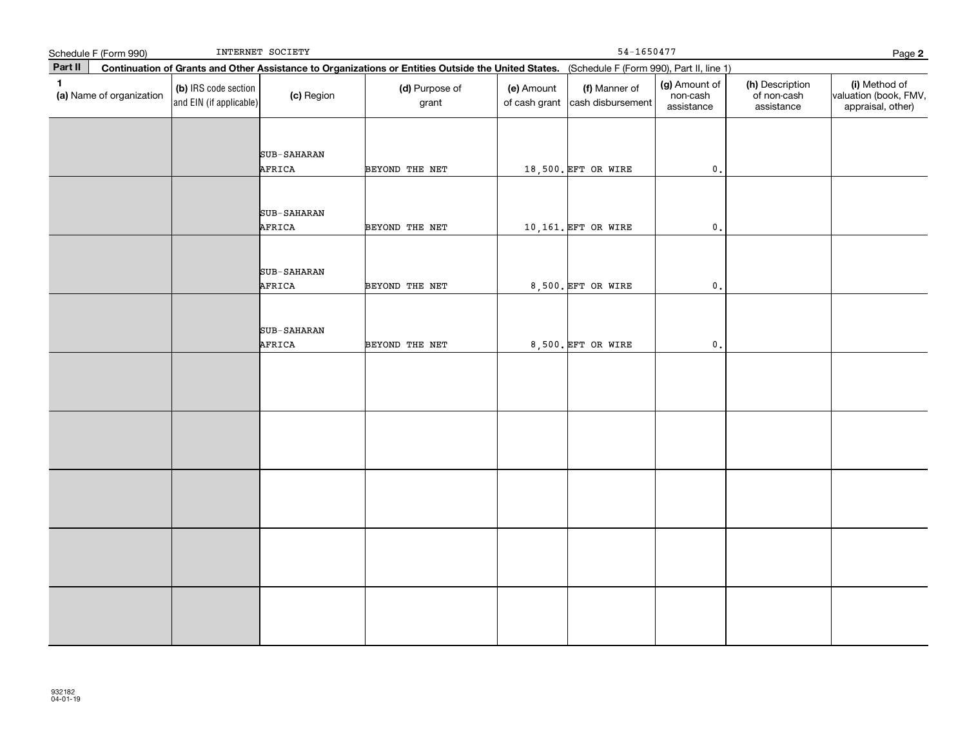|              | Schedule F (Form 990)    |                                                 | INTERNET SOCIETY             |                         |                                                                                                                                              | Page 2                                           |                                         |                                              |                                                             |  |  |
|--------------|--------------------------|-------------------------------------------------|------------------------------|-------------------------|----------------------------------------------------------------------------------------------------------------------------------------------|--------------------------------------------------|-----------------------------------------|----------------------------------------------|-------------------------------------------------------------|--|--|
| Part II      |                          |                                                 |                              |                         | Continuation of Grants and Other Assistance to Organizations or Entities Outside the United States. (Schedule F (Form 990), Part II, line 1) |                                                  |                                         |                                              |                                                             |  |  |
| $\mathbf{1}$ | (a) Name of organization | (b) IRS code section<br>and EIN (if applicable) | (c) Region                   | (d) Purpose of<br>grant | (e) Amount                                                                                                                                   | (f) Manner of<br>of cash grant cash disbursement | (g) Amount of<br>non-cash<br>assistance | (h) Description<br>of non-cash<br>assistance | (i) Method of<br>valuation (book, FMV,<br>appraisal, other) |  |  |
|              |                          |                                                 | SUB-SAHARAN<br>AFRICA        | BEYOND THE NET          |                                                                                                                                              | 18,500. $ET$ OR WIRE                             | $\mathsf{0}$ .                          |                                              |                                                             |  |  |
|              |                          |                                                 | SUB-SAHARAN<br>AFRICA        | BEYOND THE NET          |                                                                                                                                              | 10,161. EFT OR WIRE                              | $\mathfrak{o}$ .                        |                                              |                                                             |  |  |
|              |                          |                                                 | SUB-SAHARAN<br>AFRICA        | BEYOND THE NET          |                                                                                                                                              | $8,500$ . EFT OR WIRE                            | $\mathbf 0$ .                           |                                              |                                                             |  |  |
|              |                          |                                                 | <b>SUB-SAHARAN</b><br>AFRICA | BEYOND THE NET          |                                                                                                                                              | $8,500$ . EFT OR WIRE                            | $\mathfrak o$ .                         |                                              |                                                             |  |  |
|              |                          |                                                 |                              |                         |                                                                                                                                              |                                                  |                                         |                                              |                                                             |  |  |
|              |                          |                                                 |                              |                         |                                                                                                                                              |                                                  |                                         |                                              |                                                             |  |  |
|              |                          |                                                 |                              |                         |                                                                                                                                              |                                                  |                                         |                                              |                                                             |  |  |
|              |                          |                                                 |                              |                         |                                                                                                                                              |                                                  |                                         |                                              |                                                             |  |  |
|              |                          |                                                 |                              |                         |                                                                                                                                              |                                                  |                                         |                                              |                                                             |  |  |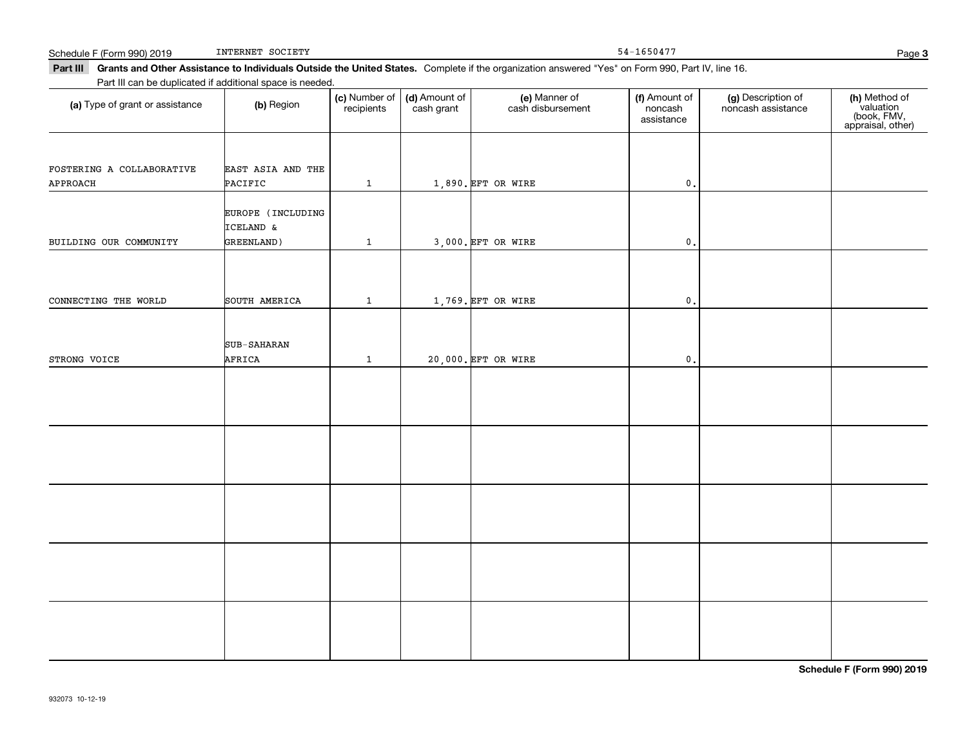| Schedule F (Form 990) 2019                                                                                                                                | INTERNET SOCIETY               |                             |                             |                                    | 54-1650477                             |                                          | Page                                                           |
|-----------------------------------------------------------------------------------------------------------------------------------------------------------|--------------------------------|-----------------------------|-----------------------------|------------------------------------|----------------------------------------|------------------------------------------|----------------------------------------------------------------|
| Part III Grants and Other Assistance to Individuals Outside the United States. Complete if the organization answered "Yes" on Form 990, Part IV, line 16. |                                |                             |                             |                                    |                                        |                                          |                                                                |
| Part III can be duplicated if additional space is needed.                                                                                                 |                                |                             |                             |                                    |                                        |                                          |                                                                |
| (a) Type of grant or assistance                                                                                                                           | (b) Region                     | (c) Number of<br>recipients | (d) Amount of<br>cash grant | (e) Manner of<br>cash disbursement | (f) Amount of<br>noncash<br>assistance | (g) Description of<br>noncash assistance | (h) Method of<br>valuation<br>(book, FMV,<br>appraisal, other) |
|                                                                                                                                                           |                                |                             |                             |                                    |                                        |                                          |                                                                |
| FOSTERING A COLLABORATIVE                                                                                                                                 | EAST ASIA AND THE              |                             |                             |                                    |                                        |                                          |                                                                |
| APPROACH                                                                                                                                                  | PACIFIC                        | $\mathbf{1}$                |                             | $1.890$ . EFT OR WIRE              | $\mathbf{0}$ .                         |                                          |                                                                |
|                                                                                                                                                           |                                |                             |                             |                                    |                                        |                                          |                                                                |
|                                                                                                                                                           | EUROPE (INCLUDING<br>ICELAND & |                             |                             |                                    |                                        |                                          |                                                                |
| BUILDING OUR COMMUNITY                                                                                                                                    | GREENLAND)                     | $\mathbf{1}$                |                             | $3.000$ . EFT OR WIRE              | $\mathbf{0}$ .                         |                                          |                                                                |
|                                                                                                                                                           |                                |                             |                             |                                    |                                        |                                          |                                                                |
|                                                                                                                                                           |                                |                             |                             |                                    |                                        |                                          |                                                                |
| CONNECTING THE WORLD                                                                                                                                      | SOUTH AMERICA                  | $\mathbf{1}$                |                             | $1,769$ . EFT OR WIRE              | $\mathbf{0}$ .                         |                                          |                                                                |
|                                                                                                                                                           |                                |                             |                             |                                    |                                        |                                          |                                                                |
|                                                                                                                                                           | SUB-SAHARAN                    |                             |                             |                                    |                                        |                                          |                                                                |
| STRONG VOICE                                                                                                                                              | AFRICA                         | $\mathbf{1}$                |                             | 20,000. EFT OR WIRE                | 0.                                     |                                          |                                                                |
|                                                                                                                                                           |                                |                             |                             |                                    |                                        |                                          |                                                                |
|                                                                                                                                                           |                                |                             |                             |                                    |                                        |                                          |                                                                |
|                                                                                                                                                           |                                |                             |                             |                                    |                                        |                                          |                                                                |
|                                                                                                                                                           |                                |                             |                             |                                    |                                        |                                          |                                                                |
|                                                                                                                                                           |                                |                             |                             |                                    |                                        |                                          |                                                                |
|                                                                                                                                                           |                                |                             |                             |                                    |                                        |                                          |                                                                |
|                                                                                                                                                           |                                |                             |                             |                                    |                                        |                                          |                                                                |

Schedule F (Form 990) 2019

Page 3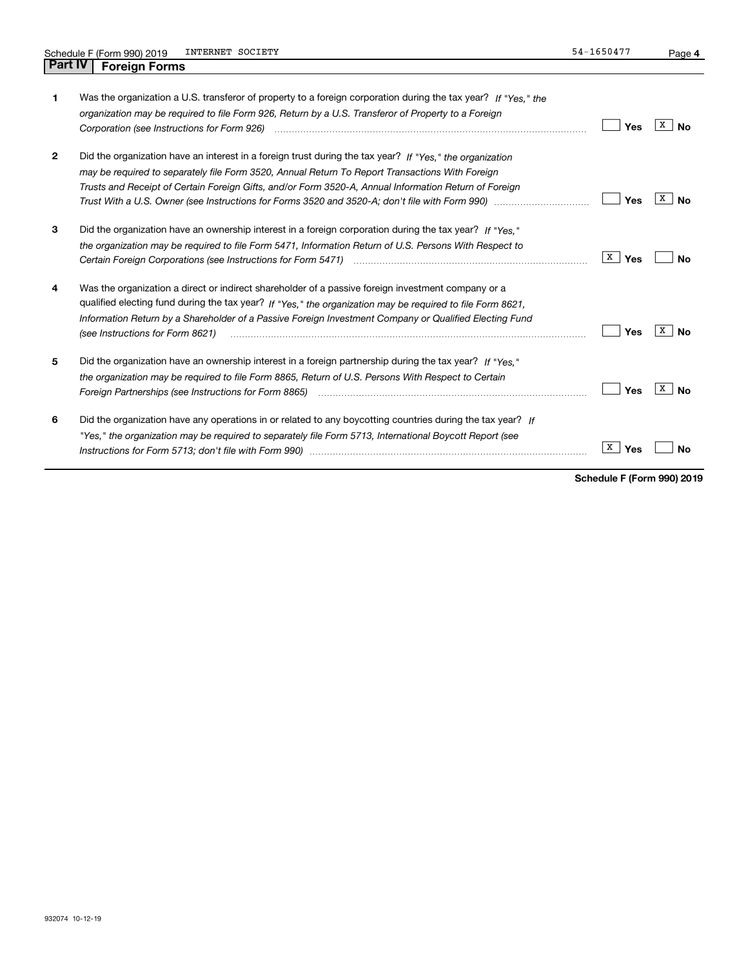| 1            | Was the organization a U.S. transferor of property to a foreign corporation during the tax year? If "Yes." the<br>organization may be required to file Form 926, Return by a U.S. Transferor of Property to a Foreign                                                                                                                                          | Yes      | х<br><b>No</b> |
|--------------|----------------------------------------------------------------------------------------------------------------------------------------------------------------------------------------------------------------------------------------------------------------------------------------------------------------------------------------------------------------|----------|----------------|
| $\mathbf{2}$ | Did the organization have an interest in a foreign trust during the tax year? If "Yes." the organization<br>may be required to separately file Form 3520, Annual Return To Report Transactions With Foreign<br>Trusts and Receipt of Certain Foreign Gifts, and/or Form 3520-A, Annual Information Return of Foreign                                           | Yes      | X<br>Nο        |
| 3            | Did the organization have an ownership interest in a foreign corporation during the tax year? If "Yes."<br>the organization may be required to file Form 5471, Information Return of U.S. Persons With Respect to                                                                                                                                              | X<br>Yes | Nο             |
| 4            | Was the organization a direct or indirect shareholder of a passive foreign investment company or a<br>qualified electing fund during the tax year? If "Yes," the organization may be required to file Form 8621,<br>Information Return by a Shareholder of a Passive Foreign Investment Company or Qualified Electing Fund<br>(see Instructions for Form 8621) | Yes      | X<br>Nο        |
| 5            | Did the organization have an ownership interest in a foreign partnership during the tax year? If "Yes."<br>the organization may be required to file Form 8865, Return of U.S. Persons With Respect to Certain                                                                                                                                                  | Yes      | x<br><b>No</b> |
| 6            | Did the organization have any operations in or related to any boycotting countries during the tax year? If<br>"Yes," the organization may be required to separately file Form 5713, International Boycott Report (see                                                                                                                                          | X<br>Yes | Nο             |

Schedule F (Form 990) 2019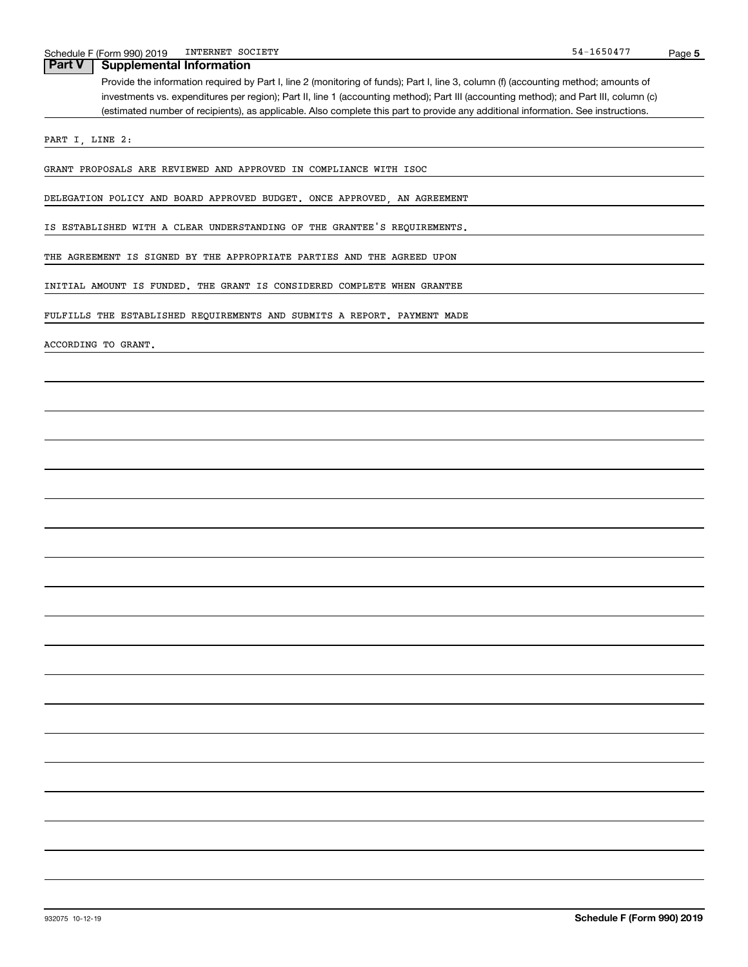## **Supplemental Information**

Provide the information required by Part I, line 2 (monitoring of funds); Part I, line 3, column (f) (accounting method; amounts of investments vs. expenditures per region); Part II, line 1 (accounting method); Part III (accounting method); and Part III, column (c) (estimated number of recipients), as applicable. Also complete this part to provide any additional information. See instructions.

PART I, LINE 2:

GRANT PROPOSALS ARE REVIEWED AND APPROVED IN COMPLIANCE WITH ISOC

DELEGATION POLICY AND BOARD APPROVED BUDGET. ONCE APPROVED, AN AGREEMENT

IS ESTABLISHED WITH A CLEAR UNDERSTANDING OF THE GRANTEE'S REQUIREMENTS.

THE AGREEMENT IS SIGNED BY THE APPROPRIATE PARTIES AND THE AGREED UPON

INITIAL AMOUNT IS FUNDED. THE GRANT IS CONSIDERED COMPLETE WHEN GRANTEE

FULFILLS THE ESTABLISHED REQUIREMENTS AND SUBMITS A REPORT. PAYMENT MADE

ACCORDING TO GRANT.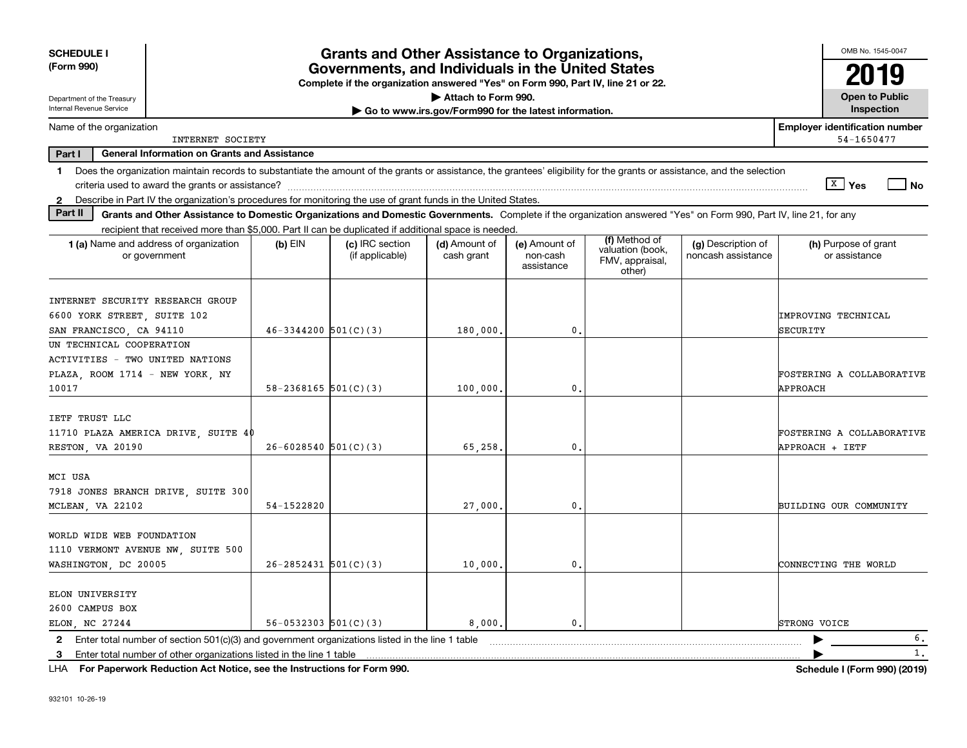| <b>SCHEDULE I</b><br>(Form 990)                                                                                                                                                | <b>Grants and Other Assistance to Organizations,</b><br>Governments, and Individuals in the United States<br>Complete if the organization answered "Yes" on Form 990, Part IV, line 21 or 22. |                                    |                                                       |                                         |                                                                |                                          |                                                     |  |  |
|--------------------------------------------------------------------------------------------------------------------------------------------------------------------------------|-----------------------------------------------------------------------------------------------------------------------------------------------------------------------------------------------|------------------------------------|-------------------------------------------------------|-----------------------------------------|----------------------------------------------------------------|------------------------------------------|-----------------------------------------------------|--|--|
| Department of the Treasury                                                                                                                                                     |                                                                                                                                                                                               |                                    | Attach to Form 990.                                   |                                         |                                                                |                                          | <b>Open to Public</b>                               |  |  |
| Internal Revenue Service                                                                                                                                                       |                                                                                                                                                                                               |                                    | Go to www.irs.gov/Form990 for the latest information. |                                         |                                                                |                                          | Inspection                                          |  |  |
| Name of the organization<br>INTERNET SOCIETY                                                                                                                                   |                                                                                                                                                                                               |                                    |                                                       |                                         |                                                                |                                          | <b>Employer identification number</b><br>54-1650477 |  |  |
| Part I<br><b>General Information on Grants and Assistance</b>                                                                                                                  |                                                                                                                                                                                               |                                    |                                                       |                                         |                                                                |                                          |                                                     |  |  |
| Does the organization maintain records to substantiate the amount of the grants or assistance, the grantees' eligibility for the grants or assistance, and the selection<br>1. |                                                                                                                                                                                               |                                    |                                                       |                                         |                                                                |                                          |                                                     |  |  |
|                                                                                                                                                                                |                                                                                                                                                                                               |                                    |                                                       |                                         |                                                                |                                          | $X$ Yes<br>No                                       |  |  |
| Describe in Part IV the organization's procedures for monitoring the use of grant funds in the United States.<br>$\mathbf{2}$                                                  |                                                                                                                                                                                               |                                    |                                                       |                                         |                                                                |                                          |                                                     |  |  |
| Part II<br>Grants and Other Assistance to Domestic Organizations and Domestic Governments. Complete if the organization answered "Yes" on Form 990, Part IV, line 21, for any  |                                                                                                                                                                                               |                                    |                                                       |                                         |                                                                |                                          |                                                     |  |  |
| recipient that received more than \$5,000. Part II can be duplicated if additional space is needed.                                                                            |                                                                                                                                                                                               |                                    |                                                       |                                         |                                                                |                                          |                                                     |  |  |
| 1 (a) Name and address of organization<br>or government                                                                                                                        | $(b)$ EIN                                                                                                                                                                                     | (c) IRC section<br>(if applicable) | (d) Amount of<br>cash grant                           | (e) Amount of<br>non-cash<br>assistance | (f) Method of<br>valuation (book,<br>FMV, appraisal,<br>other) | (g) Description of<br>noncash assistance | (h) Purpose of grant<br>or assistance               |  |  |
| INTERNET SECURITY RESEARCH GROUP<br>6600 YORK STREET, SUITE 102<br>SAN FRANCISCO, CA 94110                                                                                     | $46-3344200$ 501(C)(3)                                                                                                                                                                        |                                    | 180,000                                               | 0.                                      |                                                                |                                          | IMPROVING TECHNICAL<br>SECURITY                     |  |  |
| UN TECHNICAL COOPERATION                                                                                                                                                       |                                                                                                                                                                                               |                                    |                                                       |                                         |                                                                |                                          |                                                     |  |  |
| ACTIVITIES - TWO UNITED NATIONS                                                                                                                                                |                                                                                                                                                                                               |                                    |                                                       |                                         |                                                                |                                          |                                                     |  |  |
| PLAZA, ROOM 1714 - NEW YORK, NY                                                                                                                                                |                                                                                                                                                                                               |                                    |                                                       |                                         |                                                                |                                          | FOSTERING A COLLABORATIVE                           |  |  |
| 10017                                                                                                                                                                          | $58 - 2368165$ $501(C)(3)$                                                                                                                                                                    |                                    | 100,000                                               | 0.                                      |                                                                |                                          | APPROACH                                            |  |  |
| IETF TRUST LLC<br>11710 PLAZA AMERICA DRIVE, SUITE 40<br>RESTON, VA 20190                                                                                                      | $26 - 6028540$ 501(C)(3)                                                                                                                                                                      |                                    | 65,258                                                | $\mathbf{0}$ .                          |                                                                |                                          | FOSTERING A COLLABORATIVE<br>APPROACH + IETF        |  |  |
| MCI USA<br>7918 JONES BRANCH DRIVE, SUITE 300<br>MCLEAN, VA 22102                                                                                                              | 54-1522820                                                                                                                                                                                    |                                    | 27,000                                                | 0.                                      |                                                                |                                          | BUILDING OUR COMMUNITY                              |  |  |
| WORLD WIDE WEB FOUNDATION<br>1110 VERMONT AVENUE NW, SUITE 500<br>WASHINGTON, DC 20005                                                                                         | $26 - 2852431$ 501(C)(3)                                                                                                                                                                      |                                    | 10,000                                                | 0.                                      |                                                                |                                          | CONNECTING THE WORLD                                |  |  |
| ELON UNIVERSITY<br>2600 CAMPUS BOX<br>ELON, NC 27244                                                                                                                           | $56 - 0532303$ $501(C)(3)$                                                                                                                                                                    |                                    | 8,000.                                                | 0.                                      |                                                                |                                          | STRONG VOICE                                        |  |  |
| Enter total number of section $501(c)(3)$ and government organizations listed in the line 1 table<br>$\mathbf{2}$                                                              |                                                                                                                                                                                               |                                    |                                                       |                                         |                                                                |                                          | 6.                                                  |  |  |
| Enter total number of other organizations listed in the line 1 table<br>3                                                                                                      |                                                                                                                                                                                               |                                    |                                                       |                                         |                                                                |                                          | 1.                                                  |  |  |
|                                                                                                                                                                                |                                                                                                                                                                                               |                                    |                                                       |                                         |                                                                |                                          |                                                     |  |  |

LHA For Paperwork Reduction Act Notice, see the Instructions for Form 990. Zeed the Schedule I (Form 990) (2019)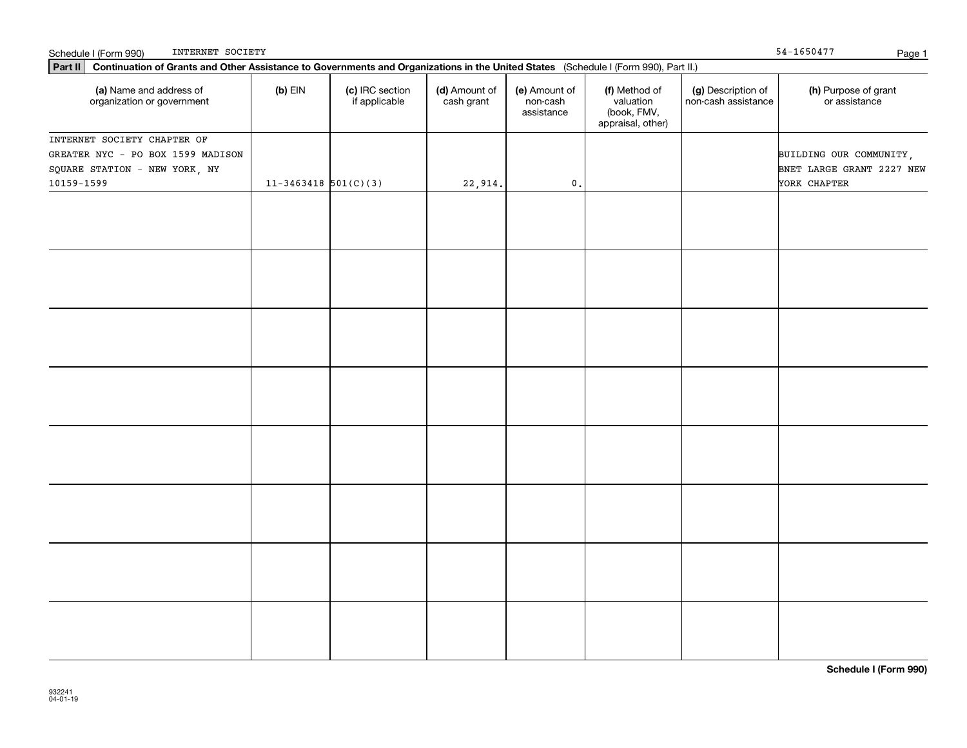| Part II   Continuation of Grants and Other Assistance to Governments and Organizations in the United States (Schedule I (Form 990), Part II.) |                        |                                  |                             |                                         |                                                                |                                           |                                       |
|-----------------------------------------------------------------------------------------------------------------------------------------------|------------------------|----------------------------------|-----------------------------|-----------------------------------------|----------------------------------------------------------------|-------------------------------------------|---------------------------------------|
| (a) Name and address of<br>organization or government                                                                                         | $(b)$ EIN              | (c) IRC section<br>if applicable | (d) Amount of<br>cash grant | (e) Amount of<br>non-cash<br>assistance | (f) Method of<br>valuation<br>(book, FMV,<br>appraisal, other) | (g) Description of<br>non-cash assistance | (h) Purpose of grant<br>or assistance |
| INTERNET SOCIETY CHAPTER OF                                                                                                                   |                        |                                  |                             |                                         |                                                                |                                           |                                       |
| GREATER NYC - PO BOX 1599 MADISON                                                                                                             |                        |                                  |                             |                                         |                                                                |                                           | BUILDING OUR COMMUNITY,               |
| SQUARE STATION - NEW YORK, NY                                                                                                                 |                        |                                  |                             |                                         |                                                                |                                           | BNET LARGE GRANT 2227 NEW             |
| 10159-1599                                                                                                                                    | 11-3463418 $501(C)(3)$ |                                  | 22,914.                     | $\mathfrak o$ .                         |                                                                |                                           | YORK CHAPTER                          |
|                                                                                                                                               |                        |                                  |                             |                                         |                                                                |                                           |                                       |
|                                                                                                                                               |                        |                                  |                             |                                         |                                                                |                                           |                                       |
|                                                                                                                                               |                        |                                  |                             |                                         |                                                                |                                           |                                       |
|                                                                                                                                               |                        |                                  |                             |                                         |                                                                |                                           |                                       |
|                                                                                                                                               |                        |                                  |                             |                                         |                                                                |                                           |                                       |
|                                                                                                                                               |                        |                                  |                             |                                         |                                                                |                                           |                                       |
|                                                                                                                                               |                        |                                  |                             |                                         |                                                                |                                           |                                       |
|                                                                                                                                               |                        |                                  |                             |                                         |                                                                |                                           |                                       |
|                                                                                                                                               |                        |                                  |                             |                                         |                                                                |                                           |                                       |
|                                                                                                                                               |                        |                                  |                             |                                         |                                                                |                                           |                                       |
|                                                                                                                                               |                        |                                  |                             |                                         |                                                                |                                           |                                       |
|                                                                                                                                               |                        |                                  |                             |                                         |                                                                |                                           |                                       |
|                                                                                                                                               |                        |                                  |                             |                                         |                                                                |                                           |                                       |
|                                                                                                                                               |                        |                                  |                             |                                         |                                                                |                                           |                                       |
|                                                                                                                                               |                        |                                  |                             |                                         |                                                                |                                           |                                       |
|                                                                                                                                               |                        |                                  |                             |                                         |                                                                |                                           |                                       |
|                                                                                                                                               |                        |                                  |                             |                                         |                                                                |                                           |                                       |
|                                                                                                                                               |                        |                                  |                             |                                         |                                                                |                                           |                                       |

Schedule I (Form 990)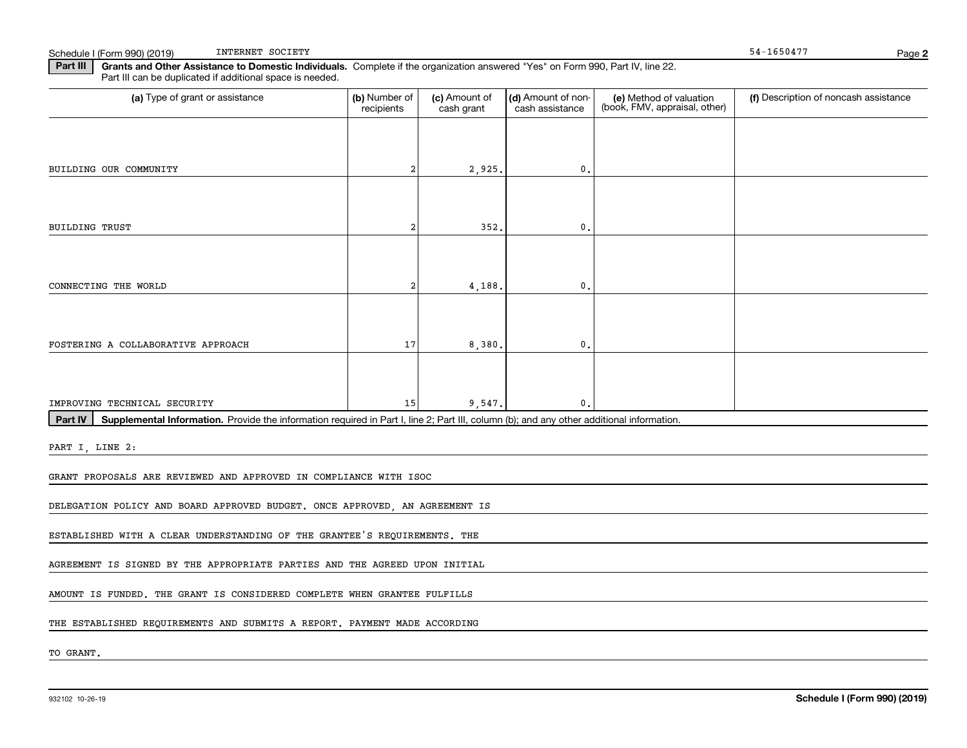Part IV | Supplemental Information. Provide the information required in Part I, line 2; Part III, column (b); and any other additional information. 2 17 15 4,188. 8,380. 9,547. CONNECTING THE WORLD 0. 0. 0. FOSTERING A COLLABORATIVE APPROACH IMPROVING TECHNICAL SECURITY PART I, LINE 2: GRANT PROPOSALS ARE REVIEWED AND APPROVED IN COMPLIANCE WITH ISOC DELEGATION POLICY AND BOARD APPROVED BUDGET. ONCE APPROVED, AN AGREEMENT IS ESTABLISHED WITH A CLEAR UNDERSTANDING OF THE GRANTEE'S REQUIREMENTS. THE AGREEMENT IS SIGNED BY THE APPROPRIATE PARTIES AND THE AGREED UPON INITIAL AMOUNT IS FUNDED. THE GRANT IS CONSIDERED COMPLETE WHEN GRANTEE FULFILLS THE ESTABLISHED REQUIREMENTS AND SUBMITS A REPORT. PAYMENT MADE ACCORDING TO GRANT.

## Part III | Grants and Other Assistance to Domestic Individuals. Complete if the organization answered "Yes" on Form 990, Part IV, line 22. Part III can be duplicated if additional space is needed.

recipients

 $\mathcal{L}$ 

(a) Type of grant or assistance  $\vert$  (b) Number of  $\vert$  (c) Amount of  $\vert$  (d) Amount of non- $\vert$  (e) Method of valuation  $\vert$  (f)

(c) Amount of cash grant

2,925.

352.

(d) Amount of noncash assistance

0.

0.

BUILDING TRUST

BUILDING OUR COMMUNITY 2

(f) Description of noncash assistance

(e) Method of valuation (book, FMV, appraisal, other) Page 2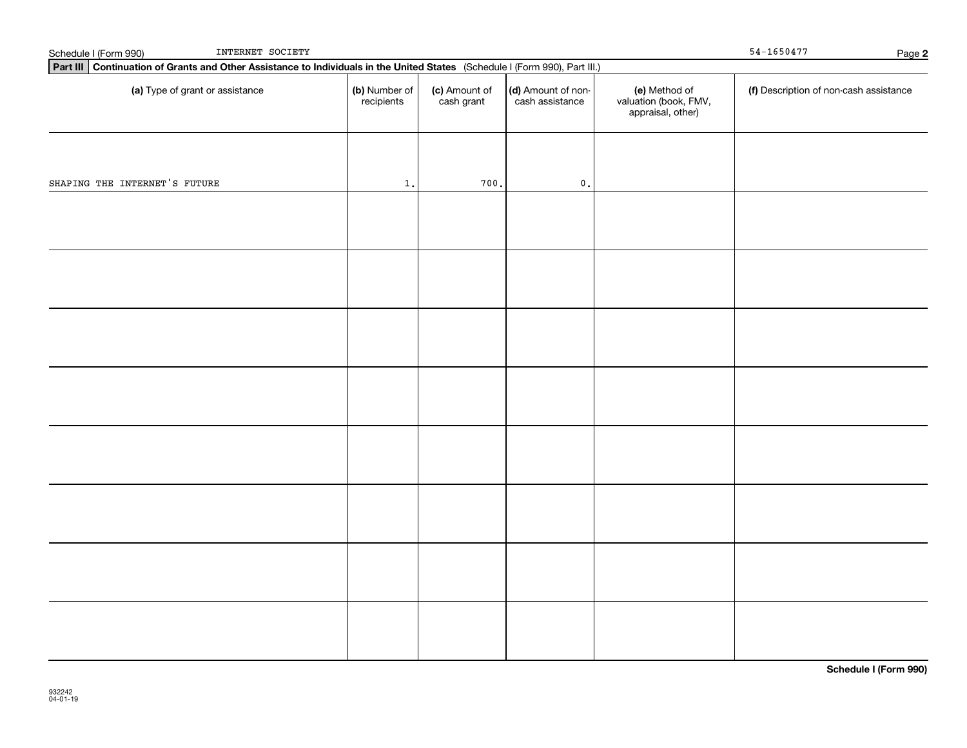| INTERNET SOCIETY<br>Schedule I (Form 990)                                                                                   | $54 - 1650477$              | Page 2                      |                                       |                                                             |                                        |  |
|-----------------------------------------------------------------------------------------------------------------------------|-----------------------------|-----------------------------|---------------------------------------|-------------------------------------------------------------|----------------------------------------|--|
| Part III Continuation of Grants and Other Assistance to Individuals in the United States (Schedule I (Form 990), Part III.) |                             |                             |                                       |                                                             |                                        |  |
| (a) Type of grant or assistance                                                                                             | (b) Number of<br>recipients | (c) Amount of<br>cash grant | (d) Amount of non-<br>cash assistance | (e) Method of<br>valuation (book, FMV,<br>appraisal, other) | (f) Description of non-cash assistance |  |
| SHAPING THE INTERNET'S FUTURE                                                                                               |                             | 700.                        |                                       |                                                             |                                        |  |
|                                                                                                                             | $1$ .                       |                             | $\mathsf{0}$ .                        |                                                             |                                        |  |
|                                                                                                                             |                             |                             |                                       |                                                             |                                        |  |
|                                                                                                                             |                             |                             |                                       |                                                             |                                        |  |
|                                                                                                                             |                             |                             |                                       |                                                             |                                        |  |
|                                                                                                                             |                             |                             |                                       |                                                             |                                        |  |
|                                                                                                                             |                             |                             |                                       |                                                             |                                        |  |
|                                                                                                                             |                             |                             |                                       |                                                             |                                        |  |
|                                                                                                                             |                             |                             |                                       |                                                             |                                        |  |
|                                                                                                                             |                             |                             |                                       |                                                             |                                        |  |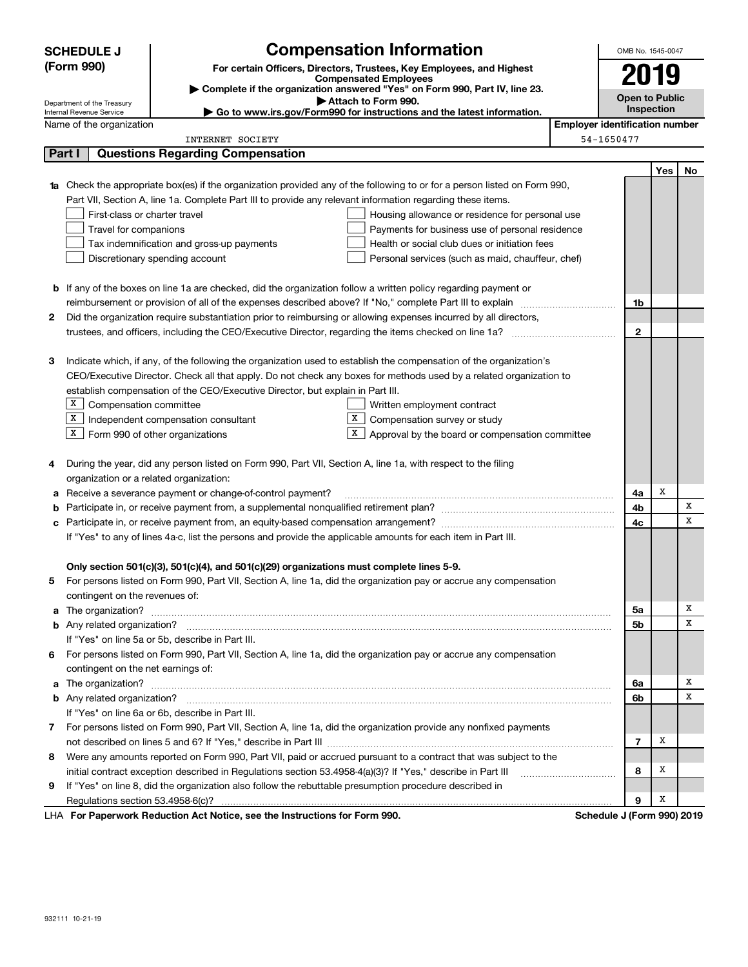|    | <b>Compensation Information</b><br><b>SCHEDULE J</b>                                                         |                                                                                                                                                                                                                                          |                                                                                 |                                       |                            | OMB No. 1545-0047 |    |  |  |
|----|--------------------------------------------------------------------------------------------------------------|------------------------------------------------------------------------------------------------------------------------------------------------------------------------------------------------------------------------------------------|---------------------------------------------------------------------------------|---------------------------------------|----------------------------|-------------------|----|--|--|
|    | (Form 990)<br>For certain Officers, Directors, Trustees, Key Employees, and Highest                          |                                                                                                                                                                                                                                          |                                                                                 |                                       |                            | 2019              |    |  |  |
|    |                                                                                                              |                                                                                                                                                                                                                                          | <b>Compensated Employees</b>                                                    |                                       |                            |                   |    |  |  |
|    | Department of the Treasury                                                                                   | > Complete if the organization answered "Yes" on Form 990, Part IV, line 23.<br>Attach to Form 990.                                                                                                                                      |                                                                                 |                                       | <b>Open to Public</b>      |                   |    |  |  |
|    | Internal Revenue Service                                                                                     |                                                                                                                                                                                                                                          | Go to www.irs.gov/Form990 for instructions and the latest information.          |                                       | Inspection                 |                   |    |  |  |
|    | Name of the organization                                                                                     |                                                                                                                                                                                                                                          |                                                                                 | <b>Employer identification number</b> |                            |                   |    |  |  |
|    |                                                                                                              | INTERNET SOCIETY                                                                                                                                                                                                                         |                                                                                 |                                       | 54-1650477                 |                   |    |  |  |
|    | Part I                                                                                                       | <b>Questions Regarding Compensation</b>                                                                                                                                                                                                  |                                                                                 |                                       |                            |                   |    |  |  |
|    |                                                                                                              |                                                                                                                                                                                                                                          |                                                                                 |                                       |                            | Yes               | No |  |  |
|    |                                                                                                              | 1a Check the appropriate box(es) if the organization provided any of the following to or for a person listed on Form 990,                                                                                                                |                                                                                 |                                       |                            |                   |    |  |  |
|    |                                                                                                              | Part VII, Section A, line 1a. Complete Part III to provide any relevant information regarding these items.                                                                                                                               |                                                                                 |                                       |                            |                   |    |  |  |
|    | First-class or charter travel                                                                                |                                                                                                                                                                                                                                          | Housing allowance or residence for personal use                                 |                                       |                            |                   |    |  |  |
|    | Travel for companions                                                                                        |                                                                                                                                                                                                                                          | Payments for business use of personal residence                                 |                                       |                            |                   |    |  |  |
|    |                                                                                                              | Tax indemnification and gross-up payments                                                                                                                                                                                                | Health or social club dues or initiation fees                                   |                                       |                            |                   |    |  |  |
|    |                                                                                                              | Discretionary spending account                                                                                                                                                                                                           | Personal services (such as maid, chauffeur, chef)                               |                                       |                            |                   |    |  |  |
|    |                                                                                                              |                                                                                                                                                                                                                                          |                                                                                 |                                       |                            |                   |    |  |  |
|    |                                                                                                              | <b>b</b> If any of the boxes on line 1a are checked, did the organization follow a written policy regarding payment or                                                                                                                   |                                                                                 |                                       |                            |                   |    |  |  |
|    |                                                                                                              | reimbursement or provision of all of the expenses described above? If "No," complete Part III to explain                                                                                                                                 |                                                                                 |                                       | 1b                         |                   |    |  |  |
| 2  |                                                                                                              | Did the organization require substantiation prior to reimbursing or allowing expenses incurred by all directors,                                                                                                                         |                                                                                 |                                       |                            |                   |    |  |  |
|    |                                                                                                              |                                                                                                                                                                                                                                          |                                                                                 |                                       | $\mathbf{2}$               |                   |    |  |  |
|    |                                                                                                              |                                                                                                                                                                                                                                          |                                                                                 |                                       |                            |                   |    |  |  |
| З  |                                                                                                              | Indicate which, if any, of the following the organization used to establish the compensation of the organization's<br>CEO/Executive Director. Check all that apply. Do not check any boxes for methods used by a related organization to |                                                                                 |                                       |                            |                   |    |  |  |
|    |                                                                                                              |                                                                                                                                                                                                                                          |                                                                                 |                                       |                            |                   |    |  |  |
|    | establish compensation of the CEO/Executive Director, but explain in Part III.                               |                                                                                                                                                                                                                                          |                                                                                 |                                       |                            |                   |    |  |  |
|    | $X$ Compensation committee<br>Written employment contract<br>X<br>X  <br>Independent compensation consultant |                                                                                                                                                                                                                                          |                                                                                 |                                       |                            |                   |    |  |  |
|    | $X$ Form 990 of other organizations                                                                          | X                                                                                                                                                                                                                                        | Compensation survey or study<br>Approval by the board or compensation committee |                                       |                            |                   |    |  |  |
|    |                                                                                                              |                                                                                                                                                                                                                                          |                                                                                 |                                       |                            |                   |    |  |  |
| 4  |                                                                                                              | During the year, did any person listed on Form 990, Part VII, Section A, line 1a, with respect to the filing                                                                                                                             |                                                                                 |                                       |                            |                   |    |  |  |
|    | organization or a related organization:                                                                      |                                                                                                                                                                                                                                          |                                                                                 |                                       |                            |                   |    |  |  |
| а  |                                                                                                              | Receive a severance payment or change-of-control payment?                                                                                                                                                                                |                                                                                 |                                       | 4a                         | х                 |    |  |  |
| b  |                                                                                                              |                                                                                                                                                                                                                                          |                                                                                 |                                       | 4b                         |                   | X  |  |  |
| с  |                                                                                                              |                                                                                                                                                                                                                                          |                                                                                 |                                       | 4c                         |                   | x  |  |  |
|    |                                                                                                              | If "Yes" to any of lines 4a-c, list the persons and provide the applicable amounts for each item in Part III.                                                                                                                            |                                                                                 |                                       |                            |                   |    |  |  |
|    |                                                                                                              |                                                                                                                                                                                                                                          |                                                                                 |                                       |                            |                   |    |  |  |
|    |                                                                                                              | Only section 501(c)(3), 501(c)(4), and 501(c)(29) organizations must complete lines 5-9.                                                                                                                                                 |                                                                                 |                                       |                            |                   |    |  |  |
|    |                                                                                                              | For persons listed on Form 990, Part VII, Section A, line 1a, did the organization pay or accrue any compensation                                                                                                                        |                                                                                 |                                       |                            |                   |    |  |  |
|    | contingent on the revenues of:                                                                               |                                                                                                                                                                                                                                          |                                                                                 |                                       |                            |                   |    |  |  |
|    |                                                                                                              | a The organization? <b>Entitation</b> 2008 Communication of the organization of the organization?                                                                                                                                        |                                                                                 |                                       | 5а                         |                   | х  |  |  |
|    |                                                                                                              |                                                                                                                                                                                                                                          |                                                                                 |                                       | 5b                         |                   | х  |  |  |
|    |                                                                                                              | If "Yes" on line 5a or 5b, describe in Part III.                                                                                                                                                                                         |                                                                                 |                                       |                            |                   |    |  |  |
| 6. |                                                                                                              | For persons listed on Form 990, Part VII, Section A, line 1a, did the organization pay or accrue any compensation                                                                                                                        |                                                                                 |                                       |                            |                   |    |  |  |
|    | contingent on the net earnings of:                                                                           |                                                                                                                                                                                                                                          |                                                                                 |                                       |                            |                   |    |  |  |
|    | a The organization? <b>Entitled Strategies and Strategies and Strategies</b> and The organization?           |                                                                                                                                                                                                                                          |                                                                                 |                                       |                            |                   | х  |  |  |
|    |                                                                                                              |                                                                                                                                                                                                                                          |                                                                                 |                                       | 6b                         |                   | х  |  |  |
|    |                                                                                                              | If "Yes" on line 6a or 6b, describe in Part III.                                                                                                                                                                                         |                                                                                 |                                       |                            |                   |    |  |  |
|    |                                                                                                              | 7 For persons listed on Form 990, Part VII, Section A, line 1a, did the organization provide any nonfixed payments                                                                                                                       |                                                                                 |                                       |                            |                   |    |  |  |
|    |                                                                                                              |                                                                                                                                                                                                                                          |                                                                                 |                                       |                            | х                 |    |  |  |
| 8  |                                                                                                              | Were any amounts reported on Form 990, Part VII, paid or accrued pursuant to a contract that was subject to the                                                                                                                          |                                                                                 |                                       |                            |                   |    |  |  |
|    |                                                                                                              | initial contract exception described in Regulations section 53.4958-4(a)(3)? If "Yes," describe in Part III                                                                                                                              |                                                                                 |                                       | 8                          | х                 |    |  |  |
| 9. |                                                                                                              | If "Yes" on line 8, did the organization also follow the rebuttable presumption procedure described in                                                                                                                                   |                                                                                 |                                       |                            |                   |    |  |  |
|    |                                                                                                              |                                                                                                                                                                                                                                          |                                                                                 |                                       | 9                          | X                 |    |  |  |
|    |                                                                                                              | LHA For Paperwork Reduction Act Notice, see the Instructions for Form 990.                                                                                                                                                               |                                                                                 |                                       | Schedule J (Form 990) 2019 |                   |    |  |  |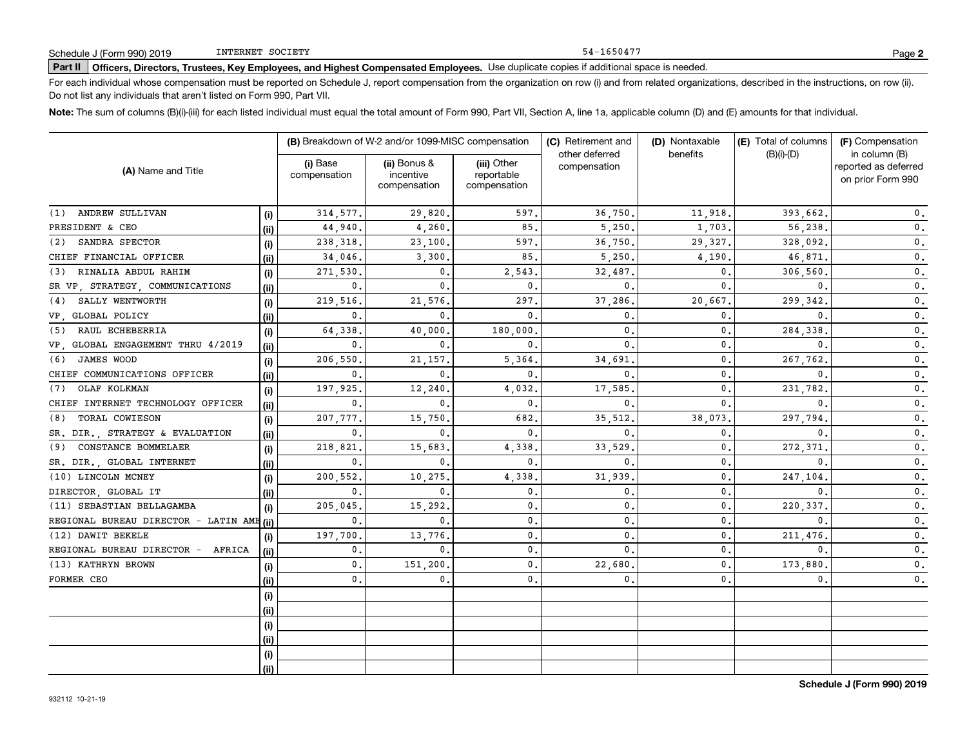Part II | Officers, Directors, Trustees, Key Employees, and Highest Compensated Employees. Use duplicate copies if additional space is needed.

For each individual whose compensation must be reported on Schedule J, report compensation from the organization on row (i) and from related organizations, described in the instructions, on row (ii). Do not list any individuals that aren't listed on Form 990, Part VII.

Note: The sum of columns (B)(i)-(iii) for each listed individual must equal the total amount of Form 990, Part VII, Section A, line 1a, applicable column (D) and (E) amounts for that individual.

|                                           |      | (B) Breakdown of W-2 and/or 1099-MISC compensation |                                           |                                           | (C) Retirement and             | (D) Nontaxable | (E) Total of columns | (F) Compensation                                           |  |
|-------------------------------------------|------|----------------------------------------------------|-------------------------------------------|-------------------------------------------|--------------------------------|----------------|----------------------|------------------------------------------------------------|--|
| (A) Name and Title                        |      | (i) Base<br>compensation                           | (ii) Bonus &<br>incentive<br>compensation | (iii) Other<br>reportable<br>compensation | other deferred<br>compensation | benefits       | $(B)(i)-(D)$         | in column (B)<br>reported as deferred<br>on prior Form 990 |  |
| (1) ANDREW SULLIVAN                       | (i)  | 314,577.                                           | 29,820.                                   | 597                                       | 36,750.                        | 11,918.        | 393,662.             | 0.                                                         |  |
| PRESIDENT & CEO                           | (ii) | 44,940.                                            | 4.260.                                    | 85.                                       | 5,250                          | 1,703.         | 56,238               | $\mathfrak o$ .                                            |  |
| SANDRA SPECTOR<br>(2)                     | (i)  | 238,318.                                           | 23,100.                                   | 597                                       | 36,750.                        | 29,327.        | 328,092.             | $\mathfrak o$ .                                            |  |
| CHIEF FINANCIAL OFFICER                   | (ii) | 34,046.                                            | 3,300.                                    | 85.                                       | 5,250                          | 4,190.         | 46,871.              | $\mathbf{0}$ .                                             |  |
| (3) RINALIA ABDUL RAHIM                   | (i)  | 271,530.                                           | 0 <sub>1</sub>                            | 2,543                                     | 32,487                         | $\mathbf{0}$ . | 306,560.             | $\mathbf{0}$ .                                             |  |
| SR VP, STRATEGY, COMMUNICATIONS           | (ii) | 0.                                                 | 0.                                        | 0.                                        | $\mathbf{0}$                   | 0.             | 0.                   | $\mathbf 0$ .                                              |  |
| SALLY WENTWORTH<br>(4)                    | (i)  | 219,516.                                           | 21,576.                                   | 297.                                      | 37,286                         | 20,667.        | 299, 342.            | 0.                                                         |  |
| VP, GLOBAL POLICY                         | (ii) | 0.                                                 | $\mathbf{0}$ .                            | $\mathbf{0}$ .                            | $\mathbf{0}$                   | 0.             | $\mathbf{0}$         | $\mathbf{0}$ .                                             |  |
| RAUL ECHEBERRIA<br>(5)                    | (i)  | 64,338                                             | 40,000,                                   | 180,000                                   | $\mathbf{0}$                   | 0.             | 284,338              | $\mathbf 0$ .                                              |  |
| VP, GLOBAL ENGAGEMENT THRU 4/2019         | (ii) | 0.                                                 | $\mathbf{0}$ .                            | $\mathbf{0}$ .                            | $\mathbf{0}$                   | 0.             | $\mathbf{0}$         | $\mathbf 0$ .                                              |  |
| <b>JAMES WOOD</b><br>(6)                  | (i)  | 206,550                                            | 21,157                                    | 5,364                                     | 34,691                         | 0.             | 267,762              | $\mathbf 0$ .                                              |  |
| CHIEF COMMUNICATIONS OFFICER              | (ii) | 0.                                                 | $\mathbf 0$ .                             | 0.                                        | $\mathbf{0}$                   | 0.             | $\mathbf{0}$         | 0.                                                         |  |
| OLAF KOLKMAN<br>(7)                       | (i)  | 197,925.                                           | 12,240                                    | 4,032.                                    | 17,585                         | 0.             | 231,782              | 0.                                                         |  |
| CHIEF INTERNET TECHNOLOGY OFFICER         | (ii) | 0.                                                 | $\mathbf{0}$ .                            | $\mathbf 0$ .                             | $\mathbf{0}$                   | 0.             | $\mathbf{0}$ .       | $\mathbf{0}$ .                                             |  |
| <b>TORAL COWIESON</b><br>(8)              | (i)  | 207,777.                                           | 15,750.                                   | 682                                       | 35,512                         | 38,073         | 297,794.             | $\mathbf{0}$ .                                             |  |
| SR. DIR., STRATEGY & EVALUATION           | (ii) | 0.                                                 | $\mathbf{0}$ .                            | $\mathbf{0}$ .                            | $\mathbf{0}$                   | 0.             | 0.                   | 0.                                                         |  |
| (9) CONSTANCE BOMMELAER                   | (i)  | 218,821                                            | 15,683                                    | 4,338                                     | 33,529                         | 0.             | 272,371              | 0.                                                         |  |
| SR. DIR., GLOBAL INTERNET                 | (ii) | 0.                                                 | $\mathbf{0}$ .                            | 0.                                        | $\mathbf{0}$                   | 0.             | $\mathbf 0$ .        | 0.                                                         |  |
| (10) LINCOLN MCNEY                        | (i)  | 200, 552.                                          | 10,275.                                   | 4,338.                                    | 31,939                         | 0.             | 247,104              | 0.                                                         |  |
| DIRECTOR, GLOBAL IT                       | (ii) | 0.                                                 | $\mathbf 0$ .                             | 0.                                        | $\mathbf{0}$                   | 0.             | $\mathbf 0$ .        | 0.                                                         |  |
| (11) SEBASTIAN BELLAGAMBA                 | (i)  | 205,045.                                           | 15,292                                    | $\mathbf 0$ .                             | $\mathbf{0}$                   | $\mathbf 0$ .  | 220, 337             | $\mathbf{0}$ .                                             |  |
| REGIONAL BUREAU DIRECTOR - LATIN AME (ii) |      | 0.                                                 | $\mathbf{0}$                              | $\mathbf{0}$ .                            | $\mathbf{0}$                   | $\mathbf 0$ .  | $\mathbf{0}$         | $\mathbf{0}$ .                                             |  |
| (12) DAWIT BEKELE                         | (i)  | 197,700                                            | 13,776                                    | $\mathbf{0}$                              | $\mathbf{0}$                   | $\mathbf{0}$   | 211,476              | $\mathbf{0}$ .                                             |  |
| REGIONAL BUREAU DIRECTOR - AFRICA         | (ii) | 0.                                                 | $\mathbf{0}$ .                            | $\mathbf 0$ .                             | 0                              | 0.             | $\mathbf{0}$         | 0.                                                         |  |
| (13) KATHRYN BROWN                        | (i)  | 0.                                                 | 151,200                                   | $\mathbf 0$ .                             | 22,680                         | 0.             | 173,880              | $\mathbf{0}$ .                                             |  |
| FORMER CEO                                | (ii) | 0.                                                 | 0.                                        | $\mathbf{0}$ .                            | $\mathbf{0}$                   | 0.             | 0.                   | 0.                                                         |  |
|                                           | (i)  |                                                    |                                           |                                           |                                |                |                      |                                                            |  |
|                                           | (ii) |                                                    |                                           |                                           |                                |                |                      |                                                            |  |
|                                           | (i)  |                                                    |                                           |                                           |                                |                |                      |                                                            |  |
|                                           | (ii) |                                                    |                                           |                                           |                                |                |                      |                                                            |  |
|                                           | (i)  |                                                    |                                           |                                           |                                |                |                      |                                                            |  |
|                                           | (ii) |                                                    |                                           |                                           |                                |                |                      |                                                            |  |

54-1650477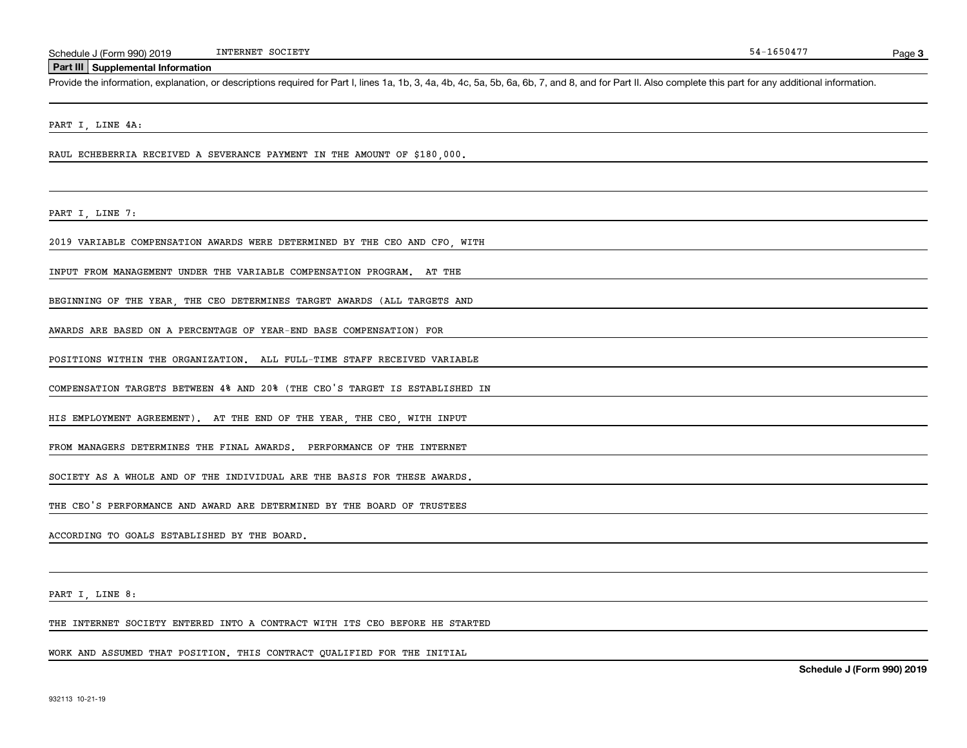932113 10-21-19

Provide the information, explanation, or descriptions required for Part I, lines 1a, 1b, 3, 4a, 4b, 4c, 5a, 5b, 6a, 6b, 7, and 8, and for Part II. Also complete this part for any additional information.

PART I, LINE 4A:

RAUL ECHEBERRIA RECEIVED A SEVERANCE PAYMENT IN THE AMOUNT OF \$180,000.

PART I, LINE 7:

2019 VARIABLE COMPENSATION AWARDS WERE DETERMINED BY THE CEO AND CFO, WITH

INPUT FROM MANAGEMENT UNDER THE VARIABLE COMPENSATION PROGRAM. AT THE

BEGINNING OF THE YEAR, THE CEO DETERMINES TARGET AWARDS (ALL TARGETS AND

AWARDS ARE BASED ON A PERCENTAGE OF YEAR-END BASE COMPENSATION) FOR

POSITIONS WITHIN THE ORGANIZATION. ALL FULL-TIME STAFF RECEIVED VARIABLE

COMPENSATION TARGETS BETWEEN 4% AND 20% (THE CEO'S TARGET IS ESTABLISHED IN

HIS EMPLOYMENT AGREEMENT). AT THE END OF THE YEAR, THE CEO, WITH INPUT

FROM MANAGERS DETERMINES THE FINAL AWARDS. PERFORMANCE OF THE INTERNET

SOCIETY AS A WHOLE AND OF THE INDIVIDUAL ARE THE BASIS FOR THESE AWARDS.

THE CEO'S PERFORMANCE AND AWARD ARE DETERMINED BY THE BOARD OF TRUSTEES

ACCORDING TO GOALS ESTABLISHED BY THE BOARD.

PART I, LINE 8:

THE INTERNET SOCIETY ENTERED INTO A CONTRACT WITH ITS CEO BEFORE HE STARTED

WORK AND ASSUMED THAT POSITION. THIS CONTRACT QUALIFIED FOR THE INITIAL

Page 3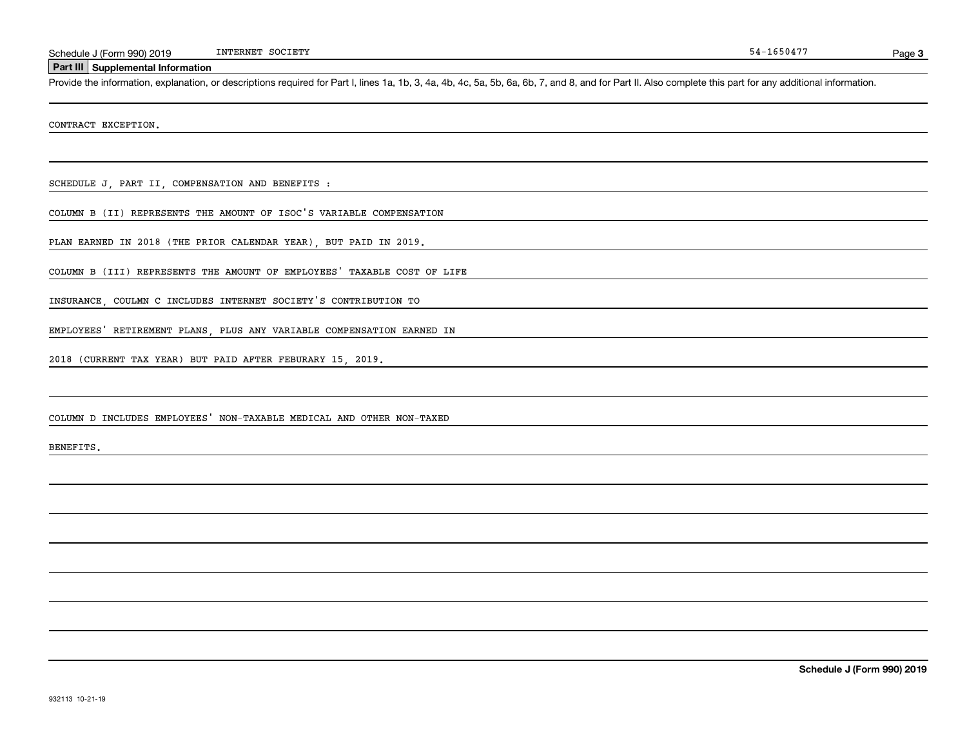### **Part III Supplemental Information**

Provide the information, explanation, or descriptions required for Part I, lines 1a, 1b, 3, 4a, 4b, 4c, 5a, 5b, 6a, 6b, 7, and 8, and for Part II. Also complete this part for any additional information.

CONTRACT EXCEPTION.

SCHEDULE J, PART II, COMPENSATION AND BENEFITS :

COLUMN B (II) REPRESENTS THE AMOUNT OF ISOC'S VARIABLE COMPENSATION

PLAN EARNED IN 2018 (THE PRIOR CALENDAR YEAR), BUT PAID IN 2019.

COLUMN B (III) REPRESENTS THE AMOUNT OF EMPLOYEES' TAXABLE COST OF LIFE

INSURANCE, COULMN C INCLUDES INTERNET SOCIETY'S CONTRIBUTION TO

EMPLOYEES' RETIREMENT PLANS, PLUS ANY VARIABLE COMPENSATION EARNED IN

2018 (CURRENT TAX YEAR) BUT PAID AFTER FEBURARY 15, 2019.

COLUMN D INCLUDES EMPLOYEES' NON-TAXABLE MEDICAL AND OTHER NON-TAXED

BENEFITS.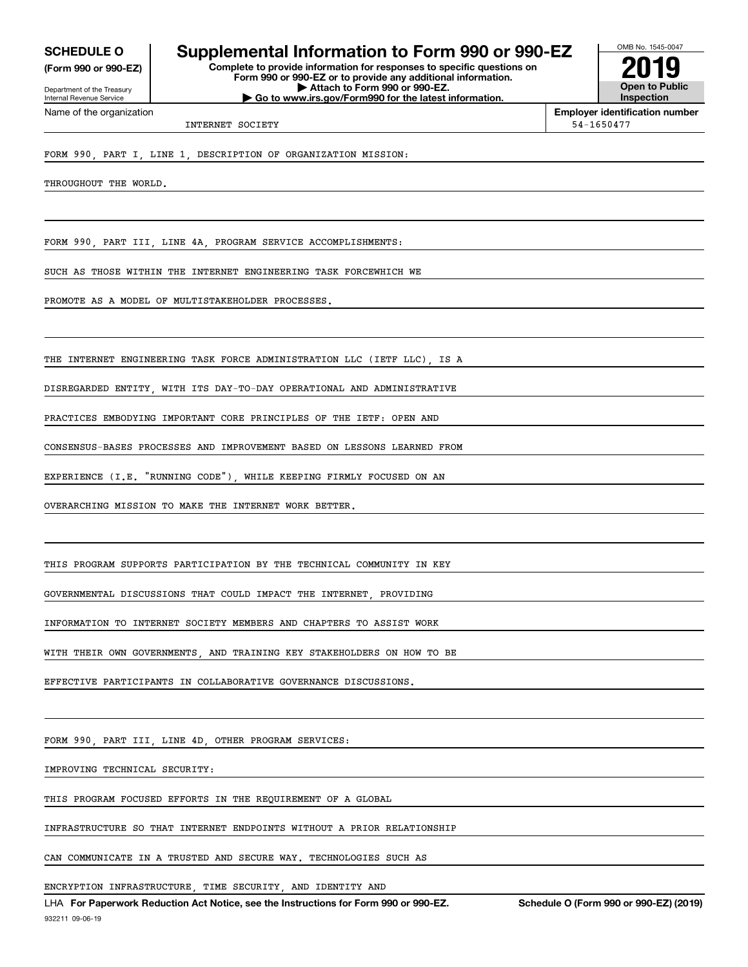(Form 990 or 990-EZ)

Department of the Treasury Internal Revenue Service Name of the organization

# SCHEDULE O Supplemental Information to Form 990 or 990-EZ  $\frac{1008 \text{ Na} - 545 - 0.02}{2019}$

Complete to provide information for responses to specific questions on Form 990 or 990-EZ or to provide any additional information. | Attach to Form 990 or 990-EZ. | Go to www.irs.gov/Form990 for the latest information.



Employer identification number

INTERNET SOCIETY 54-1650477

FORM 990, PART I, LINE 1, DESCRIPTION OF ORGANIZATION MISSION:

THROUGHOUT THE WORLD.

FORM 990, PART III, LINE 4A, PROGRAM SERVICE ACCOMPLISHMENTS:

SUCH AS THOSE WITHIN THE INTERNET ENGINEERING TASK FORCEWHICH WE

PROMOTE AS A MODEL OF MULTISTAKEHOLDER PROCESSES.

THE INTERNET ENGINEERING TASK FORCE ADMINISTRATION LLC (IETF LLC) IS A

DISREGARDED ENTITY, WITH ITS DAY-TO-DAY OPERATIONAL AND ADMINISTRATIVE

PRACTICES EMBODYING IMPORTANT CORE PRINCIPLES OF THE IETF: OPEN AND

CONSENSUS-BASES PROCESSES AND IMPROVEMENT BASED ON LESSONS LEARNED FROM

EXPERIENCE (I.E. "RUNNING CODE"), WHILE KEEPING FIRMLY FOCUSED ON AN

OVERARCHING MISSION TO MAKE THE INTERNET WORK BETTER.

THIS PROGRAM SUPPORTS PARTICIPATION BY THE TECHNICAL COMMUNITY IN KEY

GOVERNMENTAL DISCUSSIONS THAT COULD IMPACT THE INTERNET, PROVIDING

INFORMATION TO INTERNET SOCIETY MEMBERS AND CHAPTERS TO ASSIST WORK

WITH THEIR OWN GOVERNMENTS, AND TRAINING KEY STAKEHOLDERS ON HOW TO BE

EFFECTIVE PARTICIPANTS IN COLLABORATIVE GOVERNANCE DISCUSSIONS.

FORM 990, PART III, LINE 4D, OTHER PROGRAM SERVICES:

IMPROVING TECHNICAL SECURITY:

THIS PROGRAM FOCUSED EFFORTS IN THE REQUIREMENT OF A GLOBAL

INFRASTRUCTURE SO THAT INTERNET ENDPOINTS WITHOUT A PRIOR RELATIONSHIP

CAN COMMUNICATE IN A TRUSTED AND SECURE WAY. TECHNOLOGIES SUCH AS

ENCRYPTION INFRASTRUCTURE, TIME SECURITY, AND IDENTITY AND

932211 09-06-19 LHA For Paperwork Reduction Act Notice, see the Instructions for Form 990 or 990-EZ. Schedule O (Form 990 or 990-EZ) (2019) LET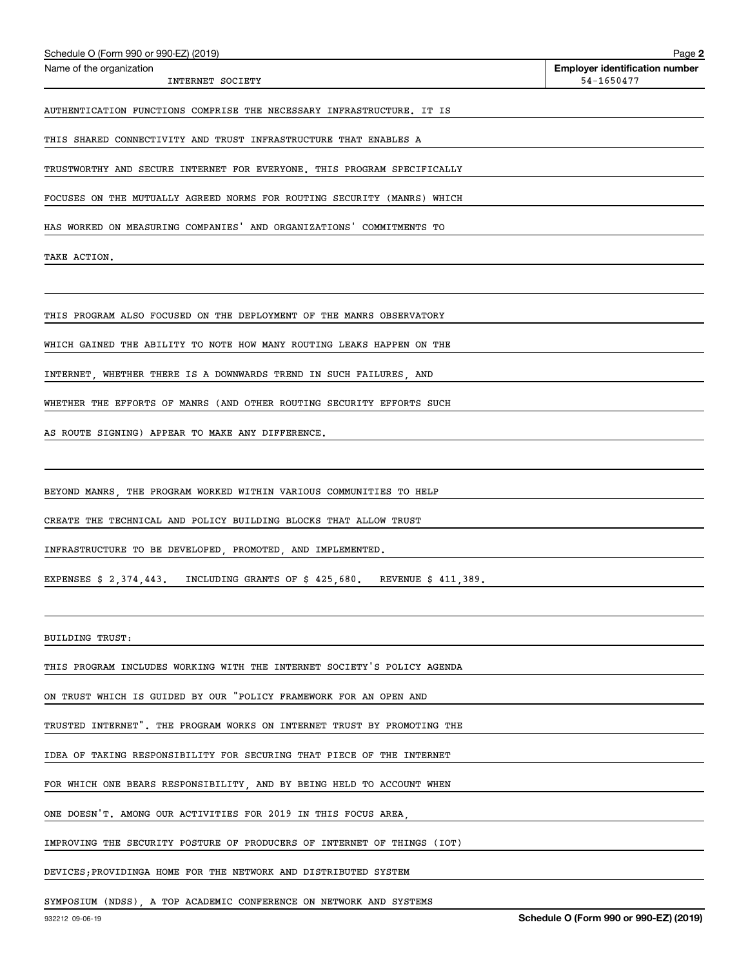| Schedule O (Form 990 or 990-EZ) (2019)                                     | Page 2                                              |
|----------------------------------------------------------------------------|-----------------------------------------------------|
| Name of the organization<br>INTERNET SOCIETY                               | <b>Employer identification number</b><br>54-1650477 |
| AUTHENTICATION FUNCTIONS COMPRISE THE NECESSARY INFRASTRUCTURE. IT IS      |                                                     |
| THIS SHARED CONNECTIVITY AND TRUST INFRASTRUCTURE THAT ENABLES A           |                                                     |
| TRUSTWORTHY AND SECURE INTERNET FOR EVERYONE. THIS PROGRAM SPECIFICALLY    |                                                     |
| FOCUSES ON THE MUTUALLY AGREED NORMS FOR ROUTING SECURITY (MANRS) WHICH    |                                                     |
| HAS WORKED ON MEASURING COMPANIES' AND ORGANIZATIONS' COMMITMENTS TO       |                                                     |
| TAKE ACTION.                                                               |                                                     |
| THIS PROGRAM ALSO FOCUSED ON THE DEPLOYMENT OF THE MANRS OBSERVATORY       |                                                     |
| WHICH GAINED THE ABILITY TO NOTE HOW MANY ROUTING LEAKS HAPPEN ON THE      |                                                     |
| INTERNET, WHETHER THERE IS A DOWNWARDS TREND IN SUCH FAILURES, AND         |                                                     |
| WHETHER THE EFFORTS OF MANRS (AND OTHER ROUTING SECURITY EFFORTS SUCH      |                                                     |
| AS ROUTE SIGNING) APPEAR TO MAKE ANY DIFFERENCE.                           |                                                     |
|                                                                            |                                                     |
| BEYOND MANRS, THE PROGRAM WORKED WITHIN VARIOUS COMMUNITIES TO HELP        |                                                     |
| CREATE THE TECHNICAL AND POLICY BUILDING BLOCKS THAT ALLOW TRUST           |                                                     |
| INFRASTRUCTURE TO BE DEVELOPED, PROMOTED, AND IMPLEMENTED.                 |                                                     |
| EXPENSES \$ 2,374,443. INCLUDING GRANTS OF \$ 425,680. REVENUE \$ 411,389. |                                                     |
|                                                                            |                                                     |
| BUILDING TRUST:                                                            |                                                     |
| THIS PROGRAM INCLUDES WORKING WITH THE INTERNET SOCIETY'S POLICY AGENDA    |                                                     |
| ON TRUST WHICH IS GUIDED BY OUR "POLICY FRAMEWORK FOR AN OPEN AND          |                                                     |
| TRUSTED INTERNET". THE PROGRAM WORKS ON INTERNET TRUST BY PROMOTING THE    |                                                     |
| IDEA OF TAKING RESPONSIBILITY FOR SECURING THAT PIECE OF THE INTERNET      |                                                     |
| FOR WHICH ONE BEARS RESPONSIBILITY, AND BY BEING HELD TO ACCOUNT WHEN      |                                                     |
| ONE DOESN'T. AMONG OUR ACTIVITIES FOR 2019 IN THIS FOCUS AREA,             |                                                     |
| IMPROVING THE SECURITY POSTURE OF PRODUCERS OF INTERNET OF THINGS (IOT)    |                                                     |

DEVICES;PROVIDINGA HOME FOR THE NETWORK AND DISTRIBUTED SYSTEM

SYMPOSIUM (NDSS), A TOP ACADEMIC CONFERENCE ON NETWORK AND SYSTEMS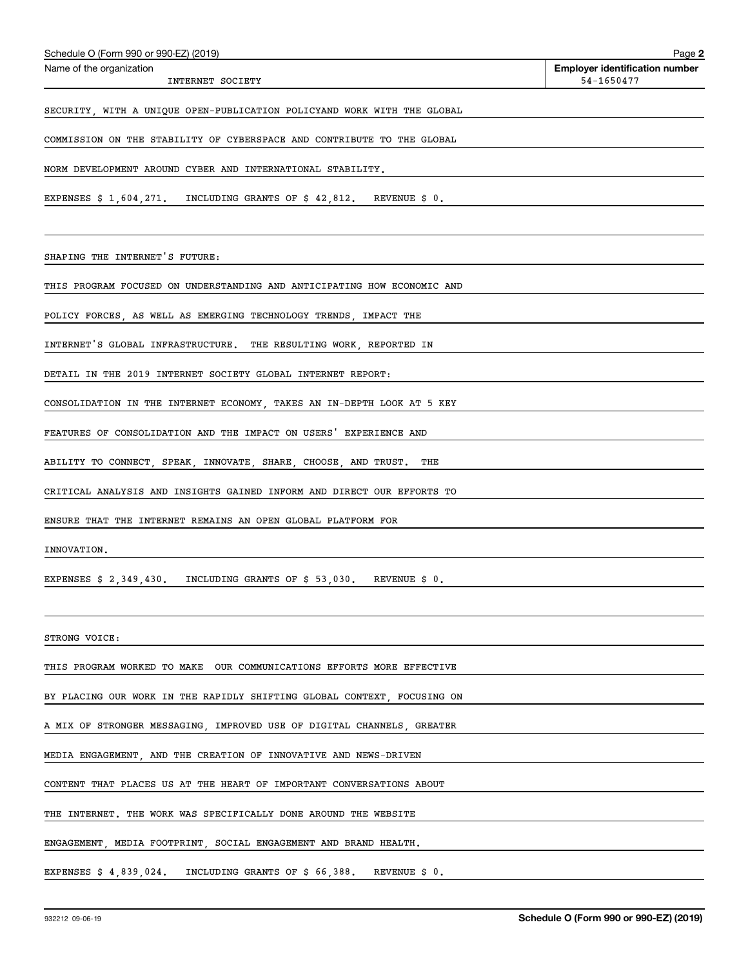| Name of the organization<br>INTERNET SOCIETY                                          | <b>Employer identification number</b><br>54-1650477 |
|---------------------------------------------------------------------------------------|-----------------------------------------------------|
| SECURITY, WITH A UNIQUE OPEN-PUBLICATION POLICYAND WORK WITH THE GLOBAL               |                                                     |
| COMMISSION ON THE STABILITY OF CYBERSPACE AND CONTRIBUTE TO THE GLOBAL                |                                                     |
| NORM DEVELOPMENT AROUND CYBER AND INTERNATIONAL STABILITY.                            |                                                     |
| EXPENSES \$ 1,604,271. INCLUDING GRANTS OF \$ 42,812. REVENUE \$ 0.                   |                                                     |
|                                                                                       |                                                     |
| SHAPING THE INTERNET'S FUTURE:                                                        |                                                     |
| THIS PROGRAM FOCUSED ON UNDERSTANDING AND ANTICIPATING HOW ECONOMIC AND               |                                                     |
| POLICY FORCES, AS WELL AS EMERGING TECHNOLOGY TRENDS, IMPACT THE                      |                                                     |
| INTERNET'S GLOBAL INFRASTRUCTURE. THE RESULTING WORK, REPORTED IN                     |                                                     |
| DETAIL IN THE 2019 INTERNET SOCIETY GLOBAL INTERNET REPORT:                           |                                                     |
| CONSOLIDATION IN THE INTERNET ECONOMY, TAKES AN IN-DEPTH LOOK AT 5 KEY                |                                                     |
| FEATURES OF CONSOLIDATION AND THE IMPACT ON USERS' EXPERIENCE AND                     |                                                     |
| ABILITY TO CONNECT, SPEAK, INNOVATE, SHARE, CHOOSE, AND TRUST.<br>THE                 |                                                     |
| CRITICAL ANALYSIS AND INSIGHTS GAINED INFORM AND DIRECT OUR EFFORTS TO                |                                                     |
| ENSURE THAT THE INTERNET REMAINS AN OPEN GLOBAL PLATFORM FOR                          |                                                     |
| INNOVATION.                                                                           |                                                     |
| EXPENSES \$ 2,349,430. INCLUDING GRANTS OF \$ 53,030. REVENUE \$ 0.                   |                                                     |
|                                                                                       |                                                     |
| STRONG VOICE:                                                                         |                                                     |
| THIS PROGRAM WORKED TO MAKE OUR COMMUNICATIONS EFFORTS MORE EFFECTIVE                 |                                                     |
| BY PLACING OUR WORK IN THE RAPIDLY SHIFTING GLOBAL CONTEXT, FOCUSING ON               |                                                     |
| A MIX OF STRONGER MESSAGING, IMPROVED USE OF DIGITAL CHANNELS, GREATER                |                                                     |
| MEDIA ENGAGEMENT, AND THE CREATION OF INNOVATIVE AND NEWS-DRIVEN                      |                                                     |
| CONTENT THAT PLACES US AT THE HEART OF IMPORTANT CONVERSATIONS ABOUT                  |                                                     |
| THE INTERNET. THE WORK WAS SPECIFICALLY DONE AROUND THE WEBSITE                       |                                                     |
| ENGAGEMENT, MEDIA FOOTPRINT, SOCIAL ENGAGEMENT AND BRAND HEALTH.                      |                                                     |
| EXPENSES $\sharp$ 4,839,024. INCLUDING GRANTS OF $\sharp$ 66,388. REVENUE $\sharp$ 0. |                                                     |

Schedule O (Form 990 or 990-EZ) (2019)

Page 2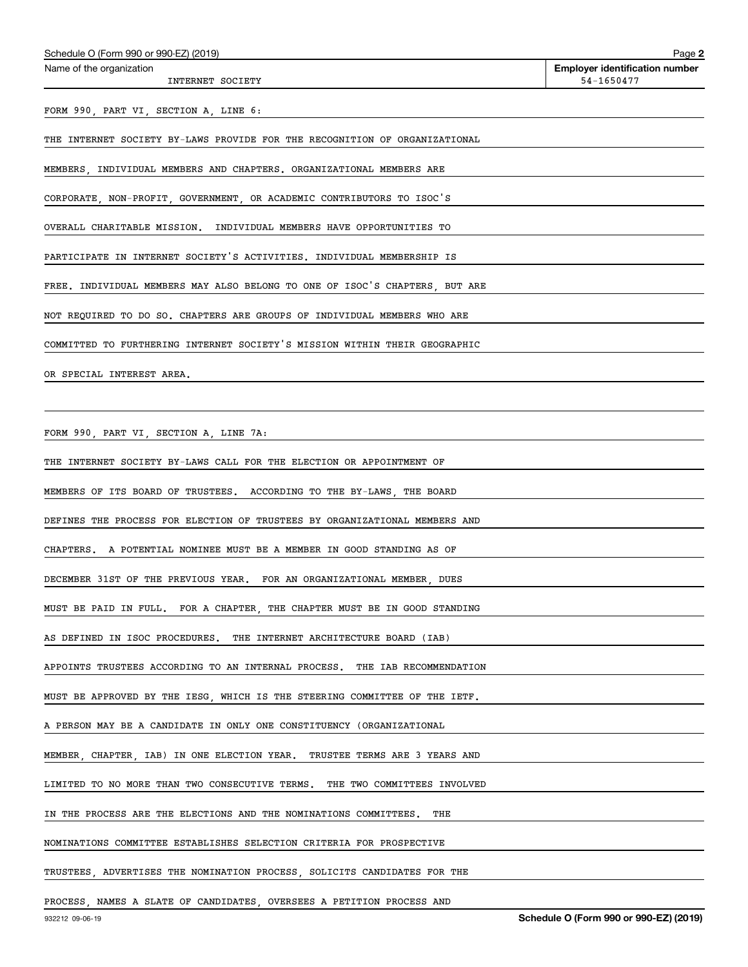| Schedule O (Form 990 or 990-EZ) (2019)                                        | Page 2                                              |
|-------------------------------------------------------------------------------|-----------------------------------------------------|
| Name of the organization<br>INTERNET SOCIETY                                  | <b>Employer identification number</b><br>54-1650477 |
| FORM 990, PART VI, SECTION A, LINE 6:                                         |                                                     |
| THE INTERNET SOCIETY BY-LAWS PROVIDE FOR THE RECOGNITION OF ORGANIZATIONAL    |                                                     |
| MEMBERS, INDIVIDUAL MEMBERS AND CHAPTERS. ORGANIZATIONAL MEMBERS ARE          |                                                     |
| CORPORATE, NON-PROFIT, GOVERNMENT, OR ACADEMIC CONTRIBUTORS TO ISOC'S         |                                                     |
| OVERALL CHARITABLE MISSION. INDIVIDUAL MEMBERS HAVE OPPORTUNITIES TO          |                                                     |
| PARTICIPATE IN INTERNET SOCIETY'S ACTIVITIES. INDIVIDUAL MEMBERSHIP IS        |                                                     |
| FREE. INDIVIDUAL MEMBERS MAY ALSO BELONG TO ONE OF ISOC'S CHAPTERS, BUT ARE   |                                                     |
| NOT REQUIRED TO DO SO. CHAPTERS ARE GROUPS OF INDIVIDUAL MEMBERS WHO ARE      |                                                     |
| COMMITTED TO FURTHERING INTERNET SOCIETY'S MISSION WITHIN THEIR GEOGRAPHIC    |                                                     |
| OR SPECIAL INTEREST AREA.                                                     |                                                     |
|                                                                               |                                                     |
| FORM 990, PART VI, SECTION A, LINE 7A:                                        |                                                     |
| THE INTERNET SOCIETY BY-LAWS CALL FOR THE ELECTION OR APPOINTMENT OF          |                                                     |
| MEMBERS OF ITS BOARD OF TRUSTEES. ACCORDING TO THE BY-LAWS, THE BOARD         |                                                     |
| DEFINES THE PROCESS FOR ELECTION OF TRUSTEES BY ORGANIZATIONAL MEMBERS AND    |                                                     |
| CHAPTERS. A POTENTIAL NOMINEE MUST BE A MEMBER IN GOOD STANDING AS OF         |                                                     |
| DECEMBER 31ST OF THE PREVIOUS YEAR. FOR AN ORGANIZATIONAL MEMBER, DUES        |                                                     |
| MUST BE PAID IN FULL. FOR A CHAPTER, THE CHAPTER MUST BE IN GOOD STANDING     |                                                     |
| AS DEFINED IN ISOC PROCEDURES. THE INTERNET ARCHITECTURE BOARD (IAB)          |                                                     |
| APPOINTS TRUSTEES ACCORDING TO AN INTERNAL PROCESS. THE IAB RECOMMENDATION    |                                                     |
| MUST BE APPROVED BY THE IESG, WHICH IS THE STEERING COMMITTEE OF THE IETF.    |                                                     |
| A PERSON MAY BE A CANDIDATE IN ONLY ONE CONSTITUENCY (ORGANIZATIONAL          |                                                     |
| MEMBER, CHAPTER, IAB) IN ONE ELECTION YEAR. TRUSTEE TERMS ARE 3 YEARS AND     |                                                     |
| LIMITED TO NO MORE THAN TWO CONSECUTIVE TERMS.<br>THE TWO COMMITTEES INVOLVED |                                                     |
| IN THE PROCESS ARE THE ELECTIONS AND THE NOMINATIONS COMMITTEES.<br>THE       |                                                     |
| NOMINATIONS COMMITTEE ESTABLISHES SELECTION CRITERIA FOR PROSPECTIVE          |                                                     |
| TRUSTEES, ADVERTISES THE NOMINATION PROCESS, SOLICITS CANDIDATES FOR THE      |                                                     |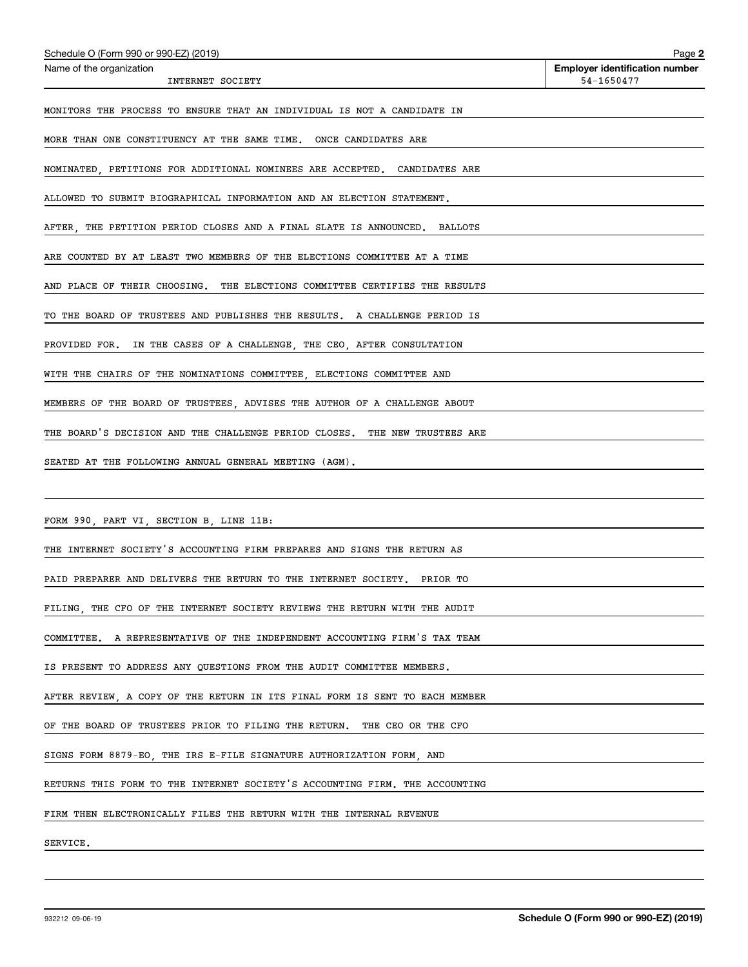| Schedule O (Form 990 or 990-EZ) (2019)                                        | Page 2                                              |
|-------------------------------------------------------------------------------|-----------------------------------------------------|
| Name of the organization<br>INTERNET SOCIETY                                  | <b>Employer identification number</b><br>54-1650477 |
| MONITORS THE PROCESS TO ENSURE THAT AN INDIVIDUAL IS NOT A CANDIDATE IN       |                                                     |
| ONCE CANDIDATES ARE<br>MORE THAN ONE CONSTITUENCY AT THE SAME TIME.           |                                                     |
| NOMINATED, PETITIONS FOR ADDITIONAL NOMINEES ARE ACCEPTED. CANDIDATES ARE     |                                                     |
| ALLOWED TO SUBMIT BIOGRAPHICAL INFORMATION AND AN ELECTION STATEMENT.         |                                                     |
| AFTER. THE PETITION PERIOD CLOSES AND A FINAL SLATE IS ANNOUNCED.<br>BALLOTS  |                                                     |
| ARE COUNTED BY AT LEAST TWO MEMBERS OF THE ELECTIONS COMMITTEE AT A TIME      |                                                     |
| AND PLACE OF THEIR CHOOSING.<br>THE ELECTIONS COMMITTEE CERTIFIES THE RESULTS |                                                     |
| TO THE BOARD OF TRUSTEES AND PUBLISHES THE RESULTS. A CHALLENGE PERIOD IS     |                                                     |
| IN THE CASES OF A CHALLENGE, THE CEO, AFTER CONSULTATION<br>PROVIDED FOR.     |                                                     |
| WITH THE CHAIRS OF THE NOMINATIONS COMMITTEE, ELECTIONS COMMITTEE AND         |                                                     |
| MEMBERS OF THE BOARD OF TRUSTEES, ADVISES THE AUTHOR OF A CHALLENGE ABOUT     |                                                     |
| THE BOARD'S DECISION AND THE CHALLENGE PERIOD CLOSES. THE NEW TRUSTEES ARE    |                                                     |
| SEATED AT THE FOLLOWING ANNUAL GENERAL MEETING (AGM).                         |                                                     |
|                                                                               |                                                     |
| FORM 990, PART VI, SECTION B, LINE 11B:                                       |                                                     |
| THE INTERNET SOCIETY'S ACCOUNTING FIRM PREPARES AND SIGNS THE RETURN AS       |                                                     |
| PAID PREPARER AND DELIVERS THE RETURN TO THE INTERNET SOCIETY.<br>PRIOR TO    |                                                     |
| FILING, THE CFO OF THE INTERNET SOCIETY REVIEWS THE RETURN WITH THE AUDIT     |                                                     |
| A REPRESENTATIVE OF THE INDEPENDENT ACCOUNTING FIRM'S TAX TEAM<br>COMMITTEE.  |                                                     |
| IS PRESENT TO ADDRESS ANY QUESTIONS FROM THE AUDIT COMMITTEE MEMBERS.         |                                                     |
| AFTER REVIEW, A COPY OF THE RETURN IN ITS FINAL FORM IS SENT TO EACH MEMBER   |                                                     |
| OF THE BOARD OF TRUSTEES PRIOR TO FILING THE RETURN. THE CEO OR THE CFO       |                                                     |
| SIGNS FORM 8879-EO, THE IRS E-FILE SIGNATURE AUTHORIZATION FORM, AND          |                                                     |
| RETURNS THIS FORM TO THE INTERNET SOCIETY'S ACCOUNTING FIRM. THE ACCOUNTING   |                                                     |
| FIRM THEN ELECTRONICALLY FILES THE RETURN WITH THE INTERNAL REVENUE           |                                                     |
| SERVICE.                                                                      |                                                     |
|                                                                               |                                                     |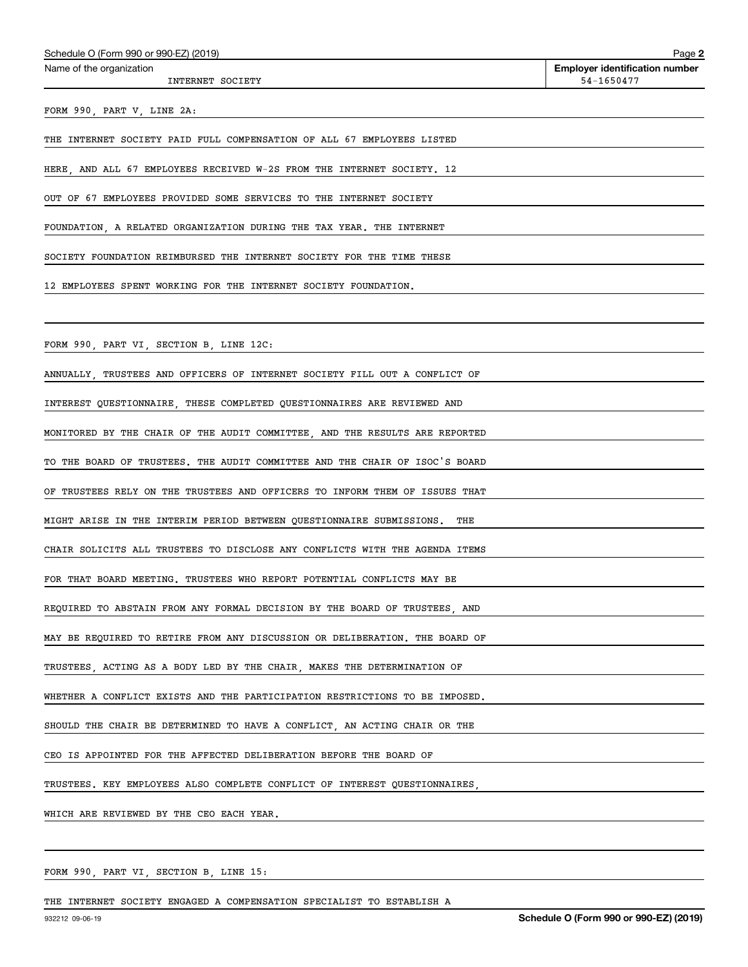| Schedule O (Form 990 or 990-EZ) (2019)                                      | Page 2                                              |
|-----------------------------------------------------------------------------|-----------------------------------------------------|
| Name of the organization<br>INTERNET SOCIETY                                | <b>Employer identification number</b><br>54-1650477 |
| FORM 990, PART V, LINE 2A:                                                  |                                                     |
| THE INTERNET SOCIETY PAID FULL COMPENSATION OF ALL 67 EMPLOYEES LISTED      |                                                     |
| HERE, AND ALL 67 EMPLOYEES RECEIVED W-2S FROM THE INTERNET SOCIETY. 12      |                                                     |
| OUT OF 67 EMPLOYEES PROVIDED SOME SERVICES TO THE INTERNET SOCIETY          |                                                     |
| FOUNDATION, A RELATED ORGANIZATION DURING THE TAX YEAR. THE INTERNET        |                                                     |
| SOCIETY FOUNDATION REIMBURSED THE INTERNET SOCIETY FOR THE TIME THESE       |                                                     |
| 12 EMPLOYEES SPENT WORKING FOR THE INTERNET SOCIETY FOUNDATION.             |                                                     |
| FORM 990, PART VI, SECTION B, LINE 12C:                                     |                                                     |
| ANNUALLY, TRUSTEES AND OFFICERS OF INTERNET SOCIETY FILL OUT A CONFLICT OF  |                                                     |
| INTEREST QUESTIONNAIRE, THESE COMPLETED QUESTIONNAIRES ARE REVIEWED AND     |                                                     |
| MONITORED BY THE CHAIR OF THE AUDIT COMMITTEE, AND THE RESULTS ARE REPORTED |                                                     |
| TO THE BOARD OF TRUSTEES. THE AUDIT COMMITTEE AND THE CHAIR OF ISOC'S BOARD |                                                     |
| OF TRUSTEES RELY ON THE TRUSTEES AND OFFICERS TO INFORM THEM OF ISSUES THAT |                                                     |
| MIGHT ARISE IN THE INTERIM PERIOD BETWEEN QUESTIONNAIRE SUBMISSIONS.<br>THE |                                                     |
| CHAIR SOLICITS ALL TRUSTEES TO DISCLOSE ANY CONFLICTS WITH THE AGENDA ITEMS |                                                     |
| FOR THAT BOARD MEETING. TRUSTEES WHO REPORT POTENTIAL CONFLICTS MAY BE      |                                                     |
| REQUIRED TO ABSTAIN FROM ANY FORMAL DECISION BY THE BOARD OF TRUSTEES, AND  |                                                     |
| MAY BE REQUIRED TO RETIRE FROM ANY DISCUSSION OR DELIBERATION. THE BOARD OF |                                                     |
| TRUSTEES, ACTING AS A BODY LED BY THE CHAIR, MAKES THE DETERMINATION OF     |                                                     |
| WHETHER A CONFLICT EXISTS AND THE PARTICIPATION RESTRICTIONS TO BE IMPOSED. |                                                     |
| SHOULD THE CHAIR BE DETERMINED TO HAVE A CONFLICT, AN ACTING CHAIR OR THE   |                                                     |
| CEO IS APPOINTED FOR THE AFFECTED DELIBERATION BEFORE THE BOARD OF          |                                                     |
| TRUSTEES. KEY EMPLOYEES ALSO COMPLETE CONFLICT OF INTEREST QUESTIONNAIRES,  |                                                     |
| WHICH ARE REVIEWED BY THE CEO EACH YEAR.                                    |                                                     |

FORM 990, PART VI, SECTION B, LINE 15:

THE INTERNET SOCIETY ENGAGED A COMPENSATION SPECIALIST TO ESTABLISH A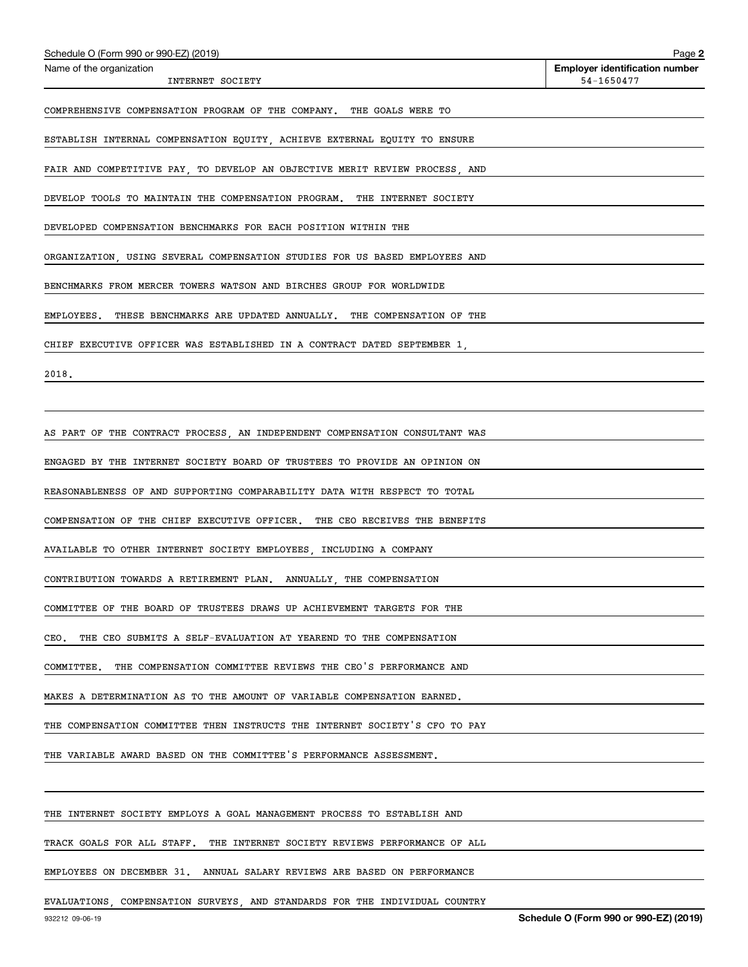| Schedule O (Form 990 or 990-EZ) (2019)                                      | Page 2                                              |
|-----------------------------------------------------------------------------|-----------------------------------------------------|
| Name of the organization<br>INTERNET SOCIETY                                | <b>Employer identification number</b><br>54-1650477 |
| COMPREHENSIVE COMPENSATION PROGRAM OF THE COMPANY. THE GOALS WERE TO        |                                                     |
| ESTABLISH INTERNAL COMPENSATION EQUITY, ACHIEVE EXTERNAL EQUITY TO ENSURE   |                                                     |
| FAIR AND COMPETITIVE PAY, TO DEVELOP AN OBJECTIVE MERIT REVIEW PROCESS, AND |                                                     |
| DEVELOP TOOLS TO MAINTAIN THE COMPENSATION PROGRAM. THE INTERNET SOCIETY    |                                                     |
| DEVELOPED COMPENSATION BENCHMARKS FOR EACH POSITION WITHIN THE              |                                                     |
| ORGANIZATION, USING SEVERAL COMPENSATION STUDIES FOR US BASED EMPLOYEES AND |                                                     |
| BENCHMARKS FROM MERCER TOWERS WATSON AND BIRCHES GROUP FOR WORLDWIDE        |                                                     |
| EMPLOYEES. THESE BENCHMARKS ARE UPDATED ANNUALLY. THE COMPENSATION OF THE   |                                                     |
| CHIEF EXECUTIVE OFFICER WAS ESTABLISHED IN A CONTRACT DATED SEPTEMBER 1,    |                                                     |
| 2018.                                                                       |                                                     |
|                                                                             |                                                     |
| AS PART OF THE CONTRACT PROCESS, AN INDEPENDENT COMPENSATION CONSULTANT WAS |                                                     |
| ENGAGED BY THE INTERNET SOCIETY BOARD OF TRUSTEES TO PROVIDE AN OPINION ON  |                                                     |
| REASONABLENESS OF AND SUPPORTING COMPARABILITY DATA WITH RESPECT TO TOTAL   |                                                     |
| COMPENSATION OF THE CHIEF EXECUTIVE OFFICER. THE CEO RECEIVES THE BENEFITS  |                                                     |
| AVAILABLE TO OTHER INTERNET SOCIETY EMPLOYEES, INCLUDING A COMPANY          |                                                     |
| CONTRIBUTION TOWARDS A RETIREMENT PLAN. ANNUALLY, THE COMPENSATION          |                                                     |
| COMMITTEE OF THE BOARD OF TRUSTEES DRAWS UP ACHIEVEMENT TARGETS FOR THE     |                                                     |
| THE CEO SUBMITS A SELF-EVALUATION AT YEAREND TO THE COMPENSATION<br>CEO.    |                                                     |
| COMMITTEE. THE COMPENSATION COMMITTEE REVIEWS THE CEO'S PERFORMANCE AND     |                                                     |
| MAKES A DETERMINATION AS TO THE AMOUNT OF VARIABLE COMPENSATION EARNED.     |                                                     |
| THE COMPENSATION COMMITTEE THEN INSTRUCTS THE INTERNET SOCIETY'S CFO TO PAY |                                                     |
| THE VARIABLE AWARD BASED ON THE COMMITTEE'S PERFORMANCE ASSESSMENT.         |                                                     |
|                                                                             |                                                     |
| THE INTERNET SOCIETY EMPLOYS A GOAL MANAGEMENT PROCESS TO ESTABLISH AND     |                                                     |
| TRACK GOALS FOR ALL STAFF. THE INTERNET SOCIETY REVIEWS PERFORMANCE OF ALL  |                                                     |
| EMPLOYEES ON DECEMBER 31. ANNUAL SALARY REVIEWS ARE BASED ON PERFORMANCE    |                                                     |
| EVALUATIONS, COMPENSATION SURVEYS, AND STANDARDS FOR THE INDIVIDUAL COUNTRY |                                                     |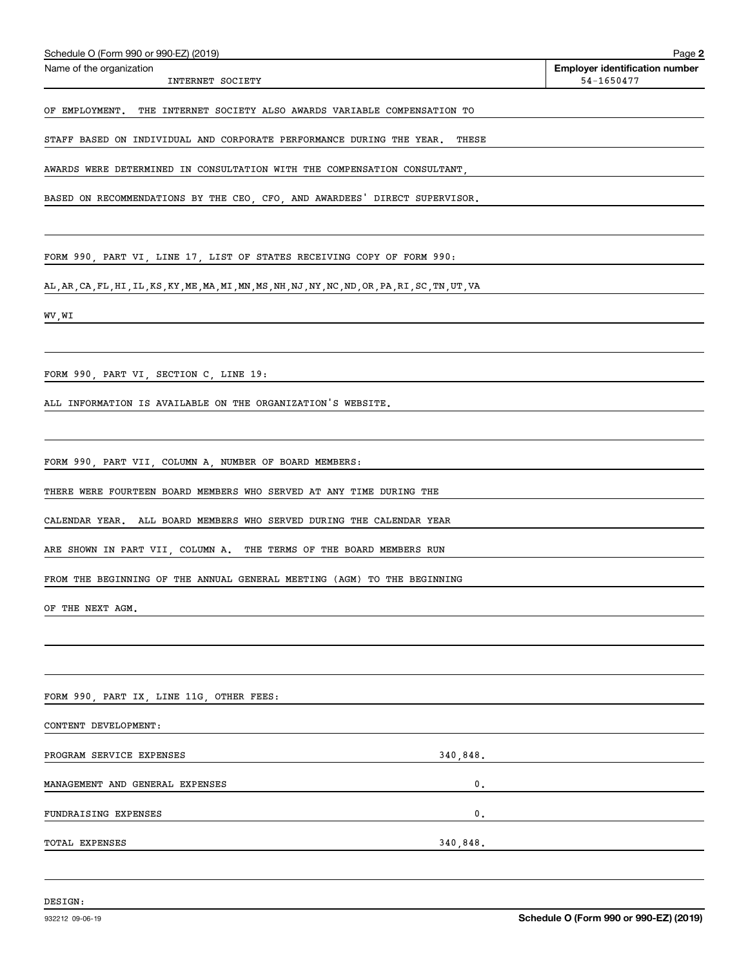| Schedule O (Form 990 or 990-EZ) (2019)                                                             | Page 2                                              |
|----------------------------------------------------------------------------------------------------|-----------------------------------------------------|
| Name of the organization<br>INTERNET SOCIETY                                                       | <b>Employer identification number</b><br>54-1650477 |
|                                                                                                    |                                                     |
| OF EMPLOYMENT.<br>THE INTERNET SOCIETY ALSO AWARDS VARIABLE COMPENSATION TO                        |                                                     |
| STAFF BASED ON INDIVIDUAL AND CORPORATE PERFORMANCE DURING THE YEAR.<br>THESE                      |                                                     |
| AWARDS WERE DETERMINED IN CONSULTATION WITH THE COMPENSATION CONSULTANT,                           |                                                     |
|                                                                                                    |                                                     |
| BASED ON RECOMMENDATIONS BY THE CEO, CFO, AND AWARDEES' DIRECT SUPERVISOR.                         |                                                     |
|                                                                                                    |                                                     |
| FORM 990, PART VI, LINE 17, LIST OF STATES RECEIVING COPY OF FORM 990:                             |                                                     |
| AL, AR, CA, FL, HI, IL, KS, KY, ME, MA, MI, MN, MS, NH, NJ, NY, NC, ND, OR, PA, RI, SC, TN, UT, VA |                                                     |
| WV,WI                                                                                              |                                                     |
|                                                                                                    |                                                     |
| FORM 990, PART VI, SECTION C, LINE 19:                                                             |                                                     |
| ALL INFORMATION IS AVAILABLE ON THE ORGANIZATION'S WEBSITE.                                        |                                                     |
|                                                                                                    |                                                     |
|                                                                                                    |                                                     |
| FORM 990, PART VII, COLUMN A, NUMBER OF BOARD MEMBERS:                                             |                                                     |
| THERE WERE FOURTEEN BOARD MEMBERS WHO SERVED AT ANY TIME DURING THE                                |                                                     |
| CALENDAR YEAR. ALL BOARD MEMBERS WHO SERVED DURING THE CALENDAR YEAR                               |                                                     |
| ARE SHOWN IN PART VII, COLUMN A. THE TERMS OF THE BOARD MEMBERS RUN                                |                                                     |
| FROM THE BEGINNING OF THE ANNUAL GENERAL MEETING (AGM) TO THE BEGINNING                            |                                                     |
|                                                                                                    |                                                     |
| OF THE NEXT AGM.                                                                                   |                                                     |
|                                                                                                    |                                                     |
|                                                                                                    |                                                     |
| FORM 990, PART IX, LINE 11G, OTHER FEES:                                                           |                                                     |
| CONTENT DEVELOPMENT:                                                                               |                                                     |
| 340,848.<br>PROGRAM SERVICE EXPENSES                                                               |                                                     |
| MANAGEMENT AND GENERAL EXPENSES<br>0.                                                              |                                                     |
| 0.<br>FUNDRAISING EXPENSES                                                                         |                                                     |
| TOTAL EXPENSES<br>340,848.                                                                         |                                                     |
|                                                                                                    |                                                     |

DESIGN: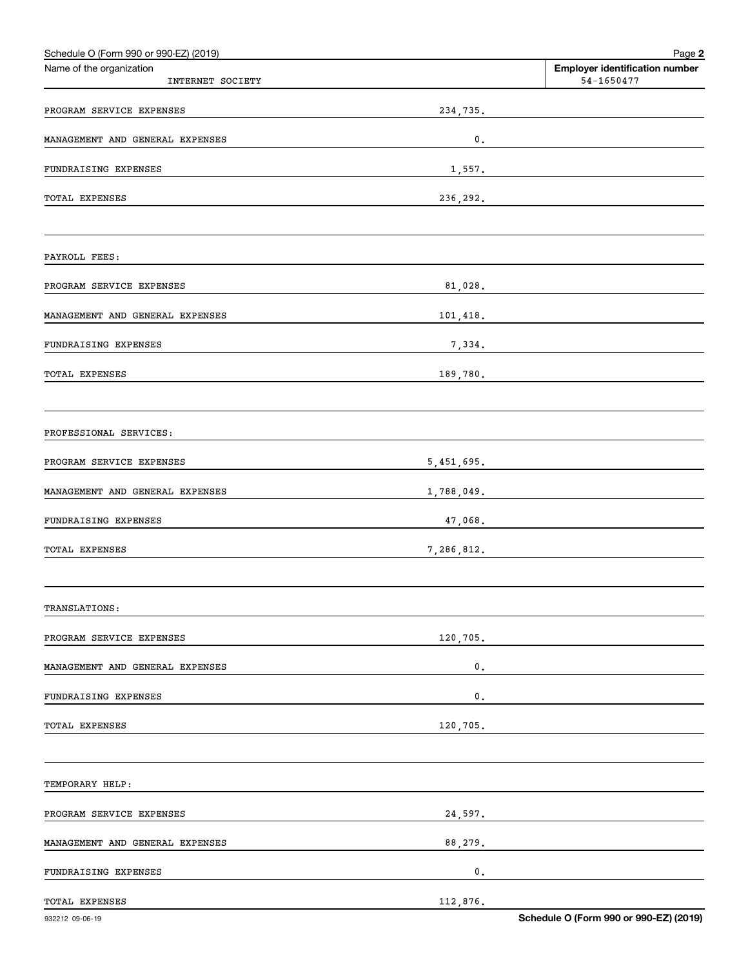| Schedule O (Form 990 or 990-EZ) (2019)       |               | Page 2                                                  |
|----------------------------------------------|---------------|---------------------------------------------------------|
| Name of the organization<br>INTERNET SOCIETY |               | <b>Employer identification number</b><br>$54 - 1650477$ |
| PROGRAM SERVICE EXPENSES                     | 234,735.      |                                                         |
| MANAGEMENT AND GENERAL EXPENSES              | $\mathbf 0$ . |                                                         |
| FUNDRAISING EXPENSES                         | 1,557.        |                                                         |
| TOTAL EXPENSES                               | 236,292.      |                                                         |
| PAYROLL FEES:                                |               |                                                         |
| PROGRAM SERVICE EXPENSES                     | 81,028.       |                                                         |
| MANAGEMENT AND GENERAL EXPENSES              | 101,418.      |                                                         |
| FUNDRAISING EXPENSES                         | 7,334.        |                                                         |
| TOTAL EXPENSES                               | 189,780.      |                                                         |
| PROFESSIONAL SERVICES:                       |               |                                                         |
| PROGRAM SERVICE EXPENSES                     | 5,451,695.    |                                                         |
| MANAGEMENT AND GENERAL EXPENSES              | 1,788,049.    |                                                         |
| FUNDRAISING EXPENSES                         | 47,068.       |                                                         |
| TOTAL EXPENSES                               | 7,286,812.    |                                                         |
| TRANSLATIONS:                                |               |                                                         |
| PROGRAM SERVICE EXPENSES                     | 120,705.      |                                                         |
| MANAGEMENT AND GENERAL EXPENSES              | 0.            |                                                         |
| FUNDRAISING EXPENSES                         | 0.            |                                                         |
| TOTAL EXPENSES                               | 120,705.      |                                                         |
| TEMPORARY HELP:                              |               |                                                         |
| PROGRAM SERVICE EXPENSES                     | 24,597.       |                                                         |
| MANAGEMENT AND GENERAL EXPENSES              | 88,279.       |                                                         |
| FUNDRAISING EXPENSES                         | 0.            |                                                         |
| TOTAL EXPENSES                               | 112,876.      |                                                         |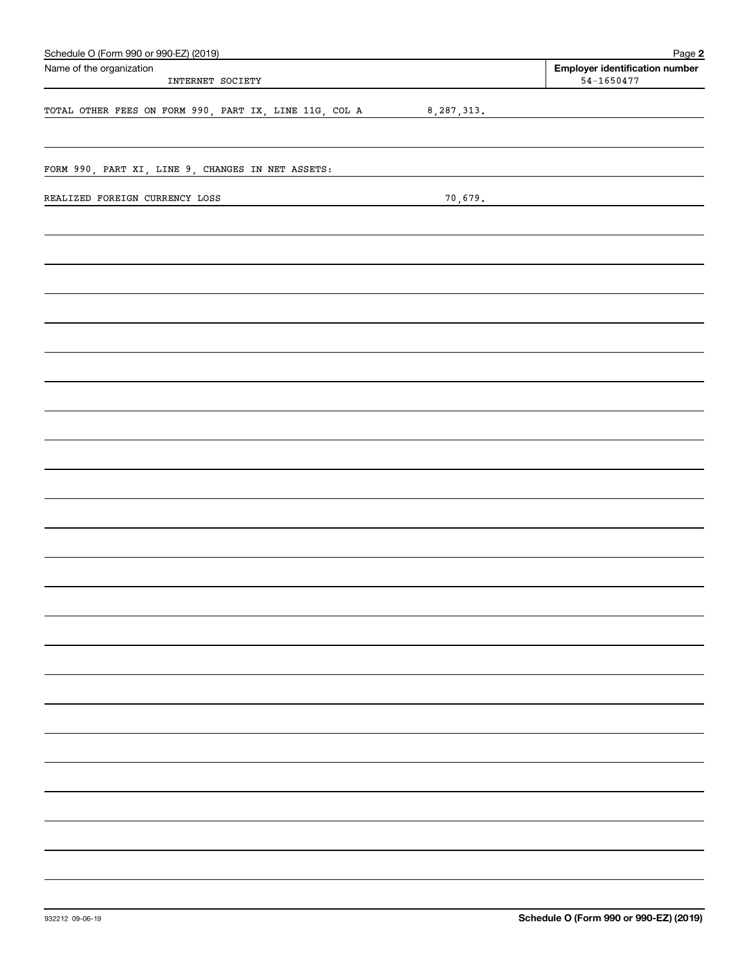| Schedule O (Form 990 or 990-EZ) (2019)                 | Page 2       |                                                         |  |
|--------------------------------------------------------|--------------|---------------------------------------------------------|--|
| Name of the organization<br>INTERNET SOCIETY           |              | <b>Employer identification number</b><br>$54 - 1650477$ |  |
| TOTAL OTHER FEES ON FORM 990, PART IX, LINE 11G, COL A | 8, 287, 313. |                                                         |  |
| FORM 990, PART XI, LINE 9, CHANGES IN NET ASSETS:      |              |                                                         |  |
| REALIZED FOREIGN CURRENCY LOSS                         |              | 70,679.                                                 |  |
|                                                        |              |                                                         |  |
|                                                        |              |                                                         |  |
|                                                        |              |                                                         |  |
|                                                        |              |                                                         |  |
|                                                        |              |                                                         |  |
|                                                        |              |                                                         |  |
|                                                        |              |                                                         |  |
|                                                        |              |                                                         |  |
|                                                        |              |                                                         |  |
|                                                        |              |                                                         |  |
|                                                        |              |                                                         |  |
|                                                        |              |                                                         |  |
|                                                        |              |                                                         |  |
|                                                        |              |                                                         |  |
|                                                        |              |                                                         |  |
|                                                        |              |                                                         |  |
|                                                        |              |                                                         |  |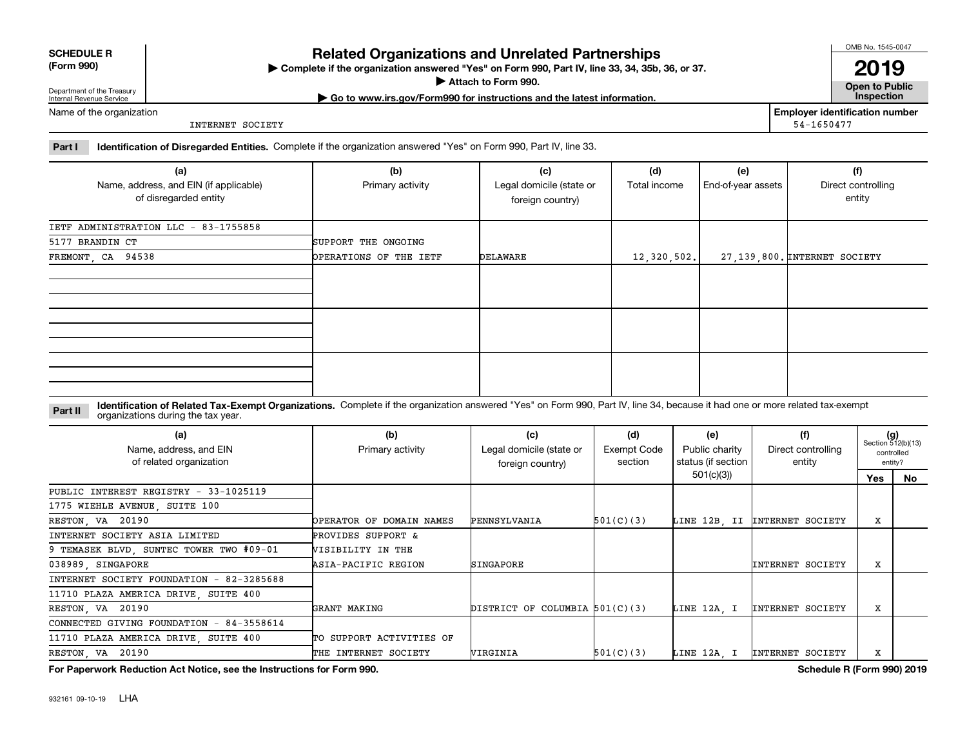| <b>SCHEDULE R</b>    |  |
|----------------------|--|
| $T_{\rm{num}}$ $000$ |  |

# Related Organizations and Unrelated Partnerships

(Form 990) Complete if the organization answered "Yes" on Form 990, Part IV, line 33, 34, 35b, 36, or 37. |

OMB No. 1545-0047 2019

▶ Attach to Form 990. **Open to Public** | Go to www.irs.gov/Form990 for instructions and the latest information. Inspection

Department of the Treasury Internal Revenue Service Name of the organization

INTERNET SOCIETY

Employer identification number 54-1650477

Part I leentification of Disregarded Entities. Complete if the organization answered "Yes" on Form 990, Part IV, line 33.

| (a)<br>Name, address, and EIN (if applicable)<br>of disregarded entity | (b)<br>Primary activity | (c)<br>Legal domicile (state or<br>foreign country) | (d)<br>Total income | (e)<br>End-of-year assets | (f)<br>Direct controlling<br>entity |
|------------------------------------------------------------------------|-------------------------|-----------------------------------------------------|---------------------|---------------------------|-------------------------------------|
| IETF ADMINISTRATION LLC - 83-1755858                                   |                         |                                                     |                     |                           |                                     |
| 5177 BRANDIN CT                                                        | SUPPORT THE ONGOING     |                                                     |                     |                           |                                     |
| FREMONT, CA 94538                                                      | OPERATIONS OF THE IETF  | DELAWARE                                            | 12,320,502.         |                           | 27,139,800. INTERNET SOCIETY        |
|                                                                        |                         |                                                     |                     |                           |                                     |
|                                                                        |                         |                                                     |                     |                           |                                     |
|                                                                        |                         |                                                     |                     |                           |                                     |

Part II Identification of Related Tax-Exempt Organizations. Complete if the organization answered "Yes" on Form 990, Part IV, line 34, because it had one or more related tax-exempt<br>Part II acconizations during the tax vear organizations during the tax year.

| (a)<br>Name, address, and EIN<br>of related organization | (b)<br>Primary activity  | (c)<br>Legal domicile (state or<br>foreign country) | (d)<br><b>Exempt Code</b><br>section | (e)<br>Public charity<br>status (if section | (f)<br>Direct controlling<br>entity | $(g)$<br>Section 512(b)(13)<br>controlled<br>entity? |    |
|----------------------------------------------------------|--------------------------|-----------------------------------------------------|--------------------------------------|---------------------------------------------|-------------------------------------|------------------------------------------------------|----|
|                                                          |                          |                                                     |                                      | 501(c)(3)                                   |                                     | Yes                                                  | No |
| PUBLIC INTEREST REGISTRY - 33-1025119                    |                          |                                                     |                                      |                                             |                                     |                                                      |    |
| 1775 WIEHLE AVENUE, SUITE 100                            |                          |                                                     |                                      |                                             |                                     |                                                      |    |
| RESTON, VA 20190                                         | OPERATOR OF DOMAIN NAMES | PENNSYLVANIA                                        | 501(C)(3)                            |                                             | LINE 12B, II INTERNET SOCIETY       | x                                                    |    |
| INTERNET SOCIETY ASIA LIMITED                            | PROVIDES SUPPORT &       |                                                     |                                      |                                             |                                     |                                                      |    |
| 9 TEMASEK BLVD, SUNTEC TOWER TWO #09-01                  | VISIBILITY IN THE        |                                                     |                                      |                                             |                                     |                                                      |    |
| 038989, SINGAPORE                                        | ASIA-PACIFIC REGION      | <b>SINGAPORE</b>                                    |                                      |                                             | INTERNET SOCIETY                    | x                                                    |    |
| INTERNET SOCIETY FOUNDATION - 82-3285688                 |                          |                                                     |                                      |                                             |                                     |                                                      |    |
| 11710 PLAZA AMERICA DRIVE, SUITE 400                     |                          |                                                     |                                      |                                             |                                     |                                                      |    |
| RESTON, VA 20190                                         | GRANT MAKING             | DISTRICT OF COLUMBIA 501(C)(3)                      |                                      | LINE 12A. I                                 | INTERNET SOCIETY                    | x                                                    |    |
| CONNECTED GIVING FOUNDATION - 84-3558614                 |                          |                                                     |                                      |                                             |                                     |                                                      |    |
| 11710 PLAZA AMERICA DRIVE, SUITE 400                     | TO SUPPORT ACTIVITIES OF |                                                     |                                      |                                             |                                     |                                                      |    |
| RESTON, VA 20190                                         | THE INTERNET SOCIETY     | VIRGINIA                                            | 501(C)(3)                            | LINE 12A. I                                 | <b>INTERNET SOCIETY</b>             | x                                                    |    |

For Paperwork Reduction Act Notice, see the Instructions for Form 990. Schedule R (Form 990) 2019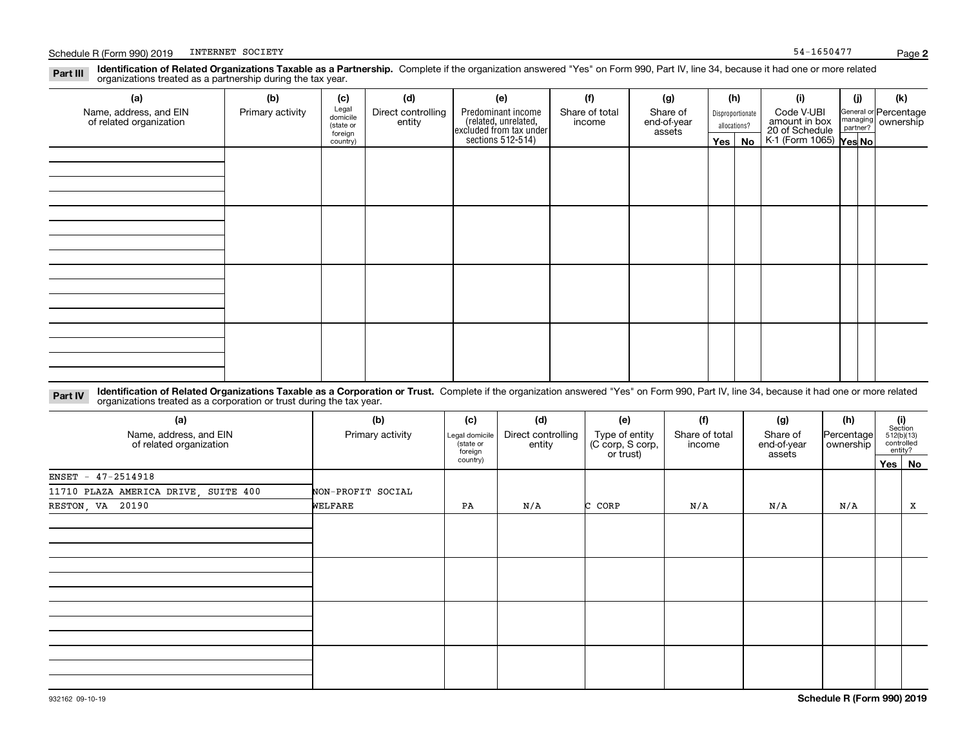### Part III Identification of Related Organizations Taxable as a Partnership. Complete if the organization answered "Yes" on Form 990, Part IV, line 34, because it had one or more related<br>examples the complete included as a p organizations treated as a partnership during the tax year.

| (a)                                               | (b)              | (c)                  | (d)                          | (e)                                                                 | (f)                      | (g)    |     | (h)                     | (i)                                                       | (j)              | (k)                |  |                       |
|---------------------------------------------------|------------------|----------------------|------------------------------|---------------------------------------------------------------------|--------------------------|--------|-----|-------------------------|-----------------------------------------------------------|------------------|--------------------|--|-----------------------|
| Name, address, and EIN<br>of related organization | Primary activity | Legal<br>domicile    | Direct controlling<br>entity | Predominant income                                                  | Share of total<br>income |        |     | Share of<br>end-of-year |                                                           | Disproportionate | Code V-UBI         |  | General or Percentage |
|                                                   |                  | (state or<br>foreign |                              | related, unrelated,<br>excluded from tax under<br>sections 512-514) |                          | assets |     | allocations?            |                                                           |                  | managing ownership |  |                       |
|                                                   |                  | country)             |                              |                                                                     |                          |        | Yes | No                      | amount in box<br>20 of Schedule<br>K-1 (Form 1065) Yes No |                  |                    |  |                       |
|                                                   |                  |                      |                              |                                                                     |                          |        |     |                         |                                                           |                  |                    |  |                       |
|                                                   |                  |                      |                              |                                                                     |                          |        |     |                         |                                                           |                  |                    |  |                       |
|                                                   |                  |                      |                              |                                                                     |                          |        |     |                         |                                                           |                  |                    |  |                       |
|                                                   |                  |                      |                              |                                                                     |                          |        |     |                         |                                                           |                  |                    |  |                       |
|                                                   |                  |                      |                              |                                                                     |                          |        |     |                         |                                                           |                  |                    |  |                       |
|                                                   |                  |                      |                              |                                                                     |                          |        |     |                         |                                                           |                  |                    |  |                       |
|                                                   |                  |                      |                              |                                                                     |                          |        |     |                         |                                                           |                  |                    |  |                       |
|                                                   |                  |                      |                              |                                                                     |                          |        |     |                         |                                                           |                  |                    |  |                       |
|                                                   |                  |                      |                              |                                                                     |                          |        |     |                         |                                                           |                  |                    |  |                       |
|                                                   |                  |                      |                              |                                                                     |                          |        |     |                         |                                                           |                  |                    |  |                       |
|                                                   |                  |                      |                              |                                                                     |                          |        |     |                         |                                                           |                  |                    |  |                       |
|                                                   |                  |                      |                              |                                                                     |                          |        |     |                         |                                                           |                  |                    |  |                       |
|                                                   |                  |                      |                              |                                                                     |                          |        |     |                         |                                                           |                  |                    |  |                       |
|                                                   |                  |                      |                              |                                                                     |                          |        |     |                         |                                                           |                  |                    |  |                       |
|                                                   |                  |                      |                              |                                                                     |                          |        |     |                         |                                                           |                  |                    |  |                       |
|                                                   |                  |                      |                              |                                                                     |                          |        |     |                         |                                                           |                  |                    |  |                       |
|                                                   |                  |                      |                              |                                                                     |                          |        |     |                         |                                                           |                  |                    |  |                       |

Part IV Identification of Related Organizations Taxable as a Corporation or Trust. Complete if the organization answered "Yes" on Form 990, Part IV, line 34, because it had one or more related organizations treated as a corporation or trust during the tax year.

| (a)<br>Name, address, and EIN<br>of related organization | (b)<br>Primary activity | (c)<br>Legal domicile<br>state or<br>foreign | (d)<br>Direct controlling<br>entity | (e)<br>Type of entity<br>(C corp, S corp,<br>or trust) | (f)<br>Share of total<br>income | (g)<br>Share of<br>end-of-year<br>assets | (h)<br>Percentage<br>ownership | (i)<br>Section<br>512(b)(13)<br>controlled<br>entity? |
|----------------------------------------------------------|-------------------------|----------------------------------------------|-------------------------------------|--------------------------------------------------------|---------------------------------|------------------------------------------|--------------------------------|-------------------------------------------------------|
|                                                          |                         | country)                                     |                                     |                                                        |                                 |                                          |                                | Yes No                                                |
| ENSET - 47-2514918                                       |                         |                                              |                                     |                                                        |                                 |                                          |                                |                                                       |
| 11710 PLAZA AMERICA DRIVE, SUITE 400                     | NON-PROFIT SOCIAL       |                                              |                                     |                                                        |                                 |                                          |                                |                                                       |
| RESTON, VA 20190                                         | WELFARE                 | PA                                           | N/A                                 | C CORP                                                 | N/A                             | N/A                                      | N/A                            | X                                                     |
|                                                          |                         |                                              |                                     |                                                        |                                 |                                          |                                |                                                       |
|                                                          |                         |                                              |                                     |                                                        |                                 |                                          |                                |                                                       |
|                                                          |                         |                                              |                                     |                                                        |                                 |                                          |                                |                                                       |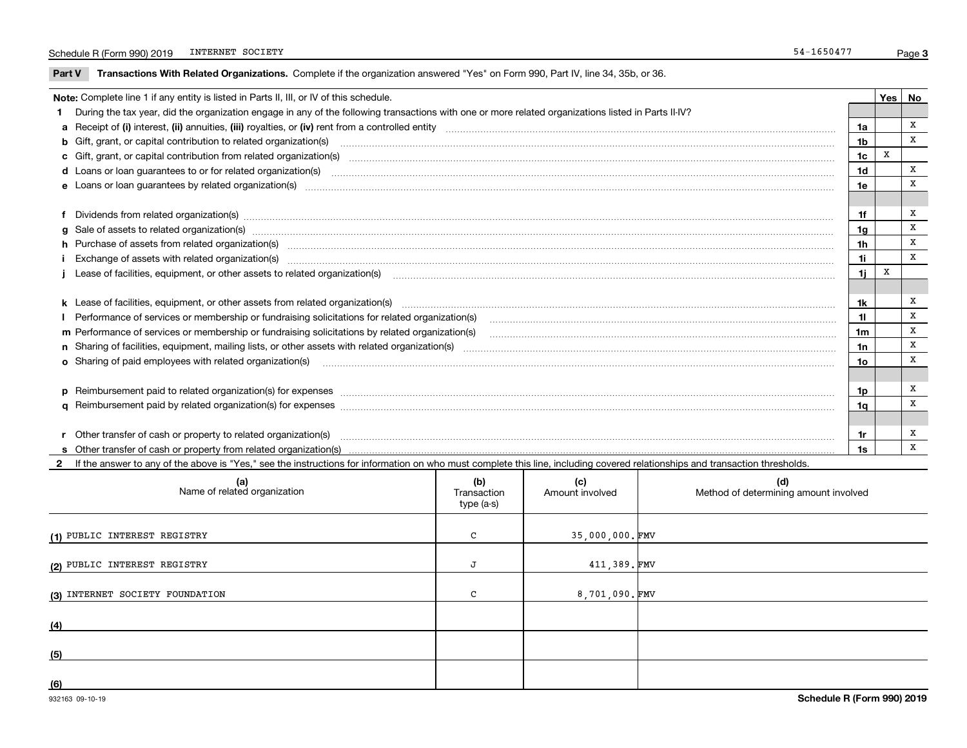#### Schedule R (Form 990) 2019 INTERNET SOCIETY 3000 SOLUTE SOLUTE SOCIETY INTERNET SOCIETY

 $\overline{\phantom{a}}$ 

Part V Transactions With Related Organizations. Complete if the organization answered "Yes" on Form 990, Part IV, line 34, 35b, or 36.

| Note: Complete line 1 if any entity is listed in Parts II, III, or IV of this schedule. |                                                                                                                                                                                                                                |                |   |   |  |  |
|-----------------------------------------------------------------------------------------|--------------------------------------------------------------------------------------------------------------------------------------------------------------------------------------------------------------------------------|----------------|---|---|--|--|
|                                                                                         | During the tax year, did the organization engage in any of the following transactions with one or more related organizations listed in Parts II-IV?                                                                            |                |   |   |  |  |
|                                                                                         |                                                                                                                                                                                                                                | 1a             |   | X |  |  |
|                                                                                         | <b>b</b> Gift, grant, or capital contribution to related organization(s)                                                                                                                                                       | 1 <sub>b</sub> |   | x |  |  |
|                                                                                         | c Gift, grant, or capital contribution from related organization(s)                                                                                                                                                            | 1c             | x |   |  |  |
|                                                                                         | <b>d</b> Loans or loan guarantees to or for related organization(s)                                                                                                                                                            | 1d             |   | х |  |  |
|                                                                                         |                                                                                                                                                                                                                                | 1e             |   | X |  |  |
|                                                                                         |                                                                                                                                                                                                                                |                |   |   |  |  |
|                                                                                         | f Dividends from related organization(s) material contracts and contracts are contracted as a contract of the contract of the contract of the contract of the contract of the contract of the contract of the contract of the  | 1f             |   | X |  |  |
|                                                                                         | g Sale of assets to related organization(s) www.assettion.com/www.assettion.com/www.assettion.com/www.assettion.com/www.assettion.com/www.assettion.com/www.assettion.com/www.assettion.com/www.assettion.com/www.assettion.co | 1g             |   | X |  |  |
|                                                                                         | h Purchase of assets from related organization(s) www.assettion.com/www.assettion.com/www.assettion.com/www.assettion.com/www.assettion.com/www.assettion.com/www.assettion.com/www.assettion.com/www.assettion.com/www.assett | 1h             |   | X |  |  |
|                                                                                         |                                                                                                                                                                                                                                | 11             |   | X |  |  |
|                                                                                         |                                                                                                                                                                                                                                | 1j             | X |   |  |  |
|                                                                                         |                                                                                                                                                                                                                                |                |   |   |  |  |
|                                                                                         | k Lease of facilities, equipment, or other assets from related organization(s) manufaction content and content to the assets from related organization(s) manufaction and content and content and content and content and cont | 1k             |   | x |  |  |
|                                                                                         | Performance of services or membership or fundraising solicitations for related organization(s)                                                                                                                                 | 11             |   | x |  |  |
|                                                                                         | m Performance of services or membership or fundraising solicitations by related organization(s)                                                                                                                                | 1m             |   | X |  |  |
|                                                                                         |                                                                                                                                                                                                                                | 1n             |   | х |  |  |
|                                                                                         | <b>o</b> Sharing of paid employees with related organization(s)                                                                                                                                                                | 1o             |   | X |  |  |
|                                                                                         |                                                                                                                                                                                                                                |                |   |   |  |  |
|                                                                                         |                                                                                                                                                                                                                                | 1p             |   | х |  |  |
|                                                                                         |                                                                                                                                                                                                                                | 1q             |   | X |  |  |
|                                                                                         |                                                                                                                                                                                                                                |                |   |   |  |  |
|                                                                                         | r Other transfer of cash or property to related organization(s)                                                                                                                                                                | 1r             |   | X |  |  |
|                                                                                         |                                                                                                                                                                                                                                | 1s             |   | X |  |  |

2 If the answer to any of the above is "Yes," see the instructions for information on who must complete this line, including covered relationships and transaction thresholds.

| (a)<br>Name of related organization | (b)<br>Transaction<br>type (a-s) | (c)<br>Amount involved | (d)<br>Method of determining amount involved |
|-------------------------------------|----------------------------------|------------------------|----------------------------------------------|
| (1) PUBLIC INTEREST REGISTRY        | C                                | 35,000,000.FMV         |                                              |
| (2) PUBLIC INTEREST REGISTRY        |                                  | $411,389.$ FMV         |                                              |
| (3) INTERNET SOCIETY FOUNDATION     | C                                | 8,701,090.FMV          |                                              |
| (4)                                 |                                  |                        |                                              |
| (5)                                 |                                  |                        |                                              |
| (6)                                 |                                  |                        |                                              |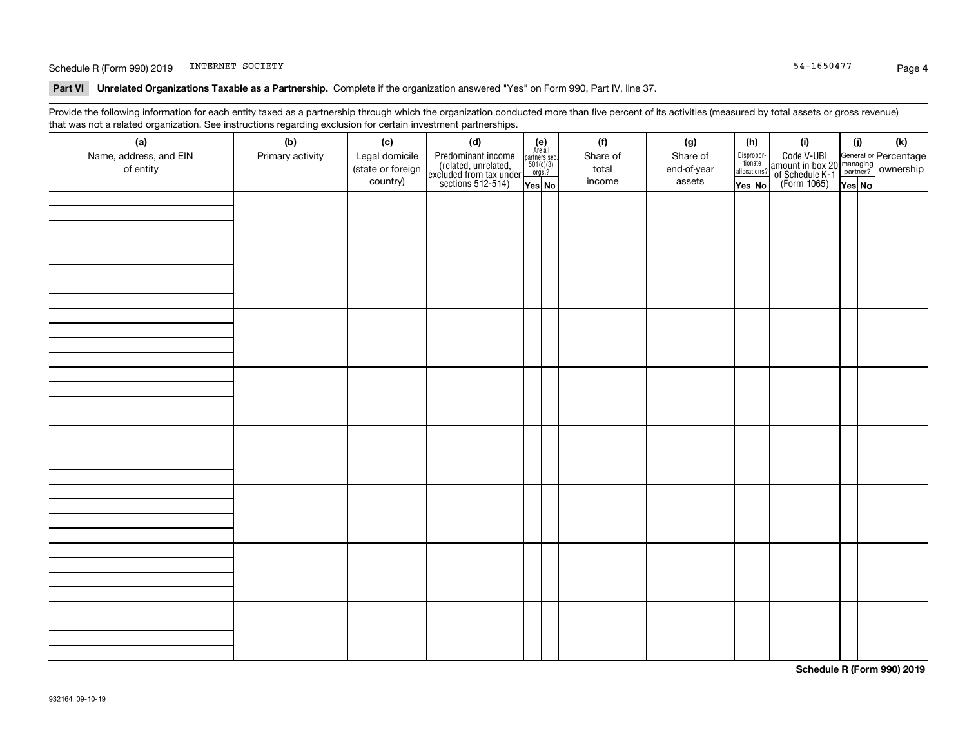## Schedule R (Form 990) 2019 INTERNET SOCIETY Page (SCHETY SOLIETY Page SCHEDULE STEED STEED STEED STEED FOR STEED STEED STEED FOR STEED STEED FOR STEED STEED STEED FOR STEED STEED FOR STEED STEED STEED STEED STEED STEED STE

Part VI Unrelated Organizations Taxable as a Partnership. Complete if the organization answered "Yes" on Form 990, Part IV, line 37.

Provide the following information for each entity taxed as a partnership through which the organization conducted more than five percent of its activities (measured by total assets or gross revenue) that was not a related organization. See instructions regarding exclusion for certain investment partnerships.

| (a)<br>Name, address, and EIN<br>of entity | ----- <del>-</del> --------<br>(b)<br>Primary activity | (c)<br>Legal domicile<br>(state or foreign<br>country) | (d)<br>Predominant income<br>(related, unrelated,<br>excluded from tax under<br>sections 512-514) | (e)<br>Are all<br>partners sec.<br>$501(c)(3)$<br>orgs.?<br>Yes No | (f)<br>Share of<br>total<br>income | (g)<br>Share of<br>end-of-year<br>assets | (h)<br>Dispropor-<br>tionate<br>allocations?<br>Yes No | (i)<br>Code V-UBI<br>  amount in box 20 managing<br>  of Schedule K-1 partner? ownership<br>  of Schedule K-1 partner? ownership<br>  Yes No | (i)<br>Yes No | (k) |
|--------------------------------------------|--------------------------------------------------------|--------------------------------------------------------|---------------------------------------------------------------------------------------------------|--------------------------------------------------------------------|------------------------------------|------------------------------------------|--------------------------------------------------------|----------------------------------------------------------------------------------------------------------------------------------------------|---------------|-----|
|                                            |                                                        |                                                        |                                                                                                   |                                                                    |                                    |                                          |                                                        |                                                                                                                                              |               |     |
|                                            |                                                        |                                                        |                                                                                                   |                                                                    |                                    |                                          |                                                        |                                                                                                                                              |               |     |
|                                            |                                                        |                                                        |                                                                                                   |                                                                    |                                    |                                          |                                                        |                                                                                                                                              |               |     |
|                                            |                                                        |                                                        |                                                                                                   |                                                                    |                                    |                                          |                                                        |                                                                                                                                              |               |     |
|                                            |                                                        |                                                        |                                                                                                   |                                                                    |                                    |                                          |                                                        |                                                                                                                                              |               |     |
|                                            |                                                        |                                                        |                                                                                                   |                                                                    |                                    |                                          |                                                        |                                                                                                                                              |               |     |
|                                            |                                                        |                                                        |                                                                                                   |                                                                    |                                    |                                          |                                                        |                                                                                                                                              |               |     |
|                                            |                                                        |                                                        |                                                                                                   |                                                                    |                                    |                                          |                                                        |                                                                                                                                              |               |     |

Schedule R (Form 990) 2019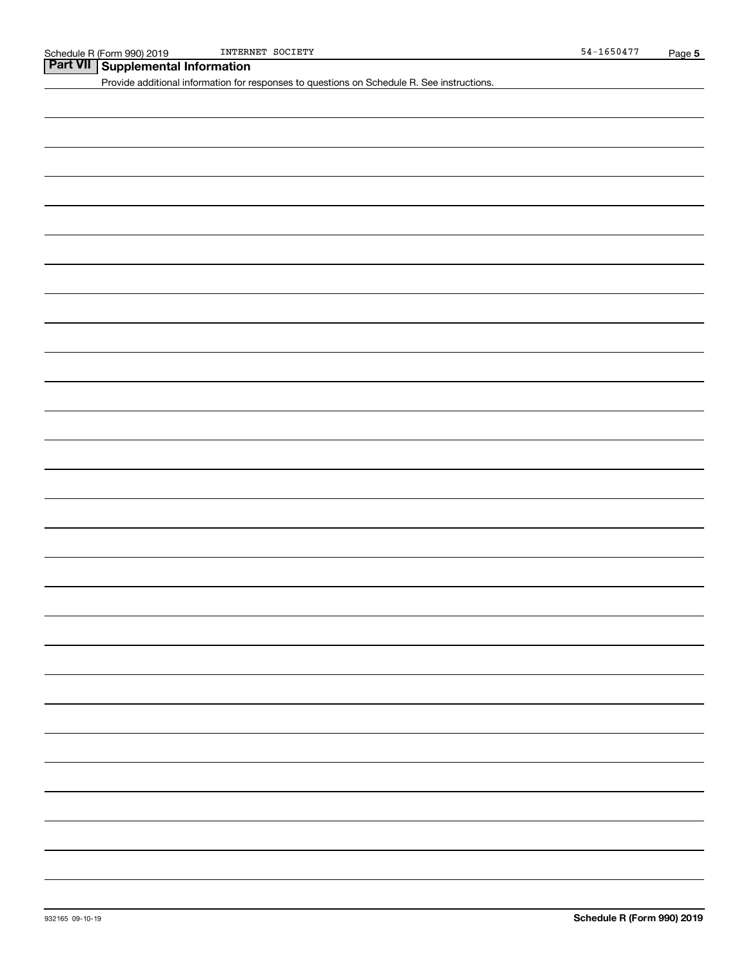# **Part VII Supplemental Information**

Provide additional information for responses to questions on Schedule R. See instructions.